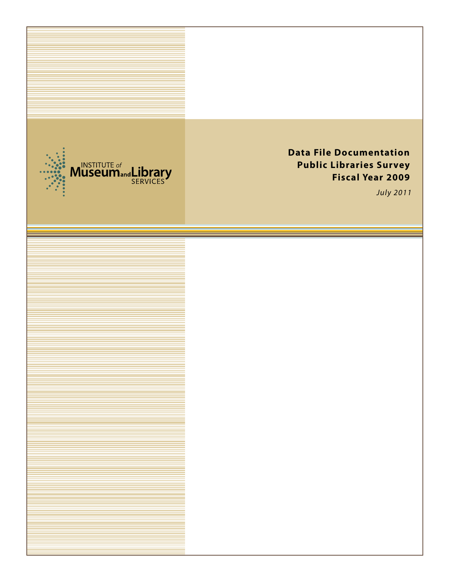

# **Data File Documentation Public Libraries Survey Fiscal Year 2009**

July *2011*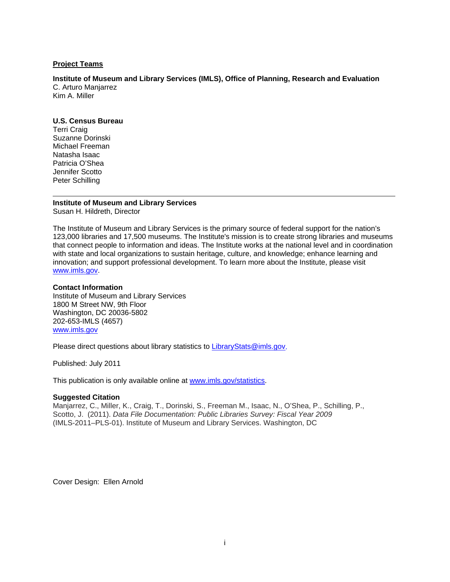#### **Project Teams**

**Institute of Museum and Library Services (IMLS), Office of Planning, Research and Evaluation**  C. Arturo Manjarrez Kim A. Miller

#### **U.S. Census Bureau**

Terri Craig Suzanne Dorinski Michael Freeman Natasha Isaac Patricia O'Shea Jennifer Scotto Peter Schilling

#### **Institute of Museum and Library Services**  Susan H. Hildreth, Director

The Institute of Museum and Library Services is the primary source of federal support for the nation's 123,000 libraries and 17,500 museums. The Institute's mission is to create strong libraries and museums that connect people to information and ideas. The Institute works at the national level and in coordination with state and local organizations to sustain heritage, culture, and knowledge; enhance learning and innovation; and support professional development. To learn more about the Institute, please visit www.imls.gov.

#### **Contact Information**

Institute of Museum and Library Services 1800 M Street NW, 9th Floor Washington, DC 20036-5802 202-653-IMLS (4657) www.imls.gov

Please direct questions about library statistics to LibraryStats@imls.gov.

Published: July 2011

This publication is only available online at www.imls.gov/statistics.

#### **Suggested Citation**

Manjarrez, C., Miller, K., Craig, T., Dorinski, S., Freeman M., Isaac, N., O'Shea, P., Schilling, P., Scotto, J. (2011). *Data File Documentation: Public Libraries Survey: Fiscal Year 2009*  (IMLS-2011–PLS-01). Institute of Museum and Library Services. Washington, DC

Cover Design: Ellen Arnold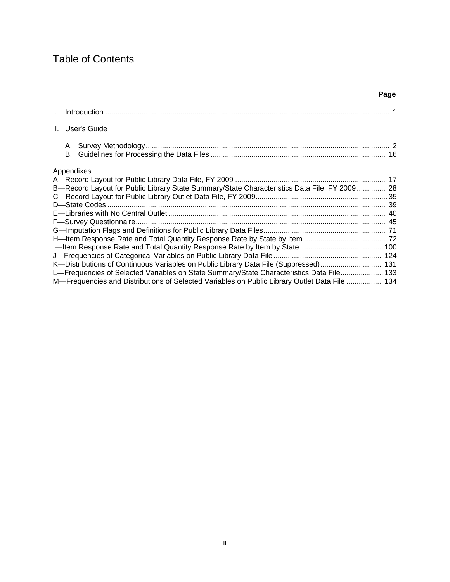# Table of Contents

#### **Page**

| II. User's Guide                                                                              |  |
|-----------------------------------------------------------------------------------------------|--|
|                                                                                               |  |
|                                                                                               |  |
| Appendixes                                                                                    |  |
|                                                                                               |  |
| B-Record Layout for Public Library State Summary/State Characteristics Data File, FY 2009 28  |  |
|                                                                                               |  |
|                                                                                               |  |
|                                                                                               |  |
|                                                                                               |  |
|                                                                                               |  |
|                                                                                               |  |
|                                                                                               |  |
|                                                                                               |  |
| K—Distributions of Continuous Variables on Public Library Data File (Suppressed) 131          |  |
| L-Frequencies of Selected Variables on State Summary/State Characteristics Data File 133      |  |
| M-Frequencies and Distributions of Selected Variables on Public Library Outlet Data File  134 |  |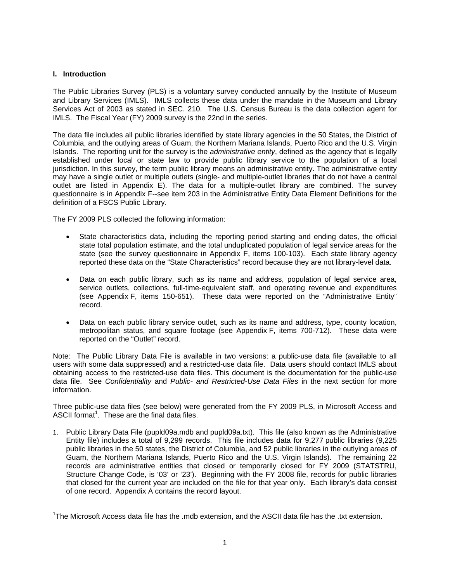#### **I. Introduction**

 $\overline{a}$ 

The Public Libraries Survey (PLS) is a voluntary survey conducted annually by the Institute of Museum and Library Services (IMLS). IMLS collects these data under the mandate in the Museum and Library Services Act of 2003 as stated in SEC. 210. The U.S. Census Bureau is the data collection agent for IMLS. The Fiscal Year (FY) 2009 survey is the 22nd in the series.

The data file includes all public libraries identified by state library agencies in the 50 States, the District of Columbia, and the outlying areas of Guam, the Northern Mariana Islands, Puerto Rico and the U.S. Virgin Islands. The reporting unit for the survey is the *administrative entity*, defined as the agency that is legally established under local or state law to provide public library service to the population of a local jurisdiction. In this survey, the term public library means an administrative entity. The administrative entity may have a single outlet or multiple outlets (single- and multiple-outlet libraries that do not have a central outlet are listed in Appendix E). The data for a multiple-outlet library are combined. The survey questionnaire is in Appendix F--see item 203 in the Administrative Entity Data Element Definitions for the definition of a FSCS Public Library.

The FY 2009 PLS collected the following information:

- State characteristics data, including the reporting period starting and ending dates, the official state total population estimate, and the total unduplicated population of legal service areas for the state (see the survey questionnaire in Appendix F, items 100-103). Each state library agency reported these data on the "State Characteristics" record because they are not library-level data.
- Data on each public library, such as its name and address, population of legal service area, service outlets, collections, full-time-equivalent staff, and operating revenue and expenditures (see Appendix F, items 150-651). These data were reported on the "Administrative Entity" record.
- Data on each public library service outlet, such as its name and address, type, county location, metropolitan status, and square footage (see Appendix F, items 700-712). These data were reported on the "Outlet" record.

Note: The Public Library Data File is available in two versions: a public-use data file (available to all users with some data suppressed) and a restricted-use data file. Data users should contact IMLS about obtaining access to the restricted-use data files. This document is the documentation for the public-use data file. See *Confidentiality* and *Public- and Restricted-Use Data Files* in the next section for more information.

Three public-use data files (see below) were generated from the FY 2009 PLS, in Microsoft Access and ASCII format $^1$ . These are the final data files.

1. Public Library Data File (pupld09a.mdb and pupld09a.txt). This file (also known as the Administrative Entity file) includes a total of 9,299 records. This file includes data for 9,277 public libraries (9,225 public libraries in the 50 states, the District of Columbia, and 52 public libraries in the outlying areas of Guam, the Northern Mariana Islands, Puerto Rico and the U.S. Virgin Islands). The remaining 22 records are administrative entities that closed or temporarily closed for FY 2009 (STATSTRU, Structure Change Code, is '03' or '23'). Beginning with the FY 2008 file, records for public libraries that closed for the current year are included on the file for that year only. Each library's data consist of one record. Appendix A contains the record layout.

<sup>&</sup>lt;sup>1</sup>The Microsoft Access data file has the .mdb extension, and the ASCII data file has the .txt extension.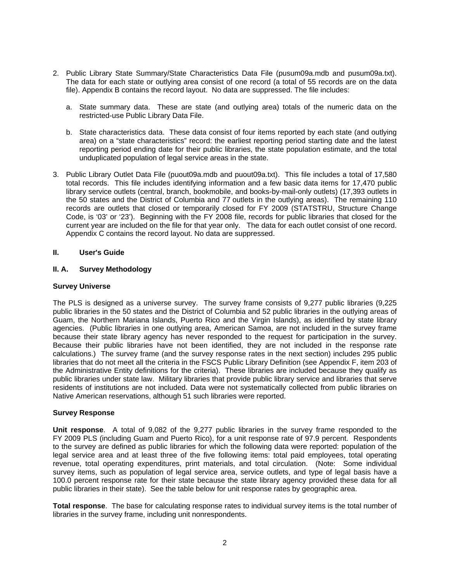- 2. Public Library State Summary/State Characteristics Data File (pusum09a.mdb and pusum09a.txt). The data for each state or outlying area consist of one record (a total of 55 records are on the data file). Appendix B contains the record layout. No data are suppressed. The file includes:
	- a. State summary data. These are state (and outlying area) totals of the numeric data on the restricted-use Public Library Data File.
	- b. State characteristics data. These data consist of four items reported by each state (and outlying area) on a "state characteristics" record: the earliest reporting period starting date and the latest reporting period ending date for their public libraries, the state population estimate, and the total unduplicated population of legal service areas in the state.
- 3. Public Library Outlet Data File (puout09a.mdb and puout09a.txt). This file includes a total of 17,580 total records. This file includes identifying information and a few basic data items for 17,470 public library service outlets (central, branch, bookmobile, and books-by-mail-only outlets) (17,393 outlets in the 50 states and the District of Columbia and 77 outlets in the outlying areas). The remaining 110 records are outlets that closed or temporarily closed for FY 2009 (STATSTRU, Structure Change Code, is '03' or '23'). Beginning with the FY 2008 file, records for public libraries that closed for the current year are included on the file for that year only. The data for each outlet consist of one record. Appendix C contains the record layout. No data are suppressed.

#### **II. User's Guide**

#### **II. A. Survey Methodology**

#### **Survey Universe**

The PLS is designed as a universe survey. The survey frame consists of 9,277 public libraries (9,225 public libraries in the 50 states and the District of Columbia and 52 public libraries in the outlying areas of Guam, the Northern Mariana Islands, Puerto Rico and the Virgin Islands), as identified by state library agencies. (Public libraries in one outlying area, American Samoa, are not included in the survey frame because their state library agency has never responded to the request for participation in the survey. Because their public libraries have not been identified, they are not included in the response rate calculations.) The survey frame (and the survey response rates in the next section) includes 295 public libraries that do not meet all the criteria in the FSCS Public Library Definition (see Appendix F, item 203 of the Administrative Entity definitions for the criteria). These libraries are included because they qualify as public libraries under state law. Military libraries that provide public library service and libraries that serve residents of institutions are not included. Data were not systematically collected from public libraries on Native American reservations, although 51 such libraries were reported.

#### **Survey Response**

**Unit response**. A total of 9,082 of the 9,277 public libraries in the survey frame responded to the FY 2009 PLS (including Guam and Puerto Rico), for a unit response rate of 97.9 percent. Respondents to the survey are defined as public libraries for which the following data were reported: population of the legal service area and at least three of the five following items: total paid employees, total operating revenue, total operating expenditures, print materials, and total circulation. (Note: Some individual survey items, such as population of legal service area, service outlets, and type of legal basis have a 100.0 percent response rate for their state because the state library agency provided these data for all public libraries in their state). See the table below for unit response rates by geographic area.

**Total response**. The base for calculating response rates to individual survey items is the total number of libraries in the survey frame, including unit nonrespondents.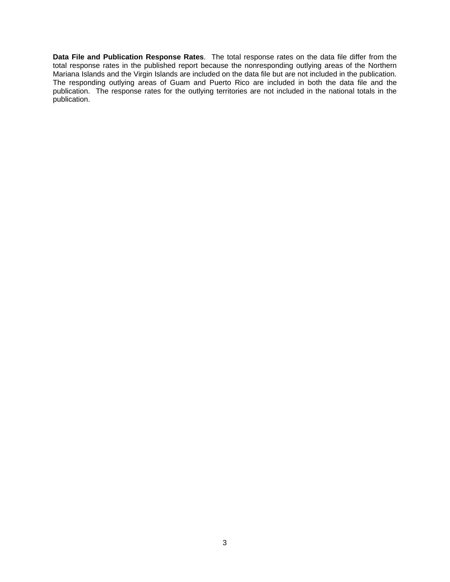**Data File and Publication Response Rates**. The total response rates on the data file differ from the total response rates in the published report because the nonresponding outlying areas of the Northern Mariana Islands and the Virgin Islands are included on the data file but are not included in the publication. The responding outlying areas of Guam and Puerto Rico are included in both the data file and the publication. The response rates for the outlying territories are not included in the national totals in the publication.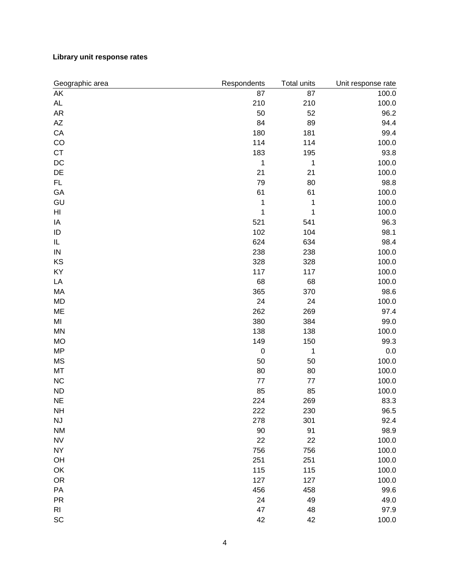### **Library unit response rates**

| Geographic area        | Respondents      | Total units | Unit response rate |
|------------------------|------------------|-------------|--------------------|
| AK                     | 87               | 87          | 100.0              |
| AL                     | 210              | 210         | 100.0              |
| <b>AR</b>              | 50               | 52          | 96.2               |
| $\mathsf{A}\mathsf{Z}$ | 84               | 89          | 94.4               |
| CA                     | 180              | 181         | 99.4               |
| CO                     | 114              | 114         | 100.0              |
| <b>CT</b>              | 183              | 195         | 93.8               |
| DC                     | 1                | 1           | 100.0              |
| DE                     | 21               | 21          | 100.0              |
| FL.                    | 79               | 80          | 98.8               |
| GA                     | 61               | 61          | 100.0              |
| GU                     | 1                | 1           | 100.0              |
| HI                     | 1                | 1           | 100.0              |
| IA                     | 521              | 541         | 96.3               |
| ID                     | 102              | 104         | 98.1               |
| IL                     | 624              | 634         | 98.4               |
| ${\sf IN}$             | 238              | 238         | 100.0              |
| KS                     | 328              | 328         | 100.0              |
| KY                     | 117              | 117         | 100.0              |
| LA                     | 68               | 68          | 100.0              |
| MA                     | 365              | 370         | 98.6               |
| <b>MD</b>              | 24               | 24          | 100.0              |
| ME                     | 262              | 269         | 97.4               |
| M <sub>l</sub>         | 380              | 384         | 99.0               |
| MN                     | 138              | 138         | 100.0              |
| <b>MO</b>              | 149              | 150         | 99.3               |
| <b>MP</b>              | $\boldsymbol{0}$ | 1           | 0.0                |
| <b>MS</b>              | 50               | 50          | 100.0              |
| MT                     | 80               | 80          | 100.0              |
| NC                     | 77               | 77          | 100.0              |
| <b>ND</b>              | 85               | 85          | 100.0              |
| <b>NE</b>              | 224              | 269         | 83.3               |
| <b>NH</b>              | 222              | 230         | 96.5               |
| NJ                     | 278              | 301         | 92.4               |
| <b>NM</b>              | 90               | 91          | 98.9               |
| <b>NV</b>              | 22               | 22          | 100.0              |
| <b>NY</b>              | 756              | 756         | 100.0              |
| OH                     | 251              | 251         | 100.0              |
| OK                     | 115              | 115         | 100.0              |
| <b>OR</b>              | 127              | 127         | 100.0              |
| PA                     | 456              | 458         | 99.6               |
| <b>PR</b>              | 24               | 49          | 49.0               |
| R <sub>l</sub>         | 47               | 48          | 97.9               |
| SC                     | 42               | 42          | 100.0              |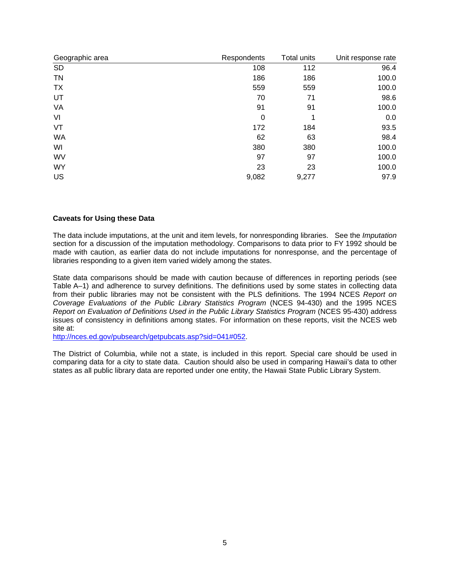| Geographic area | Respondents | <b>Total units</b> | Unit response rate |
|-----------------|-------------|--------------------|--------------------|
| <b>SD</b>       | 108         | 112                | 96.4               |
| <b>TN</b>       | 186         | 186                | 100.0              |
| <b>TX</b>       | 559         | 559                | 100.0              |
| UT              | 70          | 71                 | 98.6               |
| VA              | 91          | 91                 | 100.0              |
| VI              | 0           | 1                  | 0.0                |
| VT              | 172         | 184                | 93.5               |
| <b>WA</b>       | 62          | 63                 | 98.4               |
| WI              | 380         | 380                | 100.0              |
| WV              | 97          | 97                 | 100.0              |
| <b>WY</b>       | 23          | 23                 | 100.0              |
| US              | 9,082       | 9,277              | 97.9               |

#### **Caveats for Using these Data**

The data include imputations, at the unit and item levels, for nonresponding libraries. See the *Imputation* section for a discussion of the imputation methodology. Comparisons to data prior to FY 1992 should be made with caution, as earlier data do not include imputations for nonresponse, and the percentage of libraries responding to a given item varied widely among the states.

State data comparisons should be made with caution because of differences in reporting periods (see Table A–1) and adherence to survey definitions. The definitions used by some states in collecting data from their public libraries may not be consistent with the PLS definitions. The 1994 NCES *Report on Coverage Evaluations of the Public Library Statistics Program* (NCES 94-430) and the 1995 NCES *Report on Evaluation of Definitions Used in the Public Library Statistics Program* (NCES 95-430) address issues of consistency in definitions among states. For information on these reports, visit the NCES web site at:

http://nces.ed.gov/pubsearch/getpubcats.asp?sid=041#052.

The District of Columbia, while not a state, is included in this report. Special care should be used in comparing data for a city to state data. Caution should also be used in comparing Hawaii's data to other states as all public library data are reported under one entity, the Hawaii State Public Library System.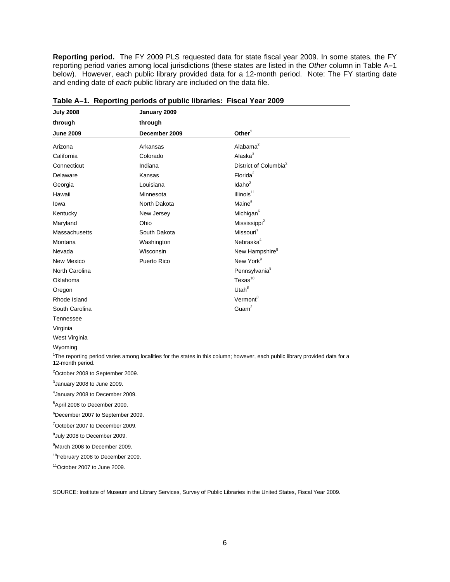**Reporting period.** The FY 2009 PLS requested data for state fiscal year 2009. In some states, the FY reporting period varies among local jurisdictions (these states are listed in the *Other* column in Table A**–**1 below). However, each public library provided data for a 12-month period. Note: The FY starting date and ending date of *each* public library are included on the data file.

| <b>July 2008</b> | January 2009  |                                                                                                                                           |
|------------------|---------------|-------------------------------------------------------------------------------------------------------------------------------------------|
| through          | through       |                                                                                                                                           |
| <b>June 2009</b> | December 2009 | $O$ ther <sup>1</sup>                                                                                                                     |
| Arizona          | Arkansas      | Alabama $2$                                                                                                                               |
| California       | Colorado      | Alaska $3$                                                                                                                                |
| Connecticut      | Indiana       | District of Columbia <sup>2</sup>                                                                                                         |
| Delaware         | Kansas        | Florida <sup>2</sup>                                                                                                                      |
| Georgia          | Louisiana     | Idaho <sup>2</sup>                                                                                                                        |
| Hawaii           | Minnesota     | Illinois $11$                                                                                                                             |
| lowa             | North Dakota  | Maine <sup>5</sup>                                                                                                                        |
| Kentucky         | New Jersey    | Michigan <sup>6</sup>                                                                                                                     |
| Maryland         | Ohio          | Mississippi <sup>2</sup>                                                                                                                  |
| Massachusetts    | South Dakota  | Missouri <sup>7</sup>                                                                                                                     |
| Montana          | Washington    | Nebraska <sup>4</sup>                                                                                                                     |
| Nevada           | Wisconsin     | New Hampshire <sup>8</sup>                                                                                                                |
| New Mexico       | Puerto Rico   | New York <sup>9</sup>                                                                                                                     |
| North Carolina   |               | Pennsylvania <sup>8</sup>                                                                                                                 |
| Oklahoma         |               | $T$ exas $^{10}$                                                                                                                          |
| Oregon           |               | Utah $8$                                                                                                                                  |
| Rhode Island     |               | Vermont <sup>8</sup>                                                                                                                      |
| South Carolina   |               | Guam <sup>2</sup>                                                                                                                         |
| Tennessee        |               |                                                                                                                                           |
| Virginia         |               |                                                                                                                                           |
| West Virginia    |               |                                                                                                                                           |
| Wyoming          |               |                                                                                                                                           |
|                  |               | <sup>1</sup> The reporting period varies among localities for the states in this column; however, each public library provided data for a |

| Table A-1. Reporting periods of public libraries: Fiscal Year 2009 |  |  |  |  |  |
|--------------------------------------------------------------------|--|--|--|--|--|
|--------------------------------------------------------------------|--|--|--|--|--|

<sup>2</sup>October 2008 to September 2009.

 $3$ January 2008 to June 2009.

4 January 2008 to December 2009.

5 April 2008 to December 2009.

6 December 2007 to September 2009.

7 October 2007 to December 2009.

 ${}^{8}$ July 2008 to December 2009.

9 March 2008 to December 2009.

10February 2008 to December 2009.

11October 2007 to June 2009.

SOURCE: Institute of Museum and Library Services, Survey of Public Libraries in the United States, Fiscal Year 2009.

<sup>12-</sup>month period.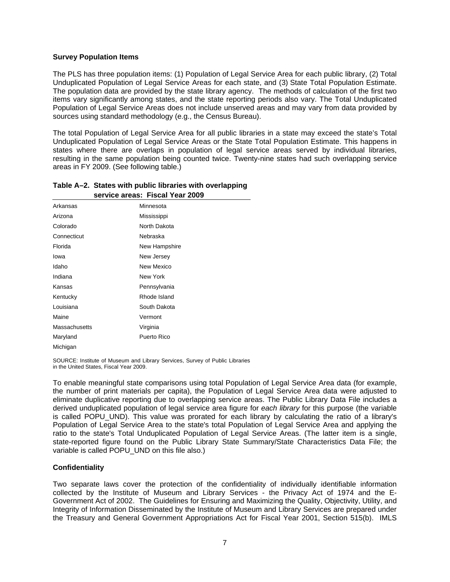#### **Survey Population Items**

The PLS has three population items: (1) Population of Legal Service Area for each public library, (2) Total Unduplicated Population of Legal Service Areas for each state, and (3) State Total Population Estimate. The population data are provided by the state library agency. The methods of calculation of the first two items vary significantly among states, and the state reporting periods also vary. The Total Unduplicated Population of Legal Service Areas does not include unserved areas and may vary from data provided by sources using standard methodology (e.g., the Census Bureau).

The total Population of Legal Service Area for all public libraries in a state may exceed the state's Total Unduplicated Population of Legal Service Areas or the State Total Population Estimate. This happens in states where there are overlaps in population of legal service areas served by individual libraries, resulting in the same population being counted twice. Twenty-nine states had such overlapping service areas in FY 2009. (See following table.)

|               | service areas: Fiscal Year 2009 |
|---------------|---------------------------------|
| Arkansas      | Minnesota                       |
| Arizona       | Mississippi                     |
| Colorado      | North Dakota                    |
| Connecticut   | Nebraska                        |
| Florida       | New Hampshire                   |
| lowa          | New Jersey                      |
| Idaho         | New Mexico                      |
| Indiana       | New York                        |
| Kansas        | Pennsylvania                    |
| Kentucky      | Rhode Island                    |
| Louisiana     | South Dakota                    |
| Maine         | Vermont                         |
| Massachusetts | Virginia                        |
| Maryland      | Puerto Rico                     |
| Michigan      |                                 |

#### **Table A–2. States with public libraries with overlapping Table B–2. service areas: Fiscal Year 2009**

SOURCE: Institute of Museum and Library Services, Survey of Public Libraries in the United States, Fiscal Year 2009.

To enable meaningful state comparisons using total Population of Legal Service Area data (for example, the number of print materials per capita), the Population of Legal Service Area data were adjusted to eliminate duplicative reporting due to overlapping service areas. The Public Library Data File includes a derived unduplicated population of legal service area figure for *each library* for this purpose (the variable is called POPU\_UND). This value was prorated for each library by calculating the ratio of a library's Population of Legal Service Area to the state's total Population of Legal Service Area and applying the ratio to the state's Total Unduplicated Population of Legal Service Areas. (The latter item is a single, state-reported figure found on the Public Library State Summary/State Characteristics Data File; the variable is called POPU UND on this file also.)

### **Confidentiality**

Two separate laws cover the protection of the confidentiality of individually identifiable information collected by the Institute of Museum and Library Services - the Privacy Act of 1974 and the E-Government Act of 2002. The Guidelines for Ensuring and Maximizing the Quality, Objectivity, Utility, and Integrity of Information Disseminated by the Institute of Museum and Library Services are prepared under the Treasury and General Government Appropriations Act for Fiscal Year 2001, Section 515(b). IMLS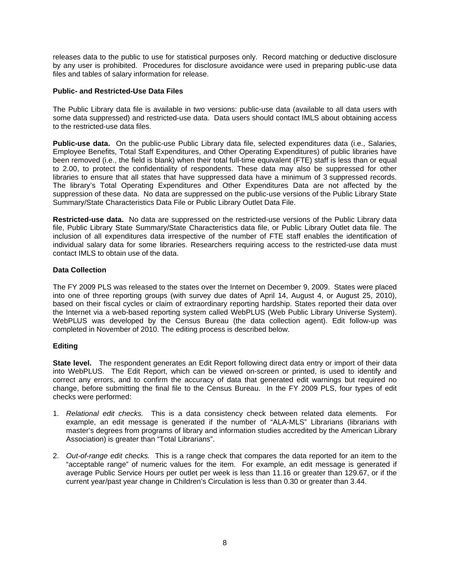releases data to the public to use for statistical purposes only. Record matching or deductive disclosure by any user is prohibited. Procedures for disclosure avoidance were used in preparing public-use data files and tables of salary information for release.

#### **Public- and Restricted-Use Data Files**

The Public Library data file is available in two versions: public-use data (available to all data users with some data suppressed) and restricted-use data. Data users should contact IMLS about obtaining access to the restricted-use data files.

Public-use data. On the public-use Public Library data file, selected expenditures data (i.e., Salaries, Employee Benefits, Total Staff Expenditures, and Other Operating Expenditures) of public libraries have been removed (i.e., the field is blank) when their total full-time equivalent (FTE) staff is less than or equal to 2.00, to protect the confidentiality of respondents. These data may also be suppressed for other libraries to ensure that all states that have suppressed data have a minimum of 3 suppressed records. The library's Total Operating Expenditures and Other Expenditures Data are not affected by the suppression of these data. No data are suppressed on the public-use versions of the Public Library State Summary/State Characteristics Data File or Public Library Outlet Data File.

**Restricted-use data.** No data are suppressed on the restricted-use versions of the Public Library data file, Public Library State Summary/State Characteristics data file, or Public Library Outlet data file. The inclusion of all expenditures data irrespective of the number of FTE staff enables the identification of individual salary data for some libraries. Researchers requiring access to the restricted-use data must contact IMLS to obtain use of the data.

#### **Data Collection**

The FY 2009 PLS was released to the states over the Internet on December 9, 2009. States were placed into one of three reporting groups (with survey due dates of April 14, August 4, or August 25, 2010), based on their fiscal cycles or claim of extraordinary reporting hardship. States reported their data over the Internet via a web-based reporting system called WebPLUS (Web Public Library Universe System). WebPLUS was developed by the Census Bureau (the data collection agent). Edit follow-up was completed in November of 2010. The editing process is described below.

### **Editing**

**State level.** The respondent generates an Edit Report following direct data entry or import of their data into WebPLUS. The Edit Report, which can be viewed on-screen or printed, is used to identify and correct any errors, and to confirm the accuracy of data that generated edit warnings but required no change, before submitting the final file to the Census Bureau. In the FY 2009 PLS, four types of edit checks were performed:

- 1. *Relational edit checks.* This is a data consistency check between related data elements. For example, an edit message is generated if the number of "ALA-MLS" Librarians (librarians with master's degrees from programs of library and information studies accredited by the American Library Association) is greater than "Total Librarians".
- 2. *Out-of-range edit checks.* This is a range check that compares the data reported for an item to the "acceptable range" of numeric values for the item. For example, an edit message is generated if average Public Service Hours per outlet per week is less than 11.16 or greater than 129.67, or if the current year/past year change in Children's Circulation is less than 0.30 or greater than 3.44.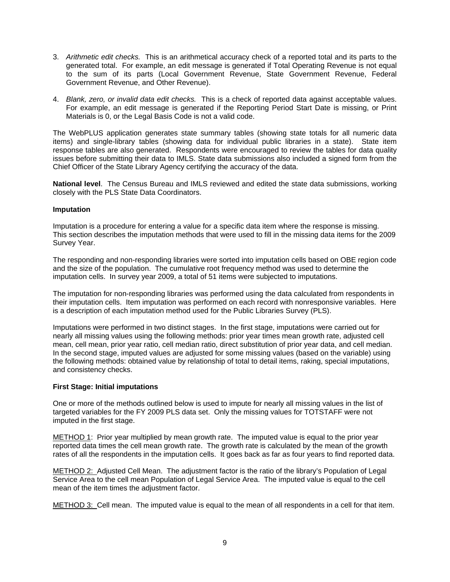- 3. *Arithmetic edit checks.* This is an arithmetical accuracy check of a reported total and its parts to the generated total. For example, an edit message is generated if Total Operating Revenue is not equal to the sum of its parts (Local Government Revenue, State Government Revenue, Federal Government Revenue, and Other Revenue).
- 4. *Blank, zero, or invalid data edit checks.* This is a check of reported data against acceptable values. For example, an edit message is generated if the Reporting Period Start Date is missing, or Print Materials is 0, or the Legal Basis Code is not a valid code.

The WebPLUS application generates state summary tables (showing state totals for all numeric data items) and single-library tables (showing data for individual public libraries in a state). State item response tables are also generated. Respondents were encouraged to review the tables for data quality issues before submitting their data to IMLS. State data submissions also included a signed form from the Chief Officer of the State Library Agency certifying the accuracy of the data.

**National level**. The Census Bureau and IMLS reviewed and edited the state data submissions, working closely with the PLS State Data Coordinators.

#### **Imputation**

Imputation is a procedure for entering a value for a specific data item where the response is missing. This section describes the imputation methods that were used to fill in the missing data items for the 2009 Survey Year.

The responding and non-responding libraries were sorted into imputation cells based on OBE region code and the size of the population. The cumulative root frequency method was used to determine the imputation cells. In survey year 2009, a total of 51 items were subjected to imputations.

The imputation for non-responding libraries was performed using the data calculated from respondents in their imputation cells. Item imputation was performed on each record with nonresponsive variables. Here is a description of each imputation method used for the Public Libraries Survey (PLS).

Imputations were performed in two distinct stages. In the first stage, imputations were carried out for nearly all missing values using the following methods: prior year times mean growth rate, adjusted cell mean, cell mean, prior year ratio, cell median ratio, direct substitution of prior year data, and cell median. In the second stage, imputed values are adjusted for some missing values (based on the variable) using the following methods: obtained value by relationship of total to detail items, raking, special imputations, and consistency checks.

### **First Stage: Initial imputations**

One or more of the methods outlined below is used to impute for nearly all missing values in the list of targeted variables for the FY 2009 PLS data set. Only the missing values for TOTSTAFF were not imputed in the first stage.

METHOD 1: Prior year multiplied by mean growth rate. The imputed value is equal to the prior year reported data times the cell mean growth rate. The growth rate is calculated by the mean of the growth rates of all the respondents in the imputation cells. It goes back as far as four years to find reported data.

METHOD 2: Adjusted Cell Mean. The adjustment factor is the ratio of the library's Population of Legal Service Area to the cell mean Population of Legal Service Area. The imputed value is equal to the cell mean of the item times the adjustment factor.

METHOD 3: Cell mean. The imputed value is equal to the mean of all respondents in a cell for that item.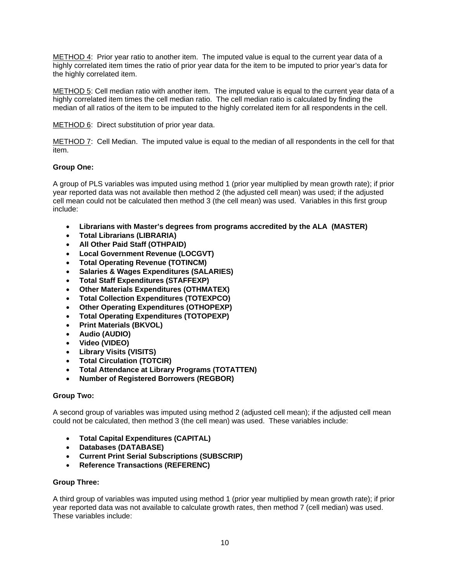METHOD 4: Prior year ratio to another item. The imputed value is equal to the current year data of a highly correlated item times the ratio of prior year data for the item to be imputed to prior year's data for the highly correlated item.

METHOD 5: Cell median ratio with another item. The imputed value is equal to the current year data of a highly correlated item times the cell median ratio. The cell median ratio is calculated by finding the median of all ratios of the item to be imputed to the highly correlated item for all respondents in the cell.

METHOD 6: Direct substitution of prior year data.

METHOD 7: Cell Median. The imputed value is equal to the median of all respondents in the cell for that item.

#### **Group One:**

A group of PLS variables was imputed using method 1 (prior year multiplied by mean growth rate); if prior year reported data was not available then method 2 (the adjusted cell mean) was used; if the adjusted cell mean could not be calculated then method 3 (the cell mean) was used. Variables in this first group include:

- **Librarians with Master's degrees from programs accredited by the ALA (MASTER)**
- **Total Librarians (LIBRARIA)**
- **All Other Paid Staff (OTHPAID)**
- **Local Government Revenue (LOCGVT)**
- **Total Operating Revenue (TOTINCM)**
- **Salaries & Wages Expenditures (SALARIES)**
- **Total Staff Expenditures (STAFFEXP)**
- **Other Materials Expenditures (OTHMATEX)**
- **Total Collection Expenditures (TOTEXPCO)**
- **Other Operating Expenditures (OTHOPEXP)**
- **Total Operating Expenditures (TOTOPEXP)**
- **Print Materials (BKVOL)**
- **Audio (AUDIO)**
- **Video (VIDEO)**
- **Library Visits (VISITS)**
- **Total Circulation (TOTCIR)**
- **Total Attendance at Library Programs (TOTATTEN)**
- **Number of Registered Borrowers (REGBOR)**

#### **Group Two:**

A second group of variables was imputed using method 2 (adjusted cell mean); if the adjusted cell mean could not be calculated, then method 3 (the cell mean) was used. These variables include:

- **Total Capital Expenditures (CAPITAL)**
- **Databases (DATABASE)**
- **Current Print Serial Subscriptions (SUBSCRIP)**
- **Reference Transactions (REFERENC)**

#### **Group Three:**

A third group of variables was imputed using method 1 (prior year multiplied by mean growth rate); if prior year reported data was not available to calculate growth rates, then method 7 (cell median) was used. These variables include: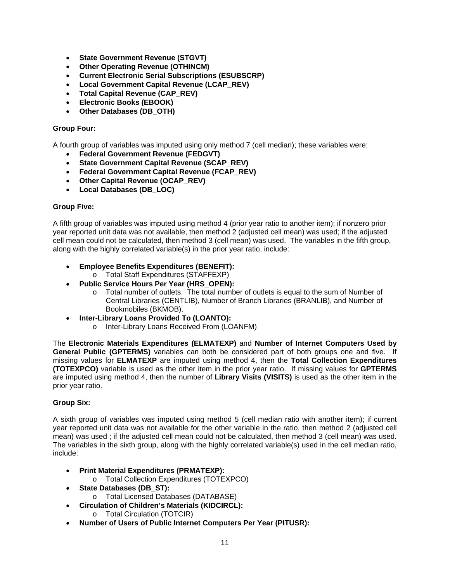- **State Government Revenue (STGVT)**
- **Other Operating Revenue (OTHINCM)**
- **Current Electronic Serial Subscriptions (ESUBSCRP)**
- **Local Government Capital Revenue (LCAP\_REV)**
- **Total Capital Revenue (CAP\_REV)**
- **Electronic Books (EBOOK)**
- **Other Databases (DB\_OTH)**

#### **Group Four:**

A fourth group of variables was imputed using only method 7 (cell median); these variables were:

- **Federal Government Revenue (FEDGVT)**
- **State Government Capital Revenue (SCAP\_REV)**
- **Federal Government Capital Revenue (FCAP\_REV)**
- **Other Capital Revenue (OCAP\_REV)**
- **Local Databases (DB\_LOC)**

#### **Group Five:**

A fifth group of variables was imputed using method 4 (prior year ratio to another item); if nonzero prior year reported unit data was not available, then method 2 (adjusted cell mean) was used; if the adjusted cell mean could not be calculated, then method 3 (cell mean) was used. The variables in the fifth group, along with the highly correlated variable(s) in the prior year ratio, include:

- **Employee Benefits Expenditures (BENEFIT):**
	- o Total Staff Expenditures (STAFFEXP)
- **Public Service Hours Per Year (HRS\_OPEN):**
	- o Total number of outlets. The total number of outlets is equal to the sum of Number of Central Libraries (CENTLIB), Number of Branch Libraries (BRANLIB), and Number of Bookmobiles (BKMOB).
- **Inter-Library Loans Provided To (LOANTO):**
	- o Inter-Library Loans Received From (LOANFM)

The **Electronic Materials Expenditures (ELMATEXP)** and **Number of Internet Computers Used by General Public (GPTERMS)** variables can both be considered part of both groups one and five. If missing values for **ELMATEXP** are imputed using method 4, then the **Total Collection Expenditures (TOTEXPCO)** variable is used as the other item in the prior year ratio. If missing values for **GPTERMS** are imputed using method 4, then the number of **Library Visits (VISITS)** is used as the other item in the prior year ratio.

### **Group Six:**

A sixth group of variables was imputed using method 5 (cell median ratio with another item); if current year reported unit data was not available for the other variable in the ratio, then method 2 (adjusted cell mean) was used ; if the adjusted cell mean could not be calculated, then method 3 (cell mean) was used. The variables in the sixth group, along with the highly correlated variable(s) used in the cell median ratio, include:

- **Print Material Expenditures (PRMATEXP):** 
	- o Total Collection Expenditures (TOTEXPCO)
- **State Databases (DB\_ST):**
	- o Total Licensed Databases (DATABASE)
	- **Circulation of Children's Materials (KIDCIRCL):** 
		- o Total Circulation (TOTCIR)
- **Number of Users of Public Internet Computers Per Year (PITUSR):**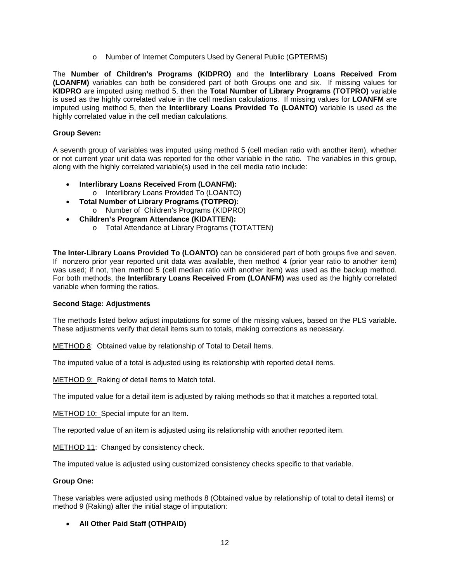o Number of Internet Computers Used by General Public (GPTERMS)

The **Number of Children's Programs (KIDPRO)** and the **Interlibrary Loans Received From (LOANFM)** variables can both be considered part of both Groups one and six. If missing values for **KIDPRO** are imputed using method 5, then the **Total Number of Library Programs (TOTPRO)** variable is used as the highly correlated value in the cell median calculations. If missing values for **LOANFM** are imputed using method 5, then the **Interlibrary Loans Provided To (LOANTO)** variable is used as the highly correlated value in the cell median calculations.

#### **Group Seven:**

A seventh group of variables was imputed using method 5 (cell median ratio with another item), whether or not current year unit data was reported for the other variable in the ratio. The variables in this group, along with the highly correlated variable(s) used in the cell media ratio include:

- **Interlibrary Loans Received From (LOANFM):**  o Interlibrary Loans Provided To (LOANTO)
- **Total Number of Library Programs (TOTPRO):** 
	- o Number of Children's Programs (KIDPRO)
- **Children's Program Attendance (KIDATTEN):** 
	- o Total Attendance at Library Programs (TOTATTEN)

**The Inter-Library Loans Provided To (LOANTO)** can be considered part of both groups five and seven. If nonzero prior year reported unit data was available, then method 4 (prior year ratio to another item) was used; if not, then method 5 (cell median ratio with another item) was used as the backup method. For both methods, the **Interlibrary Loans Received From (LOANFM)** was used as the highly correlated variable when forming the ratios.

#### **Second Stage: Adjustments**

The methods listed below adjust imputations for some of the missing values, based on the PLS variable. These adjustments verify that detail items sum to totals, making corrections as necessary.

METHOD 8: Obtained value by relationship of Total to Detail Items.

The imputed value of a total is adjusted using its relationship with reported detail items.

METHOD 9: Raking of detail items to Match total.

The imputed value for a detail item is adjusted by raking methods so that it matches a reported total.

METHOD 10: Special impute for an Item.

The reported value of an item is adjusted using its relationship with another reported item.

METHOD 11: Changed by consistency check.

The imputed value is adjusted using customized consistency checks specific to that variable.

#### **Group One:**

These variables were adjusted using methods 8 (Obtained value by relationship of total to detail items) or method 9 (Raking) after the initial stage of imputation:

### **All Other Paid Staff (OTHPAID)**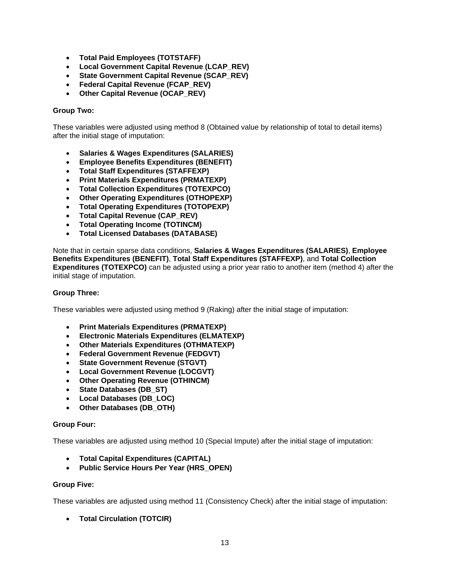- **Total Paid Employees (TOTSTAFF)**
- **Local Government Capital Revenue (LCAP\_REV)**
- **State Government Capital Revenue (SCAP\_REV)**
- **Federal Capital Revenue (FCAP\_REV)**
- **Other Capital Revenue (OCAP\_REV)**

#### **Group Two:**

These variables were adjusted using method 8 (Obtained value by relationship of total to detail items) after the initial stage of imputation:

- **Salaries & Wages Expenditures (SALARIES)**
- **Employee Benefits Expenditures (BENEFIT)**
- **Total Staff Expenditures (STAFFEXP)**
- **Print Materials Expenditures (PRMATEXP)**
- **Total Collection Expenditures (TOTEXPCO)**
- **Other Operating Expenditures (OTHOPEXP)**
- **Total Operating Expenditures (TOTOPEXP)**
- **Total Capital Revenue (CAP\_REV)**
- **Total Operating Income (TOTINCM)**
- **Total Licensed Databases (DATABASE)**

Note that in certain sparse data conditions, **Salaries & Wages Expenditures (SALARIES)**, **Employee Benefits Expenditures (BENEFIT)**, **Total Staff Expenditures (STAFFEXP)**, and **Total Collection Expenditures (TOTEXPCO)** can be adjusted using a prior year ratio to another item (method 4) after the initial stage of imputation.

#### **Group Three:**

These variables were adjusted using method 9 (Raking) after the initial stage of imputation:

- **Print Materials Expenditures (PRMATEXP)**
- **Electronic Materials Expenditures (ELMATEXP)**
- **Other Materials Expenditures (OTHMATEXP)**
- **Federal Government Revenue (FEDGVT)**
- **State Government Revenue (STGVT)**
- **Local Government Revenue (LOCGVT)**
- **Other Operating Revenue (OTHINCM)**
- **State Databases (DB\_ST)**
- **Local Databases (DB\_LOC)**
- **Other Databases (DB\_OTH)**

#### **Group Four:**

These variables are adjusted using method 10 (Special Impute) after the initial stage of imputation:

- **Total Capital Expenditures (CAPITAL)**
- **Public Service Hours Per Year (HRS\_OPEN)**

#### **Group Five:**

These variables are adjusted using method 11 (Consistency Check) after the initial stage of imputation:

**Total Circulation (TOTCIR)**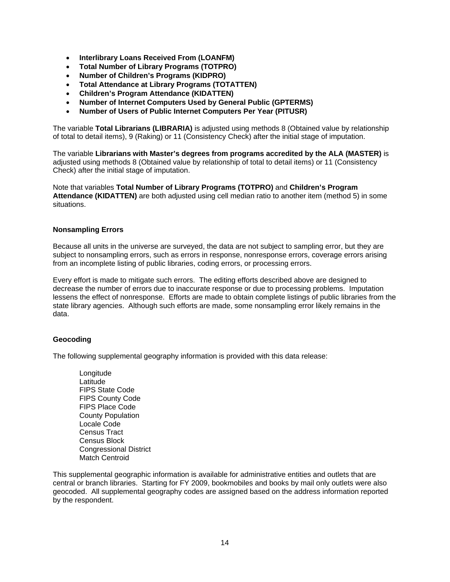- **Interlibrary Loans Received From (LOANFM)**
- **Total Number of Library Programs (TOTPRO)**
- **Number of Children's Programs (KIDPRO)**
- **Total Attendance at Library Programs (TOTATTEN)**
- **Children's Program Attendance (KIDATTEN)**
- **Number of Internet Computers Used by General Public (GPTERMS)**
- **Number of Users of Public Internet Computers Per Year (PITUSR)**

The variable **Total Librarians (LIBRARIA)** is adjusted using methods 8 (Obtained value by relationship of total to detail items), 9 (Raking) or 11 (Consistency Check) after the initial stage of imputation.

The variable **Librarians with Master's degrees from programs accredited by the ALA (MASTER)** is adjusted using methods 8 (Obtained value by relationship of total to detail items) or 11 (Consistency Check) after the initial stage of imputation.

Note that variables **Total Number of Library Programs (TOTPRO)** and **Children's Program Attendance (KIDATTEN)** are both adjusted using cell median ratio to another item (method 5) in some situations.

#### **Nonsampling Errors**

Because all units in the universe are surveyed, the data are not subject to sampling error, but they are subject to nonsampling errors, such as errors in response, nonresponse errors, coverage errors arising from an incomplete listing of public libraries, coding errors, or processing errors.

Every effort is made to mitigate such errors. The editing efforts described above are designed to decrease the number of errors due to inaccurate response or due to processing problems. Imputation lessens the effect of nonresponse. Efforts are made to obtain complete listings of public libraries from the state library agencies. Although such efforts are made, some nonsampling error likely remains in the data.

#### **Geocoding**

The following supplemental geography information is provided with this data release:

Longitude Latitude FIPS State Code FIPS County Code FIPS Place Code County Population Locale Code Census Tract Census Block Congressional District Match Centroid

This supplemental geographic information is available for administrative entities and outlets that are central or branch libraries. Starting for FY 2009, bookmobiles and books by mail only outlets were also geocoded. All supplemental geography codes are assigned based on the address information reported by the respondent.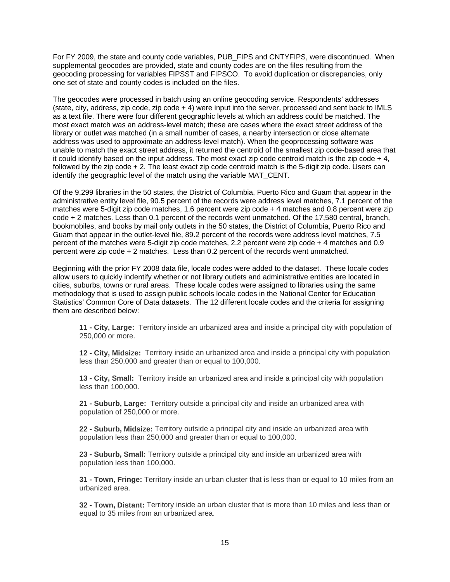For FY 2009, the state and county code variables, PUB\_FIPS and CNTYFIPS, were discontinued. When supplemental geocodes are provided, state and county codes are on the files resulting from the geocoding processing for variables FIPSST and FIPSCO. To avoid duplication or discrepancies, only one set of state and county codes is included on the files.

The geocodes were processed in batch using an online geocoding service. Respondents' addresses (state, city, address, zip code, zip code + 4) were input into the server, processed and sent back to IMLS as a text file. There were four different geographic levels at which an address could be matched. The most exact match was an address-level match; these are cases where the exact street address of the library or outlet was matched (in a small number of cases, a nearby intersection or close alternate address was used to approximate an address-level match). When the geoprocessing software was unable to match the exact street address, it returned the centroid of the smallest zip code-based area that it could identify based on the input address. The most exact zip code centroid match is the zip code  $+4$ . followed by the zip code + 2. The least exact zip code centroid match is the 5-digit zip code. Users can identify the geographic level of the match using the variable MAT\_CENT.

Of the 9,299 libraries in the 50 states, the District of Columbia, Puerto Rico and Guam that appear in the administrative entity level file, 90.5 percent of the records were address level matches, 7.1 percent of the matches were 5-digit zip code matches, 1.6 percent were zip code + 4 matches and 0.8 percent were zip code + 2 matches. Less than 0.1 percent of the records went unmatched. Of the 17,580 central, branch, bookmobiles, and books by mail only outlets in the 50 states, the District of Columbia, Puerto Rico and Guam that appear in the outlet-level file, 89.2 percent of the records were address level matches, 7.5 percent of the matches were 5-digit zip code matches, 2.2 percent were zip code + 4 matches and 0.9 percent were zip code + 2 matches. Less than 0.2 percent of the records went unmatched.

Beginning with the prior FY 2008 data file, locale codes were added to the dataset. These locale codes allow users to quickly indentify whether or not library outlets and administrative entities are located in cities, suburbs, towns or rural areas. These locale codes were assigned to libraries using the same methodology that is used to assign public schools locale codes in the National Center for Education Statistics' Common Core of Data datasets. The 12 different locale codes and the criteria for assigning them are described below:

**11 - City, Large:** Territory inside an urbanized area and inside a principal city with population of 250,000 or more.

**12 - City, Midsize:** Territory inside an urbanized area and inside a principal city with population less than 250,000 and greater than or equal to 100,000.

**13 - City, Small:** Territory inside an urbanized area and inside a principal city with population less than 100,000.

**21 - Suburb, Large:** Territory outside a principal city and inside an urbanized area with population of 250,000 or more.

**22 - Suburb, Midsize:** Territory outside a principal city and inside an urbanized area with population less than 250,000 and greater than or equal to 100,000.

**23 - Suburb, Small:** Territory outside a principal city and inside an urbanized area with population less than 100,000.

**31 - Town, Fringe:** Territory inside an urban cluster that is less than or equal to 10 miles from an urbanized area.

**32 - Town, Distant:** Territory inside an urban cluster that is more than 10 miles and less than or equal to 35 miles from an urbanized area.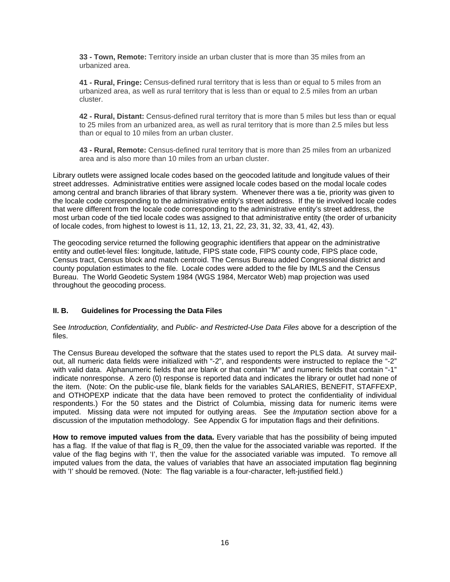**33 - Town, Remote:** Territory inside an urban cluster that is more than 35 miles from an urbanized area.

**41 - Rural, Fringe:** Census-defined rural territory that is less than or equal to 5 miles from an urbanized area, as well as rural territory that is less than or equal to 2.5 miles from an urban cluster.

**42 - Rural, Distant:** Census-defined rural territory that is more than 5 miles but less than or equal to 25 miles from an urbanized area, as well as rural territory that is more than 2.5 miles but less than or equal to 10 miles from an urban cluster.

**43 - Rural, Remote:** Census-defined rural territory that is more than 25 miles from an urbanized area and is also more than 10 miles from an urban cluster.

Library outlets were assigned locale codes based on the geocoded latitude and longitude values of their street addresses. Administrative entities were assigned locale codes based on the modal locale codes among central and branch libraries of that library system. Whenever there was a tie, priority was given to the locale code corresponding to the administrative entity's street address. If the tie involved locale codes that were different from the locale code corresponding to the administrative entity's street address, the most urban code of the tied locale codes was assigned to that administrative entity (the order of urbanicity of locale codes, from highest to lowest is 11, 12, 13, 21, 22, 23, 31, 32, 33, 41, 42, 43).

The geocoding service returned the following geographic identifiers that appear on the administrative entity and outlet-level files: longitude, latitude, FIPS state code, FIPS county code, FIPS place code, Census tract, Census block and match centroid. The Census Bureau added Congressional district and county population estimates to the file. Locale codes were added to the file by IMLS and the Census Bureau. The World Geodetic System 1984 (WGS 1984, Mercator Web) map projection was used throughout the geocoding process.

### **II. B. Guidelines for Processing the Data Files**

#### See *Introduction, Confidentiality,* and *Public- and Restricted-Use Data Files* above for a description of the files.

The Census Bureau developed the software that the states used to report the PLS data. At survey mailout, all numeric data fields were initialized with "-2", and respondents were instructed to replace the "-2" with valid data. Alphanumeric fields that are blank or that contain "M" and numeric fields that contain "-1" indicate nonresponse. A zero (0) response is reported data and indicates the library or outlet had none of the item. (Note: On the public-use file, blank fields for the variables SALARIES, BENEFIT, STAFFEXP, and OTHOPEXP indicate that the data have been removed to protect the confidentiality of individual respondents.) For the 50 states and the District of Columbia, missing data for numeric items were imputed. Missing data were not imputed for outlying areas. See the *Imputation* section above for a discussion of the imputation methodology. See Appendix G for imputation flags and their definitions.

**How to remove imputed values from the data.** Every variable that has the possibility of being imputed has a flag. If the value of that flag is R 09, then the value for the associated variable was reported. If the value of the flag begins with 'I', then the value for the associated variable was imputed. To remove all imputed values from the data, the values of variables that have an associated imputation flag beginning with 'I' should be removed. (Note: The flag variable is a four-character, left-justified field.)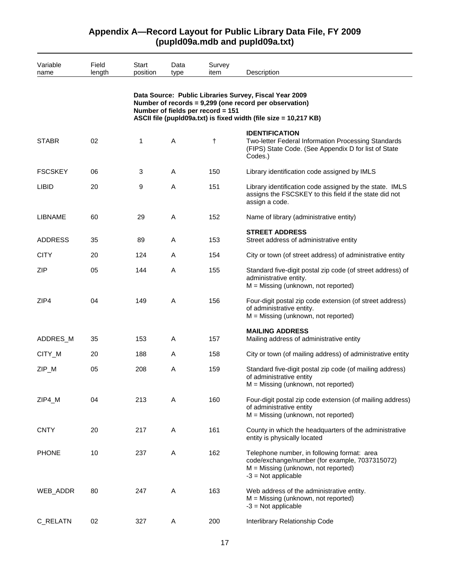| Variable       | Field  | Start    | Data                              | Survey     |                                                                                                                                                                                      |
|----------------|--------|----------|-----------------------------------|------------|--------------------------------------------------------------------------------------------------------------------------------------------------------------------------------------|
| name           | length | position | type                              | item       | Description                                                                                                                                                                          |
|                |        |          | Number of fields per record = 151 |            | Data Source: Public Libraries Survey, Fiscal Year 2009<br>Number of records = 9,299 (one record per observation)<br>ASCII file (pupId09a.txt) is fixed width (file size = 10,217 KB) |
| <b>STABR</b>   | 02     | 1        | A                                 | $^\dagger$ | <b>IDENTIFICATION</b><br>Two-letter Federal Information Processing Standards<br>(FIPS) State Code. (See Appendix D for list of State<br>Codes.)                                      |
| <b>FSCSKEY</b> | 06     | 3        | A                                 | 150        | Library identification code assigned by IMLS                                                                                                                                         |
| <b>LIBID</b>   | 20     | 9        | A                                 | 151        | Library identification code assigned by the state. IMLS<br>assigns the FSCSKEY to this field if the state did not<br>assign a code.                                                  |
| <b>LIBNAME</b> | 60     | 29       | A                                 | 152        | Name of library (administrative entity)                                                                                                                                              |
| <b>ADDRESS</b> | 35     | 89       | Α                                 | 153        | <b>STREET ADDRESS</b><br>Street address of administrative entity                                                                                                                     |
| <b>CITY</b>    | 20     | 124      | A                                 | 154        | City or town (of street address) of administrative entity                                                                                                                            |
| <b>ZIP</b>     | 05     | 144      | A                                 | 155        | Standard five-digit postal zip code (of street address) of<br>administrative entity.<br>$M =$ Missing (unknown, not reported)                                                        |
| ZIP4           | 04     | 149      | A                                 | 156        | Four-digit postal zip code extension (of street address)<br>of administrative entity.<br>$M =$ Missing (unknown, not reported)                                                       |
| ADDRES_M       | 35     | 153      | A                                 | 157        | <b>MAILING ADDRESS</b><br>Mailing address of administrative entity                                                                                                                   |
| CITY_M         | 20     | 188      | Α                                 | 158        | City or town (of mailing address) of administrative entity                                                                                                                           |
| ZIP_M          | 05     | 208      | A                                 | 159        | Standard five-digit postal zip code (of mailing address)<br>of administrative entity<br>M = Missing (unknown, not reported)                                                          |
| ZIP4_M         | 04     | 213      | Α                                 | 160        | Four-digit postal zip code extension (of mailing address)<br>of administrative entity<br>M = Missing (unknown, not reported)                                                         |
| <b>CNTY</b>    | 20     | 217      | A                                 | 161        | County in which the headquarters of the administrative<br>entity is physically located                                                                                               |
| <b>PHONE</b>   | 10     | 237      | A                                 | 162        | Telephone number, in following format: area<br>code/exchange/number (for example, 7037315072)<br>$M =$ Missing (unknown, not reported)<br>$-3$ = Not applicable                      |
| WEB_ADDR       | 80     | 247      | A                                 | 163        | Web address of the administrative entity.<br>$M =$ Missing (unknown, not reported)<br>$-3$ = Not applicable                                                                          |
| C_RELATN       | 02     | 327      | Α                                 | 200        | Interlibrary Relationship Code                                                                                                                                                       |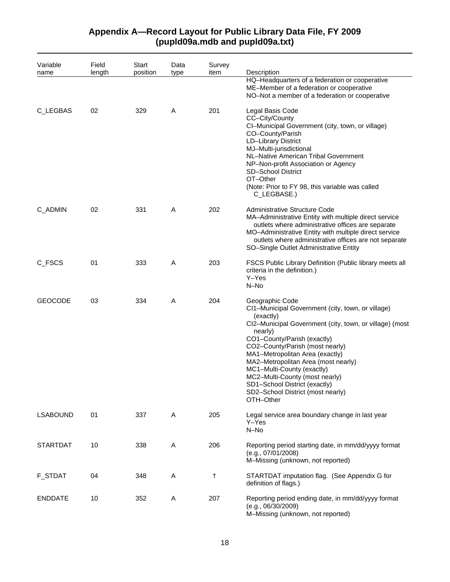#### Variable name Field length **Start** position Data type Survey item Description HQ–Headquarters of a federation or cooperative ME–Member of a federation or cooperative NO–Not a member of a federation or cooperative C\_LEGBAS 02 329 A 201 Legal Basis Code CC–City/County CI–Municipal Government (city, town, or village) CO–County/Parish LD–Library District MJ–Multi-jurisdictional NL–Native American Tribal Government NP–Non-profit Association or Agency SD–School District OT–Other (Note: Prior to FY 98, this variable was called C\_LEGBASE.) C\_ADMIN 02 331 A 202 Administrative Structure Code MA–Administrative Entity with multiple direct service outlets where administrative offices are separate MO–Administrative Entity with multiple direct service outlets where administrative offices are not separate SO–Single Outlet Administrative Entity C\_FSCS 01 333 A 203 FSCS Public Library Definition (Public library meets all criteria in the definition.) Y–Yes N–No GEOCODE 03 334 A 204 Geographic Code CI1–Municipal Government (city, town, or village) (exactly) CI2–Municipal Government (city, town, or village) (most nearly) CO1–County/Parish (exactly) CO2–County/Parish (most nearly) MA1–Metropolitan Area (exactly) MA2–Metropolitan Area (most nearly) MC1–Multi-County (exactly) MC2–Multi-County (most nearly) SD1–School District (exactly) SD2–School District (most nearly) OTH–Other LSABOUND 01 337 A 205 Legal service area boundary change in last year Y–Yes N–No STARTDAT 10 338 A 206 Reporting period starting date, in mm/dd/yyyy format (e.g., 07/01/2008) M–Missing (unknown, not reported) F\_STDAT 04 348 A † STARTDAT imputation flag. (See Appendix G for definition of flags.) ENDDATE 10 352 A 207 Reporting period ending date, in mm/dd/yyyy format (e.g., 06/30/2009) M–Missing (unknown, not reported)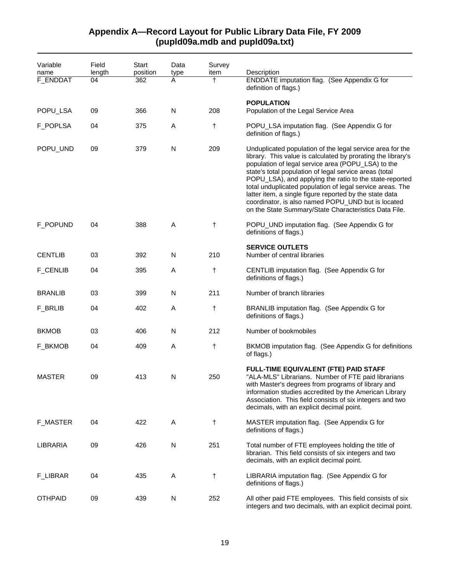#### Variable name Field length **Start** position Data type Survey item Description F\_ENDDAT 04 362 A † ENDDATE imputation flag. (See Appendix G for definition of flags.) **POPULATION** POPU\_LSA 09 366 N 208 Population of the Legal Service Area F\_POPLSA 04 375 A † POPU\_LSA imputation flag. (See Appendix G for definition of flags.) POPU\_UND 09 379 N 209 Unduplicated population of the legal service area for the library. This value is calculated by prorating the library's population of legal service area (POPU\_LSA) to the state's total population of legal service areas (total POPU\_LSA), and applying the ratio to the state-reported total unduplicated population of legal service areas. The latter item, a single figure reported by the state data coordinator, is also named POPU\_UND but is located on the State Summary/State Characteristics Data File. F\_POPUND 04 388 A † POPU\_UND imputation flag. (See Appendix G for definitions of flags.) **SERVICE OUTLETS** CENTLIB 03 392 N 210 Number of central libraries F\_CENLIB 04 395 A † CENTLIB imputation flag. (See Appendix G for definitions of flags.) BRANLIB 03 399 N 211 Number of branch libraries F\_BRLIB 04 402 A † BRANLIB imputation flag. (See Appendix G for definitions of flags.) BKMOB 03 406 N 212 Number of bookmobiles F\_BKMOB 04 409 A † BKMOB imputation flag. (See Appendix G for definitions of flags.) **FULL-TIME EQUIVALENT (FTE) PAID STAFF** MASTER 09 413 N 250 "ALA-MLS" Librarians. Number of FTE paid librarians with Master's degrees from programs of library and information studies accredited by the American Library Association. This field consists of six integers and two decimals, with an explicit decimal point. F\_MASTER 04 422 A † MASTER imputation flag. (See Appendix G for definitions of flags.) LIBRARIA 09 426 N 251 Total number of FTE employees holding the title of librarian. This field consists of six integers and two decimals, with an explicit decimal point. F\_LIBRAR 04 435 A † LIBRARIA imputation flag. (See Appendix G for definitions of flags.) OTHPAID 09 439 N 252 All other paid FTE employees. This field consists of six integers and two decimals, with an explicit decimal point.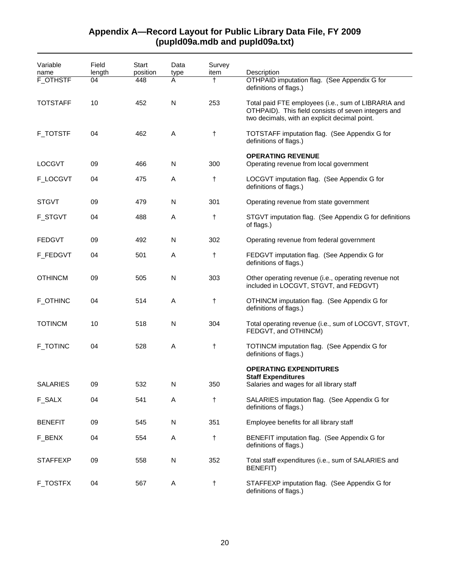| Variable        | Field  | Start    | Data | Survey     |                                                                                                                                                             |
|-----------------|--------|----------|------|------------|-------------------------------------------------------------------------------------------------------------------------------------------------------------|
| name            | length | position | type | item       | Description                                                                                                                                                 |
| <b>F_OTHSTF</b> | 04     | 448      | A    | $^\dagger$ | OTHPAID imputation flag. (See Appendix G for<br>definitions of flags.)                                                                                      |
| <b>TOTSTAFF</b> | 10     | 452      | N    | 253        | Total paid FTE employees (i.e., sum of LIBRARIA and<br>OTHPAID). This field consists of seven integers and<br>two decimals, with an explicit decimal point. |
| <b>F_TOTSTF</b> | 04     | 462      | A    | $\ddagger$ | TOTSTAFF imputation flag. (See Appendix G for<br>definitions of flags.)                                                                                     |
| <b>LOCGVT</b>   | 09     | 466      | N    | 300        | <b>OPERATING REVENUE</b><br>Operating revenue from local government                                                                                         |
| F_LOCGVT        | 04     | 475      | A    | t          | LOCGVT imputation flag. (See Appendix G for<br>definitions of flags.)                                                                                       |
| <b>STGVT</b>    | 09     | 479      | N    | 301        | Operating revenue from state government                                                                                                                     |
| <b>F_STGVT</b>  | 04     | 488      | Α    | $^\dagger$ | STGVT imputation flag. (See Appendix G for definitions<br>of flags.)                                                                                        |
| <b>FEDGVT</b>   | 09     | 492      | N    | 302        | Operating revenue from federal government                                                                                                                   |
| F_FEDGVT        | 04     | 501      | Α    | t          | FEDGVT imputation flag. (See Appendix G for<br>definitions of flags.)                                                                                       |
| <b>OTHINCM</b>  | 09     | 505      | N    | 303        | Other operating revenue (i.e., operating revenue not<br>included in LOCGVT, STGVT, and FEDGVT)                                                              |
| F_OTHINC        | 04     | 514      | A    | $^\dagger$ | OTHINCM imputation flag. (See Appendix G for<br>definitions of flags.)                                                                                      |
| <b>TOTINCM</b>  | 10     | 518      | N    | 304        | Total operating revenue (i.e., sum of LOCGVT, STGVT,<br>FEDGVT, and OTHINCM)                                                                                |
| <b>F_TOTINC</b> | 04     | 528      | A    | $\ddagger$ | TOTINCM imputation flag. (See Appendix G for<br>definitions of flags.)                                                                                      |
|                 |        |          |      |            | <b>OPERATING EXPENDITURES</b>                                                                                                                               |
| <b>SALARIES</b> | 09     | 532      | N    | 350        | <b>Staff Expenditures</b><br>Salaries and wages for all library staff                                                                                       |
| F_SALX          | 04     | 541      | A    | $\ddagger$ | SALARIES imputation flag. (See Appendix G for<br>definitions of flags.)                                                                                     |
| <b>BENEFIT</b>  | 09     | 545      | N    | 351        | Employee benefits for all library staff                                                                                                                     |
| F_BENX          | 04     | 554      | A    | $\ddagger$ | BENEFIT imputation flag. (See Appendix G for<br>definitions of flags.)                                                                                      |
| <b>STAFFEXP</b> | 09     | 558      | N    | 352        | Total staff expenditures (i.e., sum of SALARIES and<br><b>BENEFIT)</b>                                                                                      |
| <b>F_TOSTFX</b> | 04     | 567      | A    | $\ddagger$ | STAFFEXP imputation flag. (See Appendix G for<br>definitions of flags.)                                                                                     |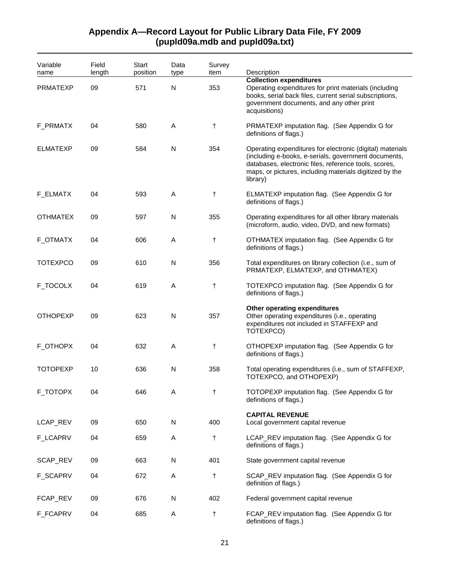| Variable<br>name | Field<br>length | Start<br>position | Data<br>type | Survey<br>item | Description                                                                                                                                                                                                                                       |
|------------------|-----------------|-------------------|--------------|----------------|---------------------------------------------------------------------------------------------------------------------------------------------------------------------------------------------------------------------------------------------------|
| <b>PRMATEXP</b>  | 09              | 571               | N            | 353            | <b>Collection expenditures</b><br>Operating expenditures for print materials (including<br>books, serial back files, current serial subscriptions,<br>government documents, and any other print<br>acquisitions)                                  |
| F_PRMATX         | 04              | 580               | A            | $\ddagger$     | PRMATEXP imputation flag. (See Appendix G for<br>definitions of flags.)                                                                                                                                                                           |
| <b>ELMATEXP</b>  | 09              | 584               | N            | 354            | Operating expenditures for electronic (digital) materials<br>(including e-books, e-serials, government documents,<br>databases, electronic files, reference tools, scores,<br>maps, or pictures, including materials digitized by the<br>library) |
| F_ELMATX         | 04              | 593               | A            | $\ddagger$     | ELMATEXP imputation flag. (See Appendix G for<br>definitions of flags.)                                                                                                                                                                           |
| <b>OTHMATEX</b>  | 09              | 597               | N            | 355            | Operating expenditures for all other library materials<br>(microform, audio, video, DVD, and new formats)                                                                                                                                         |
| F_OTMATX         | 04              | 606               | A            | $\ddagger$     | OTHMATEX imputation flag. (See Appendix G for<br>definitions of flags.)                                                                                                                                                                           |
| <b>TOTEXPCO</b>  | 09              | 610               | N            | 356            | Total expenditures on library collection (i.e., sum of<br>PRMATEXP, ELMATEXP, and OTHMATEX)                                                                                                                                                       |
| F_TOCOLX         | 04              | 619               | Α            | $\ddagger$     | TOTEXPCO imputation flag. (See Appendix G for<br>definitions of flags.)                                                                                                                                                                           |
| <b>OTHOPEXP</b>  | 09              | 623               | N            | 357            | Other operating expenditures<br>Other operating expenditures (i.e., operating<br>expenditures not included in STAFFEXP and<br>TOTEXPCO)                                                                                                           |
| F_OTHOPX         | 04              | 632               | A            | $\ddagger$     | OTHOPEXP imputation flag. (See Appendix G for<br>definitions of flags.)                                                                                                                                                                           |
| <b>TOTOPEXP</b>  | 10              | 636               | N            | 358            | Total operating expenditures (i.e., sum of STAFFEXP,<br>TOTEXPCO, and OTHOPEXP)                                                                                                                                                                   |
| F_TOTOPX         | 04              | 646               | A            | t              | TOTOPEXP imputation flag. (See Appendix G for<br>definitions of flags.)                                                                                                                                                                           |
| LCAP_REV         | 09              | 650               | N            | 400            | <b>CAPITAL REVENUE</b><br>Local government capital revenue                                                                                                                                                                                        |
| <b>F_LCAPRV</b>  | 04              | 659               | Α            | $\ddagger$     | LCAP_REV imputation flag. (See Appendix G for<br>definitions of flags.)                                                                                                                                                                           |
| SCAP_REV         | 09              | 663               | N            | 401            | State government capital revenue                                                                                                                                                                                                                  |
| F_SCAPRV         | 04              | 672               | A            | $\ddagger$     | SCAP_REV imputation flag. (See Appendix G for<br>definition of flags.)                                                                                                                                                                            |
| FCAP_REV         | 09              | 676               | N            | 402            | Federal government capital revenue                                                                                                                                                                                                                |
| F_FCAPRV         | 04              | 685               | Α            | $\ddagger$     | FCAP_REV imputation flag. (See Appendix G for<br>definitions of flags.)                                                                                                                                                                           |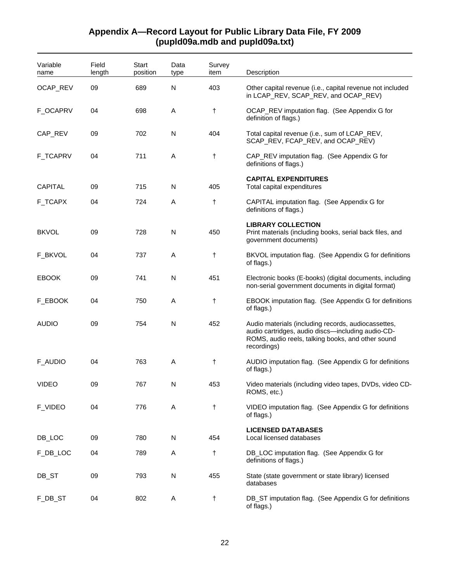| Variable<br>name | Field<br>length | <b>Start</b><br>position | Data<br>type | Survey<br>item | Description                                                                                                                                                                  |
|------------------|-----------------|--------------------------|--------------|----------------|------------------------------------------------------------------------------------------------------------------------------------------------------------------------------|
| OCAP_REV         | 09              | 689                      | N            | 403            | Other capital revenue (i.e., capital revenue not included<br>in LCAP_REV, SCAP_REV, and OCAP_REV)                                                                            |
| F_OCAPRV         | 04              | 698                      | A            | t              | OCAP_REV imputation flag. (See Appendix G for<br>definition of flags.)                                                                                                       |
| CAP_REV          | 09              | 702                      | N            | 404            | Total capital revenue (i.e., sum of LCAP_REV,<br>SCAP_REV, FCAP_REV, and OCAP_REV)                                                                                           |
| <b>F_TCAPRV</b>  | 04              | 711                      | A            | t              | CAP_REV imputation flag. (See Appendix G for<br>definitions of flags.)                                                                                                       |
| <b>CAPITAL</b>   | 09              | 715                      | N            | 405            | <b>CAPITAL EXPENDITURES</b><br>Total capital expenditures                                                                                                                    |
| F_TCAPX          | 04              | 724                      | Α            | t              | CAPITAL imputation flag. (See Appendix G for<br>definitions of flags.)                                                                                                       |
| <b>BKVOL</b>     | 09              | 728                      | $\mathsf{N}$ | 450            | <b>LIBRARY COLLECTION</b><br>Print materials (including books, serial back files, and<br>government documents)                                                               |
| F_BKVOL          | 04              | 737                      | A            | t              | BKVOL imputation flag. (See Appendix G for definitions<br>of flags.)                                                                                                         |
| <b>EBOOK</b>     | 09              | 741                      | N            | 451            | Electronic books (E-books) (digital documents, including<br>non-serial government documents in digital format)                                                               |
| F_EBOOK          | 04              | 750                      | A            | t              | EBOOK imputation flag. (See Appendix G for definitions<br>of flags.)                                                                                                         |
| <b>AUDIO</b>     | 09              | 754                      | N            | 452            | Audio materials (including records, audiocassettes,<br>audio cartridges, audio discs-including audio-CD-<br>ROMS, audio reels, talking books, and other sound<br>recordings) |
| F_AUDIO          | 04              | 763                      | A            | t              | AUDIO imputation flag. (See Appendix G for definitions<br>of flags.)                                                                                                         |
| <b>VIDEO</b>     | 09              | 767                      | N            | 453            | Video materials (including video tapes, DVDs, video CD-<br>ROMS, etc.)                                                                                                       |
| <b>F_VIDEO</b>   | 04              | 776                      | Α            | t              | VIDEO imputation flag. (See Appendix G for definitions<br>of flags.)                                                                                                         |
| DB_LOC           | 09              | 780                      | ${\sf N}$    | 454            | <b>LICENSED DATABASES</b><br>Local licensed databases                                                                                                                        |
| F_DB_LOC         | 04              | 789                      | A            | t              | DB_LOC imputation flag. (See Appendix G for<br>definitions of flags.)                                                                                                        |
| DB_ST            | 09              | 793                      | N            | 455            | State (state government or state library) licensed<br>databases                                                                                                              |
| F_DB_ST          | 04              | 802                      | Α            | t              | DB_ST imputation flag. (See Appendix G for definitions<br>of flags.)                                                                                                         |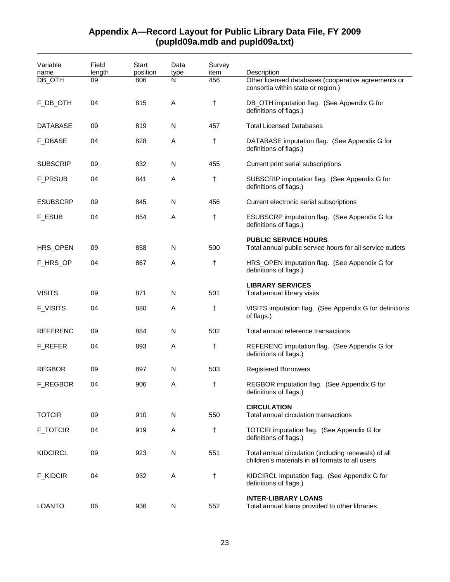| Variable<br>name<br>DB_OTH | Field<br>length<br>09 | Start<br>position<br>806 | Data<br>type<br>N | Survey<br>item<br>456 | Description<br>Other licensed databases (cooperative agreements or<br>consortia within state or region.) |
|----------------------------|-----------------------|--------------------------|-------------------|-----------------------|----------------------------------------------------------------------------------------------------------|
| F_DB_OTH                   | 04                    | 815                      | Α                 | $^\dagger$            | DB_OTH imputation flag. (See Appendix G for<br>definitions of flags.)                                    |
| DATABASE                   | 09                    | 819                      | N                 | 457                   | <b>Total Licensed Databases</b>                                                                          |
| <b>F_DBASE</b>             | 04                    | 828                      | Α                 | $\ddagger$            | DATABASE imputation flag. (See Appendix G for<br>definitions of flags.)                                  |
| <b>SUBSCRIP</b>            | 09                    | 832                      | N                 | 455                   | Current print serial subscriptions                                                                       |
| <b>F_PRSUB</b>             | 04                    | 841                      | Α                 | t                     | SUBSCRIP imputation flag. (See Appendix G for<br>definitions of flags.)                                  |
| <b>ESUBSCRP</b>            | 09                    | 845                      | N                 | 456                   | Current electronic serial subscriptions                                                                  |
| <b>F_ESUB</b>              | 04                    | 854                      | Α                 | $\ddagger$            | ESUBSCRP imputation flag. (See Appendix G for<br>definitions of flags.)                                  |
| HRS_OPEN                   | 09                    | 858                      | N                 | 500                   | <b>PUBLIC SERVICE HOURS</b><br>Total annual public service hours for all service outlets                 |
| F_HRS_OP                   | 04                    | 867                      | Α                 | t                     | HRS_OPEN imputation flag. (See Appendix G for<br>definitions of flags.)                                  |
| <b>VISITS</b>              | 09                    | 871                      | N                 | 501                   | <b>LIBRARY SERVICES</b><br>Total annual library visits                                                   |
| <b>F_VISITS</b>            | 04                    | 880                      | Α                 | $\ddagger$            | VISITS imputation flag. (See Appendix G for definitions<br>of flags.)                                    |
| <b>REFERENC</b>            | 09                    | 884                      | N                 | 502                   | Total annual reference transactions                                                                      |
| F_REFER                    | 04                    | 893                      | Α                 | t                     | REFERENC imputation flag. (See Appendix G for<br>definitions of flags.)                                  |
| <b>REGBOR</b>              | 09                    | 897                      | N                 | 503                   | <b>Registered Borrowers</b>                                                                              |
| F_REGBOR                   | 04                    | 906                      | Α                 | t                     | REGBOR imputation flag. (See Appendix G for<br>definitions of flags.)                                    |
| <b>TOTCIR</b>              | 09                    | 910                      | N                 | 550                   | <b>CIRCULATION</b><br>Total annual circulation transactions                                              |
| <b>F_TOTCIR</b>            | 04                    | 919                      | Α                 | $\ddagger$            | TOTCIR imputation flag. (See Appendix G for<br>definitions of flags.)                                    |
| <b>KIDCIRCL</b>            | 09                    | 923                      | N                 | 551                   | Total annual circulation (including renewals) of all<br>children's materials in all formats to all users |
| <b>F_KIDCIR</b>            | 04                    | 932                      | Α                 | $\ddagger$            | KIDCIRCL imputation flag. (See Appendix G for<br>definitions of flags.)                                  |
| <b>LOANTO</b>              | 06                    | 936                      | N                 | 552                   | <b>INTER-LIBRARY LOANS</b><br>Total annual loans provided to other libraries                             |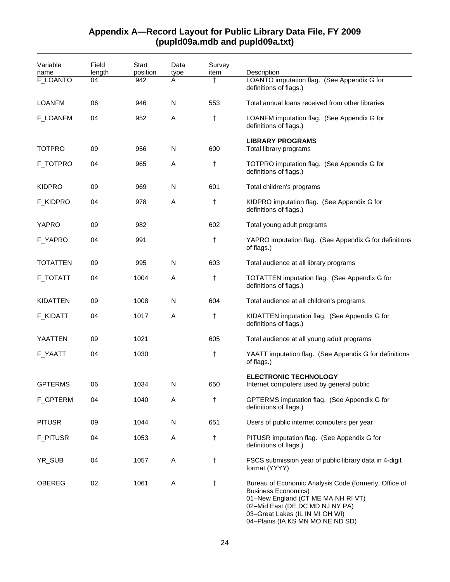### Variable name Field length **Start** position Data type Survey item Description F\_LOANTO 04 942 A † LOANTO imputation flag. (See Appendix G for definitions of flags.) LOANFM 06 946 N 553 Total annual loans received from other libraries F\_LOANFM 04 952 A † LOANFM imputation flag. (See Appendix G for definitions of flags.) **LIBRARY PROGRAMS**  TOTPRO 09 956 N 600 Total library programs F\_TOTPRO 04 965 A † TOTPRO imputation flag. (See Appendix G for definitions of flags.) KIDPRO 09 969 N 601 Total children's programs F\_KIDPRO 04 978 A † KIDPRO imputation flag. (See Appendix G for definitions of flags.) YAPRO 09 982 602 Total young adult programs F\_YAPRO 04 991 + YAPRO imputation flag. (See Appendix G for definitions of flags.) TOTATTEN 09 995 N 603 Total audience at all library programs F\_TOTATT 04 1004 A † TOTATTEN imputation flag. (See Appendix G for definitions of flags.) KIDATTEN 09 1008 N 604 Total audience at all children's programs F\_KIDATT 04 1017 A † KIDATTEN imputation flag. (See Appendix G for definitions of flags.) YAATTEN 09 1021 605 Total audience at all young adult programs F\_YAATT 04 1030 **t** YAATT imputation flag. (See Appendix G for definitions of flags.) **ELECTRONIC TECHNOLOGY**  GPTERMS 06 1034 N 650 Internet computers used by general public F\_GPTERM 04 1040 A † GPTERMS imputation flag. (See Appendix G for definitions of flags.) PITUSR 09 1044 N 651 Users of public internet computers per year F PITUSR 04 1053 A † PITUSR imputation flag. (See Appendix G for definitions of flags.) YR\_SUB 04 1057 A † FSCS submission year of public library data in 4-digit format (YYYY) OBEREG 02 1061 A  $+$  Bureau of Economic Analysis Code (formerly, Office of Business Economics) 01–New England (CT ME MA NH RI VT)

# **Appendix A—Record Layout for Public Library Data File, FY 2009 (pupld09a.mdb and pupld09a.txt)**

02–Mid East (DE DC MD NJ NY PA) 03–Great Lakes (IL IN MI OH WI) 04–Plains (IA KS MN MO NE ND SD)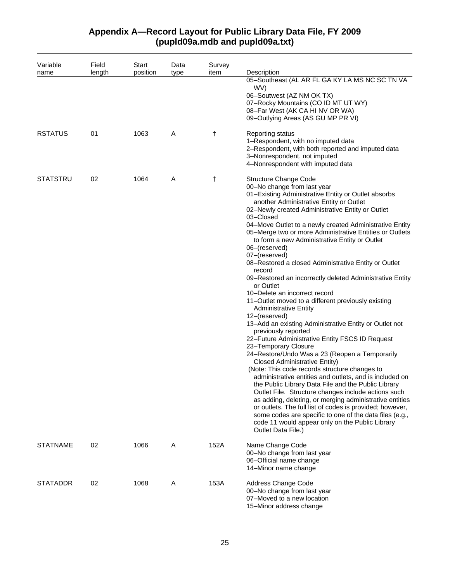| Variable        | Field  | Start    | Data | Survey |                                                                                                                                                                                                                                                                                                                                                                                                                                                                                                                                                                                                                                                                                                                                                                                                                                                                                                                                                                                                                                                                                                                                                                                                                                                                                                                                                                                                                                                                       |
|-----------------|--------|----------|------|--------|-----------------------------------------------------------------------------------------------------------------------------------------------------------------------------------------------------------------------------------------------------------------------------------------------------------------------------------------------------------------------------------------------------------------------------------------------------------------------------------------------------------------------------------------------------------------------------------------------------------------------------------------------------------------------------------------------------------------------------------------------------------------------------------------------------------------------------------------------------------------------------------------------------------------------------------------------------------------------------------------------------------------------------------------------------------------------------------------------------------------------------------------------------------------------------------------------------------------------------------------------------------------------------------------------------------------------------------------------------------------------------------------------------------------------------------------------------------------------|
| name            | length | position | type | item   | Description<br>05-Southeast (AL AR FL GA KY LA MS NC SC TN VA<br>WV)<br>06-Soutwest (AZ NM OK TX)<br>07-Rocky Mountains (CO ID MT UT WY)<br>08-Far West (AK CA HI NV OR WA)<br>09-Outlying Areas (AS GU MP PR VI)                                                                                                                                                                                                                                                                                                                                                                                                                                                                                                                                                                                                                                                                                                                                                                                                                                                                                                                                                                                                                                                                                                                                                                                                                                                     |
| <b>RSTATUS</b>  | 01     | 1063     | Α    | t      | Reporting status<br>1-Respondent, with no imputed data<br>2-Respondent, with both reported and imputed data<br>3-Nonrespondent, not imputed<br>4-Nonrespondent with imputed data                                                                                                                                                                                                                                                                                                                                                                                                                                                                                                                                                                                                                                                                                                                                                                                                                                                                                                                                                                                                                                                                                                                                                                                                                                                                                      |
| <b>STATSTRU</b> | 02     | 1064     | Α    | t      | <b>Structure Change Code</b><br>00-No change from last year<br>01-Existing Administrative Entity or Outlet absorbs<br>another Administrative Entity or Outlet<br>02-Newly created Administrative Entity or Outlet<br>03-Closed<br>04-Move Outlet to a newly created Administrative Entity<br>05-Merge two or more Administrative Entities or Outlets<br>to form a new Administrative Entity or Outlet<br>06-(reserved)<br>07-(reserved)<br>08–Restored a closed Administrative Entity or Outlet<br>record<br>09-Restored an incorrectly deleted Administrative Entity<br>or Outlet<br>10-Delete an incorrect record<br>11-Outlet moved to a different previously existing<br><b>Administrative Entity</b><br>12-(reserved)<br>13-Add an existing Administrative Entity or Outlet not<br>previously reported<br>22-Future Administrative Entity FSCS ID Request<br>23-Temporary Closure<br>24-Restore/Undo Was a 23 (Reopen a Temporarily<br><b>Closed Administrative Entity)</b><br>(Note: This code records structure changes to<br>administrative entities and outlets, and is included on<br>the Public Library Data File and the Public Library<br>Outlet File. Structure changes include actions such<br>as adding, deleting, or merging administrative entities<br>or outlets. The full list of codes is provided; however,<br>some codes are specific to one of the data files (e.g.,<br>code 11 would appear only on the Public Library<br>Outlet Data File.) |
| <b>STATNAME</b> | 02     | 1066     | Α    | 152A   | Name Change Code<br>00-No change from last year<br>06-Official name change<br>14-Minor name change                                                                                                                                                                                                                                                                                                                                                                                                                                                                                                                                                                                                                                                                                                                                                                                                                                                                                                                                                                                                                                                                                                                                                                                                                                                                                                                                                                    |
| <b>STATADDR</b> | 02     | 1068     | Α    | 153A   | Address Change Code<br>00-No change from last year<br>07-Moved to a new location<br>15-Minor address change                                                                                                                                                                                                                                                                                                                                                                                                                                                                                                                                                                                                                                                                                                                                                                                                                                                                                                                                                                                                                                                                                                                                                                                                                                                                                                                                                           |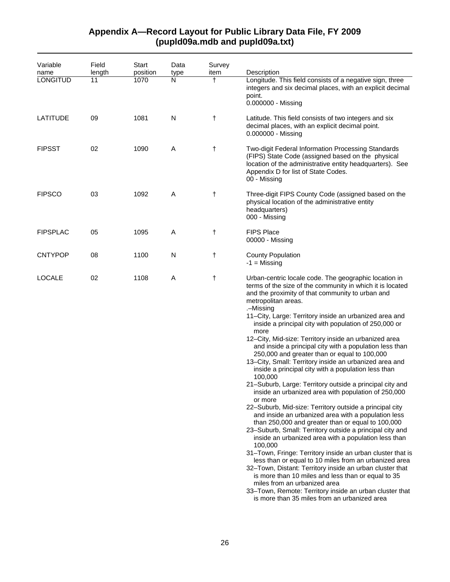| Variable<br>name | Field<br>length | <b>Start</b><br>position | Data<br>type | Survey<br>item | Description                                                                                                                                                                                                                                                                                                                                                                                                                                                                                                                                                                                                                                                                                                                                                                                                                                                                                                                                                                                                                                                                                                                                                                                                                                                                                                                                                                                                                                                   |
|------------------|-----------------|--------------------------|--------------|----------------|---------------------------------------------------------------------------------------------------------------------------------------------------------------------------------------------------------------------------------------------------------------------------------------------------------------------------------------------------------------------------------------------------------------------------------------------------------------------------------------------------------------------------------------------------------------------------------------------------------------------------------------------------------------------------------------------------------------------------------------------------------------------------------------------------------------------------------------------------------------------------------------------------------------------------------------------------------------------------------------------------------------------------------------------------------------------------------------------------------------------------------------------------------------------------------------------------------------------------------------------------------------------------------------------------------------------------------------------------------------------------------------------------------------------------------------------------------------|
| <b>LONGITUD</b>  | 11              | 1070                     | N            | t              | Longitude. This field consists of a negative sign, three<br>integers and six decimal places, with an explicit decimal<br>point.<br>0.000000 - Missing                                                                                                                                                                                                                                                                                                                                                                                                                                                                                                                                                                                                                                                                                                                                                                                                                                                                                                                                                                                                                                                                                                                                                                                                                                                                                                         |
| LATITUDE         | 09              | 1081                     | N            | t              | Latitude. This field consists of two integers and six<br>decimal places, with an explicit decimal point.<br>0.000000 - Missing                                                                                                                                                                                                                                                                                                                                                                                                                                                                                                                                                                                                                                                                                                                                                                                                                                                                                                                                                                                                                                                                                                                                                                                                                                                                                                                                |
| <b>FIPSST</b>    | 02              | 1090                     | A            | t              | Two-digit Federal Information Processing Standards<br>(FIPS) State Code (assigned based on the physical<br>location of the administrative entity headquarters). See<br>Appendix D for list of State Codes.<br>00 - Missing                                                                                                                                                                                                                                                                                                                                                                                                                                                                                                                                                                                                                                                                                                                                                                                                                                                                                                                                                                                                                                                                                                                                                                                                                                    |
| <b>FIPSCO</b>    | 03              | 1092                     | A            | t              | Three-digit FIPS County Code (assigned based on the<br>physical location of the administrative entity<br>headquarters)<br>000 - Missing                                                                                                                                                                                                                                                                                                                                                                                                                                                                                                                                                                                                                                                                                                                                                                                                                                                                                                                                                                                                                                                                                                                                                                                                                                                                                                                       |
| <b>FIPSPLAC</b>  | 05              | 1095                     | Α            | t              | <b>FIPS Place</b><br>00000 - Missing                                                                                                                                                                                                                                                                                                                                                                                                                                                                                                                                                                                                                                                                                                                                                                                                                                                                                                                                                                                                                                                                                                                                                                                                                                                                                                                                                                                                                          |
| <b>CNTYPOP</b>   | 08              | 1100                     | N            | t              | <b>County Population</b><br>$-1$ = Missing                                                                                                                                                                                                                                                                                                                                                                                                                                                                                                                                                                                                                                                                                                                                                                                                                                                                                                                                                                                                                                                                                                                                                                                                                                                                                                                                                                                                                    |
| <b>LOCALE</b>    | 02              | 1108                     | Α            | t              | Urban-centric locale code. The geographic location in<br>terms of the size of the community in which it is located<br>and the proximity of that community to urban and<br>metropolitan areas.<br>.–Missing<br>11-City, Large: Territory inside an urbanized area and<br>inside a principal city with population of 250,000 or<br>more<br>12-City, Mid-size: Territory inside an urbanized area<br>and inside a principal city with a population less than<br>250,000 and greater than or equal to 100,000<br>13-City, Small: Territory inside an urbanized area and<br>inside a principal city with a population less than<br>100,000<br>21-Suburb, Large: Territory outside a principal city and<br>inside an urbanized area with population of 250,000<br>or more<br>22-Suburb, Mid-size: Territory outside a principal city<br>and inside an urbanized area with a population less<br>than 250,000 and greater than or equal to 100,000<br>23-Suburb, Small: Territory outside a principal city and<br>inside an urbanized area with a population less than<br>100,000<br>31-Town, Fringe: Territory inside an urban cluster that is<br>less than or equal to 10 miles from an urbanized area<br>32-Town, Distant: Territory inside an urban cluster that<br>is more than 10 miles and less than or equal to 35<br>miles from an urbanized area<br>33-Town, Remote: Territory inside an urban cluster that<br>is more than 35 miles from an urbanized area |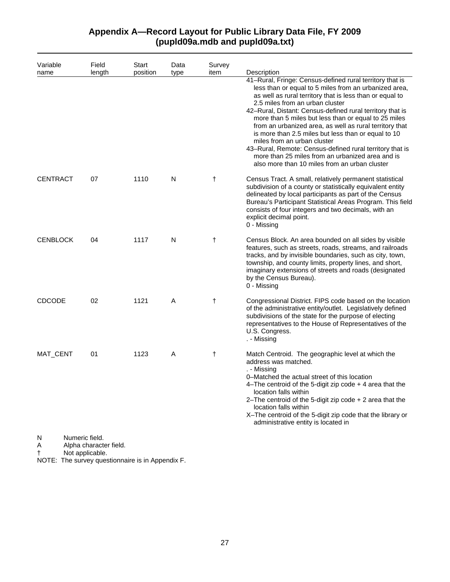| Variable<br>name | Field<br>length                          | Start<br>position | Data<br>type | Survey<br>item | Description                                                                                                                                                                                                                                                                                                                                                                                                                                                                                                                                                                                                                                             |
|------------------|------------------------------------------|-------------------|--------------|----------------|---------------------------------------------------------------------------------------------------------------------------------------------------------------------------------------------------------------------------------------------------------------------------------------------------------------------------------------------------------------------------------------------------------------------------------------------------------------------------------------------------------------------------------------------------------------------------------------------------------------------------------------------------------|
|                  |                                          |                   |              |                | 41-Rural, Fringe: Census-defined rural territory that is<br>less than or equal to 5 miles from an urbanized area,<br>as well as rural territory that is less than or equal to<br>2.5 miles from an urban cluster<br>42-Rural, Distant: Census-defined rural territory that is<br>more than 5 miles but less than or equal to 25 miles<br>from an urbanized area, as well as rural territory that<br>is more than 2.5 miles but less than or equal to 10<br>miles from an urban cluster<br>43-Rural, Remote: Census-defined rural territory that is<br>more than 25 miles from an urbanized area and is<br>also more than 10 miles from an urban cluster |
| <b>CENTRACT</b>  | 07                                       | 1110              | N            | $\ddagger$     | Census Tract. A small, relatively permanent statistical<br>subdivision of a county or statistically equivalent entity<br>delineated by local participants as part of the Census<br>Bureau's Participant Statistical Areas Program. This field<br>consists of four integers and two decimals, with an<br>explicit decimal point.<br>0 - Missing                                                                                                                                                                                                                                                                                                          |
| <b>CENBLOCK</b>  | 04                                       | 1117              | N            | $^\dagger$     | Census Block. An area bounded on all sides by visible<br>features, such as streets, roads, streams, and railroads<br>tracks, and by invisible boundaries, such as city, town,<br>township, and county limits, property lines, and short,<br>imaginary extensions of streets and roads (designated<br>by the Census Bureau).<br>0 - Missing                                                                                                                                                                                                                                                                                                              |
| <b>CDCODE</b>    | 02                                       | 1121              | A            | $\ddagger$     | Congressional District. FIPS code based on the location<br>of the administrative entity/outlet. Legislatively defined<br>subdivisions of the state for the purpose of electing<br>representatives to the House of Representatives of the<br>U.S. Congress.<br>. - Missing                                                                                                                                                                                                                                                                                                                                                                               |
| MAT_CENT         | 01                                       | 1123              | A            | t              | Match Centroid. The geographic level at which the<br>address was matched.<br>. - Missing<br>0–Matched the actual street of this location<br>4-The centroid of the 5-digit zip code $+$ 4 area that the<br>location falls within<br>2–The centroid of the 5-digit zip code $+2$ area that the<br>location falls within<br>X-The centroid of the 5-digit zip code that the library or<br>administrative entity is located in                                                                                                                                                                                                                              |
| N<br>A           | Numeric field.<br>Alpha character field. |                   |              |                |                                                                                                                                                                                                                                                                                                                                                                                                                                                                                                                                                                                                                                                         |

† Not applicable.

NOTE: The survey questionnaire is in Appendix F.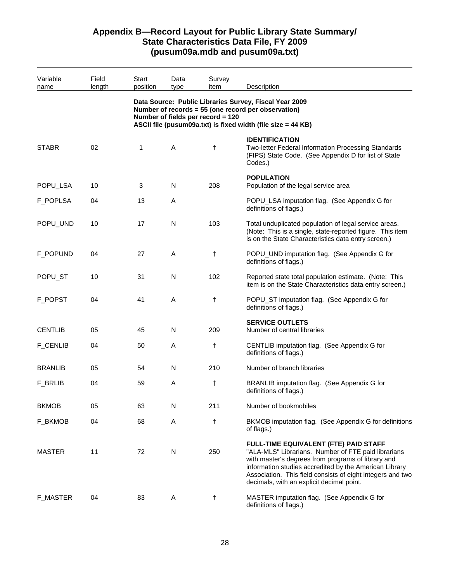| Variable<br>name | Field<br>length | Start<br>position | Data<br>type | Survey<br>item                    | Description                                                                                                                                                                                                                                                                                                             |
|------------------|-----------------|-------------------|--------------|-----------------------------------|-------------------------------------------------------------------------------------------------------------------------------------------------------------------------------------------------------------------------------------------------------------------------------------------------------------------------|
|                  |                 |                   |              | Number of fields per record = 120 | Data Source: Public Libraries Survey, Fiscal Year 2009<br>Number of records = 55 (one record per observation)<br>ASCII file (pusum09a.txt) is fixed width (file size = 44 KB)                                                                                                                                           |
| <b>STABR</b>     | 02              | 1                 | A            | t                                 | <b>IDENTIFICATION</b><br>Two-letter Federal Information Processing Standards<br>(FIPS) State Code. (See Appendix D for list of State<br>Codes.)                                                                                                                                                                         |
| POPU_LSA         | 10              | 3                 | N            | 208                               | <b>POPULATION</b><br>Population of the legal service area                                                                                                                                                                                                                                                               |
| F_POPLSA         | 04              | 13                | Α            |                                   | POPU_LSA imputation flag. (See Appendix G for<br>definitions of flags.)                                                                                                                                                                                                                                                 |
| POPU_UND         | 10              | 17                | N            | 103                               | Total unduplicated population of legal service areas.<br>(Note: This is a single, state-reported figure. This item<br>is on the State Characteristics data entry screen.)                                                                                                                                               |
| F_POPUND         | 04              | 27                | A            | t                                 | POPU_UND imputation flag. (See Appendix G for<br>definitions of flags.)                                                                                                                                                                                                                                                 |
| POPU_ST          | 10              | 31                | N            | 102                               | Reported state total population estimate. (Note: This<br>item is on the State Characteristics data entry screen.)                                                                                                                                                                                                       |
| F_POPST          | 04              | 41                | A            | t                                 | POPU_ST imputation flag. (See Appendix G for<br>definitions of flags.)                                                                                                                                                                                                                                                  |
| <b>CENTLIB</b>   | 05              | 45                | N            | 209                               | <b>SERVICE OUTLETS</b><br>Number of central libraries                                                                                                                                                                                                                                                                   |
| <b>F_CENLIB</b>  | 04              | 50                | Α            | t                                 | CENTLIB imputation flag. (See Appendix G for<br>definitions of flags.)                                                                                                                                                                                                                                                  |
| <b>BRANLIB</b>   | 05              | 54                | N            | 210                               | Number of branch libraries                                                                                                                                                                                                                                                                                              |
| <b>F_BRLIB</b>   | 04              | 59                | Α            | t                                 | BRANLIB imputation flag. (See Appendix G for<br>definitions of flags.)                                                                                                                                                                                                                                                  |
| <b>BKMOB</b>     | 05              | 63                | N            | 211                               | Number of bookmobiles                                                                                                                                                                                                                                                                                                   |
| F_BKMOB          | 04              | 68                | Α            | t                                 | BKMOB imputation flag. (See Appendix G for definitions<br>of flags.)                                                                                                                                                                                                                                                    |
| <b>MASTER</b>    | 11              | 72                | N            | 250                               | FULL-TIME EQUIVALENT (FTE) PAID STAFF<br>"ALA-MLS" Librarians. Number of FTE paid librarians<br>with master's degrees from programs of library and<br>information studies accredited by the American Library<br>Association. This field consists of eight integers and two<br>decimals, with an explicit decimal point. |
| <b>F_MASTER</b>  | 04              | 83                | Α            | $\ddagger$                        | MASTER imputation flag. (See Appendix G for<br>definitions of flags.)                                                                                                                                                                                                                                                   |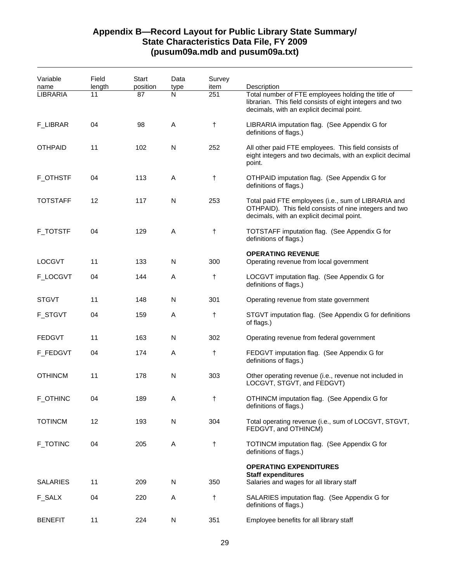| Variable<br>name | Field<br>length | Start<br>position | Data<br>type | Survey<br>item | Description                                                                                                                                                 |
|------------------|-----------------|-------------------|--------------|----------------|-------------------------------------------------------------------------------------------------------------------------------------------------------------|
| <b>LIBRARIA</b>  | 11              | 87                | N            | 251            | Total number of FTE employees holding the title of<br>librarian. This field consists of eight integers and two<br>decimals, with an explicit decimal point. |
| F_LIBRAR         | 04              | 98                | A            | $\ddagger$     | LIBRARIA imputation flag. (See Appendix G for<br>definitions of flags.)                                                                                     |
| <b>OTHPAID</b>   | 11              | 102               | N            | 252            | All other paid FTE employees. This field consists of<br>eight integers and two decimals, with an explicit decimal<br>point.                                 |
| <b>F_OTHSTF</b>  | 04              | 113               | Α            | $\ddagger$     | OTHPAID imputation flag. (See Appendix G for<br>definitions of flags.)                                                                                      |
| <b>TOTSTAFF</b>  | 12              | 117               | N            | 253            | Total paid FTE employees (i.e., sum of LIBRARIA and<br>OTHPAID). This field consists of nine integers and two<br>decimals, with an explicit decimal point.  |
| <b>F_TOTSTF</b>  | 04              | 129               | A            | $\ddagger$     | TOTSTAFF imputation flag. (See Appendix G for<br>definitions of flags.)                                                                                     |
| <b>LOCGVT</b>    | 11              | 133               | N            | 300            | <b>OPERATING REVENUE</b><br>Operating revenue from local government                                                                                         |
| F_LOCGVT         | 04              | 144               | A            | t              | LOCGVT imputation flag. (See Appendix G for<br>definitions of flags.)                                                                                       |
| <b>STGVT</b>     | 11              | 148               | N            | 301            | Operating revenue from state government                                                                                                                     |
| <b>F_STGVT</b>   | 04              | 159               | A            | $^\dagger$     | STGVT imputation flag. (See Appendix G for definitions<br>of flags.)                                                                                        |
| <b>FEDGVT</b>    | 11              | 163               | N            | 302            | Operating revenue from federal government                                                                                                                   |
| F_FEDGVT         | 04              | 174               | Α            | $^\dagger$     | FEDGVT imputation flag. (See Appendix G for<br>definitions of flags.)                                                                                       |
| <b>OTHINCM</b>   | 11              | 178               | N            | 303            | Other operating revenue (i.e., revenue not included in<br>LOCGVT, STGVT, and FEDGVT)                                                                        |
| <b>F_OTHINC</b>  | 04              | 189               | Α            | t              | OTHINCM imputation flag. (See Appendix G for<br>definitions of flags.)                                                                                      |
| <b>TOTINCM</b>   | 12              | 193               | N            | 304            | Total operating revenue (i.e., sum of LOCGVT, STGVT,<br>FEDGVT, and OTHINCM)                                                                                |
| <b>F_TOTINC</b>  | 04              | 205               | A            | $\ddagger$     | TOTINCM imputation flag. (See Appendix G for<br>definitions of flags.)                                                                                      |
| <b>SALARIES</b>  | 11              | 209               | N            | 350            | <b>OPERATING EXPENDITURES</b><br><b>Staff expenditures</b><br>Salaries and wages for all library staff                                                      |
| F_SALX           | 04              | 220               | A            | $^\dagger$     | SALARIES imputation flag. (See Appendix G for<br>definitions of flags.)                                                                                     |
| <b>BENEFIT</b>   | 11              | 224               | N            | 351            | Employee benefits for all library staff                                                                                                                     |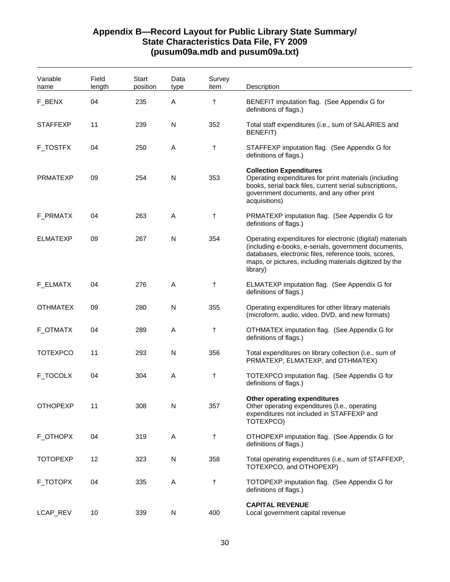| Variable<br>name | Field<br>length | <b>Start</b><br>position | Data<br>type | Survey<br>item | Description                                                                                                                                                                                                                                       |
|------------------|-----------------|--------------------------|--------------|----------------|---------------------------------------------------------------------------------------------------------------------------------------------------------------------------------------------------------------------------------------------------|
| F_BENX           | 04              | 235                      | Α            | t              | BENEFIT imputation flag. (See Appendix G for<br>definitions of flags.)                                                                                                                                                                            |
| <b>STAFFEXP</b>  | 11              | 239                      | N            | 352            | Total staff expenditures (i.e., sum of SALARIES and<br><b>BENEFIT)</b>                                                                                                                                                                            |
| F_TOSTFX         | 04              | 250                      | Α            | t              | STAFFEXP imputation flag. (See Appendix G for<br>definitions of flags.)                                                                                                                                                                           |
| <b>PRMATEXP</b>  | 09              | 254                      | N            | 353            | <b>Collection Expenditures</b><br>Operating expenditures for print materials (including<br>books, serial back files, current serial subscriptions,<br>government documents, and any other print<br>acquisitions)                                  |
| F_PRMATX         | 04              | 263                      | Α            | $\ddagger$     | PRMATEXP imputation flag. (See Appendix G for<br>definitions of flags.)                                                                                                                                                                           |
| <b>ELMATEXP</b>  | 09              | 267                      | N            | 354            | Operating expenditures for electronic (digital) materials<br>(including e-books, e-serials, government documents,<br>databases, electronic files, reference tools, scores,<br>maps, or pictures, including materials digitized by the<br>library) |
| F_ELMATX         | 04              | 276                      | Α            | t              | ELMATEXP imputation flag. (See Appendix G for<br>definitions of flags.)                                                                                                                                                                           |
| <b>OTHMATEX</b>  | 09              | 280                      | N            | 355            | Operating expenditures for other library materials<br>(microform, audio, video, DVD, and new formats)                                                                                                                                             |
| F_OTMATX         | 04              | 289                      | Α            | t              | OTHMATEX imputation flag. (See Appendix G for<br>definitions of flags.)                                                                                                                                                                           |
| <b>TOTEXPCO</b>  | 11              | 293                      | N            | 356            | Total expenditures on library collection (i.e., sum of<br>PRMATEXP, ELMATEXP, and OTHMATEX)                                                                                                                                                       |
| F_TOCOLX         | 04              | 304                      | Α            | t              | TOTEXPCO imputation flag. (See Appendix G for<br>definitions of flags.)                                                                                                                                                                           |
| <b>OTHOPEXP</b>  | 11              | 308                      | N            | 357            | Other operating expenditures<br>Other operating expenditures (I.e., operating<br>expenditures not included in STAFFEXP and<br>TOTEXPCO)                                                                                                           |
| F_OTHOPX         | 04              | 319                      | A            | $^\dagger$     | OTHOPEXP imputation flag. (See Appendix G for<br>definitions of flags.)                                                                                                                                                                           |
| <b>TOTOPEXP</b>  | 12              | 323                      | N            | 358            | Total operating expenditures (i.e., sum of STAFFEXP,<br>TOTEXPCO, and OTHOPEXP)                                                                                                                                                                   |
| F_TOTOPX         | 04              | 335                      | Α            | t              | TOTOPEXP imputation flag. (See Appendix G for<br>definitions of flags.)                                                                                                                                                                           |
| LCAP_REV         | 10              | 339                      | N            | 400            | <b>CAPITAL REVENUE</b><br>Local government capital revenue                                                                                                                                                                                        |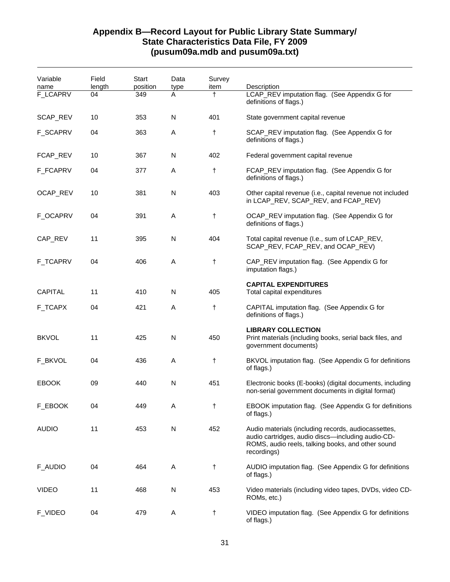| Variable        | Field  | Start    | Data         | Survey     |                                                                                                                                                                              |
|-----------------|--------|----------|--------------|------------|------------------------------------------------------------------------------------------------------------------------------------------------------------------------------|
| name            | length | position | type         | item       | Description                                                                                                                                                                  |
| <b>F_LCAPRV</b> | 04     | 349      | A            | $\ddagger$ | LCAP_REV imputation flag. (See Appendix G for<br>definitions of flags.)                                                                                                      |
| SCAP_REV        | 10     | 353      | N            | 401        | State government capital revenue                                                                                                                                             |
| <b>F_SCAPRV</b> | 04     | 363      | Α            | t          | SCAP_REV imputation flag. (See Appendix G for<br>definitions of flags.)                                                                                                      |
| FCAP_REV        | 10     | 367      | N            | 402        | Federal government capital revenue                                                                                                                                           |
| F_FCAPRV        | 04     | 377      | Α            | $^\dagger$ | FCAP_REV imputation flag. (See Appendix G for<br>definitions of flags.)                                                                                                      |
| OCAP_REV        | 10     | 381      | N            | 403        | Other capital revenue (i.e., capital revenue not included<br>in LCAP_REV, SCAP_REV, and FCAP_REV)                                                                            |
| <b>F_OCAPRV</b> | 04     | 391      | A            | $^\dagger$ | OCAP_REV imputation flag. (See Appendix G for<br>definitions of flags.)                                                                                                      |
| CAP_REV         | 11     | 395      | N            | 404        | Total capital revenue (I.e., sum of LCAP_REV,<br>SCAP_REV, FCAP_REV, and OCAP_REV)                                                                                           |
| F_TCAPRV        | 04     | 406      | A            | t          | CAP_REV imputation flag. (See Appendix G for<br>imputation flags.)                                                                                                           |
| <b>CAPITAL</b>  | 11     | 410      | N            | 405        | <b>CAPITAL EXPENDITURES</b><br>Total capital expenditures                                                                                                                    |
| F_TCAPX         | 04     | 421      | Α            | t          | CAPITAL imputation flag. (See Appendix G for<br>definitions of flags.)                                                                                                       |
| <b>BKVOL</b>    | 11     | 425      | N            | 450        | <b>LIBRARY COLLECTION</b><br>Print materials (including books, serial back files, and<br>government documents)                                                               |
| F_BKVOL         | 04     | 436      | Α            | t          | BKVOL imputation flag. (See Appendix G for definitions<br>of flags.)                                                                                                         |
| <b>EBOOK</b>    | 09     | 440      | N            | 451        | Electronic books (E-books) (digital documents, including<br>non-serial government documents in digital format)                                                               |
| F_EBOOK         | 04     | 449      | Α            | t          | EBOOK imputation flag. (See Appendix G for definitions<br>of flags.)                                                                                                         |
| <b>AUDIO</b>    | 11     | 453      | $\mathsf{N}$ | 452        | Audio materials (including records, audiocassettes,<br>audio cartridges, audio discs-including audio-CD-<br>ROMS, audio reels, talking books, and other sound<br>recordings) |
| F_AUDIO         | 04     | 464      | Α            | $\ddagger$ | AUDIO imputation flag. (See Appendix G for definitions<br>of flags.)                                                                                                         |
| <b>VIDEO</b>    | 11     | 468      | N            | 453        | Video materials (including video tapes, DVDs, video CD-<br>ROMs, etc.)                                                                                                       |
| F_VIDEO         | 04     | 479      | Α            | t          | VIDEO imputation flag. (See Appendix G for definitions<br>of flags.)                                                                                                         |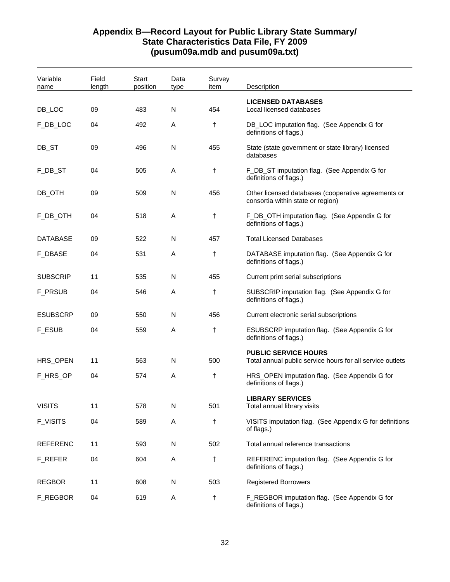| Variable<br>name | Field<br>length | Start<br>position | Data<br>type | Survey<br>item | Description                                                                              |
|------------------|-----------------|-------------------|--------------|----------------|------------------------------------------------------------------------------------------|
| DB_LOC           | 09              | 483               | N            | 454            | <b>LICENSED DATABASES</b><br>Local licensed databases                                    |
| F_DB_LOC         | 04              | 492               | Α            | $\ddagger$     | DB_LOC imputation flag. (See Appendix G for<br>definitions of flags.)                    |
| DB_ST            | 09              | 496               | N            | 455            | State (state government or state library) licensed<br>databases                          |
| F_DB_ST          | 04              | 505               | Α            | t              | F_DB_ST imputation flag. (See Appendix G for<br>definitions of flags.)                   |
| DB_OTH           | 09              | 509               | N            | 456            | Other licensed databases (cooperative agreements or<br>consortia within state or region) |
| F_DB_OTH         | 04              | 518               | Α            | t              | F_DB_OTH imputation flag. (See Appendix G for<br>definitions of flags.)                  |
| <b>DATABASE</b>  | 09              | 522               | N            | 457            | <b>Total Licensed Databases</b>                                                          |
| F_DBASE          | 04              | 531               | Α            | t              | DATABASE imputation flag. (See Appendix G for<br>definitions of flags.)                  |
| <b>SUBSCRIP</b>  | 11              | 535               | N            | 455            | Current print serial subscriptions                                                       |
| <b>F_PRSUB</b>   | 04              | 546               | Α            | t              | SUBSCRIP imputation flag. (See Appendix G for<br>definitions of flags.)                  |
| <b>ESUBSCRP</b>  | 09              | 550               | N            | 456            | Current electronic serial subscriptions                                                  |
| <b>F_ESUB</b>    | 04              | 559               | Α            | t              | ESUBSCRP imputation flag. (See Appendix G for<br>definitions of flags.)                  |
| HRS_OPEN         | 11              | 563               | N            | 500            | <b>PUBLIC SERVICE HOURS</b><br>Total annual public service hours for all service outlets |
| F_HRS_OP         | 04              | 574               | Α            | t              | HRS_OPEN imputation flag. (See Appendix G for<br>definitions of flags.)                  |
| <b>VISITS</b>    | 11              | 578               | N            | 501            | <b>LIBRARY SERVICES</b><br>Total annual library visits                                   |
| <b>F_VISITS</b>  | 04              | 589               | Α            | t              | VISITS imputation flag. (See Appendix G for definitions                                  |
|                  |                 |                   |              |                | of flags.)                                                                               |
| <b>REFERENC</b>  | 11              | 593               | N            | 502            | Total annual reference transactions                                                      |
| F_REFER          | 04              | 604               | Α            | t              | REFERENC imputation flag. (See Appendix G for<br>definitions of flags.)                  |
| <b>REGBOR</b>    | 11              | 608               | N            | 503            | <b>Registered Borrowers</b>                                                              |
| F_REGBOR         | 04              | 619               | Α            | t              | F_REGBOR imputation flag. (See Appendix G for<br>definitions of flags.)                  |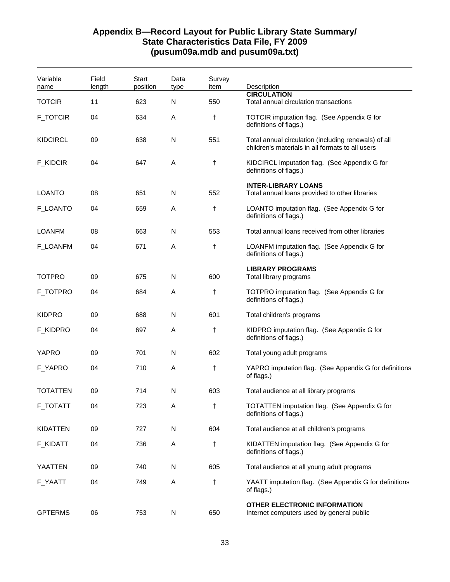| Variable        | Field  | Start    | Data      | Survey |                                                                                                          |
|-----------------|--------|----------|-----------|--------|----------------------------------------------------------------------------------------------------------|
| name            | length | position | type      | item   | Description<br><b>CIRCULATION</b>                                                                        |
| <b>TOTCIR</b>   | 11     | 623      | N         | 550    | Total annual circulation transactions                                                                    |
| <b>F_TOTCIR</b> | 04     | 634      | Α         | t      | TOTCIR imputation flag. (See Appendix G for<br>definitions of flags.)                                    |
| <b>KIDCIRCL</b> | 09     | 638      | N         | 551    | Total annual circulation (including renewals) of all<br>children's materials in all formats to all users |
| <b>F_KIDCIR</b> | 04     | 647      | A         | t      | KIDCIRCL imputation flag. (See Appendix G for<br>definitions of flags.)                                  |
| <b>LOANTO</b>   | 08     | 651      | N         | 552    | <b>INTER-LIBRARY LOANS</b><br>Total annual loans provided to other libraries                             |
| F_LOANTO        | 04     | 659      | Α         | t      | LOANTO imputation flag. (See Appendix G for<br>definitions of flags.)                                    |
| <b>LOANFM</b>   | 08     | 663      | N         | 553    | Total annual loans received from other libraries                                                         |
| <b>F_LOANFM</b> | 04     | 671      | Α         | t      | LOANFM imputation flag. (See Appendix G for<br>definitions of flags.)                                    |
| <b>TOTPRO</b>   | 09     | 675      | N         | 600    | <b>LIBRARY PROGRAMS</b><br>Total library programs                                                        |
| F_TOTPRO        | 04     | 684      | Α         | t      | TOTPRO imputation flag. (See Appendix G for<br>definitions of flags.)                                    |
| <b>KIDPRO</b>   | 09     | 688      | N         | 601    | Total children's programs                                                                                |
| F_KIDPRO        | 04     | 697      | Α         | t      | KIDPRO imputation flag. (See Appendix G for<br>definitions of flags.)                                    |
| YAPRO           | 09     | 701      | N         | 602    | Total young adult programs                                                                               |
| F_YAPRO         | 04     | 710      | Α         | t      | YAPRO imputation flag. (See Appendix G for definitions<br>of flags.)                                     |
| <b>TOTATTEN</b> | 09     | 714      | N         | 603    | Total audience at all library programs                                                                   |
| F_TOTATT        | 04     | 723      | A         | t      | TOTATTEN imputation flag. (See Appendix G for<br>definitions of flags.)                                  |
| KIDATTEN        | 09     | 727      | ${\sf N}$ | 604    | Total audience at all children's programs                                                                |
| F_KIDATT        | 04     | 736      | A         | t      | KIDATTEN imputation flag. (See Appendix G for<br>definitions of flags.)                                  |
| YAATTEN         | 09     | 740      | N         | 605    | Total audience at all young adult programs                                                               |
| F_YAATT         | 04     | 749      | Α         | t      | YAATT imputation flag. (See Appendix G for definitions<br>of flags.)                                     |
| <b>GPTERMS</b>  | 06     | 753      | N         | 650    | <b>OTHER ELECTRONIC INFORMATION</b><br>Internet computers used by general public                         |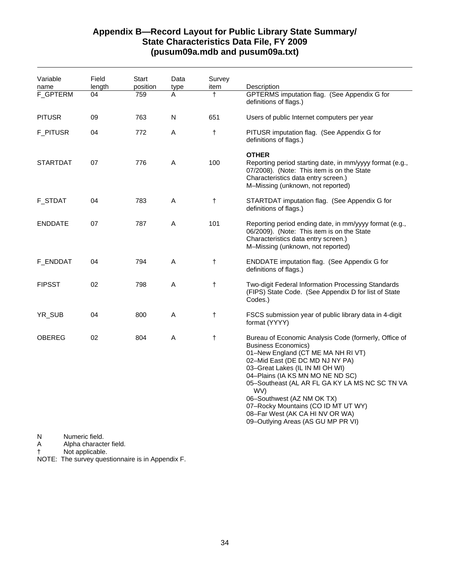## **Appendix B—Record Layout for Public Library State Summary/ State Characteristics Data File, FY 2009 (pusum09a.mdb and pusum09a.txt)**

| Field | Start  | Data         | Survey     | Description                                                                                                                                                                                                                                                                                                                                                                                                                                |
|-------|--------|--------------|------------|--------------------------------------------------------------------------------------------------------------------------------------------------------------------------------------------------------------------------------------------------------------------------------------------------------------------------------------------------------------------------------------------------------------------------------------------|
| 04    | 759    | Α            | $\ddagger$ | GPTERMS imputation flag. (See Appendix G for<br>definitions of flags.)                                                                                                                                                                                                                                                                                                                                                                     |
| 09    | 763    | $\mathsf{N}$ | 651        | Users of public Internet computers per year                                                                                                                                                                                                                                                                                                                                                                                                |
| 04    | 772    | Α            | $\ddagger$ | PITUSR imputation flag. (See Appendix G for<br>definitions of flags.)                                                                                                                                                                                                                                                                                                                                                                      |
| 07    | 776    | A            | 100        | <b>OTHER</b><br>Reporting period starting date, in mm/yyyy format (e.g.,<br>07/2008). (Note: This item is on the State<br>Characteristics data entry screen.)<br>M-Missing (unknown, not reported)                                                                                                                                                                                                                                         |
| 04    | 783    | Α            | $\ddagger$ | STARTDAT imputation flag. (See Appendix G for<br>definitions of flags.)                                                                                                                                                                                                                                                                                                                                                                    |
| 07    | 787    | A            | 101        | Reporting period ending date, in mm/yyyy format (e.g.,<br>06/2009). (Note: This item is on the State<br>Characteristics data entry screen.)<br>M-Missing (unknown, not reported)                                                                                                                                                                                                                                                           |
| 04    | 794    | A            | $\ddagger$ | ENDDATE imputation flag. (See Appendix G for<br>definitions of flags.)                                                                                                                                                                                                                                                                                                                                                                     |
| 02    | 798    | Α            | $\ddagger$ | Two-digit Federal Information Processing Standards<br>(FIPS) State Code. (See Appendix D for list of State<br>Codes.)                                                                                                                                                                                                                                                                                                                      |
| 04    | 800    | $\mathsf{A}$ | $\ddagger$ | FSCS submission year of public library data in 4-digit<br>format (YYYY)                                                                                                                                                                                                                                                                                                                                                                    |
| 02    | 804    | A            | $\ddagger$ | Bureau of Economic Analysis Code (formerly, Office of<br><b>Business Economics)</b><br>01-New England (CT ME MA NH RI VT)<br>02-Mid East (DE DC MD NJ NY PA)<br>03-Great Lakes (IL IN MI OH WI)<br>04-Plains (IA KS MN MO NE ND SC)<br>05-Southeast (AL AR FL GA KY LA MS NC SC TN VA<br>WV)<br>06-Southwest (AZ NM OK TX)<br>07-Rocky Mountains (CO ID MT UT WY)<br>08-Far West (AK CA HI NV OR WA)<br>09-Outlying Areas (AS GU MP PR VI) |
|       | length | position     | type       | item                                                                                                                                                                                                                                                                                                                                                                                                                                       |

N Numeric field.<br>A Alpha characte

Alpha character field.

† Not applicable.

NOTE: The survey questionnaire is in Appendix F.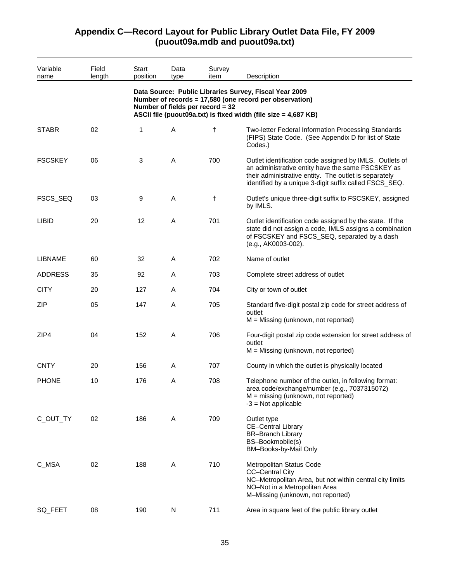#### Variable name Field length **Start** position Data type Survey item Description **Data Source: Public Libraries Survey, Fiscal Year 2009 Number of records = 17,580 (one record per observation) Number of fields per record = 32 ASCII file (puout09a.txt) is fixed width (file size = 4,687 KB)**  STABR 02 1 A † Two-letter Federal Information Processing Standards (FIPS) State Code. (See Appendix D for list of State Codes.) FSCSKEY 06 3 A 700 Outlet identification code assigned by IMLS. Outlets of an administrative entity have the same FSCSKEY as their administrative entity. The outlet is separately identified by a unique 3-digit suffix called FSCS\_SEQ. FSCS\_SEQ 03 9 A † Outlet's unique three-digit suffix to FSCSKEY, assigned by IMLS. LIBID 20 12 A 701 Outlet identification code assigned by the state. If the state did not assign a code, IMLS assigns a combination of FSCSKEY and FSCS\_SEQ, separated by a dash (e.g., AK0003-002). LIBNAME 60 32 A 702 Name of outlet ADDRESS 35 92 A 703 Complete street address of outlet CITY 20 127 A 704 City or town of outlet ZIP 05 147 A 705 Standard five-digit postal zip code for street address of outlet M = Missing (unknown, not reported) ZIP4 04 152 A 706 Four-digit postal zip code extension for street address of outlet M = Missing (unknown, not reported) CNTY 20 156 A 707 County in which the outlet is physically located PHONE 10 176 A 708 Telephone number of the outlet, in following format: area code/exchange/number (e.g., 7037315072) M = missing (unknown, not reported)  $-3$  = Not applicable C\_OUT\_TY 02 186 A 709 Outlet type CE–Central Library BR–Branch Library BS–Bookmobile(s) BM–Books-by-Mail Only C\_MSA 02 188 A 710 Metropolitan Status Code CC–Central City NC–Metropolitan Area, but not within central city limits NO–Not in a Metropolitan Area M–Missing (unknown, not reported) SQ\_FEET 08 190 N 711 Area in square feet of the public library outlet

## **Appendix C—Record Layout for Public Library Outlet Data File, FY 2009 (puout09a.mdb and puout09a.txt)**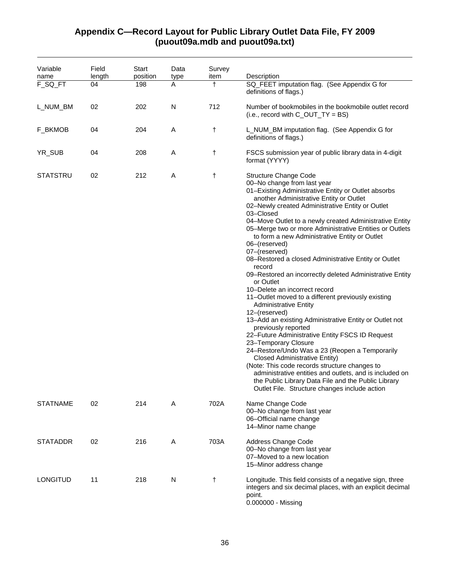## **Appendix C—Record Layout for Public Library Outlet Data File, FY 2009 (puout09a.mdb and puout09a.txt)**

| Variable<br>name | Field<br>length | Start<br>position | Data<br>type | Survey<br>item | Description                                                                                                                                                                                                                                                                                                                                                                                                                                                                                                                                                                                                                                                                                                                                                                                                                                                                                                                                                                                                                                                                                                                                                                                   |
|------------------|-----------------|-------------------|--------------|----------------|-----------------------------------------------------------------------------------------------------------------------------------------------------------------------------------------------------------------------------------------------------------------------------------------------------------------------------------------------------------------------------------------------------------------------------------------------------------------------------------------------------------------------------------------------------------------------------------------------------------------------------------------------------------------------------------------------------------------------------------------------------------------------------------------------------------------------------------------------------------------------------------------------------------------------------------------------------------------------------------------------------------------------------------------------------------------------------------------------------------------------------------------------------------------------------------------------|
| F_SQ_FT          | 04              | 198               | A            | t              | SQ_FEET imputation flag. (See Appendix G for<br>definitions of flags.)                                                                                                                                                                                                                                                                                                                                                                                                                                                                                                                                                                                                                                                                                                                                                                                                                                                                                                                                                                                                                                                                                                                        |
| L_NUM_BM         | 02              | 202               | N            | 712            | Number of bookmobiles in the bookmobile outlet record<br>(i.e., record with $C_$ <i>OUT_TY</i> = BS)                                                                                                                                                                                                                                                                                                                                                                                                                                                                                                                                                                                                                                                                                                                                                                                                                                                                                                                                                                                                                                                                                          |
| F_BKMOB          | 04              | 204               | Α            | $\ddagger$     | L_NUM_BM imputation flag. (See Appendix G for<br>definitions of flags.)                                                                                                                                                                                                                                                                                                                                                                                                                                                                                                                                                                                                                                                                                                                                                                                                                                                                                                                                                                                                                                                                                                                       |
| YR_SUB           | 04              | 208               | Α            | t              | FSCS submission year of public library data in 4-digit<br>format (YYYY)                                                                                                                                                                                                                                                                                                                                                                                                                                                                                                                                                                                                                                                                                                                                                                                                                                                                                                                                                                                                                                                                                                                       |
| <b>STATSTRU</b>  | 02              | 212               | Α            | $\ddagger$     | Structure Change Code<br>00-No change from last year<br>01-Existing Administrative Entity or Outlet absorbs<br>another Administrative Entity or Outlet<br>02-Newly created Administrative Entity or Outlet<br>03-Closed<br>04-Move Outlet to a newly created Administrative Entity<br>05-Merge two or more Administrative Entities or Outlets<br>to form a new Administrative Entity or Outlet<br>06-(reserved)<br>07-(reserved)<br>08-Restored a closed Administrative Entity or Outlet<br>record<br>09-Restored an incorrectly deleted Administrative Entity<br>or Outlet<br>10-Delete an incorrect record<br>11-Outlet moved to a different previously existing<br><b>Administrative Entity</b><br>12-(reserved)<br>13-Add an existing Administrative Entity or Outlet not<br>previously reported<br>22-Future Administrative Entity FSCS ID Request<br>23-Temporary Closure<br>24-Restore/Undo Was a 23 (Reopen a Temporarily<br><b>Closed Administrative Entity)</b><br>(Note: This code records structure changes to<br>administrative entities and outlets, and is included on<br>the Public Library Data File and the Public Library<br>Outlet File. Structure changes include action |
| <b>STATNAME</b>  | 02              | 214               | A            | 702A           | Name Change Code<br>00-No change from last year<br>06-Official name change<br>14-Minor name change                                                                                                                                                                                                                                                                                                                                                                                                                                                                                                                                                                                                                                                                                                                                                                                                                                                                                                                                                                                                                                                                                            |
| <b>STATADDR</b>  | 02              | 216               | A            | 703A           | Address Change Code<br>00-No change from last year<br>07-Moved to a new location<br>15-Minor address change                                                                                                                                                                                                                                                                                                                                                                                                                                                                                                                                                                                                                                                                                                                                                                                                                                                                                                                                                                                                                                                                                   |
| <b>LONGITUD</b>  | 11              | 218               | N            | $\ddagger$     | Longitude. This field consists of a negative sign, three<br>integers and six decimal places, with an explicit decimal<br>point.<br>0.000000 - Missing                                                                                                                                                                                                                                                                                                                                                                                                                                                                                                                                                                                                                                                                                                                                                                                                                                                                                                                                                                                                                                         |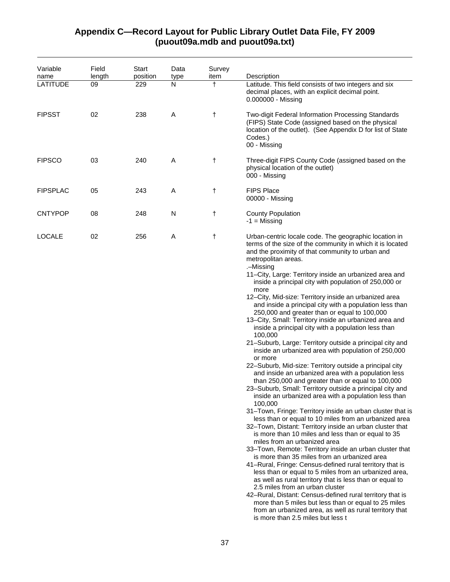| Variable<br>name | Field<br>length | Start<br>position | Data<br>type | Survey<br>item | Description                                                                                                                                                                                                                                                                                                                                                                                                                                                                                                                                                                                                                                                                                                                                                                                                                                                                                                                                                                                                                                                                                                                                                                                                                                                                                                                                                                                                                                                                                                                                                                                                                                                                                                                                                                                                                                                                                            |
|------------------|-----------------|-------------------|--------------|----------------|--------------------------------------------------------------------------------------------------------------------------------------------------------------------------------------------------------------------------------------------------------------------------------------------------------------------------------------------------------------------------------------------------------------------------------------------------------------------------------------------------------------------------------------------------------------------------------------------------------------------------------------------------------------------------------------------------------------------------------------------------------------------------------------------------------------------------------------------------------------------------------------------------------------------------------------------------------------------------------------------------------------------------------------------------------------------------------------------------------------------------------------------------------------------------------------------------------------------------------------------------------------------------------------------------------------------------------------------------------------------------------------------------------------------------------------------------------------------------------------------------------------------------------------------------------------------------------------------------------------------------------------------------------------------------------------------------------------------------------------------------------------------------------------------------------------------------------------------------------------------------------------------------------|
| <b>LATITUDE</b>  | 09              | 229               | N            | $\ddagger$     | Latitude. This field consists of two integers and six<br>decimal places, with an explicit decimal point.<br>0.000000 - Missing                                                                                                                                                                                                                                                                                                                                                                                                                                                                                                                                                                                                                                                                                                                                                                                                                                                                                                                                                                                                                                                                                                                                                                                                                                                                                                                                                                                                                                                                                                                                                                                                                                                                                                                                                                         |
| <b>FIPSST</b>    | 02              | 238               | A            | $\ddagger$     | Two-digit Federal Information Processing Standards<br>(FIPS) State Code (assigned based on the physical<br>location of the outlet). (See Appendix D for list of State<br>Codes.)<br>00 - Missing                                                                                                                                                                                                                                                                                                                                                                                                                                                                                                                                                                                                                                                                                                                                                                                                                                                                                                                                                                                                                                                                                                                                                                                                                                                                                                                                                                                                                                                                                                                                                                                                                                                                                                       |
| <b>FIPSCO</b>    | 03              | 240               | Α            | $\ddagger$     | Three-digit FIPS County Code (assigned based on the<br>physical location of the outlet)<br>000 - Missing                                                                                                                                                                                                                                                                                                                                                                                                                                                                                                                                                                                                                                                                                                                                                                                                                                                                                                                                                                                                                                                                                                                                                                                                                                                                                                                                                                                                                                                                                                                                                                                                                                                                                                                                                                                               |
| <b>FIPSPLAC</b>  | 05              | 243               | Α            | $\ddagger$     | <b>FIPS Place</b><br>00000 - Missing                                                                                                                                                                                                                                                                                                                                                                                                                                                                                                                                                                                                                                                                                                                                                                                                                                                                                                                                                                                                                                                                                                                                                                                                                                                                                                                                                                                                                                                                                                                                                                                                                                                                                                                                                                                                                                                                   |
| <b>CNTYPOP</b>   | 08              | 248               | N            | $^\dagger$     | <b>County Population</b><br>$-1$ = Missing                                                                                                                                                                                                                                                                                                                                                                                                                                                                                                                                                                                                                                                                                                                                                                                                                                                                                                                                                                                                                                                                                                                                                                                                                                                                                                                                                                                                                                                                                                                                                                                                                                                                                                                                                                                                                                                             |
| <b>LOCALE</b>    | 02              | 256               | A            | $\ddagger$     | Urban-centric locale code. The geographic location in<br>terms of the size of the community in which it is located<br>and the proximity of that community to urban and<br>metropolitan areas.<br>.-Missing<br>11-City, Large: Territory inside an urbanized area and<br>inside a principal city with population of 250,000 or<br>more<br>12-City, Mid-size: Territory inside an urbanized area<br>and inside a principal city with a population less than<br>250,000 and greater than or equal to 100,000<br>13-City, Small: Territory inside an urbanized area and<br>inside a principal city with a population less than<br>100,000<br>21-Suburb, Large: Territory outside a principal city and<br>inside an urbanized area with population of 250,000<br>or more<br>22-Suburb, Mid-size: Territory outside a principal city<br>and inside an urbanized area with a population less<br>than 250,000 and greater than or equal to 100,000<br>23–Suburb, Small: Territory outside a principal city and<br>inside an urbanized area with a population less than<br>100,000<br>31-Town, Fringe: Territory inside an urban cluster that is<br>less than or equal to 10 miles from an urbanized area<br>32-Town, Distant: Territory inside an urban cluster that<br>is more than 10 miles and less than or equal to 35<br>miles from an urbanized area<br>33-Town, Remote: Territory inside an urban cluster that<br>is more than 35 miles from an urbanized area<br>41-Rural, Fringe: Census-defined rural territory that is<br>less than or equal to 5 miles from an urbanized area,<br>as well as rural territory that is less than or equal to<br>2.5 miles from an urban cluster<br>42-Rural, Distant: Census-defined rural territory that is<br>more than 5 miles but less than or equal to 25 miles<br>from an urbanized area, as well as rural territory that<br>is more than 2.5 miles but less t |

## **Appendix C—Record Layout for Public Library Outlet Data File, FY 2009 (puout09a.mdb and puout09a.txt)**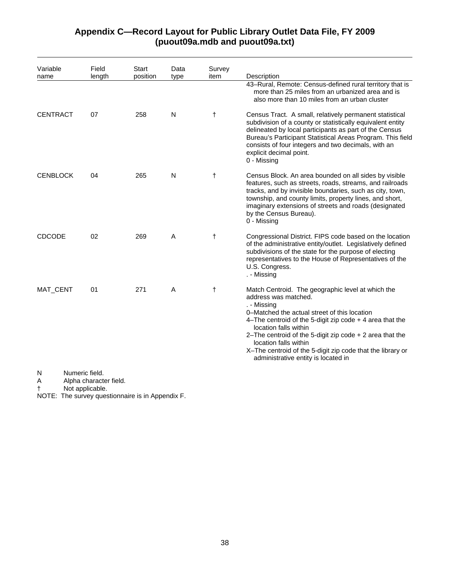| Variable<br>name | Field<br>length                          | Start<br>position | Data<br>type | Survey<br>item | Description                                                                                                                                                                                                                                                                                                                                                                                                                 |
|------------------|------------------------------------------|-------------------|--------------|----------------|-----------------------------------------------------------------------------------------------------------------------------------------------------------------------------------------------------------------------------------------------------------------------------------------------------------------------------------------------------------------------------------------------------------------------------|
|                  |                                          |                   |              |                | 43-Rural, Remote: Census-defined rural territory that is<br>more than 25 miles from an urbanized area and is<br>also more than 10 miles from an urban cluster                                                                                                                                                                                                                                                               |
| <b>CENTRACT</b>  | 07                                       | 258               | N            | $^\dagger$     | Census Tract. A small, relatively permanent statistical<br>subdivision of a county or statistically equivalent entity<br>delineated by local participants as part of the Census<br>Bureau's Participant Statistical Areas Program. This field<br>consists of four integers and two decimals, with an<br>explicit decimal point.<br>0 - Missing                                                                              |
| <b>CENBLOCK</b>  | 04                                       | 265               | N            | $\ddagger$     | Census Block. An area bounded on all sides by visible<br>features, such as streets, roads, streams, and railroads<br>tracks, and by invisible boundaries, such as city, town,<br>township, and county limits, property lines, and short,<br>imaginary extensions of streets and roads (designated<br>by the Census Bureau).<br>0 - Missing                                                                                  |
| <b>CDCODE</b>    | 02                                       | 269               | A            | $\ddagger$     | Congressional District. FIPS code based on the location<br>of the administrative entity/outlet. Legislatively defined<br>subdivisions of the state for the purpose of electing<br>representatives to the House of Representatives of the<br>U.S. Congress.<br>. - Missing                                                                                                                                                   |
| MAT_CENT         | 01                                       | 271               | A            | $\ddagger$     | Match Centroid. The geographic level at which the<br>address was matched.<br>. - Missing<br>0–Matched the actual street of this location<br>4-The centroid of the 5-digit zip code $+$ 4 area that the<br>location falls within<br>2-The centroid of the 5-digit zip code $+$ 2 area that the<br>location falls within<br>X-The centroid of the 5-digit zip code that the library or<br>administrative entity is located in |
| N<br>A           | Numeric field.<br>Alpha character field. |                   |              |                |                                                                                                                                                                                                                                                                                                                                                                                                                             |

## **Appendix C—Record Layout for Public Library Outlet Data File, FY 2009 (puout09a.mdb and puout09a.txt)**

† Not applicable.

NOTE: The survey questionnaire is in Appendix F.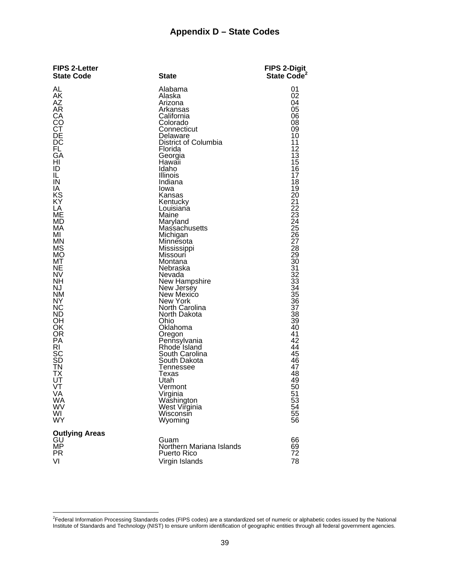## **Appendix D – State Codes**

| <b>FIPS 2-Letter</b><br><b>State Code</b>                                                                                                                                                                                                                                                                                                                                                                   | <b>State</b>                                                                                                                                                                                                                                                                                                                                                                                                                                                                                                                                                                                                                                                              | FIPS 2-Digit<br>State Code <sup>2</sup>                                                                                                                                                                                                                                                                                                                                         |
|-------------------------------------------------------------------------------------------------------------------------------------------------------------------------------------------------------------------------------------------------------------------------------------------------------------------------------------------------------------------------------------------------------------|---------------------------------------------------------------------------------------------------------------------------------------------------------------------------------------------------------------------------------------------------------------------------------------------------------------------------------------------------------------------------------------------------------------------------------------------------------------------------------------------------------------------------------------------------------------------------------------------------------------------------------------------------------------------------|---------------------------------------------------------------------------------------------------------------------------------------------------------------------------------------------------------------------------------------------------------------------------------------------------------------------------------------------------------------------------------|
| AL<br>AK<br><b>AZ</b><br><b>AR</b><br>СA<br>CO<br>СŤ<br>DE<br>DC<br>FL.<br>GA<br>HI<br>ID<br>IL<br>IN<br>ΙA<br>KS<br>KY<br>LA<br><b>ME</b><br>MD<br>МA<br>МI<br><b>MN</b><br><b>MS</b><br><b>MO</b><br>МT<br>NE<br><b>NV</b><br><b>NH</b><br>NJ<br><b>NM</b><br>NY<br><b>NC</b><br>ND.<br>OН<br>OK<br><b>OR</b><br>PA<br>RI<br>SC<br>ŜĎ<br>ΤN<br>ТX<br>UT<br>VT<br>VA<br>WA<br><b>WV</b><br>WI<br><b>WY</b> | Alabama<br>Alaska<br>Arizona<br>Arkansas<br>California<br>Colorado<br>Connecticut<br>Delaware<br>District of Columbia<br>Florida<br>Georgia<br>Hawaii<br>Idaho<br>Illinois<br>Indiana<br>lowa<br>Kansas<br>Kentucky<br>Louisiana<br>Maine<br>Maryland<br>Massachusetts<br>Michigan<br>Minnesota<br>Mississippi<br>Missouri<br>Montana<br>Nebraska<br>Nevada<br>New Hampshire<br>New Jersey<br>New Mexico<br>New York<br>North Carolina<br>North Dakota<br>Ohio<br>Oklahoma<br>Oregon<br>Pennsylvania<br>Rhode Island<br>South Carolina<br>South Dakota<br><b>Tennessee</b><br>Texas<br>Utah<br>Vermont<br>Virginia<br>Washington<br>West Virginia<br>Wisconsin<br>Wyoming | 01<br>02<br>04<br>05<br>06<br>08<br>09<br>10<br>11<br>12<br>13<br>15<br>16<br>17<br>18<br>19<br>20<br>21<br>22<br>23<br>24<br>25<br>26<br>27<br>28<br>29<br>30<br>31<br>$\overline{32}$<br>33<br>$\overline{34}$<br>$\overline{35}$<br>$\overline{36}$<br>$\overline{37}$<br>38<br>39<br>40<br>41<br>42<br>44<br>45<br>46<br>47<br>48<br>49<br>50<br>51<br>53<br>54<br>55<br>56 |
| <b>Outlying Areas</b><br>GU<br><b>MP</b><br><b>PR</b><br>VI                                                                                                                                                                                                                                                                                                                                                 | Guam<br>Northern Mariana Islands<br><b>Puerto Rico</b><br>Virgin Islands                                                                                                                                                                                                                                                                                                                                                                                                                                                                                                                                                                                                  | 66<br>69<br>72<br>78                                                                                                                                                                                                                                                                                                                                                            |

 2 Federal Information Processing Standards codes (FIPS codes) are a standardized set of numeric or alphabetic codes issued by the National Institute of Standards and Technology (NIST) to ensure uniform identification of geographic entities through all federal government agencies.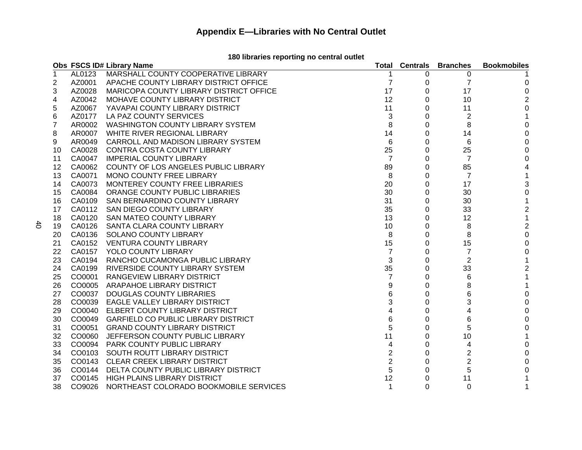### **180 libraries reporting no central outlet**

|    |        | Obs FSCS ID# Library Name                  | Total          |          | <b>Centrals Branches</b> | <b>Bookmobiles</b> |
|----|--------|--------------------------------------------|----------------|----------|--------------------------|--------------------|
| 1  | AL0123 | MARSHALL COUNTY COOPERATIVE LIBRARY        |                | 0        | 0                        |                    |
| 2  | AZ0001 | APACHE COUNTY LIBRARY DISTRICT OFFICE      | 7              | 0        | $\overline{7}$           | 0                  |
| 3  | AZ0028 | MARICOPA COUNTY LIBRARY DISTRICT OFFICE    | 17             | 0        | 17                       | 0                  |
| 4  | AZ0042 | MOHAVE COUNTY LIBRARY DISTRICT             | 12             | 0        | 10                       | 2                  |
| 5  | AZ0067 | YAVAPAI COUNTY LIBRARY DISTRICT            | 11             | 0        | 11                       | 0                  |
| 6  | AZ0177 | LA PAZ COUNTY SERVICES                     | 3              | 0        | 2                        | 1                  |
| 7  | AR0002 | <b>WASHINGTON COUNTY LIBRARY SYSTEM</b>    | 8              | 0        | 8                        | 0                  |
| 8  | AR0007 | WHITE RIVER REGIONAL LIBRARY               | 14             | 0        | 14                       | 0                  |
| 9  | AR0049 | CARROLL AND MADISON LIBRARY SYSTEM         | 6              | $\Omega$ | 6                        |                    |
| 10 | CA0028 | CONTRA COSTA COUNTY LIBRARY                | 25             | $\Omega$ | 25                       |                    |
| 11 | CA0047 | <b>IMPERIAL COUNTY LIBRARY</b>             | $\overline{7}$ | 0        | 7                        |                    |
| 12 | CA0062 | COUNTY OF LOS ANGELES PUBLIC LIBRARY       | 89             | 0        | 85                       |                    |
| 13 | CA0071 | MONO COUNTY FREE LIBRARY                   | 8              | 0        | 7                        |                    |
| 14 | CA0073 | MONTEREY COUNTY FREE LIBRARIES             | 20             | 0        | 17                       | 3                  |
| 15 | CA0084 | ORANGE COUNTY PUBLIC LIBRARIES             | 30             | 0        | 30                       | 0                  |
| 16 | CA0109 | SAN BERNARDINO COUNTY LIBRARY              | 31             | 0        | 30                       |                    |
| 17 | CA0112 | SAN DIEGO COUNTY LIBRARY                   | 35             | 0        | 33                       | $\overline{c}$     |
| 18 | CA0120 | SAN MATEO COUNTY LIBRARY                   | 13             | 0        | 12                       | 1                  |
| 19 | CA0126 | SANTA CLARA COUNTY LIBRARY                 | 10             | 0        | 8                        | 2                  |
| 20 | CA0136 | <b>SOLANO COUNTY LIBRARY</b>               | 8              | 0        | 8                        | 0                  |
| 21 | CA0152 | <b>VENTURA COUNTY LIBRARY</b>              | 15             | 0        | 15                       | 0                  |
| 22 | CA0157 | YOLO COUNTY LIBRARY                        | $\overline{7}$ | 0        | 7                        | 0                  |
| 23 | CA0194 | RANCHO CUCAMONGA PUBLIC LIBRARY            | 3              | 0        | $\overline{2}$           |                    |
| 24 | CA0199 | RIVERSIDE COUNTY LIBRARY SYSTEM            | 35             | 0        | 33                       | 2                  |
| 25 | CO0001 | <b>RANGEVIEW LIBRARY DISTRICT</b>          | $\overline{7}$ | 0        | 6                        |                    |
| 26 | CO0005 | ARAPAHOE LIBRARY DISTRICT                  | 9              | 0        | 8                        |                    |
| 27 |        | CO0037 DOUGLAS COUNTY LIBRARIES            | 6              | 0        | 6                        | 0                  |
| 28 | CO0039 | <b>EAGLE VALLEY LIBRARY DISTRICT</b>       | 3              | 0        | 3                        | 0                  |
| 29 | CO0040 | <b>ELBERT COUNTY LIBRARY DISTRICT</b>      | 4              | 0        | 4                        | 0                  |
| 30 |        | CO0049 GARFIELD CO PUBLIC LIBRARY DISTRICT | 6              | 0        | 6                        | O                  |
| 31 | CO0051 | <b>GRAND COUNTY LIBRARY DISTRICT</b>       | 5              | 0        | 5                        | O                  |
| 32 | CO0060 | JEFFERSON COUNTY PUBLIC LIBRARY            | 11             | 0        | 10                       |                    |
| 33 | CO0094 | <b>PARK COUNTY PUBLIC LIBRARY</b>          | 4              | 0        | 4                        | 0                  |
| 34 | CO0103 | SOUTH ROUTT LIBRARY DISTRICT               | $\overline{2}$ | 0        | $\overline{2}$           |                    |
| 35 | CO0143 | <b>CLEAR CREEK LIBRARY DISTRICT</b>        | $\overline{2}$ | 0        | $\overline{2}$           |                    |
| 36 | CO0144 | DELTA COUNTY PUBLIC LIBRARY DISTRICT       | 5              | 0        | 5                        |                    |
| 37 |        | CO0145 HIGH PLAINS LIBRARY DISTRICT        | 12             | 0        | 11                       |                    |
| 38 | CO9026 | NORTHEAST COLORADO BOOKMOBILE SERVICES     | 1              | $\Omega$ | $\Omega$                 |                    |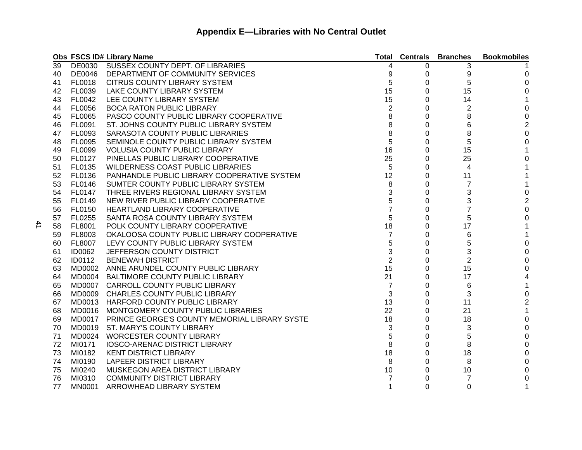|    |               | Obs FSCS ID# Library Name                            | Total          |   | <b>Centrals Branches</b> | <b>Bookmobiles</b> |
|----|---------------|------------------------------------------------------|----------------|---|--------------------------|--------------------|
| 39 |               | DE0030 SUSSEX COUNTY DEPT. OF LIBRARIES              | 4              | 0 | 3                        |                    |
| 40 |               | DE0046 DEPARTMENT OF COMMUNITY SERVICES              | 9              | 0 | 9                        | 0                  |
| 41 | <b>FL0018</b> | <b>CITRUS COUNTY LIBRARY SYSTEM</b>                  | 5              | 0 | 5                        | 0                  |
| 42 | FL0039        | LAKE COUNTY LIBRARY SYSTEM                           | 15             | 0 | 15                       | 0                  |
| 43 | FL0042        | LEE COUNTY LIBRARY SYSTEM                            | 15             | 0 | 14                       |                    |
| 44 | <b>FL0056</b> | <b>BOCA RATON PUBLIC LIBRARY</b>                     | 2              | 0 | 2                        | 0                  |
| 45 | <b>FL0065</b> | PASCO COUNTY PUBLIC LIBRARY COOPERATIVE              | 8              | 0 | 8                        | 0                  |
| 46 | FL0091        | ST. JOHNS COUNTY PUBLIC LIBRARY SYSTEM               | 8              | 0 | 6                        | $\overline{2}$     |
| 47 | FL0093        | SARASOTA COUNTY PUBLIC LIBRARIES                     | 8              | 0 | 8                        | 0                  |
| 48 | FL0095        | SEMINOLE COUNTY PUBLIC LIBRARY SYSTEM                | 5              | 0 | 5                        | 0                  |
| 49 | FL0099        | <b>VOLUSIA COUNTY PUBLIC LIBRARY</b>                 | 16             | 0 | 15                       | 1                  |
| 50 | FL0127        | PINELLAS PUBLIC LIBRARY COOPERATIVE                  | 25             | 0 | 25                       | 0                  |
| 51 | FL0135        | <b>WILDERNESS COAST PUBLIC LIBRARIES</b>             | 5              | 0 | 4                        |                    |
| 52 | FL0136        | PANHANDLE PUBLIC LIBRARY COOPERATIVE SYSTEM          | 12             | 0 | 11                       |                    |
| 53 | <b>FL0146</b> | SUMTER COUNTY PUBLIC LIBRARY SYSTEM                  | 8              | 0 | $\overline{7}$           | 1                  |
| 54 | <b>FL0147</b> | THREE RIVERS REGIONAL LIBRARY SYSTEM                 | 3              | 0 | 3                        | 0                  |
| 55 | FL0149        | NEW RIVER PUBLIC LIBRARY COOPERATIVE                 | 5              | 0 | 3                        | $\mathbf 2$        |
| 56 | FL0150        | HEARTLAND LIBRARY COOPERATIVE                        | $\overline{7}$ | 0 | $\overline{7}$           | 0                  |
| 57 | FL0255        | SANTA ROSA COUNTY LIBRARY SYSTEM                     | 5              | 0 | 5                        | 0                  |
| 58 | FL8001        | POLK COUNTY LIBRARY COOPERATIVE                      | 18             | 0 | 17                       |                    |
| 59 | FL8003        | OKALOOSA COUNTY PUBLIC LIBRARY COOPERATIVE           | $\overline{7}$ | 0 | 6                        |                    |
| 60 | <b>FL8007</b> | LEVY COUNTY PUBLIC LIBRARY SYSTEM                    | 5              | 0 | 5                        | 0                  |
| 61 | <b>ID0062</b> | JEFFERSON COUNTY DISTRICT                            | 3              | 0 | 3                        | 0                  |
| 62 | <b>ID0112</b> | <b>BENEWAH DISTRICT</b>                              | 2              | 0 | $\overline{2}$           | 0                  |
| 63 |               | MD0002 ANNE ARUNDEL COUNTY PUBLIC LIBRARY            | 15             | 0 | 15                       | 0                  |
| 64 |               | MD0004 BALTIMORE COUNTY PUBLIC LIBRARY               | 21             | 0 | 17                       | 4                  |
| 65 |               | MD0007 CARROLL COUNTY PUBLIC LIBRARY                 | 7              | 0 | 6                        |                    |
| 66 |               | MD0009 CHARLES COUNTY PUBLIC LIBRARY                 | 3              | 0 | 3                        | 0                  |
| 67 |               | MD0013 HARFORD COUNTY PUBLIC LIBRARY                 | 13             | 0 | 11                       | 2                  |
| 68 |               | MD0016 MONTGOMERY COUNTY PUBLIC LIBRARIES            | 22             | 0 | 21                       | 1                  |
| 69 |               | MD0017 PRINCE GEORGE'S COUNTY MEMORIAL LIBRARY SYSTE | 18             | 0 | 18                       | 0                  |
| 70 |               | MD0019 ST. MARY'S COUNTY LIBRARY                     | 3              | 0 | 3                        | 0                  |
| 71 |               | MD0024 WORCESTER COUNTY LIBRARY                      | 5              | 0 | 5                        | 0                  |
| 72 | MI0171        | <b>IOSCO-ARENAC DISTRICT LIBRARY</b>                 | 8              | 0 | 8                        | 0                  |
| 73 | MI0182        | <b>KENT DISTRICT LIBRARY</b>                         | 18             | 0 | 18                       | O                  |
| 74 | MI0190        | LAPEER DISTRICT LIBRARY                              | 8              | 0 | 8                        |                    |
| 75 | MI0240        | MUSKEGON AREA DISTRICT LIBRARY                       | 10             | 0 | 10                       | 0                  |
| 76 | MI0310        | <b>COMMUNITY DISTRICT LIBRARY</b>                    |                | 0 | 7                        | 0                  |
| 77 | <b>MN0001</b> | ARROWHEAD LIBRARY SYSTEM                             |                | 0 | 0                        |                    |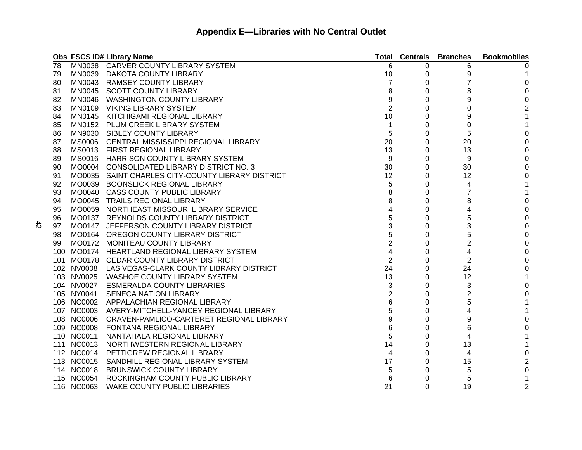|    |            | Obs FSCS ID# Library Name                           | Total          | <b>Centrals</b> | <b>Branches</b> | <b>Bookmobiles</b> |
|----|------------|-----------------------------------------------------|----------------|-----------------|-----------------|--------------------|
| 78 |            | MN0038 CARVER COUNTY LIBRARY SYSTEM                 | 6              | 0               | 6               |                    |
| 79 |            | MN0039 DAKOTA COUNTY LIBRARY                        | 10             | 0               | 9               |                    |
| 80 |            | MN0043 RAMSEY COUNTY LIBRARY                        | 7              | 0               | 7               | 0                  |
| 81 |            | MN0045 SCOTT COUNTY LIBRARY                         | 8              | 0               | 8               | 0                  |
| 82 |            | MN0046 WASHINGTON COUNTY LIBRARY                    | 9              | 0               | 9               | 0                  |
| 83 |            | MN0109 VIKING LIBRARY SYSTEM                        | $\overline{2}$ | 0               | 0               | 2                  |
| 84 |            | MN0145 KITCHIGAMI REGIONAL LIBRARY                  | 10             | 0               | 9               | 1                  |
| 85 |            | MN0152 PLUM CREEK LIBRARY SYSTEM                    | 1              | 0               | 0               |                    |
| 86 |            | MN9030 SIBLEY COUNTY LIBRARY                        | 5              | 0               | 5               | 0                  |
| 87 |            | MS0006 CENTRAL MISSISSIPPI REGIONAL LIBRARY         | 20             | 0               | 20              | 0                  |
| 88 |            | MS0013 FIRST REGIONAL LIBRARY                       | 13             | 0               | 13              | 0                  |
| 89 |            | MS0016 HARRISON COUNTY LIBRARY SYSTEM               | 9              | 0               | 9               | O                  |
| 90 |            | MO0004 CONSOLIDATED LIBRARY DISTRICT NO. 3          | 30             | 0               | 30              |                    |
| 91 |            | MO0035 SAINT CHARLES CITY-COUNTY LIBRARY DISTRICT   | 12             | 0               | 12              | O                  |
| 92 |            | MO0039 BOONSLICK REGIONAL LIBRARY                   | 5              | 0               | 4               |                    |
| 93 |            | MO0040 CASS COUNTY PUBLIC LIBRARY                   | 8              | 0               | $\overline{7}$  |                    |
| 94 |            | MO0045 TRAILS REGIONAL LIBRARY                      | 8              | 0               | 8               | 0                  |
| 95 |            | MO0059 NORTHEAST MISSOURI LIBRARY SERVICE           | 4              | 0               | 4               | 0                  |
| 96 |            | MO0137 REYNOLDS COUNTY LIBRARY DISTRICT             | 5              | 0               | 5               | 0                  |
| 97 |            | MO0147 JEFFERSON COUNTY LIBRARY DISTRICT            | 3              | 0               | 3               | 0                  |
| 98 |            | MO0164 OREGON COUNTY LIBRARY DISTRICT               | 5              | 0               | 5               | 0                  |
| 99 |            | MO0172 MONITEAU COUNTY LIBRARY                      | 2              | 0               | $\overline{2}$  | O                  |
|    |            | 100 MO0174 HEARTLAND REGIONAL LIBRARY SYSTEM        | 4              | 0               | 4               | O                  |
|    |            | 101 MO0178 CEDAR COUNTY LIBRARY DISTRICT            | $\overline{c}$ | 0               | $\overline{2}$  | 0                  |
|    |            | 102 NV0008 LAS VEGAS-CLARK COUNTY LIBRARY DISTRICT  | 24             | 0               | 24              | 0                  |
|    |            | 103 NV0025 WASHOE COUNTY LIBRARY SYSTEM             | 13             | 0               | 12              | 1                  |
|    | 104 NV0027 | <b>ESMERALDA COUNTY LIBRARIES</b>                   | 3              | 0               | 3               | 0                  |
|    | 105 NY0041 | <b>SENECA NATION LIBRARY</b>                        | 2              | 0               | $\overline{c}$  |                    |
|    |            | 106 NC0002 APPALACHIAN REGIONAL LIBRARY             | 6              | 0               | 5               |                    |
|    |            | 107 NC0003 AVERY-MITCHELL-YANCEY REGIONAL LIBRARY   | 5              | 0               | 4               | 1                  |
|    |            | 108 NC0006 CRAVEN-PAMLICO-CARTERET REGIONAL LIBRARY | 9              | 0               | 9               | 0                  |
|    | 109 NC0008 | FONTANA REGIONAL LIBRARY                            | 6              | 0               | 6               | 0                  |
|    | 110 NC0011 | NANTAHALA REGIONAL LIBRARY                          | 5              | 0               | 4               |                    |
|    | 111 NC0013 | NORTHWESTERN REGIONAL LIBRARY                       | 14             | 0               | 13              |                    |
|    | 112 NC0014 | PETTIGREW REGIONAL LIBRARY                          | 4              | 0               | 4               | 0                  |
|    | 113 NC0015 | SANDHILL REGIONAL LIBRARY SYSTEM                    | 17             | 0               | 15              | 2                  |
|    | 114 NC0018 | <b>BRUNSWICK COUNTY LIBRARY</b>                     | 5              | 0               | 5               | 0                  |
|    | 115 NC0054 | ROCKINGHAM COUNTY PUBLIC LIBRARY                    | 6              | 0               | 5               |                    |
|    | 116 NC0063 | <b>WAKE COUNTY PUBLIC LIBRARIES</b>                 | 21             | 0               | 19              | 2                  |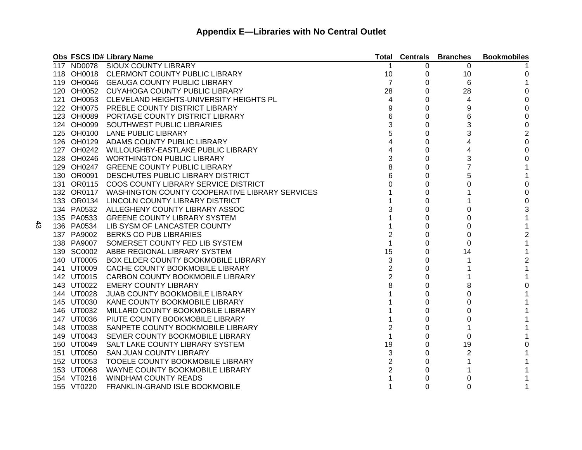|            | Obs FSCS ID# Library Name                                 |                | <b>Total Centrals</b> | <b>Branches</b> | <b>Bookmobiles</b> |
|------------|-----------------------------------------------------------|----------------|-----------------------|-----------------|--------------------|
|            | 117 ND0078 SIOUX COUNTY LIBRARY                           |                | 0                     | 0               |                    |
|            | 118 OH0018 CLERMONT COUNTY PUBLIC LIBRARY                 | 10             | 0                     | 10              | 0                  |
|            | 119 OH0046 GEAUGA COUNTY PUBLIC LIBRARY                   | 7              | 0                     | 6               | 1                  |
|            | 120 OH0052 CUYAHOGA COUNTY PUBLIC LIBRARY                 | 28             | 0                     | 28              | 0                  |
|            | 121 OH0053 CLEVELAND HEIGHTS-UNIVERSITY HEIGHTS PL        | 4              | 0                     | 4               | 0                  |
|            | 122 OH0075 PREBLE COUNTY DISTRICT LIBRARY                 | 9              | 0                     | 9               | 0                  |
| 123 OH0089 | PORTAGE COUNTY DISTRICT LIBRARY                           | 6              | 0                     | 6               | 0                  |
| 124 OH0099 | SOUTHWEST PUBLIC LIBRARIES                                | 3              | 0                     | 3               | 0                  |
|            | 125 OH0100 LANE PUBLIC LIBRARY                            | 5              | 0                     | 3               | $\overline{c}$     |
|            | 126 OH0129 ADAMS COUNTY PUBLIC LIBRARY                    | 4              | 0                     | 4               | 0                  |
| 127 OH0242 | WILLOUGHBY-EASTLAKE PUBLIC LIBRARY                        | 4              | 0                     | 4               | 0                  |
| 128 OH0246 | <b>WORTHINGTON PUBLIC LIBRARY</b>                         | 3              | 0                     | 3               | 0                  |
| 129 OH0247 | <b>GREENE COUNTY PUBLIC LIBRARY</b>                       | 8              | 0                     | $\overline{7}$  |                    |
| 130 OR0091 | DESCHUTES PUBLIC LIBRARY DISTRICT                         | 6              | 0                     | 5               |                    |
|            | 131 OR0115 COOS COUNTY LIBRARY SERVICE DISTRICT           | 0              | 0                     | 0               | 0                  |
|            | 132 OR0117 WASHINGTON COUNTY COOPERATIVE LIBRARY SERVICES |                | 0                     |                 | 0                  |
|            | 133 OR0134 LINCOLN COUNTY LIBRARY DISTRICT                |                | 0                     |                 | 0                  |
|            | 134 PA0532 ALLEGHENY COUNTY LIBRARY ASSOC                 | 3              | 0                     | 0               | 3                  |
| 135 PA0533 | <b>GREENE COUNTY LIBRARY SYSTEM</b>                       |                | 0                     | 0               | 1                  |
| 136 PA0534 | LIB SYSM OF LANCASTER COUNTY                              |                | 0                     | 0               | 1                  |
| 137 PA9002 | <b>BERKS CO PUB LIBRARIES</b>                             | 2              | 0                     | 0               | 2                  |
| 138 PA9007 | SOMERSET COUNTY FED LIB SYSTEM                            | 1              | 0                     | 0               | 1                  |
| 139 SC0002 | ABBE REGIONAL LIBRARY SYSTEM                              | 15             | 0                     | 14              | 1                  |
| 140 UT0005 | BOX ELDER COUNTY BOOKMOBILE LIBRARY                       | 3              | 0                     |                 | $\overline{2}$     |
| 141 UT0009 | CACHE COUNTY BOOKMOBILE LIBRARY                           | 2              | 0                     |                 |                    |
| 142 UT0015 | CARBON COUNTY BOOKMOBILE LIBRARY                          | $\overline{2}$ | 0                     |                 |                    |
| 143 UT0022 | <b>EMERY COUNTY LIBRARY</b>                               | 8              | 0                     | 8               | 0                  |
| 144 UT0028 | <b>JUAB COUNTY BOOKMOBILE LIBRARY</b>                     |                | 0                     | 0               |                    |
| 145 UT0030 | KANE COUNTY BOOKMOBILE LIBRARY                            |                | 0                     | 0               |                    |
| 146 UT0032 | MILLARD COUNTY BOOKMOBILE LIBRARY                         |                | 0                     | 0               |                    |
| 147 UT0036 | PIUTE COUNTY BOOKMOBILE LIBRARY                           |                | 0                     | 0               |                    |
| 148 UT0038 | SANPETE COUNTY BOOKMOBILE LIBRARY                         | 2              | 0                     |                 |                    |
| 149 UT0043 | SEVIER COUNTY BOOKMOBILE LIBRARY                          |                | 0                     | 0               |                    |
| 150 UT0049 | SALT LAKE COUNTY LIBRARY SYSTEM                           | 19             | 0                     | 19              | 0                  |
| 151 UT0050 | <b>SAN JUAN COUNTY LIBRARY</b>                            | 3              | 0                     | 2               |                    |
| 152 UT0053 | TOOELE COUNTY BOOKMOBILE LIBRARY                          | $\overline{2}$ | 0                     |                 |                    |
| 153 UT0068 | WAYNE COUNTY BOOKMOBILE LIBRARY                           | $\overline{2}$ |                       |                 |                    |
| 154 VT0216 | <b>WINDHAM COUNTY READS</b>                               |                |                       |                 |                    |
| 155 VT0220 | <b>FRANKLIN-GRAND ISLE BOOKMOBILE</b>                     |                | 0                     | 0               |                    |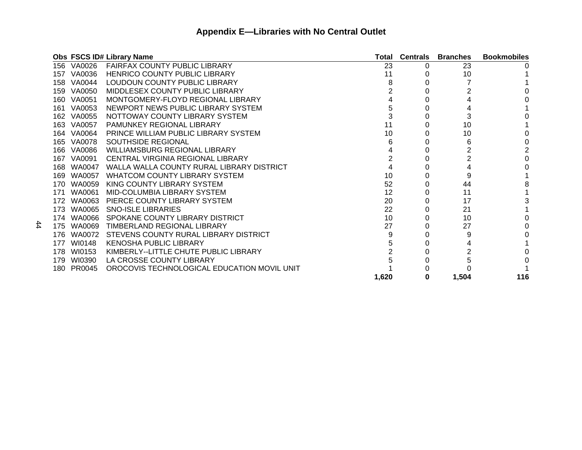|     |            | Obs FSCS ID# Library Name                   | Total | <b>Centrals</b> | <b>Branches</b> | <b>Bookmobiles</b> |
|-----|------------|---------------------------------------------|-------|-----------------|-----------------|--------------------|
|     | 156 VA0026 | <b>FAIRFAX COUNTY PUBLIC LIBRARY</b>        | 23    | 0               | 23              |                    |
| 157 | VA0036     | <b>HENRICO COUNTY PUBLIC LIBRARY</b>        | 11    |                 | 10              |                    |
| 158 | VA0044     | LOUDOUN COUNTY PUBLIC LIBRARY               |       |                 |                 |                    |
| 159 | VA0050     | <b>MIDDLESEX COUNTY PUBLIC LIBRARY</b>      |       |                 |                 |                    |
|     | 160 VA0051 | MONTGOMERY-FLOYD REGIONAL LIBRARY           |       |                 |                 |                    |
| 161 | VA0053     | NEWPORT NEWS PUBLIC LIBRARY SYSTEM          |       |                 |                 |                    |
|     | 162 VA0055 | NOTTOWAY COUNTY LIBRARY SYSTEM              | 3     |                 | 3               |                    |
|     | 163 VA0057 | PAMUNKEY REGIONAL LIBRARY                   | 11    |                 | 10              |                    |
|     | 164 VA0064 | PRINCE WILLIAM PUBLIC LIBRARY SYSTEM        | 10    |                 | 10              |                    |
|     | 165 VA0078 | SOUTHSIDE REGIONAL                          | 6     |                 | 6               |                    |
| 166 | VA0086     | WILLIAMSBURG REGIONAL LIBRARY               |       |                 |                 |                    |
| 167 | VA0091     | CENTRAL VIRGINIA REGIONAL LIBRARY           |       |                 |                 |                    |
| 168 | WA0047     | WALLA WALLA COUNTY RURAL LIBRARY DISTRICT   |       |                 |                 |                    |
| 169 | WA0057     | <b>WHATCOM COUNTY LIBRARY SYSTEM</b>        | 10    |                 | 9               |                    |
| 170 | WA0059     | KING COUNTY LIBRARY SYSTEM                  | 52    |                 | 44              | 8                  |
| 171 | WA0061     | MID-COLUMBIA LIBRARY SYSTEM                 | 12    |                 | 11              |                    |
| 172 | WA0063     | PIERCE COUNTY LIBRARY SYSTEM                | 20    |                 | 17              |                    |
|     | 173 WA0065 | <b>SNO-ISLE LIBRARIES</b>                   | 22    |                 | 21              |                    |
| 174 | WA0066     | SPOKANE COUNTY LIBRARY DISTRICT             | 10    |                 | 10              |                    |
| 175 | WA0069     | TIMBERLAND REGIONAL LIBRARY                 | 27    |                 | 27              |                    |
| 176 | WA0072     | STEVENS COUNTY RURAL LIBRARY DISTRICT       | 9     |                 | 9               |                    |
| 177 | WI0148     | <b>KENOSHA PUBLIC LIBRARY</b>               |       |                 |                 |                    |
|     | 178 WI0153 | KIMBERLY--LITTLE CHUTE PUBLIC LIBRARY       |       |                 |                 |                    |
| 179 | WI0390     | LA CROSSE COUNTY LIBRARY                    |       |                 |                 |                    |
| 180 | PR0045     | OROCOVIS TECHNOLOGICAL EDUCATION MOVIL UNIT |       |                 |                 |                    |
|     |            |                                             | 1,620 | O               | 1,504           | 116                |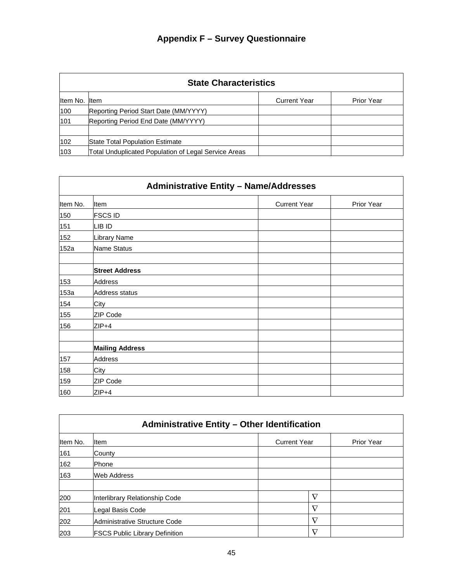| <b>State Characteristics</b> |                                                      |                     |                   |  |  |  |
|------------------------------|------------------------------------------------------|---------------------|-------------------|--|--|--|
| Item No. Item                |                                                      | <b>Current Year</b> | <b>Prior Year</b> |  |  |  |
| 100                          | Reporting Period Start Date (MM/YYYY)                |                     |                   |  |  |  |
| 101                          | Reporting Period End Date (MM/YYYY)                  |                     |                   |  |  |  |
| 102                          | State Total Population Estimate                      |                     |                   |  |  |  |
| 103                          | Total Unduplicated Population of Legal Service Areas |                     |                   |  |  |  |

|          | <b>Administrative Entity - Name/Addresses</b> |                     |            |  |  |  |  |
|----------|-----------------------------------------------|---------------------|------------|--|--|--|--|
| Item No. | Item                                          | <b>Current Year</b> | Prior Year |  |  |  |  |
| 150      | <b>FSCS ID</b>                                |                     |            |  |  |  |  |
| 151      | LIB ID                                        |                     |            |  |  |  |  |
| 152      | Library Name                                  |                     |            |  |  |  |  |
| 152a     | Name Status                                   |                     |            |  |  |  |  |
|          | <b>Street Address</b>                         |                     |            |  |  |  |  |
| 153      | Address                                       |                     |            |  |  |  |  |
| 153a     | Address status                                |                     |            |  |  |  |  |
| 154      | City                                          |                     |            |  |  |  |  |
| 155      | ZIP Code                                      |                     |            |  |  |  |  |
| 156      | $ZIP+4$                                       |                     |            |  |  |  |  |
|          |                                               |                     |            |  |  |  |  |
|          | <b>Mailing Address</b>                        |                     |            |  |  |  |  |
| 157      | Address                                       |                     |            |  |  |  |  |
| 158      | City                                          |                     |            |  |  |  |  |
| 159      | ZIP Code                                      |                     |            |  |  |  |  |
| 160      | $ZIP+4$                                       |                     |            |  |  |  |  |

| <b>Administrative Entity - Other Identification</b> |                                       |                     |                   |
|-----------------------------------------------------|---------------------------------------|---------------------|-------------------|
| Item No.                                            | <b>I</b> tem                          | <b>Current Year</b> | <b>Prior Year</b> |
| 161                                                 | County                                |                     |                   |
| 162                                                 | <b>Phone</b>                          |                     |                   |
| 163                                                 | <b>Web Address</b>                    |                     |                   |
|                                                     |                                       |                     |                   |
| 200                                                 | Interlibrary Relationship Code        | $\nabla$            |                   |
| 201                                                 | Legal Basis Code                      | $\rm \nabla$        |                   |
| 202                                                 | Administrative Structure Code         | $\rm \nabla$        |                   |
| 203                                                 | <b>FSCS Public Library Definition</b> | $\nabla$            |                   |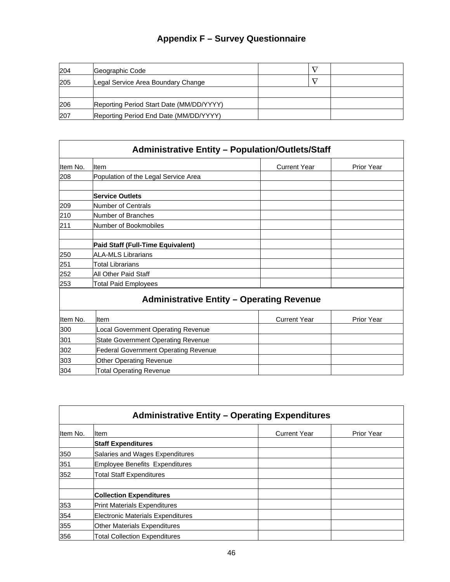| 204 | Geographic Code                          |  |  |
|-----|------------------------------------------|--|--|
| 205 | Legal Service Area Boundary Change       |  |  |
|     |                                          |  |  |
| 206 | Reporting Period Start Date (MM/DD/YYYY) |  |  |
| 207 | Reporting Period End Date (MM/DD/YYYY)   |  |  |

| Item No. | <b>I</b> tem                         | <b>Current Year</b> | <b>Prior Year</b> |
|----------|--------------------------------------|---------------------|-------------------|
| 208      | Population of the Legal Service Area |                     |                   |
|          | <b>Service Outlets</b>               |                     |                   |
| 209      | Number of Centrals                   |                     |                   |
| 210      | Number of Branches                   |                     |                   |
| 211      | Number of Bookmobiles                |                     |                   |
|          | Paid Staff (Full-Time Equivalent)    |                     |                   |
| 250      | <b>ALA-MLS Librarians</b>            |                     |                   |
| 251      | <b>Total Librarians</b>              |                     |                   |
| 252      | All Other Paid Staff                 |                     |                   |
| 253      | <b>Total Paid Employees</b>          |                     |                   |

## **Administrative Entity – Operating Revenue**

| Item No. | Item                                        | <b>Current Year</b> | <b>Prior Year</b> |
|----------|---------------------------------------------|---------------------|-------------------|
| 300      | Local Government Operating Revenue          |                     |                   |
| 301      | <b>State Government Operating Revenue</b>   |                     |                   |
| 302      | <b>Federal Government Operating Revenue</b> |                     |                   |
| 303      | <b>Other Operating Revenue</b>              |                     |                   |
| 304      | <b>Total Operating Revenue</b>              |                     |                   |

|          | <b>Administrative Entity - Operating Expenditures</b> |                     |                   |  |  |
|----------|-------------------------------------------------------|---------------------|-------------------|--|--|
| Item No. | lltem                                                 | <b>Current Year</b> | <b>Prior Year</b> |  |  |
|          | <b>Staff Expenditures</b>                             |                     |                   |  |  |
| 350      | Salaries and Wages Expenditures                       |                     |                   |  |  |
| 351      | Employee Benefits Expenditures                        |                     |                   |  |  |
| 352      | <b>Total Staff Expenditures</b>                       |                     |                   |  |  |
|          | <b>Collection Expenditures</b>                        |                     |                   |  |  |
| 353      | Print Materials Expenditures                          |                     |                   |  |  |
| 354      | Electronic Materials Expenditures                     |                     |                   |  |  |
| 355      | <b>Other Materials Expenditures</b>                   |                     |                   |  |  |
| 356      | <b>Total Collection Expenditures</b>                  |                     |                   |  |  |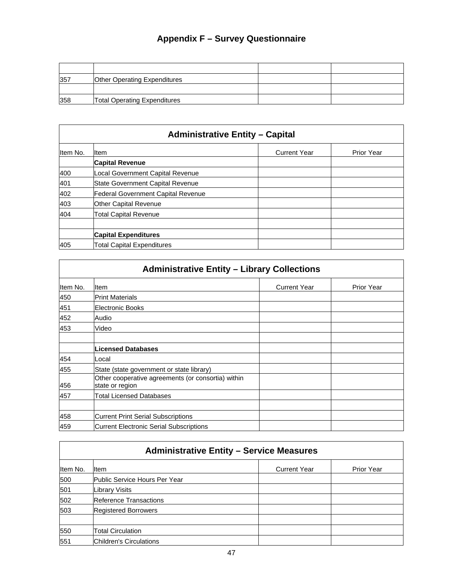| 357 | <b>Other Operating Expenditures</b> |  |
|-----|-------------------------------------|--|
|     |                                     |  |
| 358 | <b>Total Operating Expenditures</b> |  |

## **Administrative Entity – Capital** Item No. |Item | Current Year | Prior Year **Capital Revenue**  400 Local Government Capital Revenue 401 State Government Capital Revenue 402 Federal Government Capital Revenue 403 Other Capital Revenue 404 Total Capital Revenue **Capital Expenditures**  405 Total Capital Expenditures

| <b>Administrative Entity - Library Collections</b> |                                                                       |                     |                   |
|----------------------------------------------------|-----------------------------------------------------------------------|---------------------|-------------------|
| Item No.                                           | <b>Item</b>                                                           | <b>Current Year</b> | <b>Prior Year</b> |
| 450                                                | <b>Print Materials</b>                                                |                     |                   |
| 451                                                | <b>Electronic Books</b>                                               |                     |                   |
| 452                                                | Audio                                                                 |                     |                   |
| 453                                                | Video                                                                 |                     |                   |
|                                                    | <b>Licensed Databases</b>                                             |                     |                   |
| 454                                                | Local                                                                 |                     |                   |
| 455                                                | State (state government or state library)                             |                     |                   |
| 456                                                | Other cooperative agreements (or consortia) within<br>state or region |                     |                   |
| 457                                                | <b>Total Licensed Databases</b>                                       |                     |                   |
| 458                                                | <b>Current Print Serial Subscriptions</b>                             |                     |                   |
| 459                                                | <b>Current Electronic Serial Subscriptions</b>                        |                     |                   |

| <b>Administrative Entity - Service Measures</b> |                               |                     |            |
|-------------------------------------------------|-------------------------------|---------------------|------------|
| Item No.                                        | <b>I</b> tem                  | <b>Current Year</b> | Prior Year |
| 500                                             | Public Service Hours Per Year |                     |            |
| 501                                             | Library Visits                |                     |            |
| 502                                             | Reference Transactions        |                     |            |
| 503                                             | <b>Registered Borrowers</b>   |                     |            |
| 550                                             | <b>Total Circulation</b>      |                     |            |
| 551                                             | Children's Circulations       |                     |            |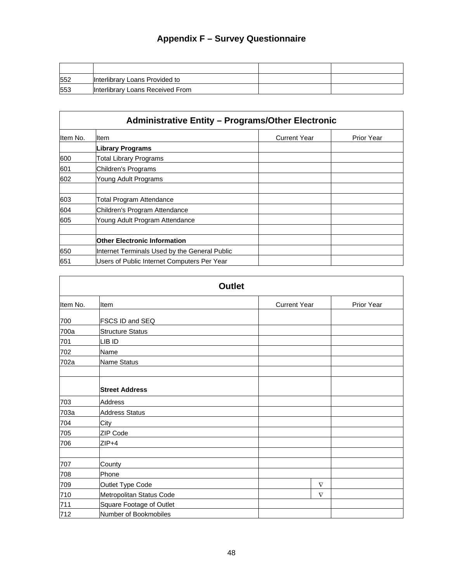| 552 | Interlibrary Loans Provided to   |  |
|-----|----------------------------------|--|
| 553 | Interlibrary Loans Received From |  |

| <b>Administrative Entity - Programs/Other Electronic</b> |                                               |                     |                   |
|----------------------------------------------------------|-----------------------------------------------|---------------------|-------------------|
| Item No.                                                 | ltem                                          | <b>Current Year</b> | <b>Prior Year</b> |
|                                                          | <b>Library Programs</b>                       |                     |                   |
| 600                                                      | <b>Total Library Programs</b>                 |                     |                   |
| 601                                                      | Children's Programs                           |                     |                   |
| 602                                                      | Young Adult Programs                          |                     |                   |
| 603                                                      | <b>Total Program Attendance</b>               |                     |                   |
| 604                                                      | Children's Program Attendance                 |                     |                   |
| 605                                                      | Young Adult Program Attendance                |                     |                   |
|                                                          | <b>Other Electronic Information</b>           |                     |                   |
| 650                                                      | Internet Terminals Used by the General Public |                     |                   |
| 651                                                      | Users of Public Internet Computers Per Year   |                     |                   |

| <b>Outlet</b> |                                 |                     |            |
|---------------|---------------------------------|---------------------|------------|
| Item No.      | Item                            | <b>Current Year</b> | Prior Year |
| 700           | FSCS ID and SEQ                 |                     |            |
| 700a          | <b>Structure Status</b>         |                     |            |
| 701           | LIB ID                          |                     |            |
| 702           | Name                            |                     |            |
| 702a          | Name Status                     |                     |            |
|               |                                 |                     |            |
|               | <b>Street Address</b>           |                     |            |
| 703           | <b>Address</b>                  |                     |            |
| 703a          | <b>Address Status</b>           |                     |            |
| 704           | City                            |                     |            |
| 705           | ZIP Code                        |                     |            |
| 706           | $ZIP+4$                         |                     |            |
|               |                                 |                     |            |
| 707           | County                          |                     |            |
| 708           | Phone                           |                     |            |
| 709           | Outlet Type Code                | $\nabla$            |            |
| 710           | Metropolitan Status Code        | $\nabla$            |            |
| 711           | <b>Square Footage of Outlet</b> |                     |            |
| 712           | Number of Bookmobiles           |                     |            |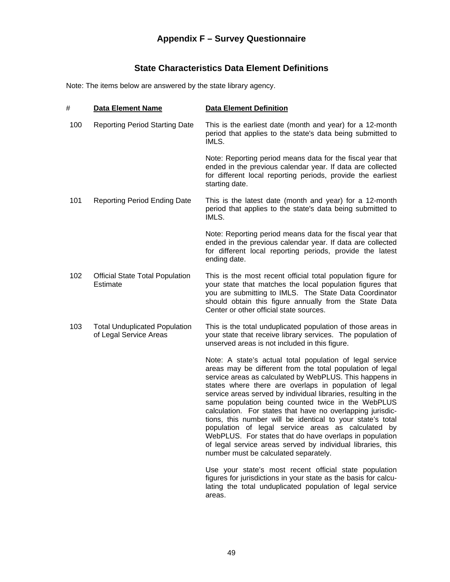## **State Characteristics Data Element Definitions**

Note: The items below are answered by the state library agency.

| #   | <b>Data Element Name</b>                                       | <b>Data Element Definition</b>                                                                                                                                                                                                                                                                                                                                                                                                                                                                                                                                                                                                                                                                                          |
|-----|----------------------------------------------------------------|-------------------------------------------------------------------------------------------------------------------------------------------------------------------------------------------------------------------------------------------------------------------------------------------------------------------------------------------------------------------------------------------------------------------------------------------------------------------------------------------------------------------------------------------------------------------------------------------------------------------------------------------------------------------------------------------------------------------------|
| 100 | <b>Reporting Period Starting Date</b>                          | This is the earliest date (month and year) for a 12-month<br>period that applies to the state's data being submitted to<br>IMLS.                                                                                                                                                                                                                                                                                                                                                                                                                                                                                                                                                                                        |
|     |                                                                | Note: Reporting period means data for the fiscal year that<br>ended in the previous calendar year. If data are collected<br>for different local reporting periods, provide the earliest<br>starting date.                                                                                                                                                                                                                                                                                                                                                                                                                                                                                                               |
| 101 | <b>Reporting Period Ending Date</b>                            | This is the latest date (month and year) for a 12-month<br>period that applies to the state's data being submitted to<br>IMLS.                                                                                                                                                                                                                                                                                                                                                                                                                                                                                                                                                                                          |
|     |                                                                | Note: Reporting period means data for the fiscal year that<br>ended in the previous calendar year. If data are collected<br>for different local reporting periods, provide the latest<br>ending date.                                                                                                                                                                                                                                                                                                                                                                                                                                                                                                                   |
| 102 | <b>Official State Total Population</b><br>Estimate             | This is the most recent official total population figure for<br>your state that matches the local population figures that<br>you are submitting to IMLS. The State Data Coordinator<br>should obtain this figure annually from the State Data<br>Center or other official state sources.                                                                                                                                                                                                                                                                                                                                                                                                                                |
| 103 | <b>Total Unduplicated Population</b><br>of Legal Service Areas | This is the total unduplicated population of those areas in<br>your state that receive library services. The population of<br>unserved areas is not included in this figure.                                                                                                                                                                                                                                                                                                                                                                                                                                                                                                                                            |
|     |                                                                | Note: A state's actual total population of legal service<br>areas may be different from the total population of legal<br>service areas as calculated by WebPLUS. This happens in<br>states where there are overlaps in population of legal<br>service areas served by individual libraries, resulting in the<br>same population being counted twice in the WebPLUS<br>calculation. For states that have no overlapping jurisdic-<br>tions, this number will be identical to your state's total<br>population of legal service areas as calculated by<br>WebPLUS. For states that do have overlaps in population<br>of legal service areas served by individual libraries, this<br>number must be calculated separately. |
|     |                                                                | Use your state's most recent official state population<br>figures for jurisdictions in your state as the basis for calcu-<br>lating the total unduplicated population of legal service<br>areas.                                                                                                                                                                                                                                                                                                                                                                                                                                                                                                                        |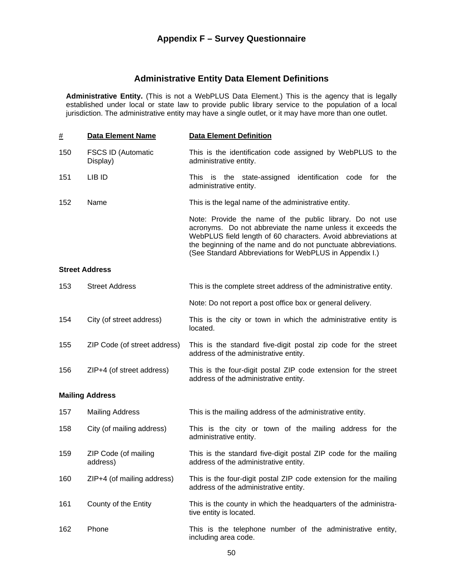## **Administrative Entity Data Element Definitions**

**Administrative Entity.** (This is not a WebPLUS Data Element.) This is the agency that is legally established under local or state law to provide public library service to the population of a local jurisdiction. The administrative entity may have a single outlet, or it may have more than one outlet.

| <u>#</u> | <b>Data Element Name</b>              | <b>Data Element Definition</b>                                                                                                                                                                                                                                                                                      |
|----------|---------------------------------------|---------------------------------------------------------------------------------------------------------------------------------------------------------------------------------------------------------------------------------------------------------------------------------------------------------------------|
| 150      | <b>FSCS ID (Automatic</b><br>Display) | This is the identification code assigned by WebPLUS to the<br>administrative entity.                                                                                                                                                                                                                                |
| 151      | LIB ID                                | This is the state-assigned identification<br>code<br>for<br>the<br>administrative entity.                                                                                                                                                                                                                           |
| 152      | Name                                  | This is the legal name of the administrative entity.                                                                                                                                                                                                                                                                |
|          |                                       | Note: Provide the name of the public library. Do not use<br>acronyms. Do not abbreviate the name unless it exceeds the<br>WebPLUS field length of 60 characters. Avoid abbreviations at<br>the beginning of the name and do not punctuate abbreviations.<br>(See Standard Abbreviations for WebPLUS in Appendix I.) |

#### **Street Address**

| 153 | <b>Street Address</b>            | This is the complete street address of the administrative entity.                                         |
|-----|----------------------------------|-----------------------------------------------------------------------------------------------------------|
|     |                                  | Note: Do not report a post office box or general delivery.                                                |
| 154 | City (of street address)         | This is the city or town in which the administrative entity is<br>located.                                |
| 155 | ZIP Code (of street address)     | This is the standard five-digit postal zip code for the street<br>address of the administrative entity.   |
| 156 | ZIP+4 (of street address)        | This is the four-digit postal ZIP code extension for the street<br>address of the administrative entity.  |
|     | <b>Mailing Address</b>           |                                                                                                           |
| 157 | <b>Mailing Address</b>           | This is the mailing address of the administrative entity.                                                 |
| 158 | City (of mailing address)        | This is the city or town of the mailing address for the<br>administrative entity.                         |
| 159 | ZIP Code (of mailing<br>address) | This is the standard five-digit postal ZIP code for the mailing<br>address of the administrative entity.  |
| 160 | ZIP+4 (of mailing address)       | This is the four-digit postal ZIP code extension for the mailing<br>address of the administrative entity. |
| 161 | County of the Entity             | This is the county in which the headquarters of the administra-                                           |

tive entity is located. 162 Phone This is the telephone number of the administrative entity, including area code.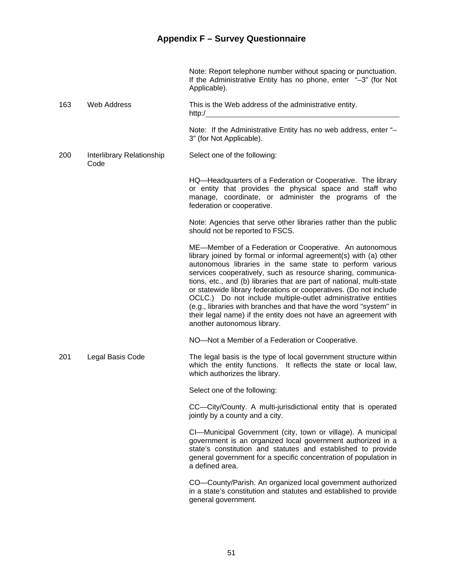|     |                                   | Note: Report telephone number without spacing or punctuation.<br>If the Administrative Entity has no phone, enter "-3" (for Not<br>Applicable).                                                                                                                                                                                                                                                                                                                                                                                                                                                                                                |
|-----|-----------------------------------|------------------------------------------------------------------------------------------------------------------------------------------------------------------------------------------------------------------------------------------------------------------------------------------------------------------------------------------------------------------------------------------------------------------------------------------------------------------------------------------------------------------------------------------------------------------------------------------------------------------------------------------------|
| 163 | <b>Web Address</b>                | This is the Web address of the administrative entity.                                                                                                                                                                                                                                                                                                                                                                                                                                                                                                                                                                                          |
|     |                                   | Note: If the Administrative Entity has no web address, enter "-<br>3" (for Not Applicable).                                                                                                                                                                                                                                                                                                                                                                                                                                                                                                                                                    |
| 200 | Interlibrary Relationship<br>Code | Select one of the following:                                                                                                                                                                                                                                                                                                                                                                                                                                                                                                                                                                                                                   |
|     |                                   | HQ—Headquarters of a Federation or Cooperative. The library<br>or entity that provides the physical space and staff who<br>manage, coordinate, or administer the programs of the<br>federation or cooperative.                                                                                                                                                                                                                                                                                                                                                                                                                                 |
|     |                                   | Note: Agencies that serve other libraries rather than the public<br>should not be reported to FSCS.                                                                                                                                                                                                                                                                                                                                                                                                                                                                                                                                            |
|     |                                   | ME-Member of a Federation or Cooperative. An autonomous<br>library joined by formal or informal agreement(s) with (a) other<br>autonomous libraries in the same state to perform various<br>services cooperatively, such as resource sharing, communica-<br>tions, etc., and (b) libraries that are part of national, multi-state<br>or statewide library federations or cooperatives. (Do not include<br>OCLC.) Do not include multiple-outlet administrative entities<br>(e.g., libraries with branches and that have the word "system" in<br>their legal name) if the entity does not have an agreement with<br>another autonomous library. |
|     |                                   | NO-Not a Member of a Federation or Cooperative.                                                                                                                                                                                                                                                                                                                                                                                                                                                                                                                                                                                                |
| 201 | Legal Basis Code                  | The legal basis is the type of local government structure within<br>which the entity functions. It reflects the state or local law,<br>which authorizes the library.                                                                                                                                                                                                                                                                                                                                                                                                                                                                           |
|     |                                   | Select one of the following:                                                                                                                                                                                                                                                                                                                                                                                                                                                                                                                                                                                                                   |
|     |                                   | CC-City/County. A multi-jurisdictional entity that is operated<br>jointly by a county and a city.                                                                                                                                                                                                                                                                                                                                                                                                                                                                                                                                              |
|     |                                   | CI-Municipal Government (city, town or village). A municipal<br>government is an organized local government authorized in a<br>state's constitution and statutes and established to provide<br>general government for a specific concentration of population in<br>a defined area.                                                                                                                                                                                                                                                                                                                                                             |
|     |                                   | CO-County/Parish. An organized local government authorized<br>in a state's constitution and statutes and established to provide<br>general government.                                                                                                                                                                                                                                                                                                                                                                                                                                                                                         |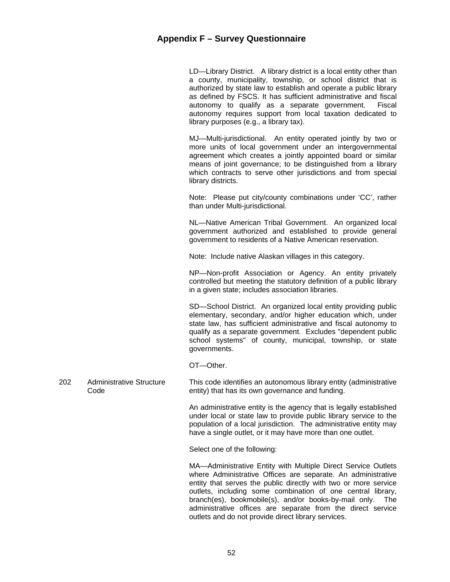LD—Library District. A library district is a local entity other than a county, municipality, township, or school district that is authorized by state law to establish and operate a public library as defined by FSCS. It has sufficient administrative and fiscal autonomy to qualify as a separate government. Fiscal autonomy requires support from local taxation dedicated to library purposes (e.g., a library tax).

 MJ—Multi-jurisdictional. An entity operated jointly by two or more units of local government under an intergovernmental agreement which creates a jointly appointed board or similar means of joint governance; to be distinguished from a library which contracts to serve other jurisdictions and from special library districts.

 Note: Please put city/county combinations under 'CC', rather than under Multi-jurisdictional.

 NL—Native American Tribal Government. An organized local government authorized and established to provide general government to residents of a Native American reservation.

Note: Include native Alaskan villages in this category.

 NP—Non-profit Association or Agency. An entity privately controlled but meeting the statutory definition of a public library in a given state; includes association libraries.

 SD—School District. An organized local entity providing public elementary, secondary, and/or higher education which, under state law, has sufficient administrative and fiscal autonomy to qualify as a separate government. Excludes "dependent public school systems" of county, municipal, township, or state governments.

OT—Other.

202 Administrative Structure Code This code identifies an autonomous library entity (administrative entity) that has its own governance and funding.

> An administrative entity is the agency that is legally established under local or state law to provide public library service to the population of a local jurisdiction. The administrative entity may have a single outlet, or it may have more than one outlet.

Select one of the following:

 MA—Administrative Entity with Multiple Direct Service Outlets where Administrative Offices are separate. An administrative entity that serves the public directly with two or more service outlets, including some combination of one central library, branch(es), bookmobile(s), and/or books-by-mail only. The administrative offices are separate from the direct service outlets and do not provide direct library services.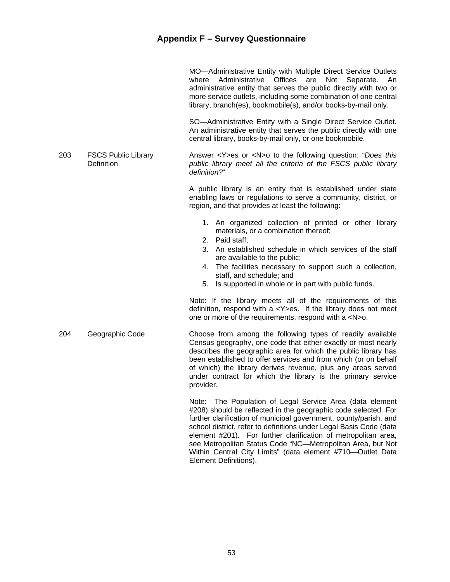|     |                                          | MO-Administrative Entity with Multiple Direct Service Outlets<br>Offices<br>Administrative<br>are<br>Not<br>Separate.<br>where<br>An<br>administrative entity that serves the public directly with two or<br>more service outlets, including some combination of one central<br>library, branch(es), bookmobile(s), and/or books-by-mail only.                                                               |
|-----|------------------------------------------|--------------------------------------------------------------------------------------------------------------------------------------------------------------------------------------------------------------------------------------------------------------------------------------------------------------------------------------------------------------------------------------------------------------|
|     |                                          | SO-Administrative Entity with a Single Direct Service Outlet.<br>An administrative entity that serves the public directly with one<br>central library, books-by-mail only, or one bookmobile.                                                                                                                                                                                                                |
| 203 | <b>FSCS Public Library</b><br>Definition | Answer $\langle$ Y>es or $\langle$ N>o to the following question: "Does this<br>public library meet all the criteria of the FSCS public library<br>definition?"                                                                                                                                                                                                                                              |
|     |                                          | A public library is an entity that is established under state<br>enabling laws or regulations to serve a community, district, or<br>region, and that provides at least the following:                                                                                                                                                                                                                        |
|     |                                          | 1. An organized collection of printed or other library<br>materials, or a combination thereof;<br>2. Paid staff:<br>3. An established schedule in which services of the staff<br>are available to the public;<br>4. The facilities necessary to support such a collection,<br>staff, and schedule; and<br>5. Is supported in whole or in part with public funds.                                             |
|     |                                          | Note: If the library meets all of the requirements of this<br>definition, respond with $a < Y > es$ . If the library does not meet<br>one or more of the requirements, respond with a <n>o.</n>                                                                                                                                                                                                              |
| 204 | Geographic Code                          | Choose from among the following types of readily available<br>Census geography, one code that either exactly or most nearly<br>describes the geographic area for which the public library has<br>been established to offer services and from which (or on behalf<br>of which) the library derives revenue, plus any areas served<br>under contract for which the library is the primary service<br>provider. |
|     |                                          | Note: The Population of Legal Service Area (data element<br>#208) should be reflected in the geographic code selected. For                                                                                                                                                                                                                                                                                   |

#208) should be reflected in the geographic code selected. For further clarification of municipal government, county/parish, and school district, refer to definitions under Legal Basis Code (data element #201). For further clarification of metropolitan area, see Metropolitan Status Code "NC—Metropolitan Area, but Not Within Central City Limits" (data element #710—Outlet Data Element Definitions).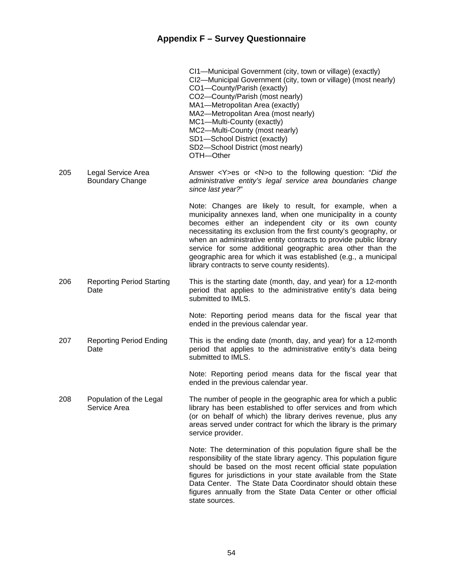|     |                                              | CI1-Municipal Government (city, town or village) (exactly)<br>CI2-Municipal Government (city, town or village) (most nearly)<br>CO1-County/Parish (exactly)<br>CO2-County/Parish (most nearly)<br>MA1-Metropolitan Area (exactly)<br>MA2-Metropolitan Area (most nearly)<br>MC1-Multi-County (exactly)<br>MC2-Multi-County (most nearly)<br>SD1-School District (exactly)<br>SD2-School District (most nearly)<br>OTH-Other                                                                                 |
|-----|----------------------------------------------|-------------------------------------------------------------------------------------------------------------------------------------------------------------------------------------------------------------------------------------------------------------------------------------------------------------------------------------------------------------------------------------------------------------------------------------------------------------------------------------------------------------|
| 205 | Legal Service Area<br><b>Boundary Change</b> | Answer <y>es or <n>o to the following question: "Did the<br/>administrative entity's legal service area boundaries change<br/>since last year?"</n></y>                                                                                                                                                                                                                                                                                                                                                     |
|     |                                              | Note: Changes are likely to result, for example, when a<br>municipality annexes land, when one municipality in a county<br>becomes either an independent city or its own county<br>necessitating its exclusion from the first county's geography, or<br>when an administrative entity contracts to provide public library<br>service for some additional geographic area other than the<br>geographic area for which it was established (e.g., a municipal<br>library contracts to serve county residents). |
| 206 | <b>Reporting Period Starting</b><br>Date     | This is the starting date (month, day, and year) for a 12-month<br>period that applies to the administrative entity's data being<br>submitted to IMLS.                                                                                                                                                                                                                                                                                                                                                      |
|     |                                              | Note: Reporting period means data for the fiscal year that<br>ended in the previous calendar year.                                                                                                                                                                                                                                                                                                                                                                                                          |
| 207 | <b>Reporting Period Ending</b><br>Date       | This is the ending date (month, day, and year) for a 12-month<br>period that applies to the administrative entity's data being<br>submitted to IMLS.                                                                                                                                                                                                                                                                                                                                                        |
|     |                                              | Note: Reporting period means data for the fiscal year that<br>ended in the previous calendar year.                                                                                                                                                                                                                                                                                                                                                                                                          |
| 208 | Population of the Legal<br>Service Area      | The number of people in the geographic area for which a public<br>library has been established to offer services and from which<br>(or on behalf of which) the library derives revenue, plus any<br>areas served under contract for which the library is the primary<br>service provider.                                                                                                                                                                                                                   |
|     |                                              | Note: The determination of this population figure shall be the<br>responsibility of the state library agency. This population figure<br>should be based on the most recent official state population<br>figures for jurisdictions in your state available from the State<br>Data Center. The State Data Coordinator should obtain these<br>figures annually from the State Data Center or other official<br>state sources.                                                                                  |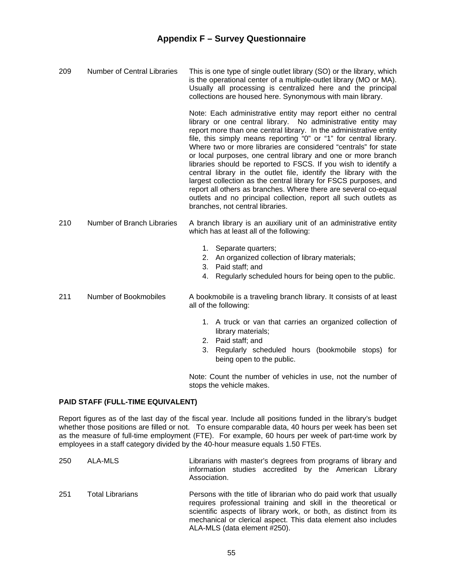209 Number of Central Libraries This is one type of single outlet library (SO) or the library, which is the operational center of a multiple-outlet library (MO or MA). Usually all processing is centralized here and the principal collections are housed here. Synonymous with main library.

> Note: Each administrative entity may report either no central library or one central library. No administrative entity may report more than one central library. In the administrative entity file, this simply means reporting "0" or "1" for central library. Where two or more libraries are considered "centrals" for state or local purposes, one central library and one or more branch libraries should be reported to FSCS. If you wish to identify a central library in the outlet file, identify the library with the largest collection as the central library for FSCS purposes, and report all others as branches. Where there are several co-equal outlets and no principal collection, report all such outlets as branches, not central libraries.

- 210 Number of Branch Libraries A branch library is an auxiliary unit of an administrative entity which has at least all of the following:
	- 1. Separate quarters;
	- 2. An organized collection of library materials;
	- 3. Paid staff; and
	- 4. Regularly scheduled hours for being open to the public.
- 211 Number of Bookmobiles A bookmobile is a traveling branch library. It consists of at least all of the following:
	- 1. A truck or van that carries an organized collection of library materials;
	- 2. Paid staff; and
	- 3. Regularly scheduled hours (bookmobile stops) for being open to the public.

 Note: Count the number of vehicles in use, not the number of stops the vehicle makes.

#### **PAID STAFF (FULL-TIME EQUIVALENT)**

Report figures as of the last day of the fiscal year. Include all positions funded in the library's budget whether those positions are filled or not. To ensure comparable data, 40 hours per week has been set as the measure of full-time employment (FTE). For example, 60 hours per week of part-time work by employees in a staff category divided by the 40-hour measure equals 1.50 FTEs.

250 ALA-MLS Librarians with master's degrees from programs of library and information studies accredited by the American Library Association. 251 Total Librarians Persons with the title of librarian who do paid work that usually requires professional training and skill in the theoretical or scientific aspects of library work, or both, as distinct from its mechanical or clerical aspect. This data element also includes ALA-MLS (data element #250).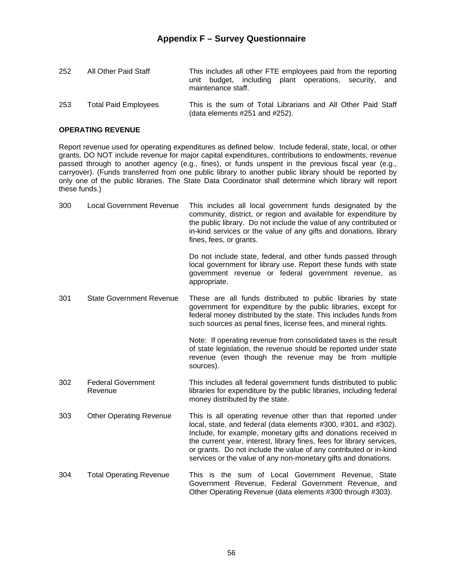| 252 | All Other Paid Staff        | This includes all other FTE employees paid from the reporting<br>unit budget, including plant operations, security, and<br>maintenance staff. |
|-----|-----------------------------|-----------------------------------------------------------------------------------------------------------------------------------------------|
| 253 | <b>Total Paid Employees</b> | This is the sum of Total Librarians and All Other Paid Staff<br>(data elements $#251$ and $#252$ ).                                           |

#### **OPERATING REVENUE**

Report revenue used for operating expenditures as defined below. Include federal, state, local, or other grants. DO NOT include revenue for major capital expenditures, contributions to endowments, revenue passed through to another agency (e.g., fines), or funds unspent in the previous fiscal year (e.g., carryover). (Funds transferred from one public library to another public library should be reported by only one of the public libraries. The State Data Coordinator shall determine which library will report these funds.)

| 300 | <b>Local Government Revenue</b>      | This includes all local government funds designated by the<br>community, district, or region and available for expenditure by<br>the public library. Do not include the value of any contributed or<br>in-kind services or the value of any gifts and donations, library<br>fines, fees, or grants.                                                                                                               |
|-----|--------------------------------------|-------------------------------------------------------------------------------------------------------------------------------------------------------------------------------------------------------------------------------------------------------------------------------------------------------------------------------------------------------------------------------------------------------------------|
|     |                                      | Do not include state, federal, and other funds passed through<br>local government for library use. Report these funds with state<br>government revenue or federal government revenue, as<br>appropriate.                                                                                                                                                                                                          |
| 301 | <b>State Government Revenue</b>      | These are all funds distributed to public libraries by state<br>government for expenditure by the public libraries, except for<br>federal money distributed by the state. This includes funds from<br>such sources as penal fines, license fees, and mineral rights.                                                                                                                                              |
|     |                                      | Note: If operating revenue from consolidated taxes is the result<br>of state legislation, the revenue should be reported under state<br>revenue (even though the revenue may be from multiple<br>sources).                                                                                                                                                                                                        |
| 302 | <b>Federal Government</b><br>Revenue | This includes all federal government funds distributed to public<br>libraries for expenditure by the public libraries, including federal<br>money distributed by the state.                                                                                                                                                                                                                                       |
| 303 | <b>Other Operating Revenue</b>       | This is all operating revenue other than that reported under<br>local, state, and federal (data elements #300, #301, and #302).<br>Include, for example, monetary gifts and donations received in<br>the current year, interest, library fines, fees for library services,<br>or grants. Do not include the value of any contributed or in-kind<br>services or the value of any non-monetary gifts and donations. |

304 Total Operating Revenue This is the sum of Local Government Revenue, State Government Revenue, Federal Government Revenue, and Other Operating Revenue (data elements #300 through #303).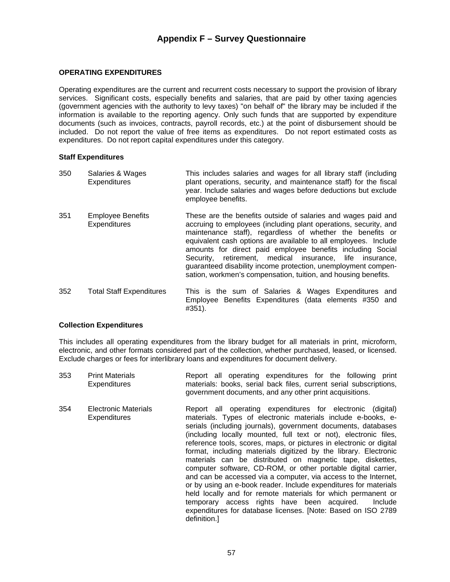#### **OPERATING EXPENDITURES**

Operating expenditures are the current and recurrent costs necessary to support the provision of library services. Significant costs, especially benefits and salaries, that are paid by other taxing agencies (government agencies with the authority to levy taxes) "on behalf of" the library may be included if the information is available to the reporting agency. Only such funds that are supported by expenditure documents (such as invoices, contracts, payroll records, etc.) at the point of disbursement should be included. Do not report the value of free items as expenditures. Do not report estimated costs as expenditures. Do not report capital expenditures under this category.

#### **Staff Expenditures**

| 350 | Salaries & Wages<br><b>Expenditures</b>         | This includes salaries and wages for all library staff (including<br>plant operations, security, and maintenance staff) for the fiscal<br>year. Include salaries and wages before deductions but exclude<br>employee benefits.                                                                                                                                                                                                                                                                                                 |
|-----|-------------------------------------------------|--------------------------------------------------------------------------------------------------------------------------------------------------------------------------------------------------------------------------------------------------------------------------------------------------------------------------------------------------------------------------------------------------------------------------------------------------------------------------------------------------------------------------------|
| 351 | <b>Employee Benefits</b><br><b>Expenditures</b> | These are the benefits outside of salaries and wages paid and<br>accruing to employees (including plant operations, security, and<br>maintenance staff), regardless of whether the benefits or<br>equivalent cash options are available to all employees. Include<br>amounts for direct paid employee benefits including Social<br>Security, retirement, medical insurance, life insurance,<br>quaranteed disability income protection, unemployment compen-<br>sation, workmen's compensation, tuition, and housing benefits. |
| 352 | <b>Total Staff Expenditures</b>                 | This is the sum of Salaries & Wages Expenditures and<br>Employee Benefits Expenditures (data elements #350 and<br>#351).                                                                                                                                                                                                                                                                                                                                                                                                       |

#### **Collection Expenditures**

This includes all operating expenditures from the library budget for all materials in print, microform, electronic, and other formats considered part of the collection, whether purchased, leased, or licensed. Exclude charges or fees for interlibrary loans and expenditures for document delivery.

353 Print Materials **Expenditures** Report all operating expenditures for the following print materials: books, serial back files, current serial subscriptions, government documents, and any other print acquisitions. 354 Electronic Materials **Expenditures** Report all operating expenditures for electronic (digital) materials. Types of electronic materials include e-books, eserials (including journals), government documents, databases (including locally mounted, full text or not), electronic files, reference tools, scores, maps, or pictures in electronic or digital format, including materials digitized by the library. Electronic materials can be distributed on magnetic tape, diskettes, computer software, CD-ROM, or other portable digital carrier, and can be accessed via a computer, via access to the Internet, or by using an e-book reader. Include expenditures for materials held locally and for remote materials for which permanent or temporary access rights have been acquired. Include expenditures for database licenses. [Note: Based on ISO 2789 definition.]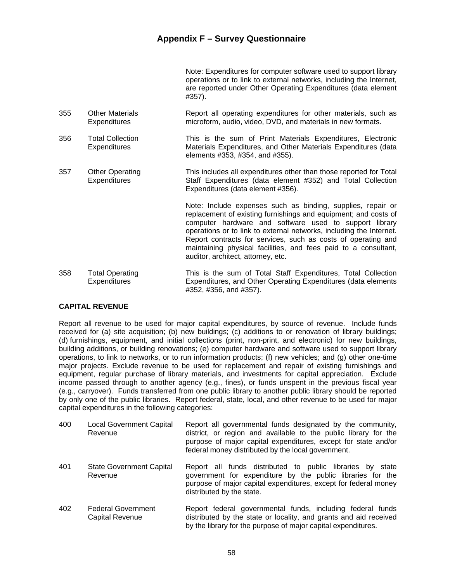Note: Expenditures for computer software used to support library operations or to link to external networks, including the Internet, are reported under Other Operating Expenditures (data element #357).

- 355 Other Materials **Expenditures** Report all operating expenditures for other materials, such as microform, audio, video, DVD, and materials in new formats.
- 356 Total Collection **Expenditures** This is the sum of Print Materials Expenditures, Electronic Materials Expenditures, and Other Materials Expenditures (data elements #353, #354, and #355).
- 357 Other Operating **Expenditures** This includes all expenditures other than those reported for Total Staff Expenditures (data element #352) and Total Collection Expenditures (data element #356).

 Note: Include expenses such as binding, supplies, repair or replacement of existing furnishings and equipment; and costs of computer hardware and software used to support library operations or to link to external networks, including the Internet. Report contracts for services, such as costs of operating and maintaining physical facilities, and fees paid to a consultant, auditor, architect, attorney, etc.

358 Total Operating **Expenditures** This is the sum of Total Staff Expenditures, Total Collection Expenditures, and Other Operating Expenditures (data elements #352, #356, and #357).

#### **CAPITAL REVENUE**

Report all revenue to be used for major capital expenditures, by source of revenue. Include funds received for (a) site acquisition; (b) new buildings; (c) additions to or renovation of library buildings; (d) furnishings, equipment, and initial collections (print, non-print, and electronic) for new buildings, building additions, or building renovations; (e) computer hardware and software used to support library operations, to link to networks, or to run information products; (f) new vehicles; and (g) other one-time major projects. Exclude revenue to be used for replacement and repair of existing furnishings and equipment, regular purchase of library materials, and investments for capital appreciation. Exclude income passed through to another agency (e.g., fines), or funds unspent in the previous fiscal year (e.g., carryover). Funds transferred from one public library to another public library should be reported by only one of the public libraries. Report federal, state, local, and other revenue to be used for major capital expenditures in the following categories:

| 400 | <b>Local Government Capital</b><br>Revenue   | Report all governmental funds designated by the community,<br>district, or region and available to the public library for the<br>purpose of major capital expenditures, except for state and/or<br>federal money distributed by the local government. |
|-----|----------------------------------------------|-------------------------------------------------------------------------------------------------------------------------------------------------------------------------------------------------------------------------------------------------------|
| 401 | <b>State Government Capital</b><br>Revenue   | Report all funds distributed to public libraries by<br>state<br>government for expenditure by the public libraries for the<br>purpose of major capital expenditures, except for federal money<br>distributed by the state.                            |
| 402 | <b>Federal Government</b><br>Capital Revenue | Report federal governmental funds, including federal funds<br>distributed by the state or locality, and grants and aid received<br>by the library for the purpose of major capital expenditures.                                                      |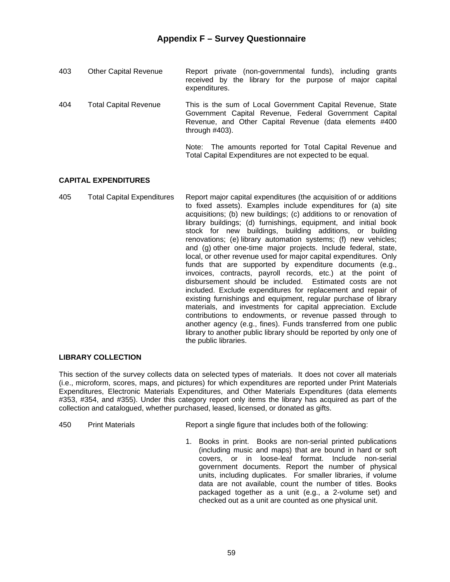| 403 | <b>Other Capital Revenue</b> | Report private (non-governmental funds), including<br>grants<br>received by the library for the purpose of major capital<br>expenditures.                                                           |
|-----|------------------------------|-----------------------------------------------------------------------------------------------------------------------------------------------------------------------------------------------------|
| 404 | Total Capital Revenue        | This is the sum of Local Government Capital Revenue, State<br>Government Capital Revenue, Federal Government Capital<br>Revenue, and Other Capital Revenue (data elements #400<br>through $#403$ ). |
|     |                              | Note: The amounts reported for Total Capital Revenue and<br>Total Capital Expenditures are not expected to be equal.                                                                                |

#### **CAPITAL EXPENDITURES**

405 Total Capital Expenditures Report major capital expenditures (the acquisition of or additions to fixed assets). Examples include expenditures for (a) site acquisitions; (b) new buildings; (c) additions to or renovation of library buildings; (d) furnishings, equipment, and initial book stock for new buildings, building additions, or building renovations; (e) library automation systems; (f) new vehicles; and (g) other one-time major projects. Include federal, state, local, or other revenue used for major capital expenditures. Only funds that are supported by expenditure documents (e.g., invoices, contracts, payroll records, etc.) at the point of disbursement should be included. Estimated costs are not included. Exclude expenditures for replacement and repair of existing furnishings and equipment, regular purchase of library materials, and investments for capital appreciation. Exclude contributions to endowments, or revenue passed through to another agency (e.g., fines). Funds transferred from one public library to another public library should be reported by only one of the public libraries.

#### **LIBRARY COLLECTION**

This section of the survey collects data on selected types of materials. It does not cover all materials (i.e., microform, scores, maps, and pictures) for which expenditures are reported under Print Materials Expenditures, Electronic Materials Expenditures, and Other Materials Expenditures (data elements #353, #354, and #355). Under this category report only items the library has acquired as part of the collection and catalogued, whether purchased, leased, licensed, or donated as gifts.

- 450 Print Materials Report a single figure that includes both of the following:
	- 1. Books in print. Books are non-serial printed publications (including music and maps) that are bound in hard or soft covers, or in loose-leaf format. Include non-serial government documents. Report the number of physical units, including duplicates. For smaller libraries, if volume data are not available, count the number of titles. Books packaged together as a unit (e.g., a 2-volume set) and checked out as a unit are counted as one physical unit.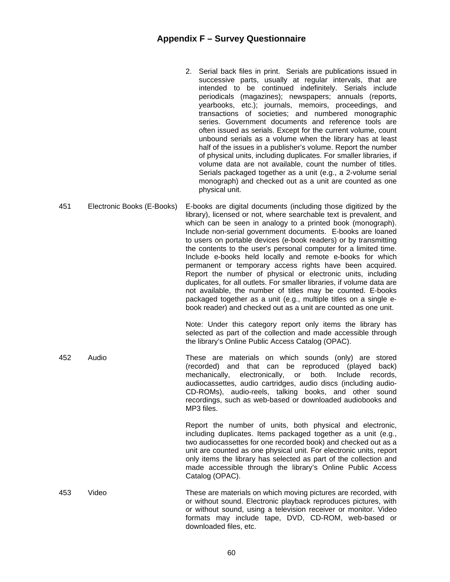- 2. Serial back files in print. Serials are publications issued in successive parts, usually at regular intervals, that are intended to be continued indefinitely. Serials include periodicals (magazines); newspapers; annuals (reports, yearbooks, etc.); journals, memoirs, proceedings, and transactions of societies; and numbered monographic series. Government documents and reference tools are often issued as serials. Except for the current volume, count unbound serials as a volume when the library has at least half of the issues in a publisher's volume. Report the number of physical units, including duplicates. For smaller libraries, if volume data are not available, count the number of titles. Serials packaged together as a unit (e.g., a 2-volume serial monograph) and checked out as a unit are counted as one physical unit.
- 451 Electronic Books (E-Books) E-books are digital documents (including those digitized by the library), licensed or not, where searchable text is prevalent, and which can be seen in analogy to a printed book (monograph). Include non-serial government documents. E-books are loaned to users on portable devices (e-book readers) or by transmitting the contents to the user's personal computer for a limited time. Include e-books held locally and remote e-books for which permanent or temporary access rights have been acquired. Report the number of physical or electronic units, including duplicates, for all outlets. For smaller libraries, if volume data are not available, the number of titles may be counted. E-books packaged together as a unit (e.g., multiple titles on a single ebook reader) and checked out as a unit are counted as one unit.

 Note: Under this category report only items the library has selected as part of the collection and made accessible through the library's Online Public Access Catalog (OPAC).

452 Audio These are materials on which sounds (only) are stored (recorded) and that can be reproduced (played back) mechanically, electronically, or both. Include records, audiocassettes, audio cartridges, audio discs (including audio-CD-ROMs), audio-reels, talking books, and other sound recordings, such as web-based or downloaded audiobooks and MP3 files.

> Report the number of units, both physical and electronic, including duplicates. Items packaged together as a unit (e.g., two audiocassettes for one recorded book) and checked out as a unit are counted as one physical unit. For electronic units, report only items the library has selected as part of the collection and made accessible through the library's Online Public Access Catalog (OPAC).

453 Video These are materials on which moving pictures are recorded, with or without sound. Electronic playback reproduces pictures, with or without sound, using a television receiver or monitor. Video formats may include tape, DVD, CD-ROM, web-based or downloaded files, etc.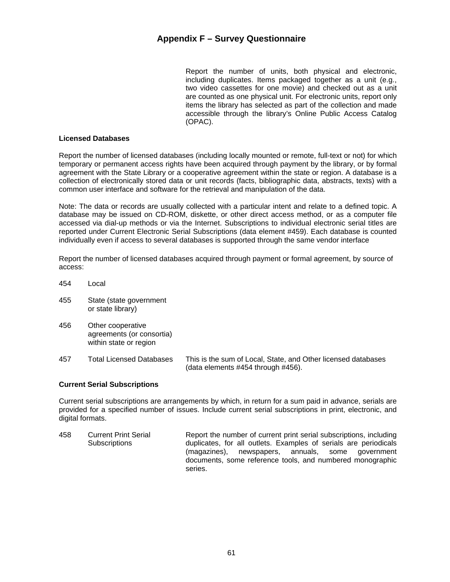Report the number of units, both physical and electronic, including duplicates. Items packaged together as a unit (e.g., two video cassettes for one movie) and checked out as a unit are counted as one physical unit. For electronic units, report only items the library has selected as part of the collection and made accessible through the library's Online Public Access Catalog (OPAC).

#### **Licensed Databases**

Report the number of licensed databases (including locally mounted or remote, full-text or not) for which temporary or permanent access rights have been acquired through payment by the library, or by formal agreement with the State Library or a cooperative agreement within the state or region. A database is a collection of electronically stored data or unit records (facts, bibliographic data, abstracts, texts) with a common user interface and software for the retrieval and manipulation of the data.

Note: The data or records are usually collected with a particular intent and relate to a defined topic. A database may be issued on CD-ROM, diskette, or other direct access method, or as a computer file accessed via dial-up methods or via the Internet. Subscriptions to individual electronic serial titles are reported under Current Electronic Serial Subscriptions (data element #459). Each database is counted individually even if access to several databases is supported through the same vendor interface

Report the number of licensed databases acquired through payment or formal agreement, by source of access:

- 454 Local
- 455 State (state government or state library)
- 456 Other cooperative agreements (or consortia) within state or region
- 457 Total Licensed Databases This is the sum of Local, State, and Other licensed databases (data elements #454 through #456).

#### **Current Serial Subscriptions**

Current serial subscriptions are arrangements by which, in return for a sum paid in advance, serials are provided for a specified number of issues. Include current serial subscriptions in print, electronic, and digital formats.

458 Current Print Serial **Subscriptions** Report the number of current print serial subscriptions, including duplicates, for all outlets. Examples of serials are periodicals (magazines), newspapers, annuals, some government documents, some reference tools, and numbered monographic series.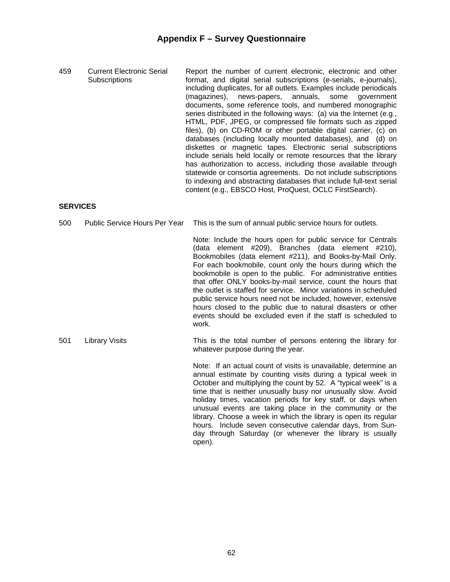459 Current Electronic Serial **Subscriptions** Report the number of current electronic, electronic and other format, and digital serial subscriptions (e-serials, e-journals), including duplicates, for all outlets. Examples include periodicals (magazines), news-papers, annuals, some government documents, some reference tools, and numbered monographic series distributed in the following ways: (a) via the Internet (e.g., HTML, PDF, JPEG, or compressed file formats such as zipped files), (b) on CD-ROM or other portable digital carrier, (c) on databases (including locally mounted databases), and (d) on diskettes or magnetic tapes. Electronic serial subscriptions include serials held locally or remote resources that the library has authorization to access, including those available through statewide or consortia agreements. Do not include subscriptions to indexing and abstracting databases that include full-text serial content (e.g., EBSCO Host, ProQuest, OCLC FirstSearch).

#### **SERVICES**

500 Public Service Hours Per Year This is the sum of annual public service hours for outlets. Note: Include the hours open for public service for Centrals (data element #209), Branches (data element #210), Bookmobiles (data element #211), and Books-by-Mail Only. For each bookmobile, count only the hours during which the bookmobile is open to the public. For administrative entities that offer ONLY books-by-mail service, count the hours that the outlet is staffed for service. Minor variations in scheduled public service hours need not be included, however, extensive hours closed to the public due to natural disasters or other events should be excluded even if the staff is scheduled to work. 501 Library Visits This is the total number of persons entering the library for whatever purpose during the year. Note: If an actual count of visits is unavailable, determine an annual estimate by counting visits during a typical week in October and multiplying the count by 52. A "typical week" is a time that is neither unusually busy nor unusually slow. Avoid holiday times, vacation periods for key staff, or days when unusual events are taking place in the community or the library. Choose a week in which the library is open its regular hours. Include seven consecutive calendar days, from Sunday through Saturday (or whenever the library is usually open).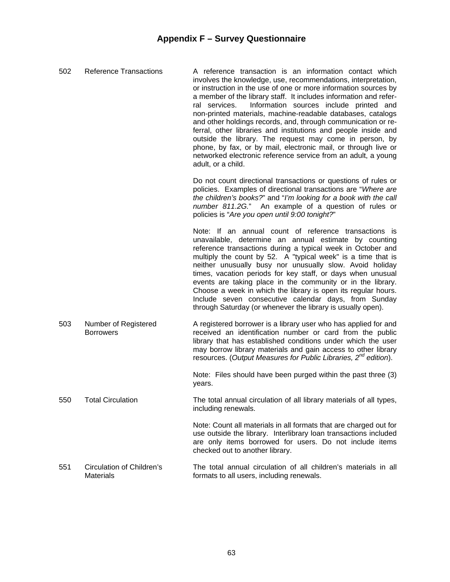| 502 | <b>Reference Transactions</b>                 | A reference transaction is an information contact which<br>involves the knowledge, use, recommendations, interpretation,<br>or instruction in the use of one or more information sources by<br>a member of the library staff. It includes information and refer-<br>Information sources include printed and<br>ral services.<br>non-printed materials, machine-readable databases, catalogs<br>and other holdings records, and, through communication or re-<br>ferral, other libraries and institutions and people inside and<br>outside the library. The request may come in person, by<br>phone, by fax, or by mail, electronic mail, or through live or<br>networked electronic reference service from an adult, a young<br>adult, or a child. |
|-----|-----------------------------------------------|----------------------------------------------------------------------------------------------------------------------------------------------------------------------------------------------------------------------------------------------------------------------------------------------------------------------------------------------------------------------------------------------------------------------------------------------------------------------------------------------------------------------------------------------------------------------------------------------------------------------------------------------------------------------------------------------------------------------------------------------------|
|     |                                               | Do not count directional transactions or questions of rules or<br>policies. Examples of directional transactions are "Where are<br>the children's books?" and "I'm looking for a book with the call<br>number 811.2G." An example of a question of rules or<br>policies is "Are you open until 9:00 tonight?"                                                                                                                                                                                                                                                                                                                                                                                                                                      |
|     |                                               | Note: If an annual count of reference transactions is<br>unavailable, determine an annual estimate by counting<br>reference transactions during a typical week in October and<br>multiply the count by 52. A "typical week" is a time that is<br>neither unusually busy nor unusually slow. Avoid holiday<br>times, vacation periods for key staff, or days when unusual<br>events are taking place in the community or in the library.<br>Choose a week in which the library is open its regular hours.<br>Include seven consecutive calendar days, from Sunday<br>through Saturday (or whenever the library is usually open).                                                                                                                    |
| 503 | Number of Registered<br><b>Borrowers</b>      | A registered borrower is a library user who has applied for and<br>received an identification number or card from the public<br>library that has established conditions under which the user<br>may borrow library materials and gain access to other library<br>resources. (Output Measures for Public Libraries, 2 <sup>nd</sup> edition).                                                                                                                                                                                                                                                                                                                                                                                                       |
|     |                                               | Note: Files should have been purged within the past three (3)<br>years.                                                                                                                                                                                                                                                                                                                                                                                                                                                                                                                                                                                                                                                                            |
| 550 | <b>Total Circulation</b>                      | The total annual circulation of all library materials of all types,<br>including renewals.                                                                                                                                                                                                                                                                                                                                                                                                                                                                                                                                                                                                                                                         |
|     |                                               | Note: Count all materials in all formats that are charged out for<br>use outside the library. Interlibrary loan transactions included<br>are only items borrowed for users. Do not include items<br>checked out to another library.                                                                                                                                                                                                                                                                                                                                                                                                                                                                                                                |
| 551 | Circulation of Children's<br><b>Materials</b> | The total annual circulation of all children's materials in all<br>formats to all users, including renewals.                                                                                                                                                                                                                                                                                                                                                                                                                                                                                                                                                                                                                                       |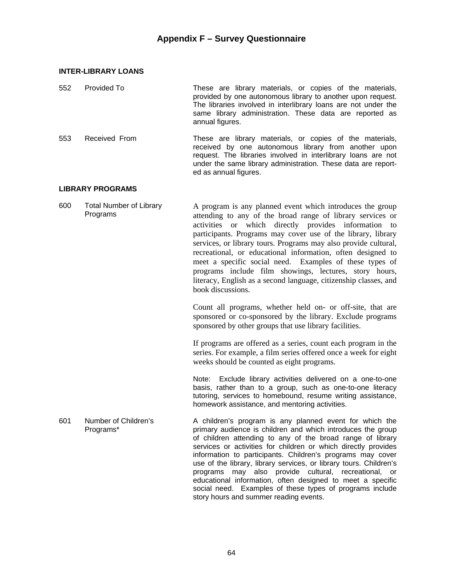#### **INTER-LIBRARY LOANS**

| 552 | Provided To   | These are library materials, or copies of the materials,<br>provided by one autonomous library to another upon request.<br>The libraries involved in interlibrary loans are not under the<br>same library administration. These data are reported as<br>annual figures. |
|-----|---------------|-------------------------------------------------------------------------------------------------------------------------------------------------------------------------------------------------------------------------------------------------------------------------|
| 553 | Received From | These are library materials, or copies of the materials,<br>received by one autonomous library from another upon<br>request. The libraries involved in interlibrary loans are not                                                                                       |

ed as annual figures.

#### **LIBRARY PROGRAMS**

600 Total Number of Library Programs

A program is any planned event which introduces the group attending to any of the broad range of library services or activities or which directly provides information to participants. Programs may cover use of the library, library services, or library tours. Programs may also provide cultural, recreational, or educational information, often designed to meet a specific social need. Examples of these types of programs include film showings, lectures, story hours, literacy, English as a second language, citizenship classes, and book discussions.

under the same library administration. These data are report-

 Count all programs, whether held on- or off-site, that are sponsored or co-sponsored by the library. Exclude programs sponsored by other groups that use library facilities.

 If programs are offered as a series, count each program in the series. For example, a film series offered once a week for eight weeks should be counted as eight programs.

 Note: Exclude library activities delivered on a one-to-one basis, rather than to a group, such as one-to-one literacy tutoring, services to homebound, resume writing assistance, homework assistance, and mentoring activities.

601 Number of Children's Programs\* A children's program is any planned event for which the primary audience is children and which introduces the group of children attending to any of the broad range of library services or activities for children or which directly provides information to participants. Children's programs may cover use of the library, library services, or library tours. Children's programs may also provide cultural, recreational, or educational information, often designed to meet a specific social need. Examples of these types of programs include story hours and summer reading events.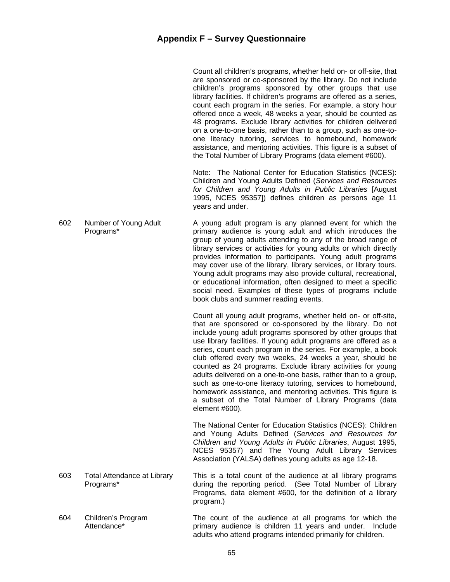|     |                                                 | Count all children's programs, whether held on- or off-site, that<br>are sponsored or co-sponsored by the library. Do not include<br>children's programs sponsored by other groups that use<br>library facilities. If children's programs are offered as a series,<br>count each program in the series. For example, a story hour<br>offered once a week, 48 weeks a year, should be counted as<br>48 programs. Exclude library activities for children delivered<br>on a one-to-one basis, rather than to a group, such as one-to-<br>one literacy tutoring, services to homebound, homework<br>assistance, and mentoring activities. This figure is a subset of<br>the Total Number of Library Programs (data element #600).             |
|-----|-------------------------------------------------|--------------------------------------------------------------------------------------------------------------------------------------------------------------------------------------------------------------------------------------------------------------------------------------------------------------------------------------------------------------------------------------------------------------------------------------------------------------------------------------------------------------------------------------------------------------------------------------------------------------------------------------------------------------------------------------------------------------------------------------------|
|     |                                                 | Note: The National Center for Education Statistics (NCES):<br>Children and Young Adults Defined (Services and Resources<br>for Children and Young Adults in Public Libraries [August<br>1995, NCES 95357]) defines children as persons age 11<br>years and under.                                                                                                                                                                                                                                                                                                                                                                                                                                                                          |
| 602 | Number of Young Adult<br>Programs*              | A young adult program is any planned event for which the<br>primary audience is young adult and which introduces the<br>group of young adults attending to any of the broad range of<br>library services or activities for young adults or which directly<br>provides information to participants. Young adult programs<br>may cover use of the library, library services, or library tours.<br>Young adult programs may also provide cultural, recreational,<br>or educational information, often designed to meet a specific<br>social need. Examples of these types of programs include<br>book clubs and summer reading events.                                                                                                        |
|     |                                                 | Count all young adult programs, whether held on- or off-site,<br>that are sponsored or co-sponsored by the library. Do not<br>include young adult programs sponsored by other groups that<br>use library facilities. If young adult programs are offered as a<br>series, count each program in the series. For example, a book<br>club offered every two weeks, 24 weeks a year, should be<br>counted as 24 programs. Exclude library activities for young<br>adults delivered on a one-to-one basis, rather than to a group,<br>such as one-to-one literacy tutoring, services to homebound,<br>homework assistance, and mentoring activities. This figure is<br>a subset of the Total Number of Library Programs (data<br>element #600). |
|     |                                                 | The National Center for Education Statistics (NCES): Children<br>and Young Adults Defined (Services and Resources for<br>Children and Young Adults in Public Libraries, August 1995,<br>NCES 95357) and The Young Adult Library Services<br>Association (YALSA) defines young adults as age 12-18.                                                                                                                                                                                                                                                                                                                                                                                                                                         |
| 603 | <b>Total Attendance at Library</b><br>Programs* | This is a total count of the audience at all library programs<br>during the reporting period. (See Total Number of Library<br>Programs, data element #600, for the definition of a library<br>program.)                                                                                                                                                                                                                                                                                                                                                                                                                                                                                                                                    |
| 604 | Children's Program<br>Attendance*               | The count of the audience at all programs for which the<br>primary audience is children 11 years and under. Include<br>adults who attend programs intended primarily for children.                                                                                                                                                                                                                                                                                                                                                                                                                                                                                                                                                         |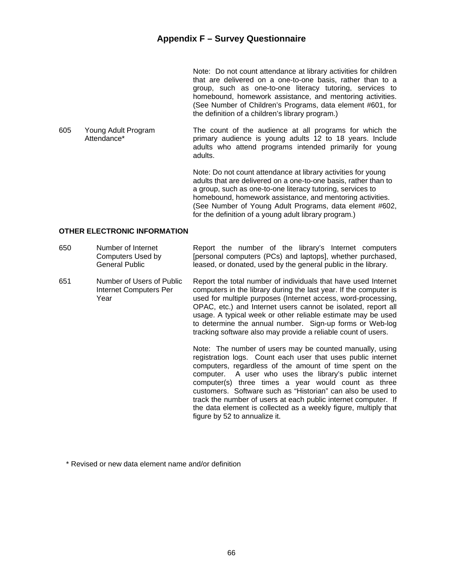Note: Do not count attendance at library activities for children that are delivered on a one-to-one basis, rather than to a group, such as one-to-one literacy tutoring, services to homebound, homework assistance, and mentoring activities. (See Number of Children's Programs, data element #601, for the definition of a children's library program.)

605 Young Adult Program Attendance\* The count of the audience at all programs for which the primary audience is young adults 12 to 18 years. Include adults who attend programs intended primarily for young adults.

> Note: Do not count attendance at library activities for young adults that are delivered on a one-to-one basis, rather than to a group, such as one-to-one literacy tutoring, services to homebound, homework assistance, and mentoring activities. (See Number of Young Adult Programs, data element #602, for the definition of a young adult library program.)

#### **OTHER ELECTRONIC INFORMATION**

| 650 | Number of Internet<br>Computers Used by<br>General Public   | Report the number of the library's Internet computers<br>[personal computers (PCs) and laptops], whether purchased,<br>leased, or donated, used by the general public in the library.                                                                                                                                                                                                                                                                                                                                                       |
|-----|-------------------------------------------------------------|---------------------------------------------------------------------------------------------------------------------------------------------------------------------------------------------------------------------------------------------------------------------------------------------------------------------------------------------------------------------------------------------------------------------------------------------------------------------------------------------------------------------------------------------|
| 651 | Number of Users of Public<br>Internet Computers Per<br>Year | Report the total number of individuals that have used Internet<br>computers in the library during the last year. If the computer is<br>used for multiple purposes (Internet access, word-processing,<br>OPAC, etc.) and Internet users cannot be isolated, report all<br>usage. A typical week or other reliable estimate may be used<br>to determine the annual number. Sign-up forms or Web-log<br>tracking software also may provide a reliable count of users.                                                                          |
|     |                                                             | Note: The number of users may be counted manually, using<br>registration logs. Count each user that uses public internet<br>computers, regardless of the amount of time spent on the<br>computer. A user who uses the library's public internet<br>computer(s) three times a year would count as three<br>customers. Software such as "Historian" can also be used to<br>track the number of users at each public internet computer. If<br>the data element is collected as a weekly figure, multiply that<br>figure by 52 to annualize it. |

\* Revised or new data element name and/or definition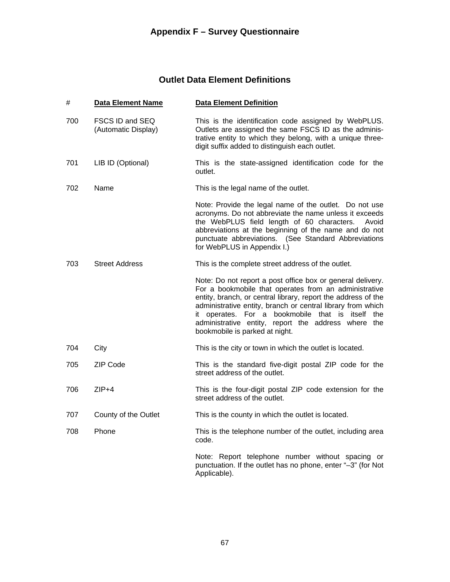## **Outlet Data Element Definitions**

#### # **Data Element Name Data Element Definition**

- 700 FSCS ID and SEQ (Automatic Display) This is the identification code assigned by WebPLUS. Outlets are assigned the same FSCS ID as the administrative entity to which they belong, with a unique threedigit suffix added to distinguish each outlet.
- 701 LIB ID (Optional) This is the state-assigned identification code for the outlet.

702 Name This is the legal name of the outlet.

 Note: Provide the legal name of the outlet. Do not use acronyms. Do not abbreviate the name unless it exceeds the WebPLUS field length of 60 characters. Avoid abbreviations at the beginning of the name and do not punctuate abbreviations. (See Standard Abbreviations for WebPLUS in Appendix I.)

703 Street Address This is the complete street address of the outlet.

 Note: Do not report a post office box or general delivery. For a bookmobile that operates from an administrative entity, branch, or central library, report the address of the administrative entity, branch or central library from which it operates. For a bookmobile that is itself the administrative entity, report the address where the bookmobile is parked at night.

- 704 City City This is the city or town in which the outlet is located.
- 705 ZIP Code This is the standard five-digit postal ZIP code for the street address of the outlet.
- 706 ZIP+4 This is the four-digit postal ZIP code extension for the street address of the outlet.
- 707 County of the Outlet This is the county in which the outlet is located.
- 708 Phone This is the telephone number of the outlet, including area code.

 Note: Report telephone number without spacing or punctuation. If the outlet has no phone, enter "–3" (for Not Applicable).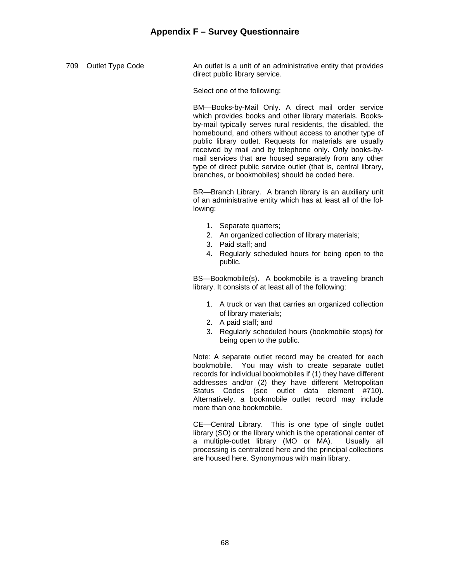709 Outlet Type Code **An outlet is a unit of an administrative entity that provides** direct public library service.

Select one of the following:

 BM—Books-by-Mail Only. A direct mail order service which provides books and other library materials. Booksby-mail typically serves rural residents, the disabled, the homebound, and others without access to another type of public library outlet. Requests for materials are usually received by mail and by telephone only. Only books-bymail services that are housed separately from any other type of direct public service outlet (that is, central library, branches, or bookmobiles) should be coded here.

 BR—Branch Library. A branch library is an auxiliary unit of an administrative entity which has at least all of the following:

- 1. Separate quarters;
- 2. An organized collection of library materials;
- 3. Paid staff; and
- 4. Regularly scheduled hours for being open to the public.

 BS—Bookmobile(s). A bookmobile is a traveling branch library. It consists of at least all of the following:

- 1. A truck or van that carries an organized collection of library materials;
- 2. A paid staff; and
- 3. Regularly scheduled hours (bookmobile stops) for being open to the public.

 Note: A separate outlet record may be created for each bookmobile. You may wish to create separate outlet records for individual bookmobiles if (1) they have different addresses and/or (2) they have different Metropolitan Status Codes (see outlet data element #710). Alternatively, a bookmobile outlet record may include more than one bookmobile.

 CE—Central Library. This is one type of single outlet library (SO) or the library which is the operational center of a multiple-outlet library (MO or MA). Usually all processing is centralized here and the principal collections are housed here. Synonymous with main library.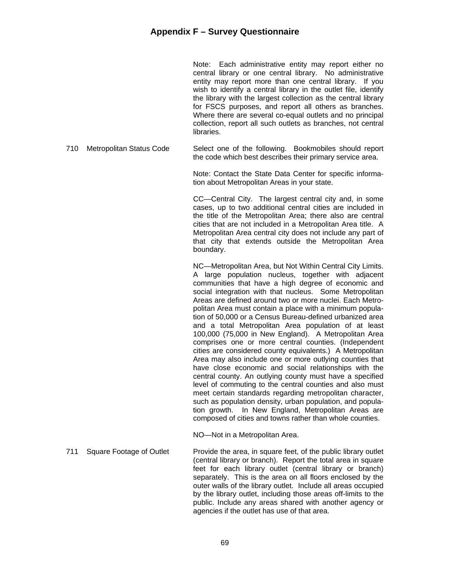Note: Each administrative entity may report either no central library or one central library. No administrative entity may report more than one central library. If you wish to identify a central library in the outlet file, identify the library with the largest collection as the central library for FSCS purposes, and report all others as branches. Where there are several co-equal outlets and no principal collection, report all such outlets as branches, not central libraries.

710 Metropolitan Status Code Select one of the following. Bookmobiles should report the code which best describes their primary service area.

> Note: Contact the State Data Center for specific information about Metropolitan Areas in your state.

> CC—Central City. The largest central city and, in some cases, up to two additional central cities are included in the title of the Metropolitan Area; there also are central cities that are not included in a Metropolitan Area title. A Metropolitan Area central city does not include any part of that city that extends outside the Metropolitan Area boundary.

> NC—Metropolitan Area, but Not Within Central City Limits. A large population nucleus, together with adjacent communities that have a high degree of economic and social integration with that nucleus. Some Metropolitan Areas are defined around two or more nuclei. Each Metropolitan Area must contain a place with a minimum population of 50,000 or a Census Bureau-defined urbanized area and a total Metropolitan Area population of at least 100,000 (75,000 in New England). A Metropolitan Area comprises one or more central counties. (Independent cities are considered county equivalents.) A Metropolitan Area may also include one or more outlying counties that have close economic and social relationships with the central county. An outlying county must have a specified level of commuting to the central counties and also must meet certain standards regarding metropolitan character, such as population density, urban population, and population growth. In New England, Metropolitan Areas are composed of cities and towns rather than whole counties.

NO—Not in a Metropolitan Area.

711 Square Footage of Outlet Provide the area, in square feet, of the public library outlet (central library or branch). Report the total area in square feet for each library outlet (central library or branch) separately. This is the area on all floors enclosed by the outer walls of the library outlet. Include all areas occupied by the library outlet, including those areas off-limits to the public. Include any areas shared with another agency or agencies if the outlet has use of that area.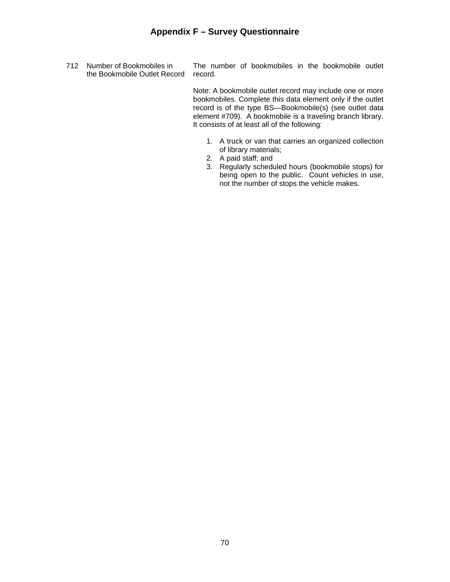712 Number of Bookmobiles in the Bookmobile Outlet Record The number of bookmobiles in the bookmobile outlet record.

> Note: A bookmobile outlet record may include one or more bookmobiles. Complete this data element only if the outlet record is of the type BS—Bookmobile(s) (see outlet data element #709). A bookmobile is a traveling branch library. It consists of at least all of the following:

- 1. A truck or van that carries an organized collection of library materials;
- 2. A paid staff; and
- 3. Regularly scheduled hours (bookmobile stops) for being open to the public. Count vehicles in use, not the number of stops the vehicle makes.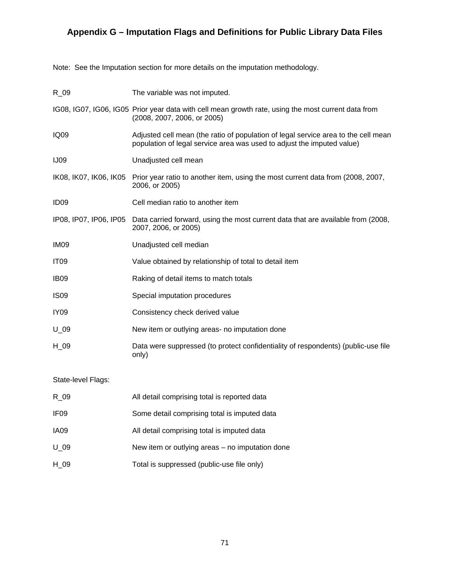# **Appendix G – Imputation Flags and Definitions for Public Library Data Files**

Note: See the Imputation section for more details on the imputation methodology.

| $R_0$                  | The variable was not imputed.                                                                                                                                |
|------------------------|--------------------------------------------------------------------------------------------------------------------------------------------------------------|
|                        | IG08, IG07, IG06, IG05 Prior year data with cell mean growth rate, using the most current data from<br>(2008, 2007, 2006, or 2005)                           |
| IQ09                   | Adjusted cell mean (the ratio of population of legal service area to the cell mean<br>population of legal service area was used to adjust the imputed value) |
| <b>IJ09</b>            | Unadjusted cell mean                                                                                                                                         |
| IK08, IK07, IK06, IK05 | Prior year ratio to another item, using the most current data from (2008, 2007,<br>2006, or 2005)                                                            |
| ID <sub>09</sub>       | Cell median ratio to another item                                                                                                                            |
| IP08, IP07, IP06, IP05 | Data carried forward, using the most current data that are available from (2008,<br>2007, 2006, or 2005)                                                     |
| IM <sub>09</sub>       | Unadjusted cell median                                                                                                                                       |
| <b>IT09</b>            | Value obtained by relationship of total to detail item                                                                                                       |
| IB <sub>09</sub>       | Raking of detail items to match totals                                                                                                                       |
| <b>IS09</b>            | Special imputation procedures                                                                                                                                |
| IY <sub>09</sub>       | Consistency check derived value                                                                                                                              |
| $U_0$                  | New item or outlying areas- no imputation done                                                                                                               |
| $H_0$ 09               | Data were suppressed (to protect confidentiality of respondents) (public-use file<br>only)                                                                   |

# State-level Flags:

| R 09             | All detail comprising total is reported data    |
|------------------|-------------------------------------------------|
| IF <sub>09</sub> | Some detail comprising total is imputed data    |
| IA09             | All detail comprising total is imputed data     |
| U 09             | New item or outlying areas – no imputation done |
| H 09             | Total is suppressed (public-use file only)      |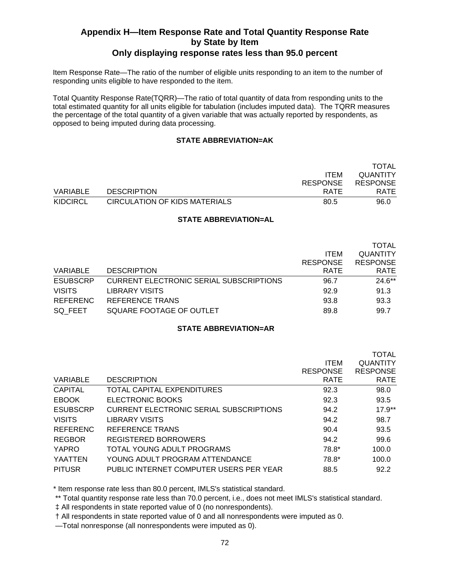# **Appendix H—Item Response Rate and Total Quantity Response Rate by State by Item**

# **Only displaying response rates less than 95.0 percent**

Item Response Rate—The ratio of the number of eligible units responding to an item to the number of responding units eligible to have responded to the item.

Total Quantity Response Rate(TQRR)—The ratio of total quantity of data from responding units to the total estimated quantity for all units eligible for tabulation (includes imputed data). The TQRR measures the percentage of the total quantity of a given variable that was actually reported by respondents, as opposed to being imputed during data processing.

### **STATE ABBREVIATION=AK**

|          |                               |                 | TOTAL           |
|----------|-------------------------------|-----------------|-----------------|
|          |                               | <b>ITEM</b>     | <b>QUANTITY</b> |
|          |                               | <b>RESPONSE</b> | <b>RESPONSE</b> |
| VARIABLE | <b>DESCRIPTION</b>            | RATE            | <b>RATE</b>     |
| KIDCIRCL | CIRCULATION OF KIDS MATERIALS | 80.5            | 96.0            |

### **STATE ABBREVIATION=AL**

|                 |                                                |                 | <b>TOTAL</b>    |
|-----------------|------------------------------------------------|-----------------|-----------------|
|                 |                                                | <b>ITEM</b>     | <b>QUANTITY</b> |
|                 |                                                | <b>RESPONSE</b> | <b>RESPONSE</b> |
| VARIABLE        | <b>DESCRIPTION</b>                             | <b>RATE</b>     | <b>RATE</b>     |
| <b>ESUBSCRP</b> | <b>CURRENT ELECTRONIC SERIAL SUBSCRIPTIONS</b> | 96.7            | $24.6**$        |
| <b>VISITS</b>   | <b>LIBRARY VISITS</b>                          | 92.9            | 91.3            |
| <b>REFERENC</b> | <b>REFERENCE TRANS</b>                         | 93.8            | 93.3            |
| SQ FEET         | SQUARE FOOTAGE OF OUTLET                       | 89.8            | 99.7            |

### **STATE ABBREVIATION=AR**

|                 |                                                | <b>ITEM</b><br><b>RESPONSE</b> | <b>TOTAL</b><br><b>QUANTITY</b><br><b>RESPONSE</b> |
|-----------------|------------------------------------------------|--------------------------------|----------------------------------------------------|
| VARIABLE        | <b>DESCRIPTION</b>                             | <b>RATE</b>                    | <b>RATE</b>                                        |
| <b>CAPITAL</b>  | TOTAL CAPITAL EXPENDITURES                     | 92.3                           | 98.0                                               |
| <b>EBOOK</b>    | <b>ELECTRONIC BOOKS</b>                        | 92.3                           | 93.5                                               |
| <b>ESUBSCRP</b> | <b>CURRENT ELECTRONIC SERIAL SUBSCRIPTIONS</b> | 94.2                           | $17.9**$                                           |
| <b>VISITS</b>   | <b>LIBRARY VISITS</b>                          | 94.2                           | 98.7                                               |
| <b>REFERENC</b> | REFERENCE TRANS                                | 90.4                           | 93.5                                               |
| <b>REGBOR</b>   | REGISTERED BORROWERS                           | 94.2                           | 99.6                                               |
| YAPRO           | TOTAL YOUNG ADULT PROGRAMS                     | 78.8*                          | 100.0                                              |
| <b>YAATTEN</b>  | YOUNG ADULT PROGRAM ATTENDANCE                 | 78.8*                          | 100.0                                              |
| <b>PITUSR</b>   | PUBLIC INTERNET COMPUTER USERS PER YEAR        | 88.5                           | 92.2                                               |

\* Item response rate less than 80.0 percent, IMLS's statistical standard.

\*\* Total quantity response rate less than 70.0 percent, i.e., does not meet IMLS's statistical standard.

‡ All respondents in state reported value of 0 (no nonrespondents).

† All respondents in state reported value of 0 and all nonrespondents were imputed as 0.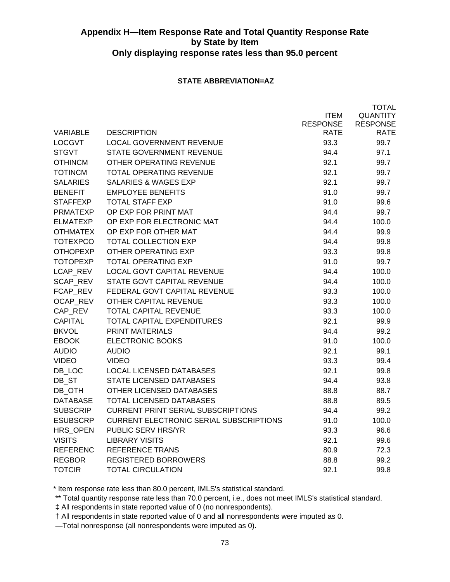### **STATE ABBREVIATION=AZ**

TOTAL

|                 |                                                |                 | TOTAL           |
|-----------------|------------------------------------------------|-----------------|-----------------|
|                 |                                                | <b>ITEM</b>     | <b>QUANTITY</b> |
|                 |                                                | <b>RESPONSE</b> | <b>RESPONSE</b> |
| <b>VARIABLE</b> | <b>DESCRIPTION</b>                             | RATE            | <b>RATE</b>     |
| <b>LOCGVT</b>   | <b>LOCAL GOVERNMENT REVENUE</b>                | 93.3            | 99.7            |
| <b>STGVT</b>    | <b>STATE GOVERNMENT REVENUE</b>                | 94.4            | 97.1            |
| <b>OTHINCM</b>  | <b>OTHER OPERATING REVENUE</b>                 | 92.1            | 99.7            |
| <b>TOTINCM</b>  | <b>TOTAL OPERATING REVENUE</b>                 | 92.1            | 99.7            |
| <b>SALARIES</b> | <b>SALARIES &amp; WAGES EXP</b>                | 92.1            | 99.7            |
| <b>BENEFIT</b>  | <b>EMPLOYEE BENEFITS</b>                       | 91.0            | 99.7            |
| <b>STAFFEXP</b> | <b>TOTAL STAFF EXP</b>                         | 91.0            | 99.6            |
| <b>PRMATEXP</b> | OP EXP FOR PRINT MAT                           | 94.4            | 99.7            |
| <b>ELMATEXP</b> | OP EXP FOR ELECTRONIC MAT                      | 94.4            | 100.0           |
| <b>OTHMATEX</b> | OP EXP FOR OTHER MAT                           | 94.4            | 99.9            |
| <b>TOTEXPCO</b> | <b>TOTAL COLLECTION EXP</b>                    | 94.4            | 99.8            |
| <b>OTHOPEXP</b> | OTHER OPERATING EXP                            | 93.3            | 99.8            |
| <b>TOTOPEXP</b> | <b>TOTAL OPERATING EXP</b>                     | 91.0            | 99.7            |
| LCAP REV        | <b>LOCAL GOVT CAPITAL REVENUE</b>              | 94.4            | 100.0           |
| SCAP_REV        | STATE GOVT CAPITAL REVENUE                     | 94.4            | 100.0           |
| FCAP REV        | FEDERAL GOVT CAPITAL REVENUE                   | 93.3            | 100.0           |
| OCAP REV        | OTHER CAPITAL REVENUE                          | 93.3            | 100.0           |
| CAP_REV         | TOTAL CAPITAL REVENUE                          | 93.3            | 100.0           |
| <b>CAPITAL</b>  | <b>TOTAL CAPITAL EXPENDITURES</b>              | 92.1            | 99.9            |
| <b>BKVOL</b>    | <b>PRINT MATERIALS</b>                         | 94.4            | 99.2            |
| <b>EBOOK</b>    | <b>ELECTRONIC BOOKS</b>                        | 91.0            | 100.0           |
| <b>AUDIO</b>    | <b>AUDIO</b>                                   | 92.1            | 99.1            |
| <b>VIDEO</b>    | <b>VIDEO</b>                                   | 93.3            | 99.4            |
| DB LOC          | <b>LOCAL LICENSED DATABASES</b>                | 92.1            | 99.8            |
| DB_ST           | STATE LICENSED DATABASES                       | 94.4            | 93.8            |
| DB_OTH          | OTHER LICENSED DATABASES                       | 88.8            | 88.7            |
| <b>DATABASE</b> | <b>TOTAL LICENSED DATABASES</b>                | 88.8            | 89.5            |
| <b>SUBSCRIP</b> | <b>CURRENT PRINT SERIAL SUBSCRIPTIONS</b>      | 94.4            | 99.2            |
| <b>ESUBSCRP</b> | <b>CURRENT ELECTRONIC SERIAL SUBSCRIPTIONS</b> | 91.0            | 100.0           |
| HRS_OPEN        | PUBLIC SERV HRS/YR                             | 93.3            | 96.6            |
| <b>VISITS</b>   | <b>LIBRARY VISITS</b>                          | 92.1            | 99.6            |
| <b>REFERENC</b> | <b>REFERENCE TRANS</b>                         | 80.9            | 72.3            |
| <b>REGBOR</b>   | <b>REGISTERED BORROWERS</b>                    | 88.8            | 99.2            |
| <b>TOTCIR</b>   | <b>TOTAL CIRCULATION</b>                       | 92.1            | 99.8            |
|                 |                                                |                 |                 |

\* Item response rate less than 80.0 percent, IMLS's statistical standard.

\*\* Total quantity response rate less than 70.0 percent, i.e., does not meet IMLS's statistical standard.

‡ All respondents in state reported value of 0 (no nonrespondents).

† All respondents in state reported value of 0 and all nonrespondents were imputed as 0.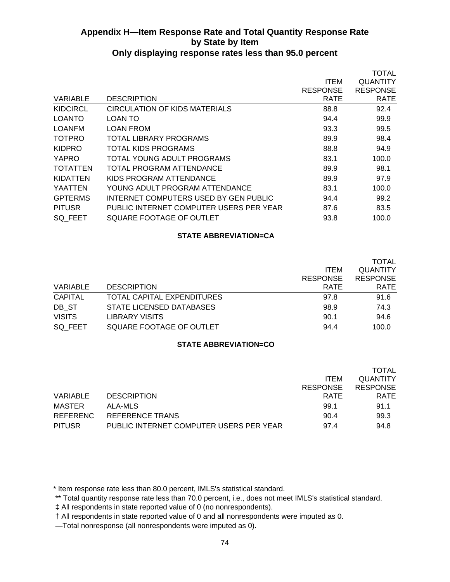|                 |                                         |                 | <b>TOTAL</b>    |
|-----------------|-----------------------------------------|-----------------|-----------------|
|                 |                                         | ITEM            | QUANTITY        |
|                 |                                         | <b>RESPONSE</b> | <b>RESPONSE</b> |
| <b>VARIABLE</b> | <b>DESCRIPTION</b>                      | <b>RATE</b>     | <b>RATE</b>     |
| <b>KIDCIRCL</b> | CIRCULATION OF KIDS MATERIALS           | 88.8            | 92.4            |
| LOANTO          | LOAN TO                                 | 94.4            | 99.9            |
| LOANFM          | <b>LOAN FROM</b>                        | 93.3            | 99.5            |
| <b>TOTPRO</b>   | TOTAL LIBRARY PROGRAMS                  | 89.9            | 98.4            |
| <b>KIDPRO</b>   | <b>TOTAL KIDS PROGRAMS</b>              | 88.8            | 94.9            |
| YAPRO           | TOTAL YOUNG ADULT PROGRAMS              | 83.1            | 100.0           |
| <b>TOTATTEN</b> | TOTAL PROGRAM ATTENDANCE                | 89.9            | 98.1            |
| KIDATTEN        | KIDS PROGRAM ATTENDANCE                 | 89.9            | 97.9            |
| YAATTEN         | YOUNG ADULT PROGRAM ATTENDANCE          | 83.1            | 100.0           |
| <b>GPTERMS</b>  | INTERNET COMPUTERS USED BY GEN PUBLIC   | 94.4            | 99.2            |
| <b>PITUSR</b>   | PUBLIC INTERNET COMPUTER USERS PER YEAR | 87.6            | 83.5            |
| SQ FEET         | SQUARE FOOTAGE OF OUTLET                | 93.8            | 100.0           |
|                 |                                         |                 |                 |

#### **STATE ABBREVIATION=CA**

|                 |                            | <b>ITEM</b><br><b>RESPONSE</b> | <b>TOTAL</b><br><b>QUANTITY</b><br><b>RESPONSE</b> |
|-----------------|----------------------------|--------------------------------|----------------------------------------------------|
| <b>VARIABLE</b> | <b>DESCRIPTION</b>         | <b>RATE</b>                    | <b>RATE</b>                                        |
| <b>CAPITAL</b>  | TOTAL CAPITAL EXPENDITURES | 97.8                           | 91.6                                               |
| DB ST           | STATE LICENSED DATABASES   | 98.9                           | 74.3                                               |
| <b>VISITS</b>   | <b>LIBRARY VISITS</b>      | 90.1                           | 94.6                                               |
| SQ FEET         | SQUARE FOOTAGE OF OUTLET   | 94.4                           | 100.0                                              |

### **STATE ABBREVIATION=CO**

|                 |                                         |                 | <b>TOTAL</b>    |
|-----------------|-----------------------------------------|-----------------|-----------------|
|                 |                                         | <b>ITEM</b>     | <b>QUANTITY</b> |
|                 |                                         | <b>RESPONSE</b> | <b>RESPONSE</b> |
| VARIABLE        | <b>DESCRIPTION</b>                      | RATE            | <b>RATE</b>     |
| MASTER          | ALA-MLS                                 | 99.1            | 91.1            |
| <b>REFERENC</b> | <b>REFERENCE TRANS</b>                  | 90.4            | 99.3            |
| <b>PITUSR</b>   | PUBLIC INTERNET COMPUTER USERS PER YEAR | 97.4            | 94.8            |

\* Item response rate less than 80.0 percent, IMLS's statistical standard.

\*\* Total quantity response rate less than 70.0 percent, i.e., does not meet IMLS's statistical standard.

‡ All respondents in state reported value of 0 (no nonrespondents).

† All respondents in state reported value of 0 and all nonrespondents were imputed as 0.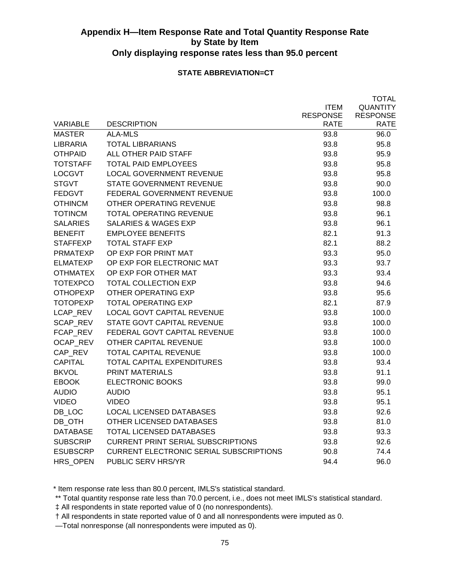### **STATE ABBREVIATION=CT**

|                 |                                                |                 | <b>TOTAL</b>    |
|-----------------|------------------------------------------------|-----------------|-----------------|
|                 |                                                | <b>ITEM</b>     | <b>QUANTITY</b> |
|                 |                                                | <b>RESPONSE</b> | <b>RESPONSE</b> |
| <b>VARIABLE</b> | <b>DESCRIPTION</b>                             | RATE            | <b>RATE</b>     |
| <b>MASTER</b>   | <b>ALA-MLS</b>                                 | 93.8            | 96.0            |
| LIBRARIA        | <b>TOTAL LIBRARIANS</b>                        | 93.8            | 95.8            |
| <b>OTHPAID</b>  | ALL OTHER PAID STAFF                           | 93.8            | 95.9            |
| <b>TOTSTAFF</b> | <b>TOTAL PAID EMPLOYEES</b>                    | 93.8            | 95.8            |
| <b>LOCGVT</b>   | <b>LOCAL GOVERNMENT REVENUE</b>                | 93.8            | 95.8            |
| <b>STGVT</b>    | STATE GOVERNMENT REVENUE                       | 93.8            | 90.0            |
| <b>FEDGVT</b>   | FEDERAL GOVERNMENT REVENUE                     | 93.8            | 100.0           |
| <b>OTHINCM</b>  | OTHER OPERATING REVENUE                        | 93.8            | 98.8            |
| <b>TOTINCM</b>  | <b>TOTAL OPERATING REVENUE</b>                 | 93.8            | 96.1            |
| <b>SALARIES</b> | <b>SALARIES &amp; WAGES EXP</b>                | 93.8            | 96.1            |
| <b>BENEFIT</b>  | <b>EMPLOYEE BENEFITS</b>                       | 82.1            | 91.3            |
| <b>STAFFEXP</b> | <b>TOTAL STAFF EXP</b>                         | 82.1            | 88.2            |
| <b>PRMATEXP</b> | OP EXP FOR PRINT MAT                           | 93.3            | 95.0            |
| <b>ELMATEXP</b> | OP EXP FOR ELECTRONIC MAT                      | 93.3            | 93.7            |
| <b>OTHMATEX</b> | OP EXP FOR OTHER MAT                           | 93.3            | 93.4            |
| <b>TOTEXPCO</b> | <b>TOTAL COLLECTION EXP</b>                    | 93.8            | 94.6            |
| <b>OTHOPEXP</b> | OTHER OPERATING EXP                            | 93.8            | 95.6            |
| <b>TOTOPEXP</b> | <b>TOTAL OPERATING EXP</b>                     | 82.1            | 87.9            |
| LCAP_REV        | <b>LOCAL GOVT CAPITAL REVENUE</b>              | 93.8            | 100.0           |
| SCAP_REV        | STATE GOVT CAPITAL REVENUE                     | 93.8            | 100.0           |
| FCAP REV        | FEDERAL GOVT CAPITAL REVENUE                   | 93.8            | 100.0           |
| OCAP REV        | OTHER CAPITAL REVENUE                          | 93.8            | 100.0           |
| CAP REV         | TOTAL CAPITAL REVENUE                          | 93.8            | 100.0           |
| <b>CAPITAL</b>  | TOTAL CAPITAL EXPENDITURES                     | 93.8            | 93.4            |
| <b>BKVOL</b>    | <b>PRINT MATERIALS</b>                         | 93.8            | 91.1            |
| <b>EBOOK</b>    | <b>ELECTRONIC BOOKS</b>                        | 93.8            | 99.0            |
| <b>AUDIO</b>    | <b>AUDIO</b>                                   | 93.8            | 95.1            |
| <b>VIDEO</b>    | <b>VIDEO</b>                                   | 93.8            | 95.1            |
| DB_LOC          | <b>LOCAL LICENSED DATABASES</b>                | 93.8            | 92.6            |
| DB_OTH          | OTHER LICENSED DATABASES                       | 93.8            | 81.0            |
| <b>DATABASE</b> | <b>TOTAL LICENSED DATABASES</b>                | 93.8            | 93.3            |
| <b>SUBSCRIP</b> | <b>CURRENT PRINT SERIAL SUBSCRIPTIONS</b>      | 93.8            | 92.6            |
| <b>ESUBSCRP</b> | <b>CURRENT ELECTRONIC SERIAL SUBSCRIPTIONS</b> | 90.8            | 74.4            |
| <b>HRS OPEN</b> | PUBLIC SERV HRS/YR                             | 94.4            | 96.0            |

\* Item response rate less than 80.0 percent, IMLS's statistical standard.

\*\* Total quantity response rate less than 70.0 percent, i.e., does not meet IMLS's statistical standard.

‡ All respondents in state reported value of 0 (no nonrespondents).

† All respondents in state reported value of 0 and all nonrespondents were imputed as 0.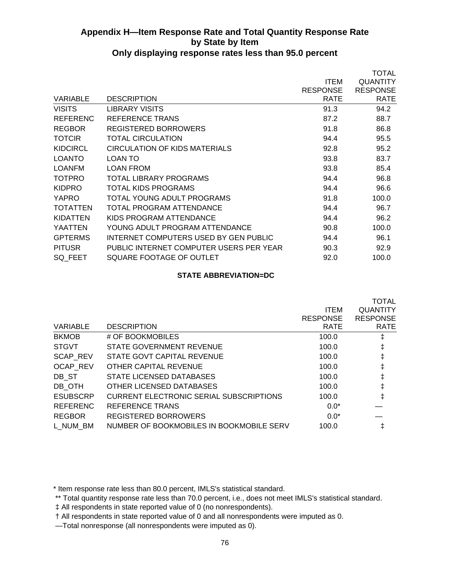|                 |                                         |                 | TOTAL           |
|-----------------|-----------------------------------------|-----------------|-----------------|
|                 |                                         | <b>ITEM</b>     | <b>QUANTITY</b> |
|                 |                                         | <b>RESPONSE</b> | <b>RESPONSE</b> |
| <b>VARIABLE</b> | <b>DESCRIPTION</b>                      | <b>RATE</b>     | <b>RATE</b>     |
| <b>VISITS</b>   | LIBRARY VISITS                          | 91.3            | 94.2            |
| <b>REFERENC</b> | REFERENCE TRANS                         | 87.2            | 88.7            |
| <b>REGBOR</b>   | REGISTERED BORROWERS                    | 91.8            | 86.8            |
| <b>TOTCIR</b>   | TOTAL CIRCULATION                       | 94.4            | 95.5            |
| <b>KIDCIRCL</b> | CIRCULATION OF KIDS MATERIALS           | 92.8            | 95.2            |
| <b>LOANTO</b>   | LOAN TO                                 | 93.8            | 83.7            |
| <b>LOANFM</b>   | <b>LOAN FROM</b>                        | 93.8            | 85.4            |
| <b>TOTPRO</b>   | TOTAL LIBRARY PROGRAMS                  | 94.4            | 96.8            |
| <b>KIDPRO</b>   | TOTAL KIDS PROGRAMS                     | 94.4            | 96.6            |
| <b>YAPRO</b>    | TOTAL YOUNG ADULT PROGRAMS              | 91.8            | 100.0           |
| <b>TOTATTEN</b> | TOTAL PROGRAM ATTENDANCE                | 94.4            | 96.7            |
| KIDATTEN        | KIDS PROGRAM ATTENDANCE                 | 94.4            | 96.2            |
| <b>YAATTEN</b>  | YOUNG ADULT PROGRAM ATTENDANCE          | 90.8            | 100.0           |
| <b>GPTERMS</b>  | INTERNET COMPUTERS USED BY GEN PUBLIC   | 94.4            | 96.1            |
| <b>PITUSR</b>   | PUBLIC INTERNET COMPUTER USERS PER YEAR | 90.3            | 92.9            |
| SQ FEET         | SQUARE FOOTAGE OF OUTLET                | 92.0            | 100.0           |
|                 |                                         |                 |                 |

### **STATE ABBREVIATION=DC**

| <b>VARIABLE</b> | <b>DESCRIPTION</b>                             | <b>ITEM</b><br><b>RESPONSE</b><br><b>RATE</b> | <b>TOTAL</b><br><b>QUANTITY</b><br><b>RESPONSE</b><br><b>RATE</b> |
|-----------------|------------------------------------------------|-----------------------------------------------|-------------------------------------------------------------------|
| <b>BKMOB</b>    | # OF BOOKMOBILES                               | 100.0                                         | ŧ                                                                 |
| <b>STGVT</b>    | STATE GOVERNMENT REVENUE                       | 100.0                                         | ŧ                                                                 |
| <b>SCAP REV</b> | STATE GOVT CAPITAL REVENUE                     | 100.0                                         | ŧ                                                                 |
| <b>OCAP REV</b> | OTHER CAPITAL REVENUE                          | 100.0                                         | ŧ                                                                 |
| DB ST           | STATE LICENSED DATABASES                       | 100.0                                         | ŧ                                                                 |
| DB OTH          | OTHER LICENSED DATABASES                       | 100.0                                         | ŧ                                                                 |
| <b>ESUBSCRP</b> | <b>CURRENT ELECTRONIC SERIAL SUBSCRIPTIONS</b> | 100.0                                         | $\ddagger$                                                        |
| <b>REFERENC</b> | REFERENCE TRANS                                | $0.0*$                                        |                                                                   |
| <b>REGBOR</b>   | <b>REGISTERED BORROWERS</b>                    | $0.0*$                                        |                                                                   |
| L NUM BM        | NUMBER OF BOOKMOBILES IN BOOKMOBILE SERV       | 100.0                                         |                                                                   |

\* Item response rate less than 80.0 percent, IMLS's statistical standard.

 <sup>\*\*</sup> Total quantity response rate less than 70.0 percent, i.e., does not meet IMLS's statistical standard.

 <sup>‡</sup> All respondents in state reported value of 0 (no nonrespondents).

 <sup>†</sup> All respondents in state reported value of 0 and all nonrespondents were imputed as 0.

 <sup>—</sup>Total nonresponse (all nonrespondents were imputed as 0).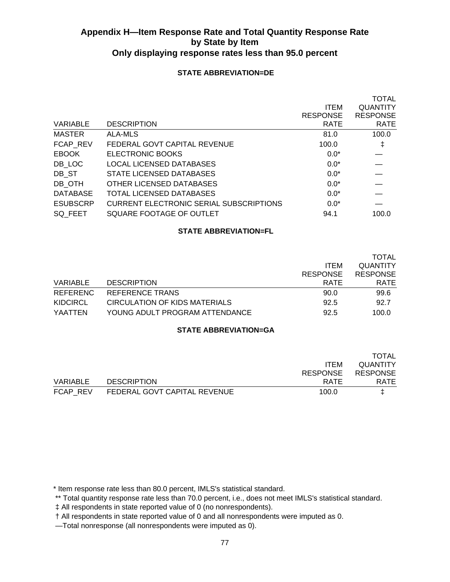### **STATE ABBREVIATION=DE**

|                 |                                                |                 | <b>TOTAL</b>    |
|-----------------|------------------------------------------------|-----------------|-----------------|
|                 |                                                | <b>ITEM</b>     | <b>QUANTITY</b> |
|                 |                                                | <b>RESPONSE</b> | <b>RESPONSE</b> |
| VARIABLE        | <b>DESCRIPTION</b>                             | <b>RATE</b>     | <b>RATE</b>     |
| <b>MASTER</b>   | ALA-MLS                                        | 81.0            | 100.0           |
| FCAP REV        | FEDERAL GOVT CAPITAL REVENUE                   | 100.0           | ŧ               |
| <b>EBOOK</b>    | ELECTRONIC BOOKS                               | $0.0*$          |                 |
| DB LOC          | <b>LOCAL LICENSED DATABASES</b>                | $0.0*$          |                 |
| DB ST           | STATE LICENSED DATABASES                       | $0.0*$          |                 |
| DB OTH          | OTHER LICENSED DATABASES                       | $0.0*$          |                 |
| <b>DATABASE</b> | TOTAL LICENSED DATABASES                       | $0.0*$          |                 |
| <b>ESUBSCRP</b> | <b>CURRENT ELECTRONIC SERIAL SUBSCRIPTIONS</b> | $0.0*$          |                 |
| SQ FEET         | SQUARE FOOTAGE OF OUTLET                       | 94.1            | 100.0           |
|                 |                                                |                 |                 |

### **STATE ABBREVIATION=FL**

|                 |                                |                 | <b>TOTAL</b>    |
|-----------------|--------------------------------|-----------------|-----------------|
|                 |                                | <b>ITEM</b>     | <b>QUANTITY</b> |
|                 |                                | <b>RESPONSE</b> | <b>RESPONSE</b> |
| VARIABLE        | <b>DESCRIPTION</b>             | RATE            | <b>RATE</b>     |
| REFERENC        | REFERENCE TRANS                | 90.0            | 99.6            |
| <b>KIDCIRCL</b> | CIRCULATION OF KIDS MATERIALS  | 92.5            | 92.7            |
| YAATTEN         | YOUNG ADULT PROGRAM ATTENDANCE | 92.5            | 100.0           |

### **STATE ABBREVIATION=GA**

|          |                              |                 | <b>TOTAL</b>    |
|----------|------------------------------|-----------------|-----------------|
|          |                              | <b>ITEM</b>     | <b>QUANTITY</b> |
|          |                              | <b>RESPONSE</b> | <b>RESPONSE</b> |
| VARIABLE | <b>DESCRIPTION</b>           | RATE            | <b>RATE</b>     |
| FCAP REV | FEDERAL GOVT CAPITAL REVENUE | 100.0           |                 |

\* Item response rate less than 80.0 percent, IMLS's statistical standard.

\*\* Total quantity response rate less than 70.0 percent, i.e., does not meet IMLS's statistical standard.

‡ All respondents in state reported value of 0 (no nonrespondents).

† All respondents in state reported value of 0 and all nonrespondents were imputed as 0.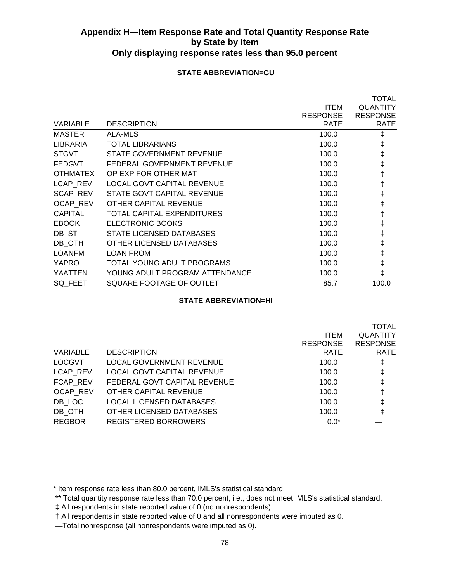### **STATE ABBREVIATION=GU**

|                 |                                   |                 | <b>TOTAL</b>    |
|-----------------|-----------------------------------|-----------------|-----------------|
|                 |                                   | <b>ITEM</b>     | <b>QUANTITY</b> |
|                 |                                   | <b>RESPONSE</b> | <b>RESPONSE</b> |
| VARIABLE        | <b>DESCRIPTION</b>                | RATE            | <b>RATE</b>     |
| <b>MASTER</b>   | ALA-MLS                           | 100.0           | ŧ               |
| LIBRARIA        | TOTAL LIBRARIANS                  | 100.0           | ŧ               |
| <b>STGVT</b>    | STATE GOVERNMENT REVENUE          | 100.0           | $\ddagger$      |
| <b>FEDGVT</b>   | FEDERAL GOVERNMENT REVENUE        | 100.0           | ŧ               |
| <b>OTHMATEX</b> | OP EXP FOR OTHER MAT              | 100.0           | ŧ               |
| LCAP REV        | <b>LOCAL GOVT CAPITAL REVENUE</b> | 100.0           | ŧ               |
| <b>SCAP REV</b> | STATE GOVT CAPITAL REVENUE        | 100.0           | ŧ               |
| OCAP_REV        | OTHER CAPITAL REVENUE             | 100.0           | ŧ               |
| <b>CAPITAL</b>  | TOTAL CAPITAL EXPENDITURES        | 100.0           | ŧ               |
| <b>EBOOK</b>    | ELECTRONIC BOOKS                  | 100.0           | ŧ               |
| DB ST           | STATE LICENSED DATABASES          | 100.0           | ŧ               |
| DB OTH          | OTHER LICENSED DATABASES          | 100.0           | ŧ               |
| <b>LOANFM</b>   | <b>LOAN FROM</b>                  | 100.0           | ŧ               |
| <b>YAPRO</b>    | TOTAL YOUNG ADULT PROGRAMS        | 100.0           | ŧ               |
| <b>YAATTEN</b>  | YOUNG ADULT PROGRAM ATTENDANCE    | 100.0           | ŧ               |
| SQ_FEET         | SQUARE FOOTAGE OF OUTLET          | 85.7            | 100.0           |
|                 |                                   |                 |                 |

### **STATE ABBREVIATION=HI**

|                                   |                 | TOTAL           |
|-----------------------------------|-----------------|-----------------|
|                                   | <b>ITEM</b>     | <b>QUANTITY</b> |
|                                   | <b>RESPONSE</b> | <b>RESPONSE</b> |
| <b>DESCRIPTION</b>                | <b>RATE</b>     | <b>RATE</b>     |
| <b>LOCAL GOVERNMENT REVENUE</b>   | 100.0           | ŧ               |
| <b>LOCAL GOVT CAPITAL REVENUE</b> | 100.0           | ŧ               |
| FEDERAL GOVT CAPITAL REVENUE      | 100.0           | ŧ               |
| OTHER CAPITAL REVENUE             | 100.0           | ŧ               |
| LOCAL LICENSED DATABASES          | 100.0           | ŧ               |
| OTHER LICENSED DATABASES          | 100.0           | ŧ               |
| REGISTERED BORROWERS              | $0.0*$          |                 |
|                                   |                 |                 |

\* Item response rate less than 80.0 percent, IMLS's statistical standard.

 <sup>\*\*</sup> Total quantity response rate less than 70.0 percent, i.e., does not meet IMLS's statistical standard.

 <sup>‡</sup> All respondents in state reported value of 0 (no nonrespondents).

 <sup>†</sup> All respondents in state reported value of 0 and all nonrespondents were imputed as 0.

 <sup>—</sup>Total nonresponse (all nonrespondents were imputed as 0).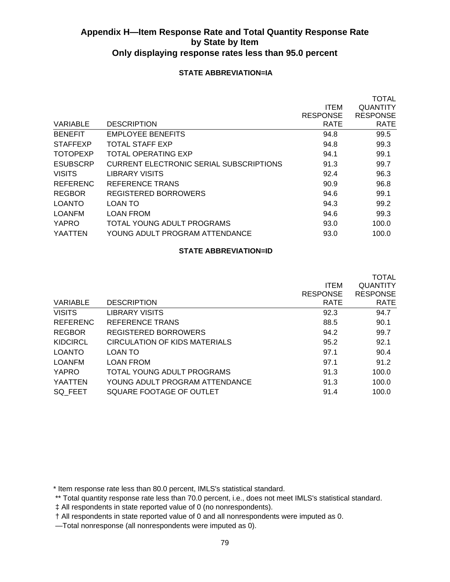### **STATE ABBREVIATION=IA**

|                 |                                         |                 | <b>TOTAL</b>    |
|-----------------|-----------------------------------------|-----------------|-----------------|
|                 |                                         | <b>ITEM</b>     | <b>QUANTITY</b> |
|                 |                                         | <b>RESPONSE</b> | <b>RESPONSE</b> |
| VARIABLE        | <b>DESCRIPTION</b>                      | <b>RATE</b>     | <b>RATE</b>     |
| <b>BENEFIT</b>  | <b>EMPLOYEE BENEFITS</b>                | 94.8            | 99.5            |
| <b>STAFFEXP</b> | <b>TOTAL STAFF EXP</b>                  | 94.8            | 99.3            |
| <b>TOTOPEXP</b> | TOTAL OPERATING EXP                     | 94.1            | 99.1            |
| <b>ESUBSCRP</b> | CURRENT ELECTRONIC SERIAL SUBSCRIPTIONS | 91.3            | 99.7            |
| <b>VISITS</b>   | LIBRARY VISITS                          | 92.4            | 96.3            |
| <b>REFERENC</b> | REFERENCE TRANS                         | 90.9            | 96.8            |
| <b>REGBOR</b>   | REGISTERED BORROWERS                    | 94.6            | 99.1            |
| <b>LOANTO</b>   | LOAN TO                                 | 94.3            | 99.2            |
| <b>LOANFM</b>   | <b>LOAN FROM</b>                        | 94.6            | 99.3            |
| YAPRO           | TOTAL YOUNG ADULT PROGRAMS              | 93.0            | 100.0           |
| YAATTEN         | YOUNG ADULT PROGRAM ATTENDANCE          | 93.0            | 100.0           |
|                 |                                         |                 |                 |

### **STATE ABBREVIATION=ID**

|                 |                                |                 | <b>TOTAL</b>    |
|-----------------|--------------------------------|-----------------|-----------------|
|                 |                                | <b>ITEM</b>     | <b>QUANTITY</b> |
|                 |                                | <b>RESPONSE</b> | <b>RESPONSE</b> |
| VARIABLE        | <b>DESCRIPTION</b>             | <b>RATE</b>     | <b>RATE</b>     |
| <b>VISITS</b>   | LIBRARY VISITS                 | 92.3            | 94.7            |
| <b>REFERENC</b> | REFERENCE TRANS                | 88.5            | 90.1            |
| <b>REGBOR</b>   | REGISTERED BORROWERS           | 94.2            | 99.7            |
| KIDCIRCL        | CIRCULATION OF KIDS MATERIALS  | 95.2            | 92.1            |
| LOANTO          | LOAN TO                        | 97.1            | 90.4            |
| <b>LOANFM</b>   | <b>LOAN FROM</b>               | 97.1            | 91.2            |
| YAPRO           | TOTAL YOUNG ADULT PROGRAMS     | 91.3            | 100.0           |
| YAATTEN         | YOUNG ADULT PROGRAM ATTENDANCE | 91.3            | 100.0           |
| SQ FEET         | SQUARE FOOTAGE OF OUTLET       | 91.4            | 100.0           |

\* Item response rate less than 80.0 percent, IMLS's statistical standard.

\*\* Total quantity response rate less than 70.0 percent, i.e., does not meet IMLS's statistical standard.

‡ All respondents in state reported value of 0 (no nonrespondents).

† All respondents in state reported value of 0 and all nonrespondents were imputed as 0.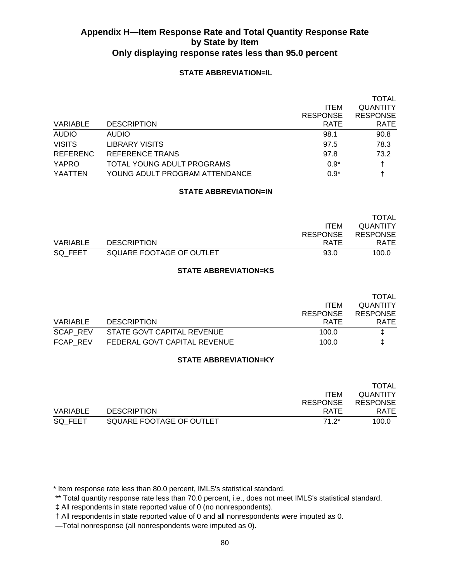### **STATE ABBREVIATION=IL**

|                 |                                |                 | <b>TOTAL</b>    |
|-----------------|--------------------------------|-----------------|-----------------|
|                 |                                | <b>ITEM</b>     | <b>QUANTITY</b> |
|                 |                                | <b>RESPONSE</b> | <b>RESPONSE</b> |
| <b>VARIABLE</b> | <b>DESCRIPTION</b>             | <b>RATE</b>     | <b>RATE</b>     |
| <b>AUDIO</b>    | <b>AUDIO</b>                   | 98.1            | 90.8            |
| <b>VISITS</b>   | <b>LIBRARY VISITS</b>          | 97.5            | 78.3            |
| <b>REFERENC</b> | REFERENCE TRANS                | 97.8            | 73.2            |
| YAPRO           | TOTAL YOUNG ADULT PROGRAMS     | $0.9*$          | t               |
| YAATTEN         | YOUNG ADULT PROGRAM ATTENDANCE | $0.9*$          |                 |

### **STATE ABBREVIATION=IN**

|          |                          |                 | <b>TOTAL</b>    |
|----------|--------------------------|-----------------|-----------------|
|          |                          | <b>ITEM</b>     | QUANTITY        |
|          |                          | <b>RESPONSE</b> | <b>RESPONSE</b> |
| VARIABLE | <b>DESCRIPTION</b>       | RATE            | <b>RATE</b>     |
| SQ FEET  | SQUARE FOOTAGE OF OUTLET | 93.0            | 100.0           |

### **STATE ABBREVIATION=KS**

|                              |                 | <b>TOTAL</b>    |
|------------------------------|-----------------|-----------------|
|                              | <b>ITEM</b>     | QUANTITY        |
|                              | <b>RESPONSE</b> | <b>RESPONSE</b> |
| <b>DESCRIPTION</b>           | <b>RATE</b>     | RATE            |
| STATE GOVT CAPITAL REVENUE   | 100.0           | I.              |
| FEDERAL GOVT CAPITAL REVENUE | 100.0           |                 |
|                              |                 |                 |

### **STATE ABBREVIATION=KY**

|          |                          |                 | TOTAL           |
|----------|--------------------------|-----------------|-----------------|
|          |                          | <b>ITEM</b>     | <b>QUANTITY</b> |
|          |                          | <b>RESPONSE</b> | <b>RESPONSE</b> |
| VARIABLE | <b>DESCRIPTION</b>       | RATE            | <b>RATE</b>     |
| SQ FEET  | SQUARE FOOTAGE OF OUTLET | 71.2*           | 100.0           |

\* Item response rate less than 80.0 percent, IMLS's statistical standard.

\*\* Total quantity response rate less than 70.0 percent, i.e., does not meet IMLS's statistical standard.

‡ All respondents in state reported value of 0 (no nonrespondents).

† All respondents in state reported value of 0 and all nonrespondents were imputed as 0.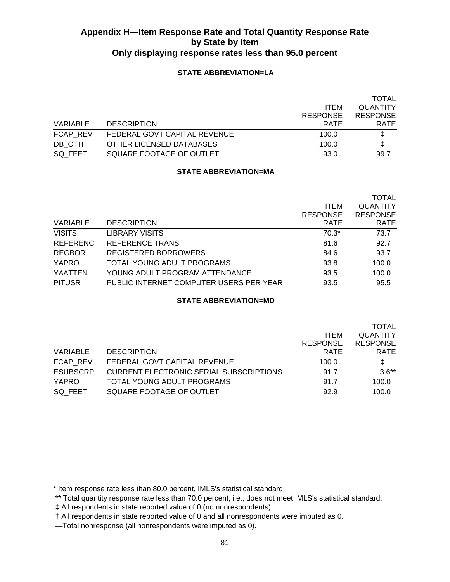### **STATE ABBREVIATION=LA**

|          |                              |                 | <b>TOTAL</b>    |
|----------|------------------------------|-----------------|-----------------|
|          |                              | <b>ITEM</b>     | <b>QUANTITY</b> |
|          |                              | <b>RESPONSE</b> | <b>RESPONSE</b> |
| VARIABLE | <b>DESCRIPTION</b>           | <b>RATE</b>     | <b>RATE</b>     |
| FCAP REV | FEDERAL GOVT CAPITAL REVENUE | 100.0           | Ŧ.              |
| DB OTH   | OTHER LICENSED DATABASES     | 100.0           | ŧ.              |
| SQ FEET  | SQUARE FOOTAGE OF OUTLET     | 93.0            | 99.7            |

### **STATE ABBREVIATION=MA**

|                 |                                         |                 | <b>TOTAL</b>    |
|-----------------|-----------------------------------------|-----------------|-----------------|
|                 |                                         | <b>ITEM</b>     | <b>QUANTITY</b> |
|                 |                                         | <b>RESPONSE</b> | <b>RESPONSE</b> |
| VARIABLE        | <b>DESCRIPTION</b>                      | <b>RATE</b>     | <b>RATE</b>     |
| <b>VISITS</b>   | <b>LIBRARY VISITS</b>                   | $70.3*$         | 73.7            |
| <b>REFERENC</b> | REFERENCE TRANS                         | 81.6            | 92.7            |
| <b>REGBOR</b>   | REGISTERED BORROWERS                    | 84.6            | 93.7            |
| <b>YAPRO</b>    | TOTAL YOUNG ADULT PROGRAMS              | 93.8            | 100.0           |
| YAATTEN         | YOUNG ADULT PROGRAM ATTENDANCE          | 93.5            | 100.0           |
| <b>PITUSR</b>   | PUBLIC INTERNET COMPUTER USERS PER YEAR | 93.5            | 95.5            |

### **STATE ABBREVIATION=MD**

|                 |                                                |                 | <b>TOTAL</b>    |
|-----------------|------------------------------------------------|-----------------|-----------------|
|                 |                                                | <b>ITEM</b>     | <b>QUANTITY</b> |
|                 |                                                | <b>RESPONSE</b> | <b>RESPONSE</b> |
| VARIABLE        | <b>DESCRIPTION</b>                             | <b>RATE</b>     | <b>RATE</b>     |
| <b>FCAP REV</b> | FEDERAL GOVT CAPITAL REVENUE                   | 100.0           | Ŧ.              |
| <b>ESUBSCRP</b> | <b>CURRENT ELECTRONIC SERIAL SUBSCRIPTIONS</b> | 91.7            | $3.6***$        |
| YAPRO           | TOTAL YOUNG ADULT PROGRAMS                     | 91.7            | 100.0           |
| SQ FEET         | SQUARE FOOTAGE OF OUTLET                       | 92.9            | 100.0           |

\* Item response rate less than 80.0 percent, IMLS's statistical standard.

\*\* Total quantity response rate less than 70.0 percent, i.e., does not meet IMLS's statistical standard.

‡ All respondents in state reported value of 0 (no nonrespondents).

† All respondents in state reported value of 0 and all nonrespondents were imputed as 0.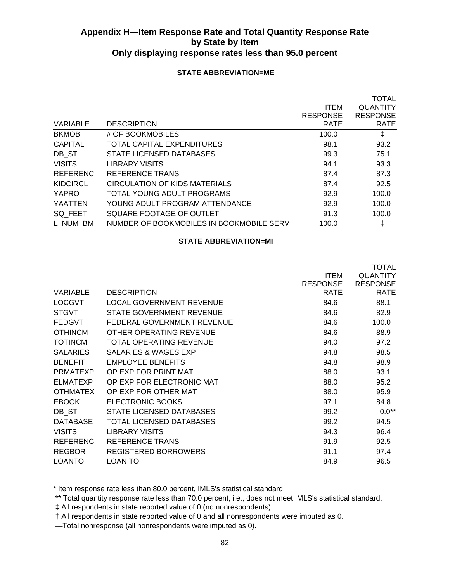### **STATE ABBREVIATION=ME**

|                 |                                          |                 | TOTAL           |
|-----------------|------------------------------------------|-----------------|-----------------|
|                 |                                          | <b>ITEM</b>     | <b>QUANTITY</b> |
|                 |                                          | <b>RESPONSE</b> | <b>RESPONSE</b> |
| <b>VARIABLE</b> | <b>DESCRIPTION</b>                       | <b>RATE</b>     | <b>RATE</b>     |
| <b>BKMOB</b>    | # OF BOOKMOBILES                         | 100.0           | ŧ               |
| <b>CAPITAL</b>  | TOTAL CAPITAL EXPENDITURES               | 98.1            | 93.2            |
| DB ST           | STATE LICENSED DATABASES                 | 99.3            | 75.1            |
| <b>VISITS</b>   | <b>LIBRARY VISITS</b>                    | 94.1            | 93.3            |
| <b>REFERENC</b> | REFERENCE TRANS                          | 87.4            | 87.3            |
| <b>KIDCIRCL</b> | CIRCULATION OF KIDS MATERIALS            | 87.4            | 92.5            |
| YAPRO           | TOTAL YOUNG ADULT PROGRAMS               | 92.9            | 100.0           |
| YAATTEN         | YOUNG ADULT PROGRAM ATTENDANCE           | 92.9            | 100.0           |
| SQ FEET         | SQUARE FOOTAGE OF OUTLET                 | 91.3            | 100.0           |
| L NUM BM        | NUMBER OF BOOKMOBILES IN BOOKMOBILE SERV | 100.0           | ŧ               |
|                 |                                          |                 |                 |

#### **STATE ABBREVIATION=MI**

|                 |                                 |                 | <b>TOTAL</b>    |
|-----------------|---------------------------------|-----------------|-----------------|
|                 |                                 | <b>ITEM</b>     | <b>QUANTITY</b> |
|                 |                                 | <b>RESPONSE</b> | <b>RESPONSE</b> |
| <b>VARIABLE</b> | <b>DESCRIPTION</b>              | <b>RATE</b>     | <b>RATE</b>     |
| <b>LOCGVT</b>   | <b>LOCAL GOVERNMENT REVENUE</b> | 84.6            | 88.1            |
| <b>STGVT</b>    | STATE GOVERNMENT REVENUE        | 84.6            | 82.9            |
| <b>FEDGVT</b>   | FEDERAL GOVERNMENT REVENUE      | 84.6            | 100.0           |
| <b>OTHINCM</b>  | OTHER OPERATING REVENUE         | 84.6            | 88.9            |
| <b>TOTINCM</b>  | TOTAL OPERATING REVENUE         | 94.0            | 97.2            |
| <b>SALARIES</b> | <b>SALARIES &amp; WAGES EXP</b> | 94.8            | 98.5            |
| <b>BENEFIT</b>  | <b>EMPLOYEE BENEFITS</b>        | 94.8            | 98.9            |
| <b>PRMATEXP</b> | OP EXP FOR PRINT MAT            | 88.0            | 93.1            |
| <b>ELMATEXP</b> | OP EXP FOR ELECTRONIC MAT       | 88.0            | 95.2            |
| <b>OTHMATEX</b> | OP EXP FOR OTHER MAT            | 88.0            | 95.9            |
| <b>EBOOK</b>    | ELECTRONIC BOOKS                | 97.1            | 84.8            |
| DB ST           | <b>STATE LICENSED DATABASES</b> | 99.2            | $0.0**$         |
| <b>DATABASE</b> | TOTAL LICENSED DATABASES        | 99.2            | 94.5            |
| <b>VISITS</b>   | <b>LIBRARY VISITS</b>           | 94.3            | 96.4            |
| <b>REFERENC</b> | REFERENCE TRANS                 | 91.9            | 92.5            |
| <b>REGBOR</b>   | <b>REGISTERED BORROWERS</b>     | 91.1            | 97.4            |
| <b>LOANTO</b>   | <b>LOAN TO</b>                  | 84.9            | 96.5            |

\* Item response rate less than 80.0 percent, IMLS's statistical standard.

\*\* Total quantity response rate less than 70.0 percent, i.e., does not meet IMLS's statistical standard.

‡ All respondents in state reported value of 0 (no nonrespondents).

† All respondents in state reported value of 0 and all nonrespondents were imputed as 0.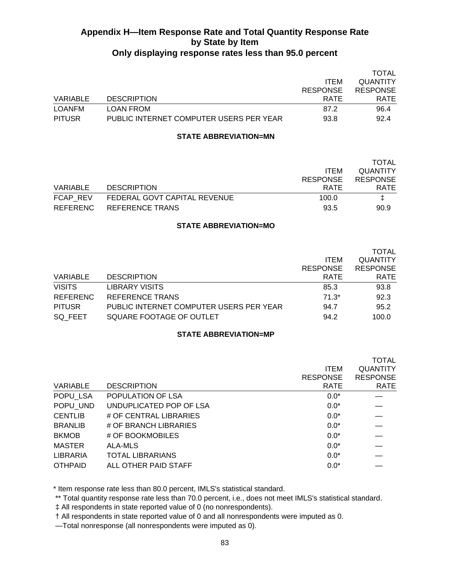|               |                                         |                 | TOTAL           |
|---------------|-----------------------------------------|-----------------|-----------------|
|               |                                         | <b>ITEM</b>     | <b>QUANTITY</b> |
|               |                                         | <b>RESPONSE</b> | <b>RESPONSE</b> |
| VARIABLE      | <b>DESCRIPTION</b>                      | <b>RATE</b>     | <b>RATE</b>     |
| LOANFM        | LOAN FROM                               | 87.2            | 96.4            |
| <b>PITUSR</b> | PUBLIC INTERNET COMPUTER USERS PER YEAR | 93.8            | 92.4            |

#### **STATE ABBREVIATION=MN**

|          |                              |                 | <b>TOTAL</b>    |
|----------|------------------------------|-----------------|-----------------|
|          |                              | <b>ITEM</b>     | <b>QUANTITY</b> |
|          |                              | <b>RESPONSE</b> | <b>RESPONSE</b> |
| VARIABLE | <b>DESCRIPTION</b>           | RATE            | <b>RATE</b>     |
| FCAP REV | FEDERAL GOVT CAPITAL REVENUE | 100.0           |                 |
| REFERENC | REFERENCE TRANS              | 93.5            | 90.9            |

#### **STATE ABBREVIATION=MO**

|                 |                                         |                 | <b>TOTAL</b>    |
|-----------------|-----------------------------------------|-----------------|-----------------|
|                 |                                         | <b>ITEM</b>     | <b>QUANTITY</b> |
|                 |                                         | <b>RESPONSE</b> | <b>RESPONSE</b> |
| VARIABLE        | <b>DESCRIPTION</b>                      | <b>RATE</b>     | <b>RATE</b>     |
| <b>VISITS</b>   | <b>LIBRARY VISITS</b>                   | 85.3            | 93.8            |
| <b>REFERENC</b> | <b>REFERENCE TRANS</b>                  | $71.3*$         | 92.3            |
| <b>PITUSR</b>   | PUBLIC INTERNET COMPUTER USERS PER YEAR | 94.7            | 95.2            |
| SQ FEET         | SQUARE FOOTAGE OF OUTLET                | 94.2            | 100.0           |

#### **STATE ABBREVIATION=MP**

| VARIABLE       | <b>DESCRIPTION</b>      | <b>ITEM</b><br><b>RESPONSE</b><br><b>RATE</b> | TOTAL<br><b>QUANTITY</b><br><b>RESPONSE</b><br><b>RATE</b> |
|----------------|-------------------------|-----------------------------------------------|------------------------------------------------------------|
| POPU LSA       | POPULATION OF LSA       | $0.0*$                                        |                                                            |
| POPU UND       | UNDUPLICATED POP OF LSA | $0.0*$                                        |                                                            |
| <b>CENTLIB</b> | # OF CENTRAL LIBRARIES  | $0.0*$                                        |                                                            |
| <b>BRANLIB</b> | # OF BRANCH LIBRARIES   | $0.0*$                                        |                                                            |
| <b>BKMOB</b>   | # OF BOOKMOBILES        | $0.0*$                                        |                                                            |
| <b>MASTER</b>  | ALA-MLS                 | $0.0*$                                        |                                                            |
| LIBRARIA       | <b>TOTAL LIBRARIANS</b> | $0.0*$                                        |                                                            |
| <b>OTHPAID</b> | ALL OTHER PAID STAFF    | $0.0*$                                        |                                                            |

\* Item response rate less than 80.0 percent, IMLS's statistical standard.

\*\* Total quantity response rate less than 70.0 percent, i.e., does not meet IMLS's statistical standard.

‡ All respondents in state reported value of 0 (no nonrespondents).

† All respondents in state reported value of 0 and all nonrespondents were imputed as 0.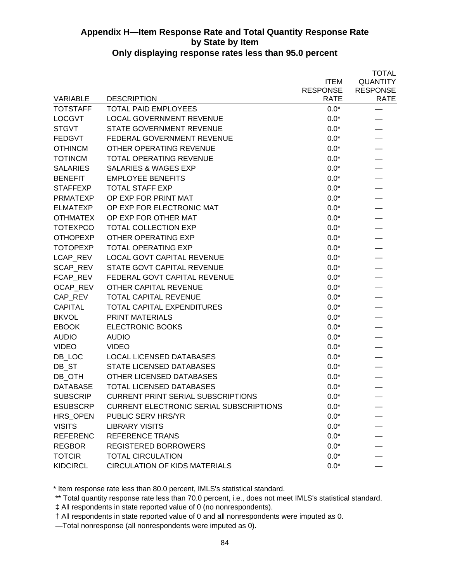|                 |                                                |                 | <b>TOTAL</b>    |
|-----------------|------------------------------------------------|-----------------|-----------------|
|                 |                                                | <b>ITEM</b>     | <b>QUANTITY</b> |
|                 |                                                | <b>RESPONSE</b> | <b>RESPONSE</b> |
| <b>VARIABLE</b> | <b>DESCRIPTION</b>                             | RATE            | <b>RATE</b>     |
| <b>TOTSTAFF</b> | <b>TOTAL PAID EMPLOYEES</b>                    | $0.0*$          |                 |
| <b>LOCGVT</b>   | <b>LOCAL GOVERNMENT REVENUE</b>                | $0.0*$          |                 |
| <b>STGVT</b>    | <b>STATE GOVERNMENT REVENUE</b>                | $0.0*$          |                 |
| <b>FEDGVT</b>   | FEDERAL GOVERNMENT REVENUE                     | $0.0*$          |                 |
| <b>OTHINCM</b>  | OTHER OPERATING REVENUE                        | $0.0*$          |                 |
| <b>TOTINCM</b>  | <b>TOTAL OPERATING REVENUE</b>                 | $0.0*$          |                 |
| <b>SALARIES</b> | <b>SALARIES &amp; WAGES EXP</b>                | $0.0*$          |                 |
| <b>BENEFIT</b>  | <b>EMPLOYEE BENEFITS</b>                       | $0.0*$          |                 |
| <b>STAFFEXP</b> | <b>TOTAL STAFF EXP</b>                         | $0.0*$          |                 |
| <b>PRMATEXP</b> | OP EXP FOR PRINT MAT                           | $0.0*$          |                 |
| <b>ELMATEXP</b> | OP EXP FOR ELECTRONIC MAT                      | $0.0*$          |                 |
| <b>OTHMATEX</b> | OP EXP FOR OTHER MAT                           | $0.0*$          |                 |
| <b>TOTEXPCO</b> | <b>TOTAL COLLECTION EXP</b>                    | $0.0*$          |                 |
| <b>OTHOPEXP</b> | OTHER OPERATING EXP                            | $0.0*$          |                 |
| <b>TOTOPEXP</b> | <b>TOTAL OPERATING EXP</b>                     | $0.0*$          |                 |
| LCAP REV        | <b>LOCAL GOVT CAPITAL REVENUE</b>              | $0.0*$          |                 |
| SCAP_REV        | STATE GOVT CAPITAL REVENUE                     | $0.0*$          |                 |
| FCAP_REV        | FEDERAL GOVT CAPITAL REVENUE                   | $0.0*$          |                 |
| OCAP REV        | OTHER CAPITAL REVENUE                          | $0.0*$          |                 |
| CAP_REV         | TOTAL CAPITAL REVENUE                          | $0.0*$          |                 |
| <b>CAPITAL</b>  | <b>TOTAL CAPITAL EXPENDITURES</b>              | $0.0*$          |                 |
| <b>BKVOL</b>    | <b>PRINT MATERIALS</b>                         | $0.0*$          |                 |
| <b>EBOOK</b>    | ELECTRONIC BOOKS                               | $0.0*$          |                 |
| <b>AUDIO</b>    | <b>AUDIO</b>                                   | $0.0*$          |                 |
| <b>VIDEO</b>    | <b>VIDEO</b>                                   | $0.0*$          |                 |
| DB_LOC          | <b>LOCAL LICENSED DATABASES</b>                | $0.0*$          |                 |
| DB ST           | STATE LICENSED DATABASES                       | $0.0*$          |                 |
| DB OTH          | OTHER LICENSED DATABASES                       | $0.0*$          |                 |
| <b>DATABASE</b> | <b>TOTAL LICENSED DATABASES</b>                | $0.0*$          |                 |
| <b>SUBSCRIP</b> | <b>CURRENT PRINT SERIAL SUBSCRIPTIONS</b>      | $0.0*$          |                 |
| <b>ESUBSCRP</b> | <b>CURRENT ELECTRONIC SERIAL SUBSCRIPTIONS</b> | $0.0*$          |                 |
| HRS OPEN        | PUBLIC SERV HRS/YR                             | $0.0*$          |                 |
| <b>VISITS</b>   | <b>LIBRARY VISITS</b>                          | $0.0*$          |                 |
| <b>REFERENC</b> | <b>REFERENCE TRANS</b>                         | $0.0*$          |                 |
| <b>REGBOR</b>   | <b>REGISTERED BORROWERS</b>                    | $0.0*$          |                 |
| <b>TOTCIR</b>   | <b>TOTAL CIRCULATION</b>                       | $0.0*$          |                 |
| <b>KIDCIRCL</b> | <b>CIRCULATION OF KIDS MATERIALS</b>           | $0.0*$          |                 |

\* Item response rate less than 80.0 percent, IMLS's statistical standard.

\*\* Total quantity response rate less than 70.0 percent, i.e., does not meet IMLS's statistical standard.

‡ All respondents in state reported value of 0 (no nonrespondents).

† All respondents in state reported value of 0 and all nonrespondents were imputed as 0.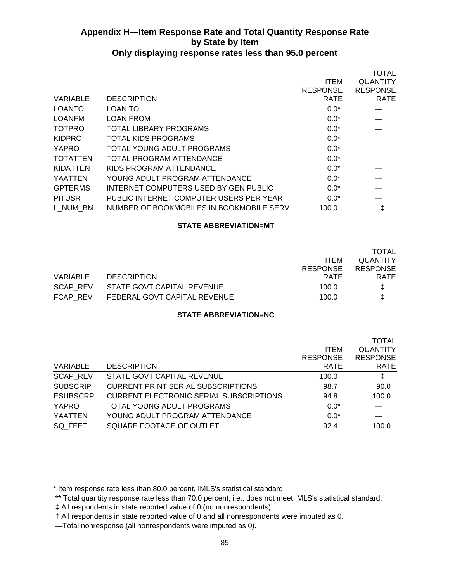|                 |                                          |                 | <b>TOTAL</b>    |
|-----------------|------------------------------------------|-----------------|-----------------|
|                 |                                          | <b>ITEM</b>     | <b>QUANTITY</b> |
|                 |                                          | <b>RESPONSE</b> | <b>RESPONSE</b> |
| <b>VARIABLE</b> | <b>DESCRIPTION</b>                       | <b>RATE</b>     | <b>RATE</b>     |
| <b>LOANTO</b>   | LOAN TO                                  | $0.0*$          |                 |
| <b>LOANFM</b>   | LOAN FROM                                | $0.0*$          |                 |
| <b>TOTPRO</b>   | TOTAL LIBRARY PROGRAMS                   | $0.0*$          |                 |
| <b>KIDPRO</b>   | TOTAL KIDS PROGRAMS                      | $0.0*$          |                 |
| YAPRO           | TOTAL YOUNG ADULT PROGRAMS               | $0.0*$          |                 |
| <b>TOTATTEN</b> | TOTAL PROGRAM ATTENDANCE                 | $0.0*$          |                 |
| <b>KIDATTEN</b> | KIDS PROGRAM ATTENDANCE                  | $0.0*$          |                 |
| <b>YAATTEN</b>  | YOUNG ADULT PROGRAM ATTENDANCE           | $0.0*$          |                 |
| <b>GPTERMS</b>  | INTERNET COMPUTERS USED BY GEN PUBLIC    | $0.0*$          |                 |
| <b>PITUSR</b>   | PUBLIC INTERNET COMPUTER USERS PER YEAR  | $0.0*$          |                 |
| L NUM BM        | NUMBER OF BOOKMOBILES IN BOOKMOBILE SERV | 100.0           |                 |

#### **STATE ABBREVIATION=MT**

|          |                              |                 | TOTAL           |
|----------|------------------------------|-----------------|-----------------|
|          |                              | <b>ITEM</b>     | <b>QUANTITY</b> |
|          |                              | <b>RESPONSE</b> | <b>RESPONSE</b> |
| VARIABLE | <b>DESCRIPTION</b>           | <b>RATE</b>     | <b>RATE</b>     |
| SCAP REV | STATE GOVT CAPITAL REVENUE   | 100.0           | I.              |
| FCAP REV | FEDERAL GOVT CAPITAL REVENUE | 100.0           |                 |

### **STATE ABBREVIATION=NC**

|                 |                                           |                 | TOTAL           |
|-----------------|-------------------------------------------|-----------------|-----------------|
|                 |                                           | <b>ITEM</b>     | <b>QUANTITY</b> |
|                 |                                           | <b>RESPONSE</b> | <b>RESPONSE</b> |
| VARIABLE        | <b>DESCRIPTION</b>                        | <b>RATE</b>     | <b>RATE</b>     |
| <b>SCAP REV</b> | STATE GOVT CAPITAL REVENUE                | 100.0           | $\ddagger$      |
| <b>SUBSCRIP</b> | <b>CURRENT PRINT SERIAL SUBSCRIPTIONS</b> | 98.7            | 90.0            |
| <b>ESUBSCRP</b> | CURRENT ELECTRONIC SERIAL SUBSCRIPTIONS   | 94.8            | 100.0           |
| YAPRO           | TOTAL YOUNG ADULT PROGRAMS                | $0.0*$          |                 |
| <b>YAATTEN</b>  | YOUNG ADULT PROGRAM ATTENDANCE            | $0.0*$          |                 |
| SQ FEET         | SQUARE FOOTAGE OF OUTLET                  | 92.4            | 100.0           |
|                 |                                           |                 |                 |

\* Item response rate less than 80.0 percent, IMLS's statistical standard.

\*\* Total quantity response rate less than 70.0 percent, i.e., does not meet IMLS's statistical standard.

‡ All respondents in state reported value of 0 (no nonrespondents).

† All respondents in state reported value of 0 and all nonrespondents were imputed as 0.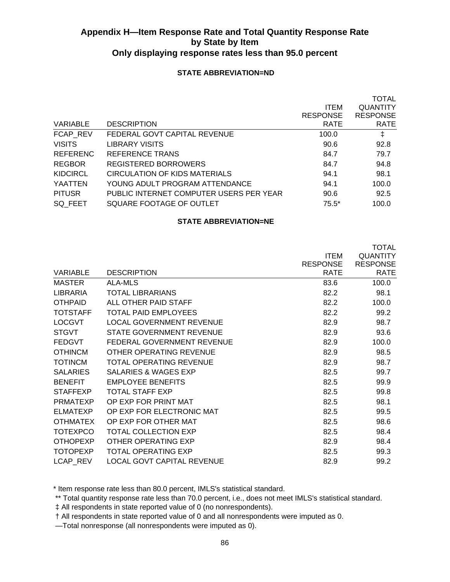### **STATE ABBREVIATION=ND**

|                 |                                         |                 | <b>TOTAL</b>    |
|-----------------|-----------------------------------------|-----------------|-----------------|
|                 |                                         | <b>ITEM</b>     | <b>QUANTITY</b> |
|                 |                                         | <b>RESPONSE</b> | <b>RESPONSE</b> |
| VARIABLE        | <b>DESCRIPTION</b>                      | <b>RATE</b>     | <b>RATE</b>     |
| FCAP REV        | FEDERAL GOVT CAPITAL REVENUE            | 100.0           | ŧ               |
| <b>VISITS</b>   | LIBRARY VISITS                          | 90.6            | 92.8            |
| <b>REFERENC</b> | REFERENCE TRANS                         | 84.7            | 79.7            |
| <b>REGBOR</b>   | REGISTERED BORROWERS                    | 84.7            | 94.8            |
| KIDCIRCL        | <b>CIRCULATION OF KIDS MATERIALS</b>    | 94.1            | 98.1            |
| YAATTEN         | YOUNG ADULT PROGRAM ATTENDANCE          | 94.1            | 100.0           |
| <b>PITUSR</b>   | PUBLIC INTERNET COMPUTER USERS PER YEAR | 90.6            | 92.5            |
| SQ FEET         | SQUARE FOOTAGE OF OUTLET                | $75.5*$         | 100.0           |
|                 |                                         |                 |                 |

#### **STATE ABBREVIATION=NE**

|                 |                                   |                 | <b>TOTAL</b>    |
|-----------------|-----------------------------------|-----------------|-----------------|
|                 |                                   | <b>ITEM</b>     | <b>QUANTITY</b> |
|                 |                                   | <b>RESPONSE</b> | <b>RESPONSE</b> |
| VARIABLE        | <b>DESCRIPTION</b>                | <b>RATE</b>     | <b>RATE</b>     |
| <b>MASTER</b>   | ALA-MLS                           | 83.6            | 100.0           |
| LIBRARIA        | TOTAL LIBRARIANS                  | 82.2            | 98.1            |
| <b>OTHPAID</b>  | ALL OTHER PAID STAFF              | 82.2            | 100.0           |
| <b>TOTSTAFF</b> | TOTAL PAID EMPLOYEES              | 82.2            | 99.2            |
| <b>LOCGVT</b>   | <b>LOCAL GOVERNMENT REVENUE</b>   | 82.9            | 98.7            |
| <b>STGVT</b>    | <b>STATE GOVERNMENT REVENUE</b>   | 82.9            | 93.6            |
| <b>FEDGVT</b>   | FEDERAL GOVERNMENT REVENUE        | 82.9            | 100.0           |
| <b>OTHINCM</b>  | OTHER OPERATING REVENUE           | 82.9            | 98.5            |
| <b>TOTINCM</b>  | TOTAL OPERATING REVENUE           | 82.9            | 98.7            |
| <b>SALARIES</b> | SALARIES & WAGES EXP              | 82.5            | 99.7            |
| <b>BENEFIT</b>  | <b>EMPLOYEE BENEFITS</b>          | 82.5            | 99.9            |
| <b>STAFFEXP</b> | <b>TOTAL STAFF EXP</b>            | 82.5            | 99.8            |
| <b>PRMATEXP</b> | OP EXP FOR PRINT MAT              | 82.5            | 98.1            |
| <b>ELMATEXP</b> | OP EXP FOR ELECTRONIC MAT         | 82.5            | 99.5            |
| <b>OTHMATEX</b> | OP EXP FOR OTHER MAT              | 82.5            | 98.6            |
| <b>TOTEXPCO</b> | <b>TOTAL COLLECTION EXP</b>       | 82.5            | 98.4            |
| <b>OTHOPEXP</b> | OTHER OPERATING EXP               | 82.9            | 98.4            |
| <b>TOTOPEXP</b> | <b>TOTAL OPERATING EXP</b>        | 82.5            | 99.3            |
| LCAP REV        | <b>LOCAL GOVT CAPITAL REVENUE</b> | 82.9            | 99.2            |

\* Item response rate less than 80.0 percent, IMLS's statistical standard.

\*\* Total quantity response rate less than 70.0 percent, i.e., does not meet IMLS's statistical standard.

‡ All respondents in state reported value of 0 (no nonrespondents).

† All respondents in state reported value of 0 and all nonrespondents were imputed as 0.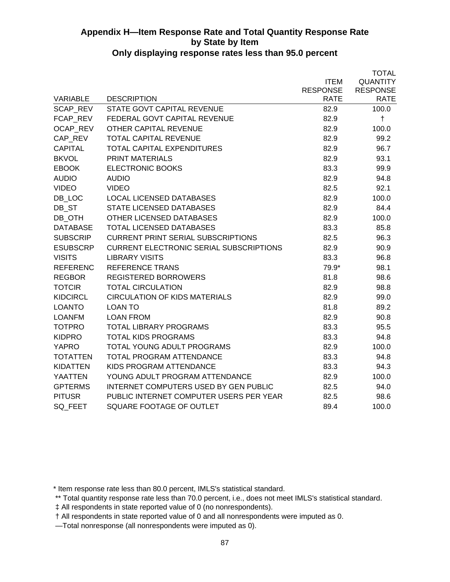|                 |                                                |                 | <b>TOTAL</b>    |
|-----------------|------------------------------------------------|-----------------|-----------------|
|                 |                                                | <b>ITEM</b>     | <b>QUANTITY</b> |
|                 |                                                | <b>RESPONSE</b> | <b>RESPONSE</b> |
| <b>VARIABLE</b> | <b>DESCRIPTION</b>                             | <b>RATE</b>     | <b>RATE</b>     |
| SCAP REV        | STATE GOVT CAPITAL REVENUE                     | 82.9            | 100.0           |
| FCAP REV        | FEDERAL GOVT CAPITAL REVENUE                   | 82.9            | $\ddagger$      |
| <b>OCAP REV</b> | <b>OTHER CAPITAL REVENUE</b>                   | 82.9            | 100.0           |
| CAP_REV         | <b>TOTAL CAPITAL REVENUE</b>                   | 82.9            | 99.2            |
| <b>CAPITAL</b>  | TOTAL CAPITAL EXPENDITURES                     | 82.9            | 96.7            |
| <b>BKVOL</b>    | <b>PRINT MATERIALS</b>                         | 82.9            | 93.1            |
| <b>EBOOK</b>    | ELECTRONIC BOOKS                               | 83.3            | 99.9            |
| <b>AUDIO</b>    | <b>AUDIO</b>                                   | 82.9            | 94.8            |
| <b>VIDEO</b>    | <b>VIDEO</b>                                   | 82.5            | 92.1            |
| DB LOC          | <b>LOCAL LICENSED DATABASES</b>                | 82.9            | 100.0           |
| DB ST           | <b>STATE LICENSED DATABASES</b>                | 82.9            | 84.4            |
| DB OTH          | OTHER LICENSED DATABASES                       | 82.9            | 100.0           |
| <b>DATABASE</b> | <b>TOTAL LICENSED DATABASES</b>                | 83.3            | 85.8            |
| <b>SUBSCRIP</b> | <b>CURRENT PRINT SERIAL SUBSCRIPTIONS</b>      | 82.5            | 96.3            |
| <b>ESUBSCRP</b> | <b>CURRENT ELECTRONIC SERIAL SUBSCRIPTIONS</b> | 82.9            | 90.9            |
| <b>VISITS</b>   | <b>LIBRARY VISITS</b>                          | 83.3            | 96.8            |
| <b>REFERENC</b> | <b>REFERENCE TRANS</b>                         | 79.9*           | 98.1            |
| <b>REGBOR</b>   | <b>REGISTERED BORROWERS</b>                    | 81.8            | 98.6            |
| <b>TOTCIR</b>   | <b>TOTAL CIRCULATION</b>                       | 82.9            | 98.8            |
| <b>KIDCIRCL</b> | <b>CIRCULATION OF KIDS MATERIALS</b>           | 82.9            | 99.0            |
| <b>LOANTO</b>   | <b>LOAN TO</b>                                 | 81.8            | 89.2            |
| <b>LOANFM</b>   | <b>LOAN FROM</b>                               | 82.9            | 90.8            |
| <b>TOTPRO</b>   | <b>TOTAL LIBRARY PROGRAMS</b>                  | 83.3            | 95.5            |
| <b>KIDPRO</b>   | <b>TOTAL KIDS PROGRAMS</b>                     | 83.3            | 94.8            |
| <b>YAPRO</b>    | TOTAL YOUNG ADULT PROGRAMS                     | 82.9            | 100.0           |
| <b>TOTATTEN</b> | TOTAL PROGRAM ATTENDANCE                       | 83.3            | 94.8            |
| <b>KIDATTEN</b> | KIDS PROGRAM ATTENDANCE                        | 83.3            | 94.3            |
| <b>YAATTEN</b>  | YOUNG ADULT PROGRAM ATTENDANCE                 | 82.9            | 100.0           |
| <b>GPTERMS</b>  | INTERNET COMPUTERS USED BY GEN PUBLIC          | 82.5            | 94.0            |
| <b>PITUSR</b>   | PUBLIC INTERNET COMPUTER USERS PER YEAR        | 82.5            | 98.6            |
| SQ FEET         | SQUARE FOOTAGE OF OUTLET                       | 89.4            | 100.0           |
|                 |                                                |                 |                 |

\* Item response rate less than 80.0 percent, IMLS's statistical standard.

\*\* Total quantity response rate less than 70.0 percent, i.e., does not meet IMLS's statistical standard.

‡ All respondents in state reported value of 0 (no nonrespondents).

† All respondents in state reported value of 0 and all nonrespondents were imputed as 0.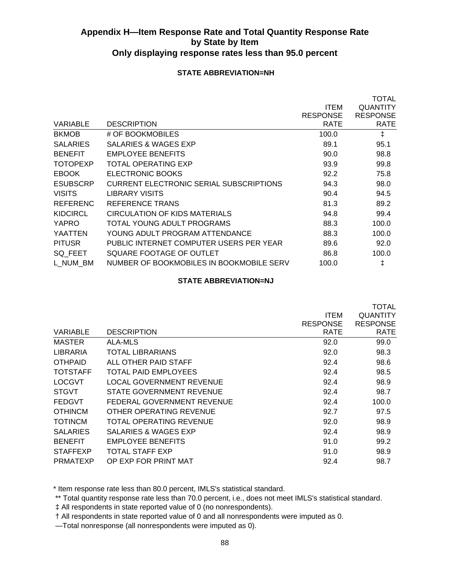### **STATE ABBREVIATION=NH**

|                 |                                          |                 | TOTAL           |
|-----------------|------------------------------------------|-----------------|-----------------|
|                 |                                          | <b>ITEM</b>     | <b>QUANTITY</b> |
|                 |                                          | <b>RESPONSE</b> | <b>RESPONSE</b> |
| VARIABLE        | <b>DESCRIPTION</b>                       | <b>RATE</b>     | <b>RATE</b>     |
| <b>BKMOB</b>    | # OF BOOKMOBILES                         | 100.0           | ŧ               |
| <b>SALARIES</b> | SALARIES & WAGES EXP                     | 89.1            | 95.1            |
| <b>BENEFIT</b>  | <b>EMPLOYEE BENEFITS</b>                 | 90.0            | 98.8            |
| <b>TOTOPEXP</b> | TOTAL OPERATING EXP                      | 93.9            | 99.8            |
| <b>EBOOK</b>    | ELECTRONIC BOOKS                         | 92.2            | 75.8            |
| <b>ESUBSCRP</b> | CURRENT ELECTRONIC SERIAL SUBSCRIPTIONS  | 94.3            | 98.0            |
| <b>VISITS</b>   | LIBRARY VISITS                           | 90.4            | 94.5            |
| <b>REFERENC</b> | REFERENCE TRANS                          | 81.3            | 89.2            |
| <b>KIDCIRCL</b> | CIRCULATION OF KIDS MATERIALS            | 94.8            | 99.4            |
| <b>YAPRO</b>    | TOTAL YOUNG ADULT PROGRAMS               | 88.3            | 100.0           |
| YAATTEN         | YOUNG ADULT PROGRAM ATTENDANCE           | 88.3            | 100.0           |
| <b>PITUSR</b>   | PUBLIC INTERNET COMPUTER USERS PER YEAR  | 89.6            | 92.0            |
| SQ_FEET         | SQUARE FOOTAGE OF OUTLET                 | 86.8            | 100.0           |
| L NUM BM        | NUMBER OF BOOKMOBILES IN BOOKMOBILE SERV | 100.0           | ŧ               |
|                 |                                          |                 |                 |

### **STATE ABBREVIATION=NJ**

|                 |                            |                 | TOTAL           |  |
|-----------------|----------------------------|-----------------|-----------------|--|
|                 |                            | <b>ITEM</b>     | QUANTITY        |  |
|                 |                            | <b>RESPONSE</b> | <b>RESPONSE</b> |  |
| VARIABLE        | <b>DESCRIPTION</b>         | <b>RATE</b>     | <b>RATE</b>     |  |
| <b>MASTER</b>   | ALA-MLS                    | 92.0            | 99.0            |  |
| LIBRARIA        | TOTAL LIBRARIANS           | 92.0            | 98.3            |  |
| <b>OTHPAID</b>  | ALL OTHER PAID STAFF       | 92.4            | 98.6            |  |
| <b>TOTSTAFF</b> | TOTAL PAID EMPLOYEES       | 92.4            | 98.5            |  |
| <b>LOCGVT</b>   | LOCAL GOVERNMENT REVENUE   | 92.4            | 98.9            |  |
| <b>STGVT</b>    | STATE GOVERNMENT REVENUE   | 92.4            | 98.7            |  |
| <b>FEDGVT</b>   | FEDERAL GOVERNMENT REVENUE | 92.4            | 100.0           |  |
| <b>OTHINCM</b>  | OTHER OPERATING REVENUE    | 92.7            | 97.5            |  |
| <b>TOTINCM</b>  | TOTAL OPERATING REVENUE    | 92.0            | 98.9            |  |
| <b>SALARIES</b> | SALARIES & WAGES EXP       | 92.4            | 98.9            |  |
| <b>BENEFIT</b>  | <b>EMPLOYEE BENEFITS</b>   | 91.0            | 99.2            |  |
| <b>STAFFEXP</b> | TOTAL STAFF EXP            | 91.0            | 98.9            |  |
| <b>PRMATEXP</b> | OP EXP FOR PRINT MAT       | 92.4            | 98.7            |  |

\* Item response rate less than 80.0 percent, IMLS's statistical standard.

\*\* Total quantity response rate less than 70.0 percent, i.e., does not meet IMLS's statistical standard.

‡ All respondents in state reported value of 0 (no nonrespondents).

† All respondents in state reported value of 0 and all nonrespondents were imputed as 0.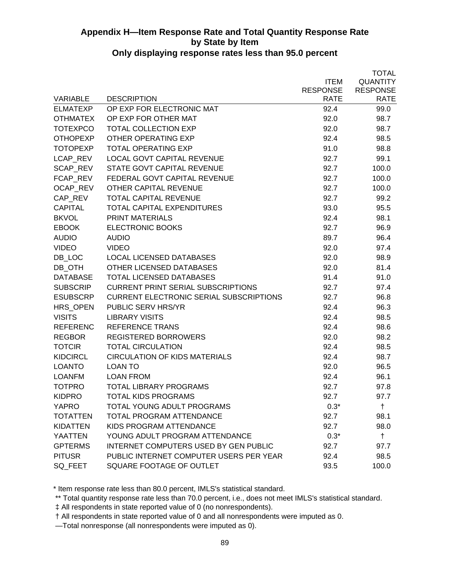|                 |                                                |                 | <b>TOTAL</b>    |
|-----------------|------------------------------------------------|-----------------|-----------------|
|                 |                                                | <b>ITEM</b>     | <b>QUANTITY</b> |
|                 |                                                | <b>RESPONSE</b> | <b>RESPONSE</b> |
| <b>VARIABLE</b> | <b>DESCRIPTION</b>                             | <b>RATE</b>     | <b>RATE</b>     |
| <b>ELMATEXP</b> | OP EXP FOR ELECTRONIC MAT                      | 92.4            | 99.0            |
| <b>OTHMATEX</b> | OP EXP FOR OTHER MAT                           | 92.0            | 98.7            |
| <b>TOTEXPCO</b> | <b>TOTAL COLLECTION EXP</b>                    | 92.0            | 98.7            |
| <b>OTHOPEXP</b> | OTHER OPERATING EXP                            | 92.4            | 98.5            |
| <b>TOTOPEXP</b> | <b>TOTAL OPERATING EXP</b>                     | 91.0            | 98.8            |
| LCAP_REV        | <b>LOCAL GOVT CAPITAL REVENUE</b>              | 92.7            | 99.1            |
| SCAP_REV        | STATE GOVT CAPITAL REVENUE                     | 92.7            | 100.0           |
| FCAP_REV        | FEDERAL GOVT CAPITAL REVENUE                   | 92.7            | 100.0           |
| OCAP_REV        | OTHER CAPITAL REVENUE                          | 92.7            | 100.0           |
| CAP_REV         | <b>TOTAL CAPITAL REVENUE</b>                   | 92.7            | 99.2            |
| <b>CAPITAL</b>  | <b>TOTAL CAPITAL EXPENDITURES</b>              | 93.0            | 95.5            |
| <b>BKVOL</b>    | <b>PRINT MATERIALS</b>                         | 92.4            | 98.1            |
| <b>EBOOK</b>    | <b>ELECTRONIC BOOKS</b>                        | 92.7            | 96.9            |
| <b>AUDIO</b>    | <b>AUDIO</b>                                   | 89.7            | 96.4            |
| <b>VIDEO</b>    | <b>VIDEO</b>                                   | 92.0            | 97.4            |
| DB LOC          | <b>LOCAL LICENSED DATABASES</b>                | 92.0            | 98.9            |
| DB_OTH          | OTHER LICENSED DATABASES                       | 92.0            | 81.4            |
| <b>DATABASE</b> | <b>TOTAL LICENSED DATABASES</b>                | 91.4            | 91.0            |
| <b>SUBSCRIP</b> | <b>CURRENT PRINT SERIAL SUBSCRIPTIONS</b>      | 92.7            | 97.4            |
| <b>ESUBSCRP</b> | <b>CURRENT ELECTRONIC SERIAL SUBSCRIPTIONS</b> | 92.7            | 96.8            |
| HRS OPEN        | <b>PUBLIC SERV HRS/YR</b>                      | 92.4            | 96.3            |
| <b>VISITS</b>   | <b>LIBRARY VISITS</b>                          | 92.4            | 98.5            |
| <b>REFERENC</b> | REFERENCE TRANS                                | 92.4            | 98.6            |
| <b>REGBOR</b>   | <b>REGISTERED BORROWERS</b>                    | 92.0            | 98.2            |
| <b>TOTCIR</b>   | <b>TOTAL CIRCULATION</b>                       | 92.4            | 98.5            |
| <b>KIDCIRCL</b> | <b>CIRCULATION OF KIDS MATERIALS</b>           | 92.4            | 98.7            |
| <b>LOANTO</b>   | <b>LOAN TO</b>                                 | 92.0            | 96.5            |
| <b>LOANFM</b>   | <b>LOAN FROM</b>                               | 92.4            | 96.1            |
| <b>TOTPRO</b>   | <b>TOTAL LIBRARY PROGRAMS</b>                  | 92.7            | 97.8            |
| <b>KIDPRO</b>   | <b>TOTAL KIDS PROGRAMS</b>                     | 92.7            | 97.7            |
| <b>YAPRO</b>    | TOTAL YOUNG ADULT PROGRAMS                     | $0.3*$          | $\ddagger$      |
| <b>TOTATTEN</b> | <b>TOTAL PROGRAM ATTENDANCE</b>                | 92.7            | 98.1            |
| <b>KIDATTEN</b> | KIDS PROGRAM ATTENDANCE                        | 92.7            | 98.0            |
| YAATTEN         | YOUNG ADULT PROGRAM ATTENDANCE                 | $0.3*$          | $\ddagger$      |
| <b>GPTERMS</b>  | <b>INTERNET COMPUTERS USED BY GEN PUBLIC</b>   | 92.7            | 97.7            |
| <b>PITUSR</b>   | PUBLIC INTERNET COMPUTER USERS PER YEAR        | 92.4            | 98.5            |
| SQ_FEET         | SQUARE FOOTAGE OF OUTLET                       | 93.5            | 100.0           |

\* Item response rate less than 80.0 percent, IMLS's statistical standard.

\*\* Total quantity response rate less than 70.0 percent, i.e., does not meet IMLS's statistical standard.

‡ All respondents in state reported value of 0 (no nonrespondents).

† All respondents in state reported value of 0 and all nonrespondents were imputed as 0.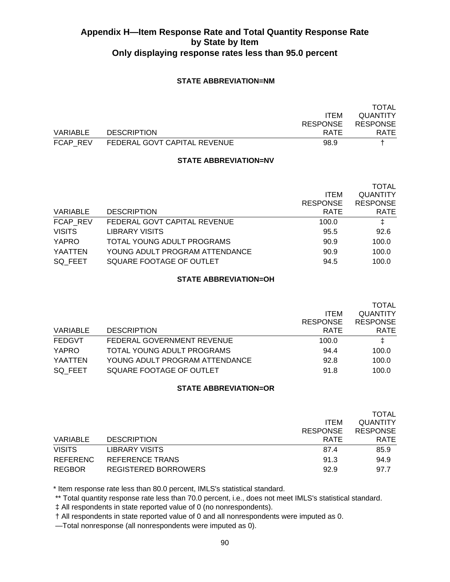### **STATE ABBREVIATION=NM**

|          |                              |                 | TOTAL           |
|----------|------------------------------|-----------------|-----------------|
|          |                              | <b>ITEM</b>     | <b>QUANTITY</b> |
|          |                              | <b>RESPONSE</b> | <b>RESPONSE</b> |
| VARIABLE | <b>DESCRIPTION</b>           | <b>RATE</b>     | <b>RATE</b>     |
| FCAP REV | FEDERAL GOVT CAPITAL REVENUE | 98.9            |                 |

#### **STATE ABBREVIATION=NV**

|               |                                |                 | <b>TOTAL</b>    |
|---------------|--------------------------------|-----------------|-----------------|
|               |                                | <b>ITEM</b>     | <b>QUANTITY</b> |
|               |                                | <b>RESPONSE</b> | <b>RESPONSE</b> |
| VARIABLE      | <b>DESCRIPTION</b>             | <b>RATE</b>     | <b>RATE</b>     |
| FCAP REV      | FEDERAL GOVT CAPITAL REVENUE   | 100.0           | ŧ               |
| <b>VISITS</b> | <b>LIBRARY VISITS</b>          | 95.5            | 92.6            |
| <b>YAPRO</b>  | TOTAL YOUNG ADULT PROGRAMS     | 90.9            | 100.0           |
| YAATTEN       | YOUNG ADULT PROGRAM ATTENDANCE | 90.9            | 100.0           |
| SQ FEET       | SQUARE FOOTAGE OF OUTLET       | 94.5            | 100.0           |
|               |                                |                 |                 |

### **STATE ABBREVIATION=OH**

|                                |                 | <b>TOTAL</b>    |
|--------------------------------|-----------------|-----------------|
|                                | <b>ITEM</b>     | <b>QUANTITY</b> |
|                                | <b>RESPONSE</b> | <b>RESPONSE</b> |
| <b>DESCRIPTION</b>             | <b>RATE</b>     | <b>RATE</b>     |
| FEDERAL GOVERNMENT REVENUE     | 100.0           | ŧ               |
| TOTAL YOUNG ADULT PROGRAMS     | 94.4            | 100.0           |
| YOUNG ADULT PROGRAM ATTENDANCE | 92.8            | 100.0           |
| SQUARE FOOTAGE OF OUTLET       | 91.8            | 100.0           |
|                                |                 |                 |

### **STATE ABBREVIATION=OR**

|               |                       |                 | <b>TOTAL</b>    |
|---------------|-----------------------|-----------------|-----------------|
|               |                       | <b>ITEM</b>     | <b>QUANTITY</b> |
|               |                       | <b>RESPONSE</b> | <b>RESPONSE</b> |
| VARIABLE      | <b>DESCRIPTION</b>    | <b>RATE</b>     | <b>RATE</b>     |
| <b>VISITS</b> | <b>LIBRARY VISITS</b> | 87.4            | 85.9            |
| REFERENC      | REFERENCE TRANS       | 91.3            | 94.9            |
| <b>REGBOR</b> | REGISTERED BORROWERS  | 92.9            | 97.7            |

\* Item response rate less than 80.0 percent, IMLS's statistical standard.

\*\* Total quantity response rate less than 70.0 percent, i.e., does not meet IMLS's statistical standard.

‡ All respondents in state reported value of 0 (no nonrespondents).

† All respondents in state reported value of 0 and all nonrespondents were imputed as 0.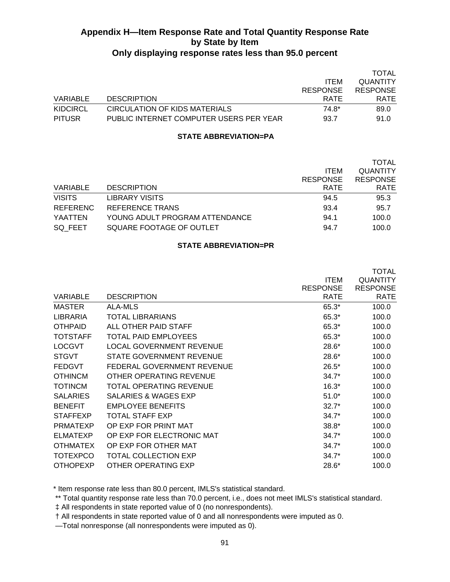|          |                                         |                 | TOTAL           |
|----------|-----------------------------------------|-----------------|-----------------|
|          |                                         | <b>ITEM</b>     | <b>QUANTITY</b> |
|          |                                         | <b>RESPONSE</b> | <b>RESPONSE</b> |
| VARIABLE | <b>DESCRIPTION</b>                      | <b>RATE</b>     | <b>RATE</b>     |
| KIDCIRCL | CIRCULATION OF KIDS MATERIALS           | 74.8*           | 89.0            |
| PITUSR   | PUBLIC INTERNET COMPUTER USERS PER YEAR | 93.7            | 91.0            |

### **STATE ABBREVIATION=PA**

|                                | <b>ITEM</b> | <b>TOTAL</b><br><b>QUANTITY</b><br><b>RESPONSE</b> |
|--------------------------------|-------------|----------------------------------------------------|
| <b>DESCRIPTION</b>             | <b>RATE</b> | <b>RATE</b>                                        |
| <b>LIBRARY VISITS</b>          | 94.5        | 95.3                                               |
| REFERENCE TRANS                | 93.4        | 95.7                                               |
| YOUNG ADULT PROGRAM ATTENDANCE | 94.1        | 100.0                                              |
| SQUARE FOOTAGE OF OUTLET       | 94.7        | 100.0                                              |
|                                |             | <b>RESPONSE</b>                                    |

#### **STATE ABBREVIATION=PR**

| VARIABLE        | <b>DESCRIPTION</b>              | <b>ITEM</b><br><b>RESPONSE</b><br>RATE | <b>TOTAL</b><br><b>QUANTITY</b><br><b>RESPONSE</b><br><b>RATE</b> |
|-----------------|---------------------------------|----------------------------------------|-------------------------------------------------------------------|
| MASTER          | ALA-MLS                         | 65.3*                                  | 100.0                                                             |
| <b>LIBRARIA</b> | TOTAL LIBRARIANS                | 65.3*                                  | 100.0                                                             |
| <b>OTHPAID</b>  | ALL OTHER PAID STAFF            | 65.3*                                  | 100.0                                                             |
| <b>TOTSTAFF</b> | TOTAL PAID EMPLOYEES            | 65.3*                                  | 100.0                                                             |
| <b>LOCGVT</b>   | <b>LOCAL GOVERNMENT REVENUE</b> | $28.6*$                                | 100.0                                                             |
| <b>STGVT</b>    | STATE GOVERNMENT REVENUE        | $28.6*$                                | 100.0                                                             |
| <b>FEDGVT</b>   | FEDERAL GOVERNMENT REVENUE      | $26.5*$                                | 100.0                                                             |
| <b>OTHINCM</b>  | OTHER OPERATING REVENUE         | $34.7*$                                | 100.0                                                             |
| <b>TOTINCM</b>  | TOTAL OPERATING REVENUE         | $16.3*$                                | 100.0                                                             |
| <b>SALARIES</b> | SALARIES & WAGES EXP            | $51.0*$                                | 100.0                                                             |
| <b>BENEFIT</b>  | <b>EMPLOYEE BENEFITS</b>        | $32.7*$                                | 100.0                                                             |
| <b>STAFFEXP</b> | <b>TOTAL STAFF EXP</b>          | $34.7*$                                | 100.0                                                             |
| <b>PRMATEXP</b> | OP EXP FOR PRINT MAT            | $38.8*$                                | 100.0                                                             |
| <b>ELMATEXP</b> | OP EXP FOR ELECTRONIC MAT       | $34.7*$                                | 100.0                                                             |
| <b>OTHMATEX</b> | OP EXP FOR OTHER MAT            | $34.7*$                                | 100.0                                                             |
| <b>TOTEXPCO</b> | <b>TOTAL COLLECTION EXP</b>     | $34.7*$                                | 100.0                                                             |
| <b>OTHOPEXP</b> | OTHER OPERATING EXP             | 28.6*                                  | 100.0                                                             |

\* Item response rate less than 80.0 percent, IMLS's statistical standard.

\*\* Total quantity response rate less than 70.0 percent, i.e., does not meet IMLS's statistical standard.

‡ All respondents in state reported value of 0 (no nonrespondents).

† All respondents in state reported value of 0 and all nonrespondents were imputed as 0.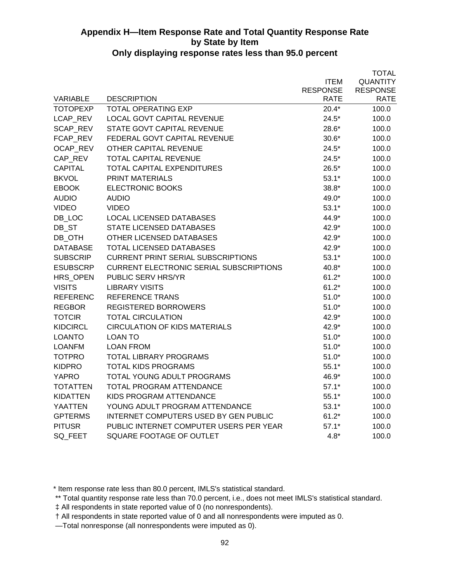|                 |                                                |                 | <b>TOTAL</b>    |
|-----------------|------------------------------------------------|-----------------|-----------------|
|                 |                                                | <b>ITEM</b>     | <b>QUANTITY</b> |
|                 |                                                | <b>RESPONSE</b> | <b>RESPONSE</b> |
| VARIABLE        | <b>DESCRIPTION</b>                             | RATE            | <b>RATE</b>     |
| <b>TOTOPEXP</b> | <b>TOTAL OPERATING EXP</b>                     | $20.4*$         | 100.0           |
| LCAP_REV        | <b>LOCAL GOVT CAPITAL REVENUE</b>              | $24.5*$         | 100.0           |
| SCAP_REV        | STATE GOVT CAPITAL REVENUE                     | 28.6*           | 100.0           |
| FCAP_REV        | FEDERAL GOVT CAPITAL REVENUE                   | $30.6*$         | 100.0           |
| OCAP_REV        | <b>OTHER CAPITAL REVENUE</b>                   | $24.5*$         | 100.0           |
| CAP_REV         | <b>TOTAL CAPITAL REVENUE</b>                   | $24.5*$         | 100.0           |
| <b>CAPITAL</b>  | <b>TOTAL CAPITAL EXPENDITURES</b>              | $26.5*$         | 100.0           |
| <b>BKVOL</b>    | <b>PRINT MATERIALS</b>                         | $53.1*$         | 100.0           |
| <b>EBOOK</b>    | <b>ELECTRONIC BOOKS</b>                        | $38.8*$         | 100.0           |
| <b>AUDIO</b>    | <b>AUDIO</b>                                   | 49.0*           | 100.0           |
| <b>VIDEO</b>    | <b>VIDEO</b>                                   | $53.1*$         | 100.0           |
| DB_LOC          | <b>LOCAL LICENSED DATABASES</b>                | 44.9*           | 100.0           |
| DB_ST           | <b>STATE LICENSED DATABASES</b>                | 42.9*           | 100.0           |
| DB_OTH          | <b>OTHER LICENSED DATABASES</b>                | 42.9*           | 100.0           |
| <b>DATABASE</b> | <b>TOTAL LICENSED DATABASES</b>                | 42.9*           | 100.0           |
| <b>SUBSCRIP</b> | <b>CURRENT PRINT SERIAL SUBSCRIPTIONS</b>      | $53.1*$         | 100.0           |
| <b>ESUBSCRP</b> | <b>CURRENT ELECTRONIC SERIAL SUBSCRIPTIONS</b> | 40.8*           | 100.0           |
| HRS_OPEN        | <b>PUBLIC SERV HRS/YR</b>                      | $61.2*$         | 100.0           |
| <b>VISITS</b>   | <b>LIBRARY VISITS</b>                          | $61.2*$         | 100.0           |
| <b>REFERENC</b> | <b>REFERENCE TRANS</b>                         | $51.0*$         | 100.0           |
| <b>REGBOR</b>   | <b>REGISTERED BORROWERS</b>                    | $51.0*$         | 100.0           |
| <b>TOTCIR</b>   | <b>TOTAL CIRCULATION</b>                       | 42.9*           | 100.0           |
| <b>KIDCIRCL</b> | <b>CIRCULATION OF KIDS MATERIALS</b>           | 42.9*           | 100.0           |
| <b>LOANTO</b>   | <b>LOAN TO</b>                                 | $51.0*$         | 100.0           |
| <b>LOANFM</b>   | <b>LOAN FROM</b>                               | $51.0*$         | 100.0           |
| <b>TOTPRO</b>   | <b>TOTAL LIBRARY PROGRAMS</b>                  | $51.0*$         | 100.0           |
| <b>KIDPRO</b>   | <b>TOTAL KIDS PROGRAMS</b>                     | $55.1*$         | 100.0           |
| <b>YAPRO</b>    | <b>TOTAL YOUNG ADULT PROGRAMS</b>              | 46.9*           | 100.0           |
| <b>TOTATTEN</b> | <b>TOTAL PROGRAM ATTENDANCE</b>                | $57.1*$         | 100.0           |
| <b>KIDATTEN</b> | KIDS PROGRAM ATTENDANCE                        | $55.1*$         | 100.0           |
| YAATTEN         | YOUNG ADULT PROGRAM ATTENDANCE                 | $53.1*$         | 100.0           |
| <b>GPTERMS</b>  | <b>INTERNET COMPUTERS USED BY GEN PUBLIC</b>   | $61.2*$         | 100.0           |
| <b>PITUSR</b>   | PUBLIC INTERNET COMPUTER USERS PER YEAR        | $57.1*$         | 100.0           |
| SQ FEET         | SQUARE FOOTAGE OF OUTLET                       | $4.8*$          | 100.0           |
|                 |                                                |                 |                 |

\* Item response rate less than 80.0 percent, IMLS's statistical standard.

\*\* Total quantity response rate less than 70.0 percent, i.e., does not meet IMLS's statistical standard.

 <sup>‡</sup> All respondents in state reported value of 0 (no nonrespondents).

 <sup>†</sup> All respondents in state reported value of 0 and all nonrespondents were imputed as 0.

 <sup>—</sup>Total nonresponse (all nonrespondents were imputed as 0).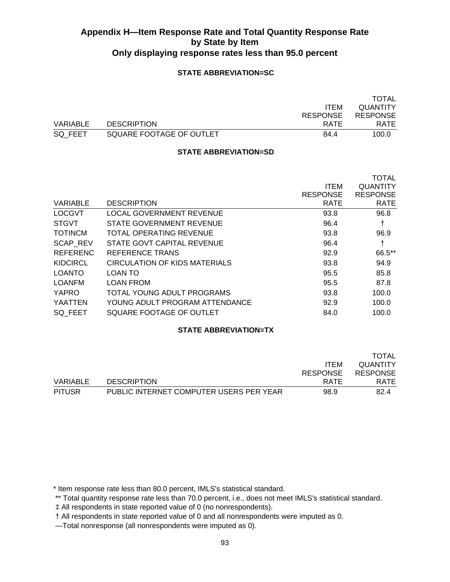### **STATE ABBREVIATION=SC**

|          |                          |                 | TOTAL           |
|----------|--------------------------|-----------------|-----------------|
|          |                          | <b>ITEM</b>     | <b>QUANTITY</b> |
|          |                          | <b>RESPONSE</b> | <b>RESPONSE</b> |
| VARIABLE | <b>DESCRIPTION</b>       | RATE            | <b>RATE</b>     |
| SQ FEET  | SQUARE FOOTAGE OF OUTLET | 84.4            | 100.0           |

#### **STATE ABBREVIATION=SD**

|                 |                                |                 | <b>TOTAL</b>    |
|-----------------|--------------------------------|-----------------|-----------------|
|                 |                                | <b>ITEM</b>     | <b>QUANTITY</b> |
|                 |                                | <b>RESPONSE</b> | <b>RESPONSE</b> |
| VARIABLE        | <b>DESCRIPTION</b>             | <b>RATE</b>     | <b>RATE</b>     |
| <b>LOCGVT</b>   | LOCAL GOVERNMENT REVENUE       | 93.8            | 96.8            |
| <b>STGVT</b>    | STATE GOVERNMENT REVENUE       | 96.4            | t               |
| <b>TOTINCM</b>  | <b>TOTAL OPERATING REVENUE</b> | 93.8            | 96.9            |
| SCAP_REV        | STATE GOVT CAPITAL REVENUE     | 96.4            | t               |
| <b>REFERENC</b> | REFERENCE TRANS                | 92.9            | 66.5**          |
| <b>KIDCIRCL</b> | CIRCULATION OF KIDS MATERIALS  | 93.8            | 94.9            |
| <b>LOANTO</b>   | LOAN TO                        | 95.5            | 85.8            |
| <b>LOANFM</b>   | <b>LOAN FROM</b>               | 95.5            | 87.8            |
| <b>YAPRO</b>    | TOTAL YOUNG ADULT PROGRAMS     | 93.8            | 100.0           |
| YAATTEN         | YOUNG ADULT PROGRAM ATTENDANCE | 92.9            | 100.0           |
| SQ FEET         | SQUARE FOOTAGE OF OUTLET       | 84.0            | 100.0           |
|                 |                                |                 |                 |

### **STATE ABBREVIATION=TX**

|               |                                         |                 | TOTAL           |
|---------------|-----------------------------------------|-----------------|-----------------|
|               |                                         | <b>ITEM</b>     | <b>QUANTITY</b> |
|               |                                         | <b>RESPONSE</b> | <b>RESPONSE</b> |
| VARIABLE      | <b>DESCRIPTION</b>                      | RATE            | <b>RATE</b>     |
| <b>PITUSR</b> | PUBLIC INTERNET COMPUTER USERS PER YEAR | 98.9            | 82.4            |

\* Item response rate less than 80.0 percent, IMLS's statistical standard.

\*\* Total quantity response rate less than 70.0 percent, i.e., does not meet IMLS's statistical standard.

‡ All respondents in state reported value of 0 (no nonrespondents).

† All respondents in state reported value of 0 and all nonrespondents were imputed as 0.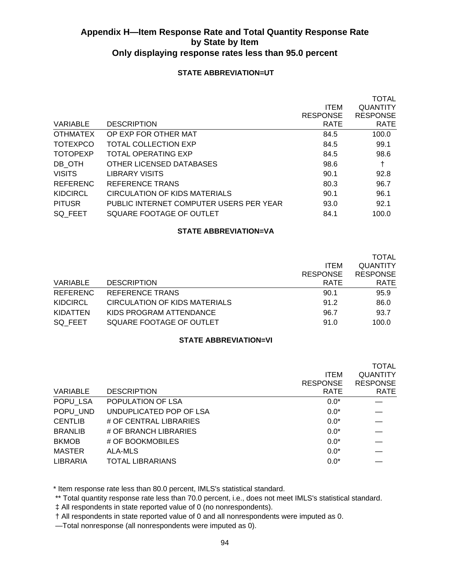### **STATE ABBREVIATION=UT**

|                 |                                         |                 | <b>TOTAL</b>    |
|-----------------|-----------------------------------------|-----------------|-----------------|
|                 |                                         | <b>ITEM</b>     | <b>QUANTITY</b> |
|                 |                                         | <b>RESPONSE</b> | <b>RESPONSE</b> |
| VARIABLE        | <b>DESCRIPTION</b>                      | <b>RATE</b>     | <b>RATE</b>     |
| <b>OTHMATEX</b> | OP EXP FOR OTHER MAT                    | 84.5            | 100.0           |
| <b>TOTEXPCO</b> | <b>TOTAL COLLECTION EXP</b>             | 84.5            | 99.1            |
| <b>TOTOPEXP</b> | TOTAL OPERATING EXP                     | 84.5            | 98.6            |
| DB OTH          | OTHER LICENSED DATABASES                | 98.6            | t               |
| <b>VISITS</b>   | LIBRARY VISITS                          | 90.1            | 92.8            |
| <b>REFERENC</b> | REFERENCE TRANS                         | 80.3            | 96.7            |
| <b>KIDCIRCL</b> | CIRCULATION OF KIDS MATERIALS           | 90.1            | 96.1            |
| <b>PITUSR</b>   | PUBLIC INTERNET COMPUTER USERS PER YEAR | 93.0            | 92.1            |
| SQ FEET         | SQUARE FOOTAGE OF OUTLET                | 84.1            | 100.0           |
|                 |                                         |                 |                 |

### **STATE ABBREVIATION=VA**

|                 |                               | <b>ITEM</b><br><b>RESPONSE</b> | <b>TOTAL</b><br><b>QUANTITY</b><br><b>RESPONSE</b> |
|-----------------|-------------------------------|--------------------------------|----------------------------------------------------|
| <b>VARIABLE</b> | <b>DESCRIPTION</b>            | <b>RATE</b>                    | <b>RATE</b>                                        |
| <b>REFERENC</b> | <b>REFERENCE TRANS</b>        | 90.1                           | 95.9                                               |
| <b>KIDCIRCL</b> | CIRCULATION OF KIDS MATERIALS | 91.2                           | 86.0                                               |
| KIDATTEN        | KIDS PROGRAM ATTENDANCE       | 96.7                           | 93.7                                               |
| SQ FEET         | SQUARE FOOTAGE OF OUTLET      | 91.0                           | 100.0                                              |

### **STATE ABBREVIATION=VI**

|                 |                         |                 | <b>TOTAL</b>    |
|-----------------|-------------------------|-----------------|-----------------|
|                 |                         | <b>ITEM</b>     | <b>QUANTITY</b> |
|                 |                         | <b>RESPONSE</b> | <b>RESPONSE</b> |
| VARIABLE        | <b>DESCRIPTION</b>      | <b>RATE</b>     | <b>RATE</b>     |
| POPU LSA        | POPULATION OF LSA       | $0.0*$          |                 |
| POPU UND        | UNDUPLICATED POP OF LSA | $0.0*$          |                 |
| <b>CENTLIB</b>  | # OF CENTRAL LIBRARIES  | $0.0*$          |                 |
| <b>BRANLIB</b>  | # OF BRANCH LIBRARIES   | $0.0*$          |                 |
| <b>BKMOB</b>    | # OF BOOKMOBILES        | $0.0*$          |                 |
| <b>MASTER</b>   | ALA-MLS                 | $0.0*$          |                 |
| <b>LIBRARIA</b> | <b>TOTAL LIBRARIANS</b> | $0.0*$          |                 |

\* Item response rate less than 80.0 percent, IMLS's statistical standard.

\*\* Total quantity response rate less than 70.0 percent, i.e., does not meet IMLS's statistical standard.

‡ All respondents in state reported value of 0 (no nonrespondents).

† All respondents in state reported value of 0 and all nonrespondents were imputed as 0.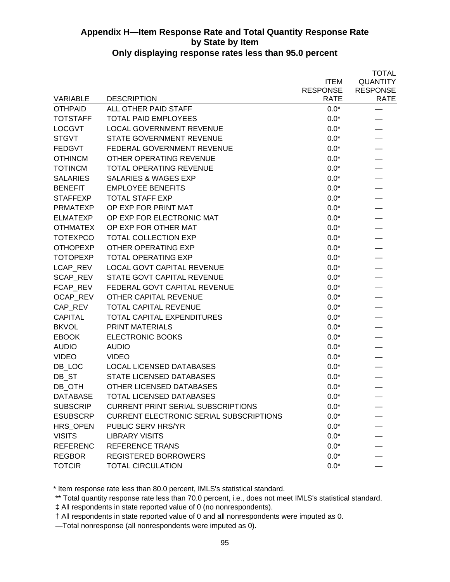|                 |                                                |                 | <b>TOTAL</b>    |
|-----------------|------------------------------------------------|-----------------|-----------------|
|                 |                                                | <b>ITEM</b>     | <b>QUANTITY</b> |
|                 |                                                | <b>RESPONSE</b> | <b>RESPONSE</b> |
| <b>VARIABLE</b> | <b>DESCRIPTION</b>                             | <b>RATE</b>     | <b>RATE</b>     |
| <b>OTHPAID</b>  | ALL OTHER PAID STAFF                           | $0.0*$          |                 |
| <b>TOTSTAFF</b> | <b>TOTAL PAID EMPLOYEES</b>                    | $0.0*$          |                 |
| <b>LOCGVT</b>   | <b>LOCAL GOVERNMENT REVENUE</b>                | $0.0*$          |                 |
| <b>STGVT</b>    | STATE GOVERNMENT REVENUE                       | $0.0*$          |                 |
| <b>FEDGVT</b>   | FEDERAL GOVERNMENT REVENUE                     | $0.0*$          |                 |
| <b>OTHINCM</b>  | OTHER OPERATING REVENUE                        | $0.0*$          |                 |
| <b>TOTINCM</b>  | <b>TOTAL OPERATING REVENUE</b>                 | $0.0*$          |                 |
| <b>SALARIES</b> | <b>SALARIES &amp; WAGES EXP</b>                | $0.0*$          |                 |
| <b>BENEFIT</b>  | <b>EMPLOYEE BENEFITS</b>                       | $0.0^\star$     |                 |
| <b>STAFFEXP</b> | <b>TOTAL STAFF EXP</b>                         | $0.0*$          |                 |
| <b>PRMATEXP</b> | OP EXP FOR PRINT MAT                           | $0.0*$          |                 |
| <b>ELMATEXP</b> | OP EXP FOR ELECTRONIC MAT                      | $0.0*$          |                 |
| <b>OTHMATEX</b> | OP EXP FOR OTHER MAT                           | $0.0*$          |                 |
| <b>TOTEXPCO</b> | <b>TOTAL COLLECTION EXP</b>                    | $0.0*$          |                 |
| <b>OTHOPEXP</b> | OTHER OPERATING EXP                            | $0.0*$          |                 |
| <b>TOTOPEXP</b> | <b>TOTAL OPERATING EXP</b>                     | $0.0*$          |                 |
| LCAP_REV        | <b>LOCAL GOVT CAPITAL REVENUE</b>              | $0.0*$          |                 |
| <b>SCAP REV</b> | STATE GOVT CAPITAL REVENUE                     | $0.0*$          |                 |
| FCAP REV        | FEDERAL GOVT CAPITAL REVENUE                   | $0.0*$          |                 |
| OCAP REV        | OTHER CAPITAL REVENUE                          | $0.0*$          |                 |
| CAP REV         | <b>TOTAL CAPITAL REVENUE</b>                   | $0.0*$          |                 |
| <b>CAPITAL</b>  | TOTAL CAPITAL EXPENDITURES                     | $0.0*$          |                 |
| <b>BKVOL</b>    | <b>PRINT MATERIALS</b>                         | $0.0*$          |                 |
| <b>EBOOK</b>    | ELECTRONIC BOOKS                               | $0.0*$          |                 |
| <b>AUDIO</b>    | <b>AUDIO</b>                                   | $0.0*$          |                 |
| <b>VIDEO</b>    | <b>VIDEO</b>                                   | $0.0*$          |                 |
| DB_LOC          | <b>LOCAL LICENSED DATABASES</b>                | $0.0*$          |                 |
| DB ST           | STATE LICENSED DATABASES                       | $0.0*$          |                 |
| DB OTH          | OTHER LICENSED DATABASES                       | $0.0*$          |                 |
| <b>DATABASE</b> | TOTAL LICENSED DATABASES                       | $0.0*$          |                 |
| <b>SUBSCRIP</b> | <b>CURRENT PRINT SERIAL SUBSCRIPTIONS</b>      | $0.0*$          |                 |
| <b>ESUBSCRP</b> | <b>CURRENT ELECTRONIC SERIAL SUBSCRIPTIONS</b> | $0.0*$          |                 |
| HRS OPEN        | <b>PUBLIC SERV HRS/YR</b>                      | $0.0*$          |                 |
| <b>VISITS</b>   | <b>LIBRARY VISITS</b>                          | $0.0*$          |                 |
| <b>REFERENC</b> | <b>REFERENCE TRANS</b>                         | $0.0*$          |                 |
| <b>REGBOR</b>   | <b>REGISTERED BORROWERS</b>                    | $0.0*$          |                 |
| <b>TOTCIR</b>   | <b>TOTAL CIRCULATION</b>                       | $0.0*$          |                 |

\* Item response rate less than 80.0 percent, IMLS's statistical standard.

\*\* Total quantity response rate less than 70.0 percent, i.e., does not meet IMLS's statistical standard.

‡ All respondents in state reported value of 0 (no nonrespondents).

† All respondents in state reported value of 0 and all nonrespondents were imputed as 0.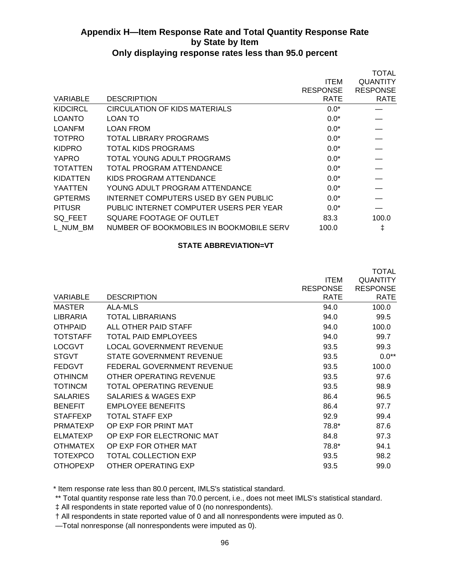|                 |                                          |                 | <b>TOTAL</b>    |
|-----------------|------------------------------------------|-----------------|-----------------|
|                 |                                          | <b>ITEM</b>     | QUANTITY        |
|                 |                                          | <b>RESPONSE</b> | <b>RESPONSE</b> |
| VARIABLE        | <b>DESCRIPTION</b>                       | RATE            | <b>RATE</b>     |
| <b>KIDCIRCL</b> | <b>CIRCULATION OF KIDS MATERIALS</b>     | $0.0*$          |                 |
| <b>LOANTO</b>   | LOAN TO                                  | $0.0*$          |                 |
| <b>LOANFM</b>   | LOAN FROM                                | $0.0*$          |                 |
| <b>TOTPRO</b>   | TOTAL LIBRARY PROGRAMS                   | $0.0*$          |                 |
| <b>KIDPRO</b>   | <b>TOTAL KIDS PROGRAMS</b>               | $0.0*$          |                 |
| <b>YAPRO</b>    | TOTAL YOUNG ADULT PROGRAMS               | $0.0*$          |                 |
| <b>TOTATTEN</b> | TOTAL PROGRAM ATTENDANCE                 | $0.0*$          |                 |
| KIDATTEN        | KIDS PROGRAM ATTENDANCE                  | $0.0*$          |                 |
| <b>YAATTEN</b>  | YOUNG ADULT PROGRAM ATTENDANCE           | $0.0*$          |                 |
| <b>GPTERMS</b>  | INTERNET COMPUTERS USED BY GEN PUBLIC    | $0.0*$          |                 |
| <b>PITUSR</b>   | PUBLIC INTERNET COMPUTER USERS PER YEAR  | $0.0*$          |                 |
| SQ FEET         | SQUARE FOOTAGE OF OUTLET                 | 83.3            | 100.0           |
| L NUM BM        | NUMBER OF BOOKMOBILES IN BOOKMOBILE SERV | 100.0           | ŧ               |
|                 |                                          |                 |                 |

#### **STATE ABBREVIATION=VT**

| VARIABLE        | <b>DESCRIPTION</b>              | <b>ITEM</b><br><b>RESPONSE</b><br><b>RATE</b> | <b>TOTAL</b><br><b>QUANTITY</b><br><b>RESPONSE</b><br><b>RATE</b> |
|-----------------|---------------------------------|-----------------------------------------------|-------------------------------------------------------------------|
| MASTER          | ALA-MLS                         | 94.0                                          | 100.0                                                             |
| <b>LIBRARIA</b> | TOTAL LIBRARIANS                | 94.0                                          | 99.5                                                              |
| <b>OTHPAID</b>  | ALL OTHER PAID STAFF            | 94.0                                          | 100.0                                                             |
| <b>TOTSTAFF</b> | TOTAL PAID EMPLOYEES            | 94.0                                          | 99.7                                                              |
| <b>LOCGVT</b>   | <b>LOCAL GOVERNMENT REVENUE</b> | 93.5                                          | 99.3                                                              |
| <b>STGVT</b>    | STATE GOVERNMENT REVENUE        | 93.5                                          | $0.0**$                                                           |
| <b>FEDGVT</b>   | FEDERAL GOVERNMENT REVENUE      | 93.5                                          | 100.0                                                             |
| <b>OTHINCM</b>  | OTHER OPERATING REVENUE         | 93.5                                          | 97.6                                                              |
| <b>TOTINCM</b>  | TOTAL OPERATING REVENUE         | 93.5                                          | 98.9                                                              |
| <b>SALARIES</b> | SALARIES & WAGES EXP            | 86.4                                          | 96.5                                                              |
| <b>BENEFIT</b>  | <b>EMPLOYEE BENEFITS</b>        | 86.4                                          | 97.7                                                              |
| <b>STAFFEXP</b> | <b>TOTAL STAFF EXP</b>          | 92.9                                          | 99.4                                                              |
| <b>PRMATEXP</b> | OP EXP FOR PRINT MAT            | 78.8*                                         | 87.6                                                              |
| <b>ELMATEXP</b> | OP EXP FOR ELECTRONIC MAT       | 84.8                                          | 97.3                                                              |
| <b>OTHMATEX</b> | OP EXP FOR OTHER MAT            | 78.8*                                         | 94.1                                                              |
| <b>TOTEXPCO</b> | <b>TOTAL COLLECTION EXP</b>     | 93.5                                          | 98.2                                                              |
| <b>OTHOPEXP</b> | OTHER OPERATING EXP             | 93.5                                          | 99.0                                                              |

\* Item response rate less than 80.0 percent, IMLS's statistical standard.

\*\* Total quantity response rate less than 70.0 percent, i.e., does not meet IMLS's statistical standard.

‡ All respondents in state reported value of 0 (no nonrespondents).

† All respondents in state reported value of 0 and all nonrespondents were imputed as 0.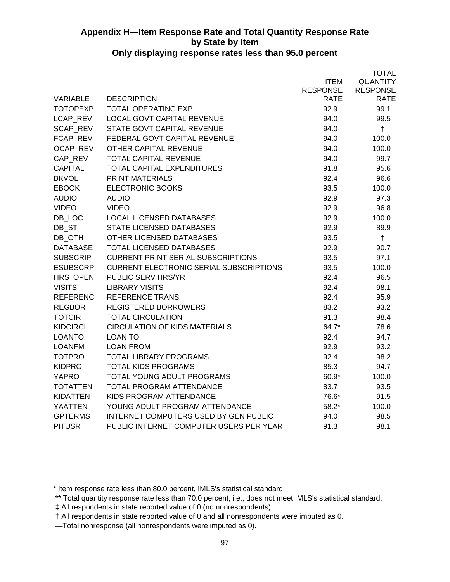|                 |                                                |                 | <b>TOTAL</b>    |
|-----------------|------------------------------------------------|-----------------|-----------------|
|                 |                                                | <b>ITEM</b>     | <b>QUANTITY</b> |
|                 |                                                | <b>RESPONSE</b> | <b>RESPONSE</b> |
| <b>VARIABLE</b> | <b>DESCRIPTION</b>                             | <b>RATE</b>     | <b>RATE</b>     |
| <b>TOTOPEXP</b> | <b>TOTAL OPERATING EXP</b>                     | 92.9            | 99.1            |
| LCAP REV        | <b>LOCAL GOVT CAPITAL REVENUE</b>              | 94.0            | 99.5            |
| <b>SCAP REV</b> | <b>STATE GOVT CAPITAL REVENUE</b>              | 94.0            | $\ddagger$      |
| FCAP_REV        | FEDERAL GOVT CAPITAL REVENUE                   | 94.0            | 100.0           |
| OCAP_REV        | OTHER CAPITAL REVENUE                          | 94.0            | 100.0           |
| CAP REV         | <b>TOTAL CAPITAL REVENUE</b>                   | 94.0            | 99.7            |
| <b>CAPITAL</b>  | TOTAL CAPITAL EXPENDITURES                     | 91.8            | 95.6            |
| <b>BKVOL</b>    | <b>PRINT MATERIALS</b>                         | 92.4            | 96.6            |
| <b>EBOOK</b>    | <b>ELECTRONIC BOOKS</b>                        | 93.5            | 100.0           |
| <b>AUDIO</b>    | <b>AUDIO</b>                                   | 92.9            | 97.3            |
| <b>VIDEO</b>    | <b>VIDEO</b>                                   | 92.9            | 96.8            |
| DB LOC          | <b>LOCAL LICENSED DATABASES</b>                | 92.9            | 100.0           |
| DB_ST           | STATE LICENSED DATABASES                       | 92.9            | 89.9            |
| DB OTH          | OTHER LICENSED DATABASES                       | 93.5            | $\ddagger$      |
| <b>DATABASE</b> | <b>TOTAL LICENSED DATABASES</b>                | 92.9            | 90.7            |
| <b>SUBSCRIP</b> | <b>CURRENT PRINT SERIAL SUBSCRIPTIONS</b>      | 93.5            | 97.1            |
| <b>ESUBSCRP</b> | <b>CURRENT ELECTRONIC SERIAL SUBSCRIPTIONS</b> | 93.5            | 100.0           |
| HRS_OPEN        | <b>PUBLIC SERV HRS/YR</b>                      | 92.4            | 96.5            |
| <b>VISITS</b>   | <b>LIBRARY VISITS</b>                          | 92.4            | 98.1            |
| <b>REFERENC</b> | <b>REFERENCE TRANS</b>                         | 92.4            | 95.9            |
| <b>REGBOR</b>   | <b>REGISTERED BORROWERS</b>                    | 83.2            | 93.2            |
| <b>TOTCIR</b>   | <b>TOTAL CIRCULATION</b>                       | 91.3            | 98.4            |
| <b>KIDCIRCL</b> | <b>CIRCULATION OF KIDS MATERIALS</b>           | 64.7*           | 78.6            |
| <b>LOANTO</b>   | <b>LOAN TO</b>                                 | 92.4            | 94.7            |
| <b>LOANFM</b>   | <b>LOAN FROM</b>                               | 92.9            | 93.2            |
| <b>TOTPRO</b>   | <b>TOTAL LIBRARY PROGRAMS</b>                  | 92.4            | 98.2            |
| <b>KIDPRO</b>   | <b>TOTAL KIDS PROGRAMS</b>                     | 85.3            | 94.7            |
| <b>YAPRO</b>    | TOTAL YOUNG ADULT PROGRAMS                     | 60.9*           | 100.0           |
| <b>TOTATTEN</b> | TOTAL PROGRAM ATTENDANCE                       | 83.7            | 93.5            |
| KIDATTEN        | KIDS PROGRAM ATTENDANCE                        | 76.6*           | 91.5            |
| <b>YAATTEN</b>  | YOUNG ADULT PROGRAM ATTENDANCE                 | $58.2*$         | 100.0           |
| <b>GPTERMS</b>  | <b>INTERNET COMPUTERS USED BY GEN PUBLIC</b>   | 94.0            | 98.5            |
| <b>PITUSR</b>   | PUBLIC INTERNET COMPUTER USERS PER YEAR        | 91.3            | 98.1            |

\* Item response rate less than 80.0 percent, IMLS's statistical standard.

 <sup>\*\*</sup> Total quantity response rate less than 70.0 percent, i.e., does not meet IMLS's statistical standard.

 <sup>‡</sup> All respondents in state reported value of 0 (no nonrespondents).

 <sup>†</sup> All respondents in state reported value of 0 and all nonrespondents were imputed as 0.

 <sup>—</sup>Total nonresponse (all nonrespondents were imputed as 0).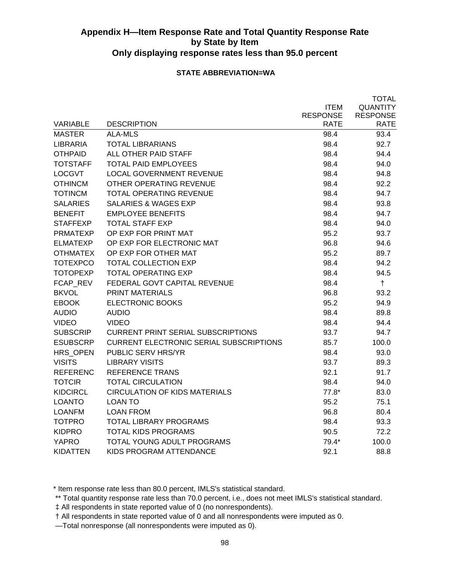### **STATE ABBREVIATION=WA**

|                 |                                                |                 | <b>TOTAL</b>    |
|-----------------|------------------------------------------------|-----------------|-----------------|
|                 |                                                | <b>ITEM</b>     | <b>QUANTITY</b> |
|                 |                                                | <b>RESPONSE</b> | <b>RESPONSE</b> |
| <b>VARIABLE</b> | <b>DESCRIPTION</b>                             | <b>RATE</b>     | <b>RATE</b>     |
| <b>MASTER</b>   | <b>ALA-MLS</b>                                 | 98.4            | 93.4            |
| <b>LIBRARIA</b> | <b>TOTAL LIBRARIANS</b>                        | 98.4            | 92.7            |
| <b>OTHPAID</b>  | ALL OTHER PAID STAFF                           | 98.4            | 94.4            |
| <b>TOTSTAFF</b> | <b>TOTAL PAID EMPLOYEES</b>                    | 98.4            | 94.0            |
| <b>LOCGVT</b>   | <b>LOCAL GOVERNMENT REVENUE</b>                | 98.4            | 94.8            |
| <b>OTHINCM</b>  | OTHER OPERATING REVENUE                        | 98.4            | 92.2            |
| <b>TOTINCM</b>  | <b>TOTAL OPERATING REVENUE</b>                 | 98.4            | 94.7            |
| <b>SALARIES</b> | <b>SALARIES &amp; WAGES EXP</b>                | 98.4            | 93.8            |
| <b>BENEFIT</b>  | <b>EMPLOYEE BENEFITS</b>                       | 98.4            | 94.7            |
| <b>STAFFEXP</b> | <b>TOTAL STAFF EXP</b>                         | 98.4            | 94.0            |
| PRMATEXP        | OP EXP FOR PRINT MAT                           | 95.2            | 93.7            |
| <b>ELMATEXP</b> | OP EXP FOR ELECTRONIC MAT                      | 96.8            | 94.6            |
| <b>OTHMATEX</b> | OP EXP FOR OTHER MAT                           | 95.2            | 89.7            |
| <b>TOTEXPCO</b> | <b>TOTAL COLLECTION EXP</b>                    | 98.4            | 94.2            |
| <b>TOTOPEXP</b> | <b>TOTAL OPERATING EXP</b>                     | 98.4            | 94.5            |
| FCAP REV        | FEDERAL GOVT CAPITAL REVENUE                   | 98.4            | $\ddagger$      |
| <b>BKVOL</b>    | <b>PRINT MATERIALS</b>                         | 96.8            | 93.2            |
| <b>EBOOK</b>    | <b>ELECTRONIC BOOKS</b>                        | 95.2            | 94.9            |
| <b>AUDIO</b>    | <b>AUDIO</b>                                   | 98.4            | 89.8            |
| <b>VIDEO</b>    | <b>VIDEO</b>                                   | 98.4            | 94.4            |
| <b>SUBSCRIP</b> | <b>CURRENT PRINT SERIAL SUBSCRIPTIONS</b>      | 93.7            | 94.7            |
| <b>ESUBSCRP</b> | <b>CURRENT ELECTRONIC SERIAL SUBSCRIPTIONS</b> | 85.7            | 100.0           |
| HRS OPEN        | PUBLIC SERV HRS/YR                             | 98.4            | 93.0            |
| <b>VISITS</b>   | <b>LIBRARY VISITS</b>                          | 93.7            | 89.3            |
| <b>REFERENC</b> | <b>REFERENCE TRANS</b>                         | 92.1            | 91.7            |
| <b>TOTCIR</b>   | <b>TOTAL CIRCULATION</b>                       | 98.4            | 94.0            |
| <b>KIDCIRCL</b> | <b>CIRCULATION OF KIDS MATERIALS</b>           | $77.8*$         | 83.0            |
| <b>LOANTO</b>   | LOAN TO                                        | 95.2            | 75.1            |
| <b>LOANFM</b>   | LOAN FROM                                      | 96.8            | 80.4            |
| <b>TOTPRO</b>   | <b>TOTAL LIBRARY PROGRAMS</b>                  | 98.4            | 93.3            |
| <b>KIDPRO</b>   | <b>TOTAL KIDS PROGRAMS</b>                     | 90.5            | 72.2            |
| <b>YAPRO</b>    | <b>TOTAL YOUNG ADULT PROGRAMS</b>              | 79.4*           | 100.0           |
| KIDATTEN        | KIDS PROGRAM ATTENDANCE                        | 92.1            | 88.8            |

\* Item response rate less than 80.0 percent, IMLS's statistical standard.

\*\* Total quantity response rate less than 70.0 percent, i.e., does not meet IMLS's statistical standard.

‡ All respondents in state reported value of 0 (no nonrespondents).

† All respondents in state reported value of 0 and all nonrespondents were imputed as 0.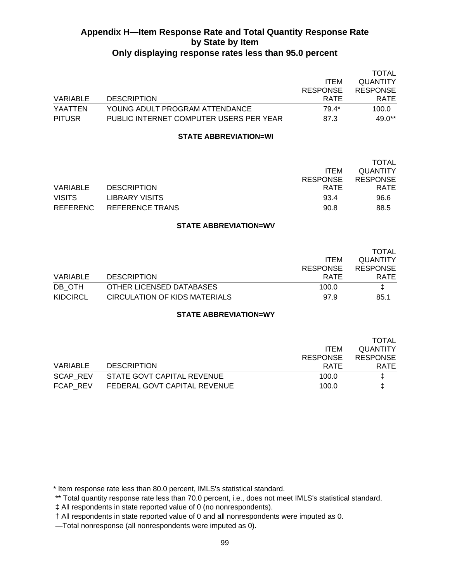|               |                                         |                 | <b>TOTAL</b>    |
|---------------|-----------------------------------------|-----------------|-----------------|
|               |                                         | <b>ITEM</b>     | <b>QUANTITY</b> |
|               |                                         | <b>RESPONSE</b> | <b>RESPONSE</b> |
| VARIABLE      | <b>DESCRIPTION</b>                      | <b>RATE</b>     | <b>RATE</b>     |
| YAATTEN       | YOUNG ADULT PROGRAM ATTENDANCE.         | 79.4*           | 100.0           |
| <b>PITUSR</b> | PUBLIC INTERNET COMPUTER USERS PER YEAR | 87.3            | $49.0**$        |

#### **STATE ABBREVIATION=WI**

|               |                       |                 | <b>TOTAL</b>    |
|---------------|-----------------------|-----------------|-----------------|
|               |                       | <b>ITEM</b>     | <b>QUANTITY</b> |
|               |                       | <b>RESPONSE</b> | <b>RESPONSE</b> |
| VARIABLE      | <b>DESCRIPTION</b>    | <b>RATE</b>     | <b>RATE</b>     |
| <b>VISITS</b> | <b>LIBRARY VISITS</b> | 93.4            | 96.6            |
| REFERENC      | REFERENCE TRANS       | 90.8            | 88.5            |

#### **STATE ABBREVIATION=WV**

|          |                               |                 | TOTAL           |
|----------|-------------------------------|-----------------|-----------------|
|          |                               | <b>ITEM</b>     | <b>QUANTITY</b> |
|          |                               | <b>RESPONSE</b> | <b>RESPONSE</b> |
| VARIABLE | <b>DESCRIPTION</b>            | <b>RATE</b>     | <b>RATE</b>     |
| DB OTH   | OTHER LICENSED DATABASES      | 100.0           | I.              |
| KIDCIRCL | CIRCULATION OF KIDS MATERIALS | 97.9            | 85.1            |

### **STATE ABBREVIATION=WY**

|                              | <b>TOTAL</b>                   |
|------------------------------|--------------------------------|
|                              | <b>QUANTITY</b><br><b>ITEM</b> |
|                              | <b>RESPONSE</b>                |
| <b>DESCRIPTION</b>           | RATE<br><b>RATE</b>            |
| STATE GOVT CAPITAL REVENUE   | 100.0<br>Ŧ.                    |
| FEDERAL GOVT CAPITAL REVENUE | 100.0                          |
|                              | <b>RESPONSE</b>                |

\* Item response rate less than 80.0 percent, IMLS's statistical standard.

 <sup>\*\*</sup> Total quantity response rate less than 70.0 percent, i.e., does not meet IMLS's statistical standard.

 <sup>‡</sup> All respondents in state reported value of 0 (no nonrespondents).

 <sup>†</sup> All respondents in state reported value of 0 and all nonrespondents were imputed as 0.

 <sup>—</sup>Total nonresponse (all nonrespondents were imputed as 0).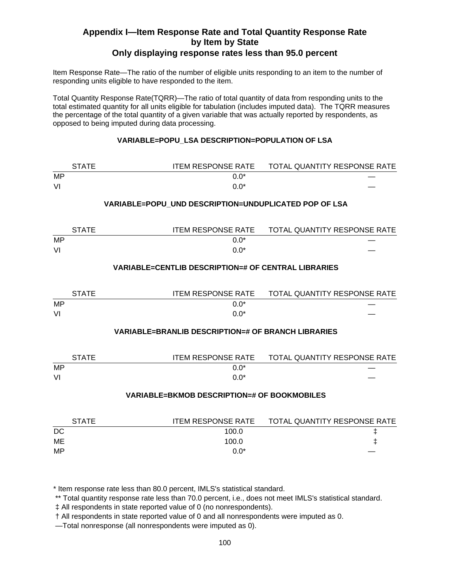# **Appendix I—Item Response Rate and Total Quantity Response Rate by Item by State**

# **Only displaying response rates less than 95.0 percent**

Item Response Rate—The ratio of the number of eligible units responding to an item to the number of responding units eligible to have responded to the item.

Total Quantity Response Rate(TQRR)—The ratio of total quantity of data from responding units to the total estimated quantity for all units eligible for tabulation (includes imputed data). The TQRR measures the percentage of the total quantity of a given variable that was actually reported by respondents, as opposed to being imputed during data processing.

### **VARIABLE=POPU\_LSA DESCRIPTION=POPULATION OF LSA**

|           | <b>STATE</b> | <b>ITEM RESPONSE RATE</b>                                  | TOTAL QUANTITY RESPONSE RATE        |
|-----------|--------------|------------------------------------------------------------|-------------------------------------|
| <b>MP</b> |              | $0.0*$                                                     |                                     |
| VI        |              | $0.0*$                                                     |                                     |
|           |              | VARIABLE=POPU UND DESCRIPTION=UNDUPLICATED POP OF LSA      |                                     |
|           | <b>STATE</b> | <b>ITEM RESPONSE RATE</b>                                  | TOTAL QUANTITY RESPONSE RATE        |
| MP        |              | $0.0*$                                                     |                                     |
| VI        |              | $0.0*$                                                     |                                     |
|           |              | <b>VARIABLE=CENTLIB DESCRIPTION=# OF CENTRAL LIBRARIES</b> |                                     |
|           | <b>STATE</b> | <b>ITEM RESPONSE RATE</b>                                  | <b>TOTAL QUANTITY RESPONSE RATE</b> |
| MP<br>VI  |              | $0.0*$<br>$0.0*$                                           |                                     |
|           |              | <b>VARIABLE=BRANLIB DESCRIPTION=# OF BRANCH LIBRARIES</b>  |                                     |
|           | <b>STATE</b> | <b>ITEM RESPONSE RATE</b>                                  | TOTAL QUANTITY RESPONSE RATE        |
| <b>MP</b> |              | $0.0*$                                                     |                                     |
| VI        |              | $0.0*$                                                     |                                     |
|           |              | <b>VARIABLE=BKMOB DESCRIPTION=# OF BOOKMOBILES</b>         |                                     |
|           | <b>STATE</b> | <b>ITEM RESPONSE RATE</b>                                  | TOTAL QUANTITY RESPONSE RATE        |
| DC        |              | 100.0                                                      | ŧ                                   |
| ME        |              | 100.0                                                      | ŧ                                   |

\* Item response rate less than 80.0 percent, IMLS's statistical standard.

\*\* Total quantity response rate less than 70.0 percent, i.e., does not meet IMLS's statistical standard.

MP  $0.0^*$   $-$ 

‡ All respondents in state reported value of 0 (no nonrespondents).

† All respondents in state reported value of 0 and all nonrespondents were imputed as 0.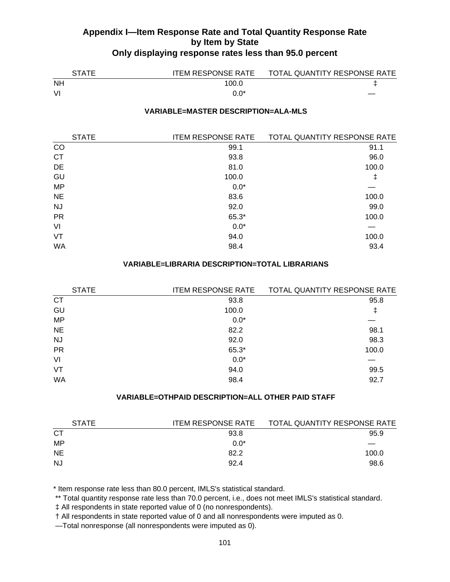| <b>STATE</b> | <b>ITEM RESPONSE RATE</b> | TOTAL QUANTITY RESPONSE RATE |
|--------------|---------------------------|------------------------------|
| <b>NH</b>    | 100.0                     |                              |
| VI           |                           |                              |

#### **VARIABLE=MASTER DESCRIPTION=ALA-MLS**

| <b>STATE</b> | <b>ITEM RESPONSE RATE</b> | TOTAL QUANTITY RESPONSE RATE |
|--------------|---------------------------|------------------------------|
| CO           | 99.1                      | 91.1                         |
| <b>CT</b>    | 93.8                      | 96.0                         |
| DE           | 81.0                      | 100.0                        |
| GU           | 100.0                     | ŧ                            |
| <b>MP</b>    | $0.0*$                    |                              |
| <b>NE</b>    | 83.6                      | 100.0                        |
| <b>NJ</b>    | 92.0                      | 99.0                         |
| <b>PR</b>    | 65.3*                     | 100.0                        |
| VI           | $0.0*$                    |                              |
| VT           | 94.0                      | 100.0                        |
| <b>WA</b>    | 98.4                      | 93.4                         |

#### **VARIABLE=LIBRARIA DESCRIPTION=TOTAL LIBRARIANS**

| <b>STATE</b> | <b>ITEM RESPONSE RATE</b> | TOTAL QUANTITY RESPONSE RATE |
|--------------|---------------------------|------------------------------|
| <b>CT</b>    | 93.8                      | 95.8                         |
| GU           | 100.0                     |                              |
| <b>MP</b>    | $0.0*$                    |                              |
| <b>NE</b>    | 82.2                      | 98.1                         |
| <b>NJ</b>    | 92.0                      | 98.3                         |
| <b>PR</b>    | 65.3*                     | 100.0                        |
| VI           | $0.0*$                    |                              |
| VT           | 94.0                      | 99.5                         |
| WA           | 98.4                      | 92.7                         |

### **VARIABLE=OTHPAID DESCRIPTION=ALL OTHER PAID STAFF**

| <b>STATE</b> | <b>ITEM RESPONSE RATE</b> | TOTAL QUANTITY RESPONSE RATE |
|--------------|---------------------------|------------------------------|
| <b>CT</b>    | 93.8                      | 95.9                         |
| MP           | $0.0*$                    |                              |
| <b>NE</b>    | 82.2                      | 100.0                        |
| <b>NJ</b>    | 92.4                      | 98.6                         |

\* Item response rate less than 80.0 percent, IMLS's statistical standard.

\*\* Total quantity response rate less than 70.0 percent, i.e., does not meet IMLS's statistical standard.

‡ All respondents in state reported value of 0 (no nonrespondents).

† All respondents in state reported value of 0 and all nonrespondents were imputed as 0.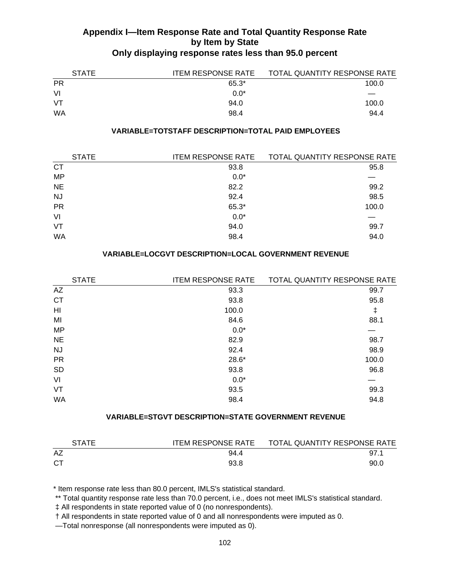| <b>STATE</b> | <b>ITEM RESPONSE RATE</b> | TOTAL QUANTITY RESPONSE RATE |
|--------------|---------------------------|------------------------------|
| <b>PR</b>    | $65.3*$                   | 100.0                        |
| VI           | $0.0*$                    |                              |
| VT           | 94.0                      | 100.0                        |
| WA           | 98.4                      | 94.4                         |

#### **VARIABLE=TOTSTAFF DESCRIPTION=TOTAL PAID EMPLOYEES**

| <b>STATE</b> | <b>ITEM RESPONSE RATE</b> | TOTAL QUANTITY RESPONSE RATE |
|--------------|---------------------------|------------------------------|
| <b>CT</b>    | 93.8                      | 95.8                         |
| <b>MP</b>    | $0.0*$                    |                              |
| <b>NE</b>    | 82.2                      | 99.2                         |
| <b>NJ</b>    | 92.4                      | 98.5                         |
| <b>PR</b>    | 65.3*                     | 100.0                        |
| VI           | $0.0*$                    |                              |
| VT           | 94.0                      | 99.7                         |
| WA           | 98.4                      | 94.0                         |
|              |                           |                              |

#### **VARIABLE=LOCGVT DESCRIPTION=LOCAL GOVERNMENT REVENUE**

| <b>STATE</b> | <b>ITEM RESPONSE RATE</b> | TOTAL QUANTITY RESPONSE RATE |
|--------------|---------------------------|------------------------------|
| AZ           | 93.3                      | 99.7                         |
| <b>CT</b>    | 93.8                      | 95.8                         |
| HI           | 100.0                     | ŧ                            |
| MI           | 84.6                      | 88.1                         |
| <b>MP</b>    | $0.0*$                    |                              |
| <b>NE</b>    | 82.9                      | 98.7                         |
| <b>NJ</b>    | 92.4                      | 98.9                         |
| <b>PR</b>    | $28.6*$                   | 100.0                        |
| <b>SD</b>    | 93.8                      | 96.8                         |
| VI           | $0.0*$                    |                              |
| VT           | 93.5                      | 99.3                         |
| <b>WA</b>    | 98.4                      | 94.8                         |
|              |                           |                              |

#### **VARIABLE=STGVT DESCRIPTION=STATE GOVERNMENT REVENUE**

| <b>STATE</b> | <b>ITEM RESPONSE RATE</b> | TOTAL QUANTITY RESPONSE RATE |
|--------------|---------------------------|------------------------------|
| AZ           | 94.4                      | 97.1                         |
| СT           | 93.8                      | 90.0                         |

\* Item response rate less than 80.0 percent, IMLS's statistical standard.

\*\* Total quantity response rate less than 70.0 percent, i.e., does not meet IMLS's statistical standard.

‡ All respondents in state reported value of 0 (no nonrespondents).

† All respondents in state reported value of 0 and all nonrespondents were imputed as 0.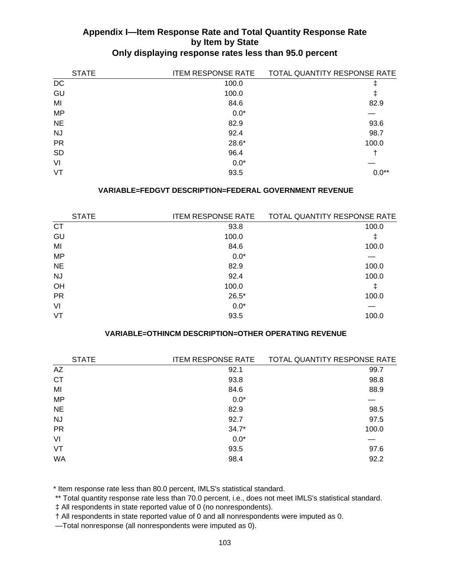| <b>STATE</b> | <b>ITEM RESPONSE RATE</b> | TOTAL QUANTITY RESPONSE RATE |
|--------------|---------------------------|------------------------------|
| DC           | 100.0                     |                              |
| GU           | 100.0                     | ŧ                            |
| MI           | 84.6                      | 82.9                         |
| <b>MP</b>    | $0.0*$                    |                              |
| <b>NE</b>    | 82.9                      | 93.6                         |
| <b>NJ</b>    | 92.4                      | 98.7                         |
| <b>PR</b>    | 28.6*                     | 100.0                        |
| <b>SD</b>    | 96.4                      |                              |
| VI           | $0.0*$                    |                              |
| VT           | 93.5                      | $0.0**$                      |

#### **VARIABLE=FEDGVT DESCRIPTION=FEDERAL GOVERNMENT REVENUE**

| <b>STATE</b> | <b>ITEM RESPONSE RATE</b> | TOTAL QUANTITY RESPONSE RATE |
|--------------|---------------------------|------------------------------|
| <b>CT</b>    | 93.8                      | 100.0                        |
| GU           | 100.0                     | ∓                            |
| MI           | 84.6                      | 100.0                        |
| <b>MP</b>    | $0.0*$                    |                              |
| <b>NE</b>    | 82.9                      | 100.0                        |
| NJ.          | 92.4                      | 100.0                        |
| OH           | 100.0                     |                              |
| <b>PR</b>    | $26.5*$                   | 100.0                        |
| VI           | $0.0*$                    |                              |
| VT           | 93.5                      | 100.0                        |
|              |                           |                              |

#### **VARIABLE=OTHINCM DESCRIPTION=OTHER OPERATING REVENUE**

| <b>ITEM RESPONSE RATE</b> | TOTAL QUANTITY RESPONSE RATE |
|---------------------------|------------------------------|
| 92.1                      | 99.7                         |
| 93.8                      | 98.8                         |
| 84.6                      | 88.9                         |
| $0.0*$                    |                              |
| 82.9                      | 98.5                         |
| 92.7                      | 97.5                         |
| $34.7*$                   | 100.0                        |
| $0.0*$                    |                              |
| 93.5                      | 97.6                         |
| 98.4                      | 92.2                         |
|                           |                              |

\* Item response rate less than 80.0 percent, IMLS's statistical standard.

\*\* Total quantity response rate less than 70.0 percent, i.e., does not meet IMLS's statistical standard.

‡ All respondents in state reported value of 0 (no nonrespondents).

† All respondents in state reported value of 0 and all nonrespondents were imputed as 0.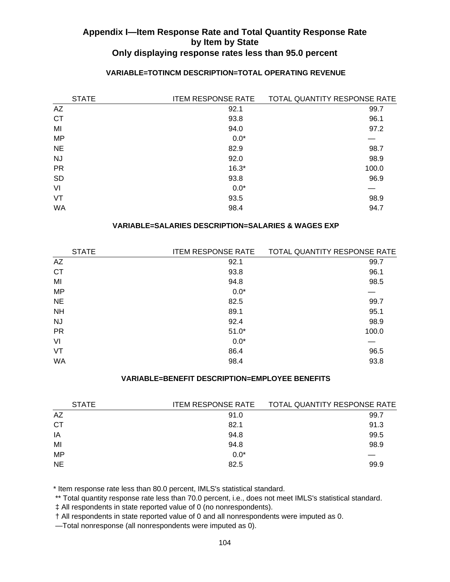| <b>STATE</b> | <b>ITEM RESPONSE RATE</b> | TOTAL QUANTITY RESPONSE RATE |
|--------------|---------------------------|------------------------------|
| AZ           | 92.1                      | 99.7                         |
| <b>CT</b>    | 93.8                      | 96.1                         |
| MI           | 94.0                      | 97.2                         |
| <b>MP</b>    | $0.0*$                    |                              |
| <b>NE</b>    | 82.9                      | 98.7                         |
| <b>NJ</b>    | 92.0                      | 98.9                         |
| <b>PR</b>    | $16.3*$                   | 100.0                        |
| <b>SD</b>    | 93.8                      | 96.9                         |
| VI           | $0.0*$                    |                              |
| VT           | 93.5                      | 98.9                         |
| WA           | 98.4                      | 94.7                         |

## **VARIABLE=TOTINCM DESCRIPTION=TOTAL OPERATING REVENUE**

### **VARIABLE=SALARIES DESCRIPTION=SALARIES & WAGES EXP**

| <b>STATE</b> | <b>ITEM RESPONSE RATE</b> | TOTAL QUANTITY RESPONSE RATE |
|--------------|---------------------------|------------------------------|
| AZ           | 92.1                      | 99.7                         |
| <b>CT</b>    | 93.8                      | 96.1                         |
| MI           | 94.8                      | 98.5                         |
| <b>MP</b>    | $0.0*$                    |                              |
| <b>NE</b>    | 82.5                      | 99.7                         |
| <b>NH</b>    | 89.1                      | 95.1                         |
| <b>NJ</b>    | 92.4                      | 98.9                         |
| <b>PR</b>    | $51.0*$                   | 100.0                        |
| VI           | $0.0*$                    |                              |
| VT           | 86.4                      | 96.5                         |
| <b>WA</b>    | 98.4                      | 93.8                         |
|              |                           |                              |

### **VARIABLE=BENEFIT DESCRIPTION=EMPLOYEE BENEFITS**

| <b>STATE</b> | <b>ITEM RESPONSE RATE</b> | TOTAL QUANTITY RESPONSE RATE |
|--------------|---------------------------|------------------------------|
| AZ           | 91.0                      | 99.7                         |
| CТ           | 82.1                      | 91.3                         |
| IA           | 94.8                      | 99.5                         |
| MI           | 94.8                      | 98.9                         |
| <b>MP</b>    | $0.0*$                    |                              |
| <b>NE</b>    | 82.5                      | 99.9                         |

\* Item response rate less than 80.0 percent, IMLS's statistical standard.

\*\* Total quantity response rate less than 70.0 percent, i.e., does not meet IMLS's statistical standard.

‡ All respondents in state reported value of 0 (no nonrespondents).

† All respondents in state reported value of 0 and all nonrespondents were imputed as 0.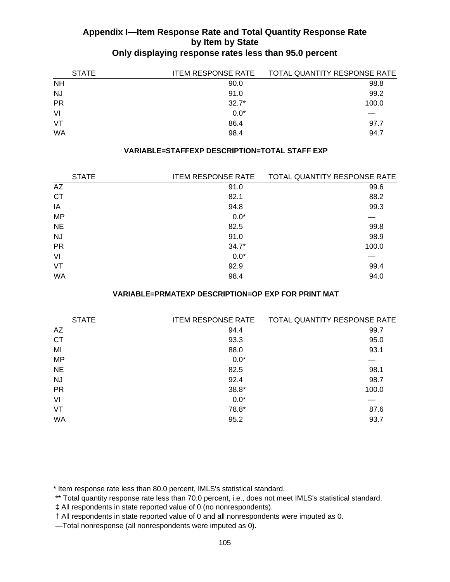| <b>STATE</b> | <b>ITEM RESPONSE RATE</b> | TOTAL QUANTITY RESPONSE RATE |
|--------------|---------------------------|------------------------------|
| <b>NH</b>    | 90.0                      | 98.8                         |
| <b>NJ</b>    | 91.0                      | 99.2                         |
| <b>PR</b>    | $32.7*$                   | 100.0                        |
| VI           | $0.0*$                    |                              |
| VT           | 86.4                      | 97.7                         |
| <b>WA</b>    | 98.4                      | 94.7                         |

#### **VARIABLE=STAFFEXP DESCRIPTION=TOTAL STAFF EXP**

| <b>STATE</b> | <b>ITEM RESPONSE RATE</b> | TOTAL QUANTITY RESPONSE RATE |
|--------------|---------------------------|------------------------------|
| AZ           | 91.0                      | 99.6                         |
| <b>CT</b>    | 82.1                      | 88.2                         |
| IA           | 94.8                      | 99.3                         |
| <b>MP</b>    | $0.0*$                    |                              |
| <b>NE</b>    | 82.5                      | 99.8                         |
| <b>NJ</b>    | 91.0                      | 98.9                         |
| <b>PR</b>    | $34.7*$                   | 100.0                        |
| VI           | $0.0*$                    |                              |
| VT           | 92.9                      | 99.4                         |
| WA           | 98.4                      | 94.0                         |

#### **VARIABLE=PRMATEXP DESCRIPTION=OP EXP FOR PRINT MAT**

| <b>STATE</b> | <b>ITEM RESPONSE RATE</b> | TOTAL QUANTITY RESPONSE RATE |
|--------------|---------------------------|------------------------------|
| AZ           | 94.4                      | 99.7                         |
| <b>CT</b>    | 93.3                      | 95.0                         |
| MI           | 88.0                      | 93.1                         |
| <b>MP</b>    | $0.0*$                    |                              |
| <b>NE</b>    | 82.5                      | 98.1                         |
| <b>NJ</b>    | 92.4                      | 98.7                         |
| <b>PR</b>    | $38.8*$                   | 100.0                        |
| VI           | $0.0*$                    |                              |
| VT           | 78.8*                     | 87.6                         |
| WA           | 95.2                      | 93.7                         |
|              |                           |                              |

\* Item response rate less than 80.0 percent, IMLS's statistical standard.

\*\* Total quantity response rate less than 70.0 percent, i.e., does not meet IMLS's statistical standard.

‡ All respondents in state reported value of 0 (no nonrespondents).

† All respondents in state reported value of 0 and all nonrespondents were imputed as 0.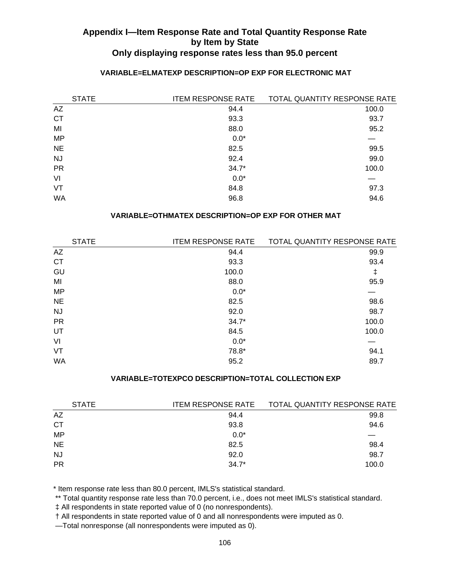| <b>STATE</b> | <b>ITEM RESPONSE RATE</b> | TOTAL QUANTITY RESPONSE RATE |
|--------------|---------------------------|------------------------------|
| AZ           | 94.4                      | 100.0                        |
| <b>CT</b>    | 93.3                      | 93.7                         |
| MI           | 88.0                      | 95.2                         |
| <b>MP</b>    | $0.0*$                    |                              |
| <b>NE</b>    | 82.5                      | 99.5                         |
| <b>NJ</b>    | 92.4                      | 99.0                         |
| <b>PR</b>    | $34.7*$                   | 100.0                        |
| VI           | $0.0*$                    |                              |
| VT           | 84.8                      | 97.3                         |
| <b>WA</b>    | 96.8                      | 94.6                         |

## **VARIABLE=ELMATEXP DESCRIPTION=OP EXP FOR ELECTRONIC MAT**

## **VARIABLE=OTHMATEX DESCRIPTION=OP EXP FOR OTHER MAT**

| <b>STATE</b> | <b>ITEM RESPONSE RATE</b> | TOTAL QUANTITY RESPONSE RATE |
|--------------|---------------------------|------------------------------|
| AZ           | 94.4                      | 99.9                         |
| <b>CT</b>    | 93.3                      | 93.4                         |
| GU           | 100.0                     | ŧ                            |
| MI           | 88.0                      | 95.9                         |
| <b>MP</b>    | $0.0*$                    |                              |
| <b>NE</b>    | 82.5                      | 98.6                         |
| NJ.          | 92.0                      | 98.7                         |
| <b>PR</b>    | $34.7*$                   | 100.0                        |
| UT           | 84.5                      | 100.0                        |
| VI           | $0.0*$                    |                              |
| VT           | 78.8*                     | 94.1                         |
| <b>WA</b>    | 95.2                      | 89.7                         |
|              |                           |                              |

### **VARIABLE=TOTEXPCO DESCRIPTION=TOTAL COLLECTION EXP**

| <b>STATE</b> | <b>ITEM RESPONSE RATE</b> | TOTAL QUANTITY RESPONSE RATE |
|--------------|---------------------------|------------------------------|
| AZ           | 94.4                      | 99.8                         |
| <b>CT</b>    | 93.8                      | 94.6                         |
| <b>MP</b>    | $0.0*$                    |                              |
| <b>NE</b>    | 82.5                      | 98.4                         |
| <b>NJ</b>    | 92.0                      | 98.7                         |
| <b>PR</b>    | $34.7*$                   | 100.0                        |
|              |                           |                              |

\* Item response rate less than 80.0 percent, IMLS's statistical standard.

\*\* Total quantity response rate less than 70.0 percent, i.e., does not meet IMLS's statistical standard.

‡ All respondents in state reported value of 0 (no nonrespondents).

† All respondents in state reported value of 0 and all nonrespondents were imputed as 0.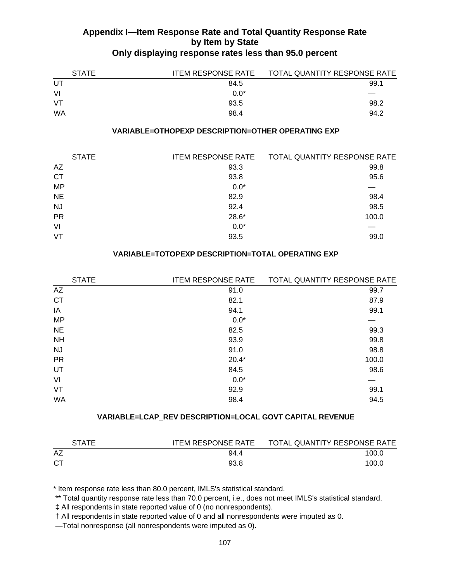| <b>STATE</b> | <b>ITEM RESPONSE RATE</b> | TOTAL QUANTITY RESPONSE RATE |
|--------------|---------------------------|------------------------------|
| UT.          | 84.5                      | 99.1                         |
| VI           | $0.0*$                    |                              |
| VT           | 93.5                      | 98.2                         |
| WA           | 98.4                      | 94.2                         |

### **VARIABLE=OTHOPEXP DESCRIPTION=OTHER OPERATING EXP**

| <b>STATE</b> | <b>ITEM RESPONSE RATE</b> | TOTAL QUANTITY RESPONSE RATE |
|--------------|---------------------------|------------------------------|
| AZ           | 93.3                      | 99.8                         |
| <b>CT</b>    | 93.8                      | 95.6                         |
| <b>MP</b>    | $0.0*$                    |                              |
| <b>NE</b>    | 82.9                      | 98.4                         |
| <b>NJ</b>    | 92.4                      | 98.5                         |
| <b>PR</b>    | 28.6*                     | 100.0                        |
| VI           | $0.0*$                    |                              |
| VT           | 93.5                      | 99.0                         |
|              |                           |                              |

### **VARIABLE=TOTOPEXP DESCRIPTION=TOTAL OPERATING EXP**

| <b>STATE</b> | <b>ITEM RESPONSE RATE</b> | TOTAL QUANTITY RESPONSE RATE |
|--------------|---------------------------|------------------------------|
| AZ           | 91.0                      | 99.7                         |
| <b>CT</b>    | 82.1                      | 87.9                         |
| IA           | 94.1                      | 99.1                         |
| <b>MP</b>    | $0.0*$                    |                              |
| <b>NE</b>    | 82.5                      | 99.3                         |
| <b>NH</b>    | 93.9                      | 99.8                         |
| <b>NJ</b>    | 91.0                      | 98.8                         |
| <b>PR</b>    | $20.4*$                   | 100.0                        |
| UT           | 84.5                      | 98.6                         |
| VI           | $0.0*$                    |                              |
| VT           | 92.9                      | 99.1                         |
| <b>WA</b>    | 98.4                      | 94.5                         |
|              |                           |                              |

## **VARIABLE=LCAP\_REV DESCRIPTION=LOCAL GOVT CAPITAL REVENUE**

| <b>STATE</b> | ITEM RESPONSE RATE | TOTAL QUANTITY RESPONSE RATE |
|--------------|--------------------|------------------------------|
| AZ           | 94.4               | 100.0                        |
| СT           | 93.8               | 100.0                        |

\* Item response rate less than 80.0 percent, IMLS's statistical standard.

\*\* Total quantity response rate less than 70.0 percent, i.e., does not meet IMLS's statistical standard.

‡ All respondents in state reported value of 0 (no nonrespondents).

† All respondents in state reported value of 0 and all nonrespondents were imputed as 0.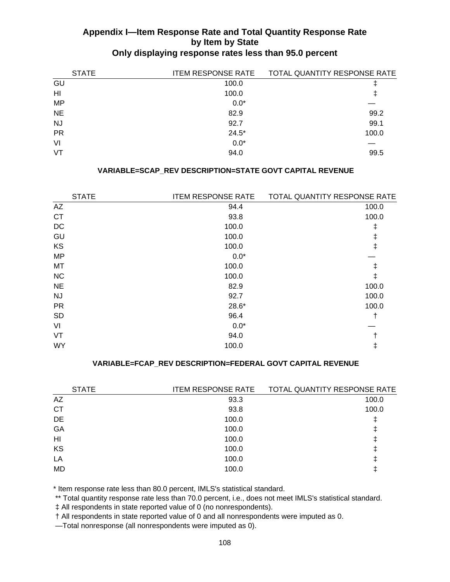| <b>STATE</b> | <b>ITEM RESPONSE RATE</b> | TOTAL QUANTITY RESPONSE RATE |
|--------------|---------------------------|------------------------------|
| GU           | 100.0                     |                              |
| HI           | 100.0                     | ∓                            |
| <b>MP</b>    | $0.0*$                    |                              |
| <b>NE</b>    | 82.9                      | 99.2                         |
| <b>NJ</b>    | 92.7                      | 99.1                         |
| <b>PR</b>    | $24.5*$                   | 100.0                        |
| VI           | $0.0*$                    |                              |
| VT           | 94.0                      | 99.5                         |

## **VARIABLE=SCAP\_REV DESCRIPTION=STATE GOVT CAPITAL REVENUE**

| <b>STATE</b> | <b>ITEM RESPONSE RATE</b> | TOTAL QUANTITY RESPONSE RATE |
|--------------|---------------------------|------------------------------|
| AZ           | 94.4                      | 100.0                        |
| <b>CT</b>    | 93.8                      | 100.0                        |
| DC           | 100.0                     | ŧ                            |
| GU           | 100.0                     | ŧ                            |
| KS           | 100.0                     | ŧ                            |
| <b>MP</b>    | $0.0*$                    |                              |
| <b>MT</b>    | 100.0                     | ŧ                            |
| NC           | 100.0                     | ŧ                            |
| <b>NE</b>    | 82.9                      | 100.0                        |
| <b>NJ</b>    | 92.7                      | 100.0                        |
| <b>PR</b>    | $28.6*$                   | 100.0                        |
| <b>SD</b>    | 96.4                      | t                            |
| VI           | $0.0*$                    |                              |
| VT           | 94.0                      |                              |
| <b>WY</b>    | 100.0                     | ŧ                            |
|              |                           |                              |

#### **VARIABLE=FCAP\_REV DESCRIPTION=FEDERAL GOVT CAPITAL REVENUE**

| <b>STATE</b> | <b>ITEM RESPONSE RATE</b> | TOTAL QUANTITY RESPONSE RATE |
|--------------|---------------------------|------------------------------|
| <b>AZ</b>    | 93.3                      | 100.0                        |
| <b>CT</b>    | 93.8                      | 100.0                        |
| DE           | 100.0                     |                              |
| GA           | 100.0                     |                              |
| HI           | 100.0                     |                              |
| KS           | 100.0                     |                              |
| LA           | 100.0                     |                              |
| <b>MD</b>    | 100.0                     |                              |
|              |                           |                              |

\* Item response rate less than 80.0 percent, IMLS's statistical standard.

\*\* Total quantity response rate less than 70.0 percent, i.e., does not meet IMLS's statistical standard.

‡ All respondents in state reported value of 0 (no nonrespondents).

† All respondents in state reported value of 0 and all nonrespondents were imputed as 0.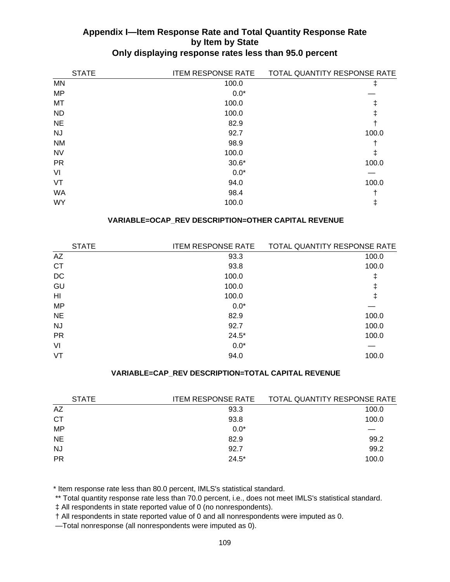| <b>STATE</b> | <b>ITEM RESPONSE RATE</b> | TOTAL QUANTITY RESPONSE RATE |
|--------------|---------------------------|------------------------------|
| <b>MN</b>    | 100.0                     | ŧ                            |
| <b>MP</b>    | $0.0*$                    |                              |
| MT           | 100.0                     | ŧ                            |
| <b>ND</b>    | 100.0                     | ŧ                            |
| <b>NE</b>    | 82.9                      |                              |
| <b>NJ</b>    | 92.7                      | 100.0                        |
| <b>NM</b>    | 98.9                      |                              |
| <b>NV</b>    | 100.0                     | ŧ                            |
| <b>PR</b>    | $30.6*$                   | 100.0                        |
| VI           | $0.0*$                    |                              |
| VT           | 94.0                      | 100.0                        |
| <b>WA</b>    | 98.4                      |                              |
| <b>WY</b>    | 100.0                     | Ŧ                            |

## **VARIABLE=OCAP\_REV DESCRIPTION=OTHER CAPITAL REVENUE**

| <b>STATE</b> | <b>ITEM RESPONSE RATE</b> | TOTAL QUANTITY RESPONSE RATE |
|--------------|---------------------------|------------------------------|
| AZ           | 93.3                      | 100.0                        |
| <b>CT</b>    | 93.8                      | 100.0                        |
| DC           | 100.0                     | ŧ                            |
| GU           | 100.0                     | ŧ                            |
| HI           | 100.0                     | ŧ                            |
| <b>MP</b>    | $0.0*$                    |                              |
| <b>NE</b>    | 82.9                      | 100.0                        |
| <b>NJ</b>    | 92.7                      | 100.0                        |
| <b>PR</b>    | $24.5*$                   | 100.0                        |
| VI           | $0.0*$                    |                              |
| VT           | 94.0                      | 100.0                        |
|              |                           |                              |

### **VARIABLE=CAP\_REV DESCRIPTION=TOTAL CAPITAL REVENUE**

| <b>STATE</b> | <b>ITEM RESPONSE RATE</b> | TOTAL QUANTITY RESPONSE RATE |
|--------------|---------------------------|------------------------------|
| AZ           | 93.3                      | 100.0                        |
| <b>CT</b>    | 93.8                      | 100.0                        |
| <b>MP</b>    | $0.0*$                    |                              |
| <b>NE</b>    | 82.9                      | 99.2                         |
| <b>NJ</b>    | 92.7                      | 99.2                         |
| <b>PR</b>    | $24.5*$                   | 100.0                        |
|              |                           |                              |

\* Item response rate less than 80.0 percent, IMLS's statistical standard.

\*\* Total quantity response rate less than 70.0 percent, i.e., does not meet IMLS's statistical standard.

‡ All respondents in state reported value of 0 (no nonrespondents).

† All respondents in state reported value of 0 and all nonrespondents were imputed as 0.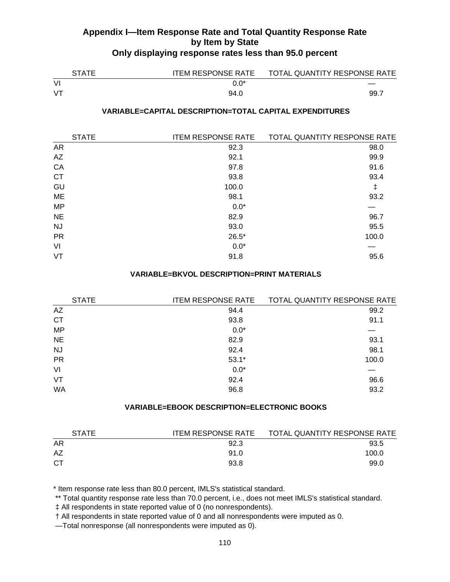| <b>STATE</b> |        | ITEM RESPONSE RATE TOTAL QUANTITY RESPONSE RATE |
|--------------|--------|-------------------------------------------------|
| VI           | $0.0*$ |                                                 |
| VT           | 94.0   | -99.7                                           |

### **VARIABLE=CAPITAL DESCRIPTION=TOTAL CAPITAL EXPENDITURES**

| <b>STATE</b> | <b>ITEM RESPONSE RATE</b> | TOTAL QUANTITY RESPONSE RATE |
|--------------|---------------------------|------------------------------|
| <b>AR</b>    | 92.3                      | 98.0                         |
| AZ           | 92.1                      | 99.9                         |
| CA           | 97.8                      | 91.6                         |
| <b>CT</b>    | 93.8                      | 93.4                         |
| GU           | 100.0                     | ŧ                            |
| <b>ME</b>    | 98.1                      | 93.2                         |
| <b>MP</b>    | $0.0*$                    |                              |
| <b>NE</b>    | 82.9                      | 96.7                         |
| <b>NJ</b>    | 93.0                      | 95.5                         |
| <b>PR</b>    | $26.5*$                   | 100.0                        |
| VI           | $0.0*$                    |                              |
| VT           | 91.8                      | 95.6                         |
|              |                           |                              |

#### **VARIABLE=BKVOL DESCRIPTION=PRINT MATERIALS**

| <b>STATE</b> | <b>ITEM RESPONSE RATE</b> | TOTAL QUANTITY RESPONSE RATE |
|--------------|---------------------------|------------------------------|
| AZ           | 94.4                      | 99.2                         |
| <b>CT</b>    | 93.8                      | 91.1                         |
| <b>MP</b>    | $0.0*$                    |                              |
| <b>NE</b>    | 82.9                      | 93.1                         |
| <b>NJ</b>    | 92.4                      | 98.1                         |
| <b>PR</b>    | $53.1*$                   | 100.0                        |
| VI           | $0.0*$                    |                              |
| VT           | 92.4                      | 96.6                         |
| <b>WA</b>    | 96.8                      | 93.2                         |
|              |                           |                              |

#### **VARIABLE=EBOOK DESCRIPTION=ELECTRONIC BOOKS**

| <b>STATE</b> | <b>ITEM RESPONSE RATE</b> | TOTAL QUANTITY RESPONSE RATE |
|--------------|---------------------------|------------------------------|
| AR           | 92.3                      | 93.5                         |
| AZ           | 91.0                      | 100.0                        |
| СT           | 93.8                      | 99.0                         |

\* Item response rate less than 80.0 percent, IMLS's statistical standard.

\*\* Total quantity response rate less than 70.0 percent, i.e., does not meet IMLS's statistical standard.

‡ All respondents in state reported value of 0 (no nonrespondents).

† All respondents in state reported value of 0 and all nonrespondents were imputed as 0.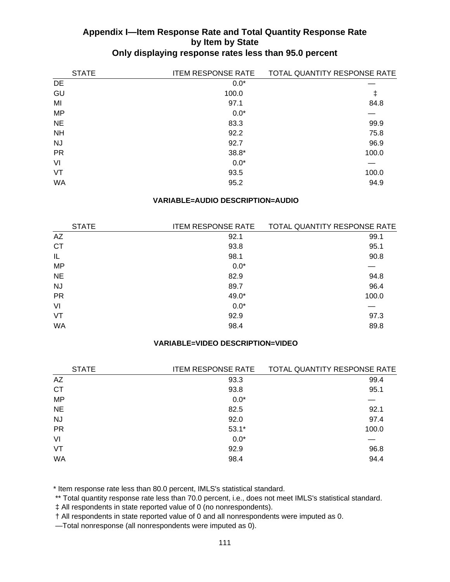| <b>STATE</b> | <b>ITEM RESPONSE RATE</b> | TOTAL QUANTITY RESPONSE RATE |
|--------------|---------------------------|------------------------------|
| DE           | $0.0*$                    |                              |
| GU           | 100.0                     | ŧ                            |
| MI           | 97.1                      | 84.8                         |
| <b>MP</b>    | $0.0*$                    |                              |
| <b>NE</b>    | 83.3                      | 99.9                         |
| <b>NH</b>    | 92.2                      | 75.8                         |
| <b>NJ</b>    | 92.7                      | 96.9                         |
| <b>PR</b>    | $38.8*$                   | 100.0                        |
| VI           | $0.0*$                    |                              |
| VT           | 93.5                      | 100.0                        |
| <b>WA</b>    | 95.2                      | 94.9                         |

#### **VARIABLE=AUDIO DESCRIPTION=AUDIO**

| <b>STATE</b> | <b>ITEM RESPONSE RATE</b> | TOTAL QUANTITY RESPONSE RATE |
|--------------|---------------------------|------------------------------|
| AZ           | 92.1                      | 99.1                         |
| <b>CT</b>    | 93.8                      | 95.1                         |
| IL           | 98.1                      | 90.8                         |
| <b>MP</b>    | $0.0*$                    |                              |
| <b>NE</b>    | 82.9                      | 94.8                         |
| NJ.          | 89.7                      | 96.4                         |
| <b>PR</b>    | $49.0*$                   | 100.0                        |
| VI           | $0.0*$                    |                              |
| VT           | 92.9                      | 97.3                         |
| <b>WA</b>    | 98.4                      | 89.8                         |

## **VARIABLE=VIDEO DESCRIPTION=VIDEO**

| <b>STATE</b> | <b>ITEM RESPONSE RATE</b> | TOTAL QUANTITY RESPONSE RATE |
|--------------|---------------------------|------------------------------|
| AZ           | 93.3                      | 99.4                         |
| <b>CT</b>    | 93.8                      | 95.1                         |
| <b>MP</b>    | $0.0*$                    |                              |
| <b>NE</b>    | 82.5                      | 92.1                         |
| <b>NJ</b>    | 92.0                      | 97.4                         |
| <b>PR</b>    | $53.1*$                   | 100.0                        |
| VI           | $0.0*$                    |                              |
| VT           | 92.9                      | 96.8                         |
| WA           | 98.4                      | 94.4                         |

\* Item response rate less than 80.0 percent, IMLS's statistical standard.

\*\* Total quantity response rate less than 70.0 percent, i.e., does not meet IMLS's statistical standard.

‡ All respondents in state reported value of 0 (no nonrespondents).

† All respondents in state reported value of 0 and all nonrespondents were imputed as 0.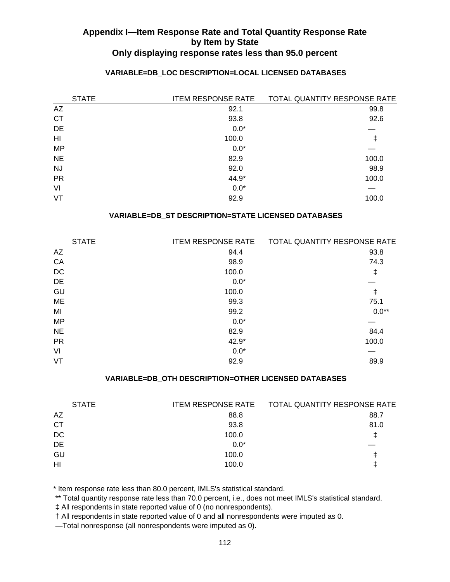| <b>STATE</b>   | <b>ITEM RESPONSE RATE</b> | TOTAL QUANTITY RESPONSE RATE |
|----------------|---------------------------|------------------------------|
| AZ             | 92.1                      | 99.8                         |
| <b>CT</b>      | 93.8                      | 92.6                         |
| DE             | $0.0*$                    |                              |
| H <sub>l</sub> | 100.0                     | ŧ                            |
| <b>MP</b>      | $0.0*$                    |                              |
| <b>NE</b>      | 82.9                      | 100.0                        |
| <b>NJ</b>      | 92.0                      | 98.9                         |
| <b>PR</b>      | 44.9*                     | 100.0                        |
| VI             | $0.0*$                    |                              |
| VT             | 92.9                      | 100.0                        |

## **VARIABLE=DB\_LOC DESCRIPTION=LOCAL LICENSED DATABASES**

## **VARIABLE=DB\_ST DESCRIPTION=STATE LICENSED DATABASES**

| <b>STATE</b> | <b>ITEM RESPONSE RATE</b> | TOTAL QUANTITY RESPONSE RATE |
|--------------|---------------------------|------------------------------|
| AZ           | 94.4                      | 93.8                         |
| CA           | 98.9                      | 74.3                         |
| DC           | 100.0                     | ŧ                            |
| DE           | $0.0*$                    |                              |
| GU           | 100.0                     | ŧ                            |
| ME           | 99.3                      | 75.1                         |
| MI           | 99.2                      | $0.0**$                      |
| <b>MP</b>    | $0.0*$                    |                              |
| <b>NE</b>    | 82.9                      | 84.4                         |
| <b>PR</b>    | 42.9*                     | 100.0                        |
| VI           | $0.0*$                    |                              |
| VT           | 92.9                      | 89.9                         |
|              |                           |                              |

#### **VARIABLE=DB\_OTH DESCRIPTION=OTHER LICENSED DATABASES**

| <b>STATE</b> | <b>ITEM RESPONSE RATE</b> | TOTAL QUANTITY RESPONSE RATE |
|--------------|---------------------------|------------------------------|
| AZ           | 88.8                      | 88.7                         |
| СT           | 93.8                      | 81.0                         |
| DC           | 100.0                     |                              |
| DE           | $0.0*$                    |                              |
| GU           | 100.0                     |                              |
| HI           | 100.0                     |                              |
|              |                           |                              |

\* Item response rate less than 80.0 percent, IMLS's statistical standard.

\*\* Total quantity response rate less than 70.0 percent, i.e., does not meet IMLS's statistical standard.

‡ All respondents in state reported value of 0 (no nonrespondents).

† All respondents in state reported value of 0 and all nonrespondents were imputed as 0.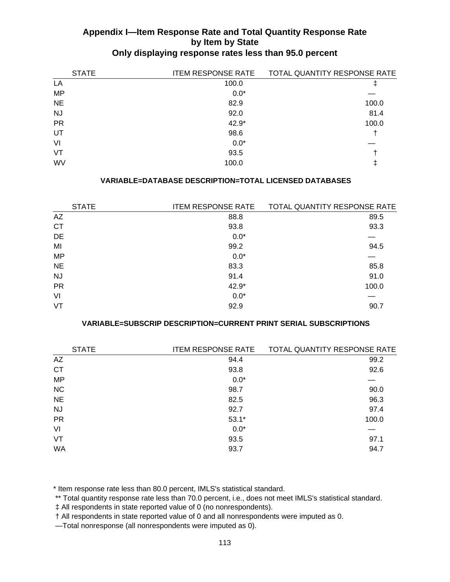| <b>STATE</b> | <b>ITEM RESPONSE RATE</b> | TOTAL QUANTITY RESPONSE RATE |
|--------------|---------------------------|------------------------------|
| LA           | 100.0                     |                              |
| <b>MP</b>    | $0.0*$                    |                              |
| <b>NE</b>    | 82.9                      | 100.0                        |
| NJ.          | 92.0                      | 81.4                         |
| <b>PR</b>    | 42.9*                     | 100.0                        |
| UT           | 98.6                      |                              |
| VI           | $0.0*$                    |                              |
| VT           | 93.5                      |                              |
| <b>WV</b>    | 100.0                     | Ϯ                            |

### **VARIABLE=DATABASE DESCRIPTION=TOTAL LICENSED DATABASES**

| <b>STATE</b> | <b>ITEM RESPONSE RATE</b> | TOTAL QUANTITY RESPONSE RATE |
|--------------|---------------------------|------------------------------|
| AZ           | 88.8                      | 89.5                         |
| <b>CT</b>    | 93.8                      | 93.3                         |
| DE           | $0.0*$                    |                              |
| MI           | 99.2                      | 94.5                         |
| <b>MP</b>    | $0.0*$                    |                              |
| <b>NE</b>    | 83.3                      | 85.8                         |
| <b>NJ</b>    | 91.4                      | 91.0                         |
| <b>PR</b>    | 42.9*                     | 100.0                        |
| VI           | $0.0*$                    |                              |
| VT           | 92.9                      | 90.7                         |

## **VARIABLE=SUBSCRIP DESCRIPTION=CURRENT PRINT SERIAL SUBSCRIPTIONS**

| <b>STATE</b> | <b>ITEM RESPONSE RATE</b> | TOTAL QUANTITY RESPONSE RATE |
|--------------|---------------------------|------------------------------|
| AZ           | 94.4                      | 99.2                         |
| <b>CT</b>    | 93.8                      | 92.6                         |
| <b>MP</b>    | $0.0*$                    |                              |
| <b>NC</b>    | 98.7                      | 90.0                         |
| <b>NE</b>    | 82.5                      | 96.3                         |
| <b>NJ</b>    | 92.7                      | 97.4                         |
| <b>PR</b>    | $53.1*$                   | 100.0                        |
| VI           | $0.0*$                    |                              |
| VT           | 93.5                      | 97.1                         |
| WA           | 93.7                      | 94.7                         |

\* Item response rate less than 80.0 percent, IMLS's statistical standard.

\*\* Total quantity response rate less than 70.0 percent, i.e., does not meet IMLS's statistical standard.

‡ All respondents in state reported value of 0 (no nonrespondents).

† All respondents in state reported value of 0 and all nonrespondents were imputed as 0.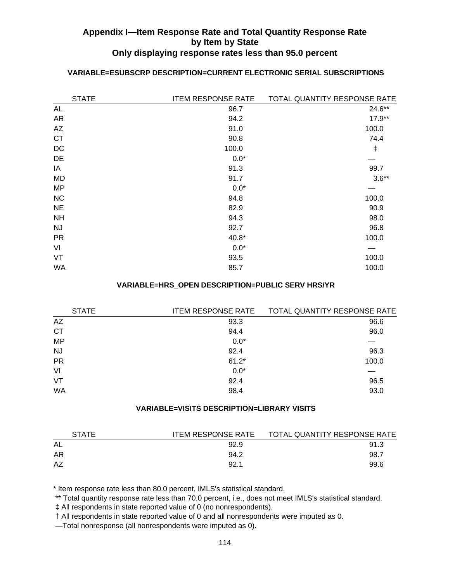## **VARIABLE=ESUBSCRP DESCRIPTION=CURRENT ELECTRONIC SERIAL SUBSCRIPTIONS**

| <b>STATE</b> | <b>ITEM RESPONSE RATE</b> | TOTAL QUANTITY RESPONSE RATE |
|--------------|---------------------------|------------------------------|
| AL           | 96.7                      | 24.6**                       |
| <b>AR</b>    | 94.2                      | $17.9**$                     |
| <b>AZ</b>    | 91.0                      | 100.0                        |
| <b>CT</b>    | 90.8                      | 74.4                         |
| DC           | 100.0                     | ŧ                            |
| DE           | $0.0*$                    |                              |
| IA           | 91.3                      | 99.7                         |
| MD           | 91.7                      | $3.6**$                      |
| <b>MP</b>    | $0.0*$                    |                              |
| NC           | 94.8                      | 100.0                        |
| <b>NE</b>    | 82.9                      | 90.9                         |
| <b>NH</b>    | 94.3                      | 98.0                         |
| <b>NJ</b>    | 92.7                      | 96.8                         |
| <b>PR</b>    | $40.8*$                   | 100.0                        |
| VI           | $0.0*$                    |                              |
| VT           | 93.5                      | 100.0                        |
| <b>WA</b>    | 85.7                      | 100.0                        |
|              |                           |                              |

#### **VARIABLE=HRS\_OPEN DESCRIPTION=PUBLIC SERV HRS/YR**

| <b>STATE</b> | <b>ITEM RESPONSE RATE</b> | TOTAL QUANTITY RESPONSE RATE |
|--------------|---------------------------|------------------------------|
| AZ           | 93.3                      | 96.6                         |
| <b>CT</b>    | 94.4                      | 96.0                         |
| <b>MP</b>    | $0.0*$                    |                              |
| <b>NJ</b>    | 92.4                      | 96.3                         |
| <b>PR</b>    | $61.2*$                   | 100.0                        |
| VI           | $0.0*$                    |                              |
| VT           | 92.4                      | 96.5                         |
| WA           | 98.4                      | 93.0                         |
|              |                           |                              |

## **VARIABLE=VISITS DESCRIPTION=LIBRARY VISITS**

| <b>STATE</b> | <b>ITEM RESPONSE RATE</b> | TOTAL QUANTITY RESPONSE RATE |
|--------------|---------------------------|------------------------------|
| AL           | 92.9                      | 91.3                         |
| AR           | 94.2                      | 98.7                         |
| AZ           | 92.1                      | 99.6                         |

\* Item response rate less than 80.0 percent, IMLS's statistical standard.

\*\* Total quantity response rate less than 70.0 percent, i.e., does not meet IMLS's statistical standard.

‡ All respondents in state reported value of 0 (no nonrespondents).

† All respondents in state reported value of 0 and all nonrespondents were imputed as 0.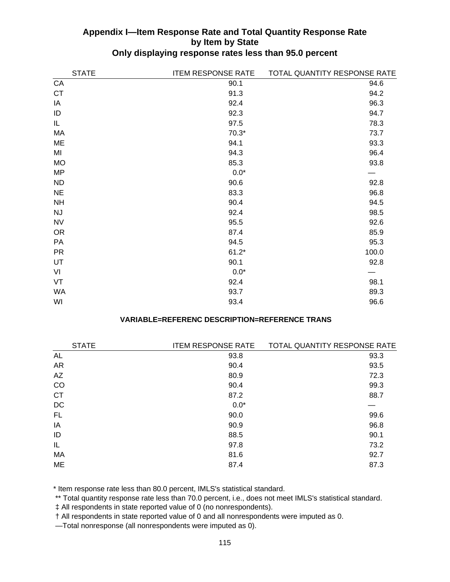| <b>STATE</b> | <b>ITEM RESPONSE RATE</b> | TOTAL QUANTITY RESPONSE RATE |
|--------------|---------------------------|------------------------------|
| CA           | 90.1                      | 94.6                         |
| <b>CT</b>    | 91.3                      | 94.2                         |
| IA           | 92.4                      | 96.3                         |
| ID           | 92.3                      | 94.7                         |
| IL           | 97.5                      | 78.3                         |
| MA           | $70.3*$                   | 73.7                         |
| ME           | 94.1                      | 93.3                         |
| MI           | 94.3                      | 96.4                         |
| <b>MO</b>    | 85.3                      | 93.8                         |
| <b>MP</b>    | $0.0*$                    |                              |
| <b>ND</b>    | 90.6                      | 92.8                         |
| <b>NE</b>    | 83.3                      | 96.8                         |
| <b>NH</b>    | 90.4                      | 94.5                         |
| <b>NJ</b>    | 92.4                      | 98.5                         |
| <b>NV</b>    | 95.5                      | 92.6                         |
| <b>OR</b>    | 87.4                      | 85.9                         |
| PA           | 94.5                      | 95.3                         |
| <b>PR</b>    | $61.2*$                   | 100.0                        |
| UT           | 90.1                      | 92.8                         |
| VI           | $0.0*$                    |                              |
| VT           | 92.4                      | 98.1                         |
| <b>WA</b>    | 93.7                      | 89.3                         |
| WI           | 93.4                      | 96.6                         |

## **VARIABLE=REFERENC DESCRIPTION=REFERENCE TRANS**

| <b>ITEM RESPONSE RATE</b> | TOTAL QUANTITY RESPONSE RATE |
|---------------------------|------------------------------|
| 93.8                      | 93.3                         |
| 90.4                      | 93.5                         |
| 80.9                      | 72.3                         |
| 90.4                      | 99.3                         |
| 87.2                      | 88.7                         |
| $0.0*$                    |                              |
| 90.0                      | 99.6                         |
| 90.9                      | 96.8                         |
| 88.5                      | 90.1                         |
| 97.8                      | 73.2                         |
| 81.6                      | 92.7                         |
| 87.4                      | 87.3                         |
|                           |                              |

\* Item response rate less than 80.0 percent, IMLS's statistical standard.

\*\* Total quantity response rate less than 70.0 percent, i.e., does not meet IMLS's statistical standard.

‡ All respondents in state reported value of 0 (no nonrespondents).

† All respondents in state reported value of 0 and all nonrespondents were imputed as 0.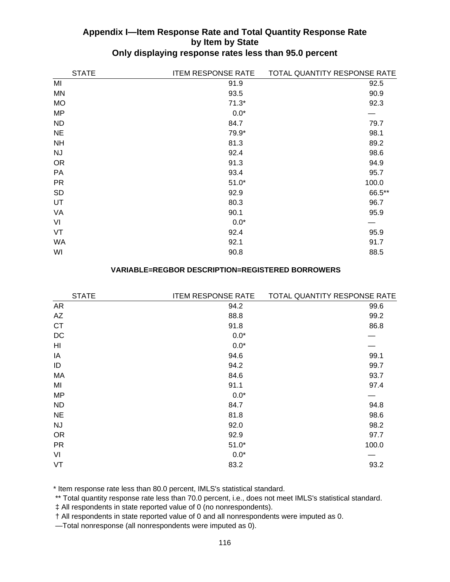| <b>STATE</b> | <b>ITEM RESPONSE RATE</b> | TOTAL QUANTITY RESPONSE RATE |
|--------------|---------------------------|------------------------------|
| MI           | 91.9                      | 92.5                         |
| <b>MN</b>    | 93.5                      | 90.9                         |
| <b>MO</b>    | $71.3*$                   | 92.3                         |
| <b>MP</b>    | $0.0*$                    |                              |
| <b>ND</b>    | 84.7                      | 79.7                         |
| <b>NE</b>    | 79.9*                     | 98.1                         |
| <b>NH</b>    | 81.3                      | 89.2                         |
| <b>NJ</b>    | 92.4                      | 98.6                         |
| <b>OR</b>    | 91.3                      | 94.9                         |
| <b>PA</b>    | 93.4                      | 95.7                         |
| <b>PR</b>    | $51.0*$                   | 100.0                        |
| <b>SD</b>    | 92.9                      | 66.5**                       |
| UT           | 80.3                      | 96.7                         |
| VA           | 90.1                      | 95.9                         |
| VI           | $0.0*$                    |                              |
| VT           | 92.4                      | 95.9                         |
| <b>WA</b>    | 92.1                      | 91.7                         |
| WI           | 90.8                      | 88.5                         |

#### **VARIABLE=REGBOR DESCRIPTION=REGISTERED BORROWERS**

| <b>STATE</b> | <b>ITEM RESPONSE RATE</b> | TOTAL QUANTITY RESPONSE RATE |
|--------------|---------------------------|------------------------------|
| <b>AR</b>    | 94.2                      | 99.6                         |
| AZ           | 88.8                      | 99.2                         |
| <b>CT</b>    | 91.8                      | 86.8                         |
| DC           | $0.0*$                    |                              |
| HI           | $0.0*$                    |                              |
| IA           | 94.6                      | 99.1                         |
| ID           | 94.2                      | 99.7                         |
| MA           | 84.6                      | 93.7                         |
| MI           | 91.1                      | 97.4                         |
| <b>MP</b>    | $0.0*$                    |                              |
| <b>ND</b>    | 84.7                      | 94.8                         |
| <b>NE</b>    | 81.8                      | 98.6                         |
| <b>NJ</b>    | 92.0                      | 98.2                         |
| <b>OR</b>    | 92.9                      | 97.7                         |
| <b>PR</b>    | $51.0*$                   | 100.0                        |
| VI           | $0.0*$                    |                              |
| VT           | 83.2                      | 93.2                         |

\* Item response rate less than 80.0 percent, IMLS's statistical standard.

\*\* Total quantity response rate less than 70.0 percent, i.e., does not meet IMLS's statistical standard.

‡ All respondents in state reported value of 0 (no nonrespondents).

† All respondents in state reported value of 0 and all nonrespondents were imputed as 0.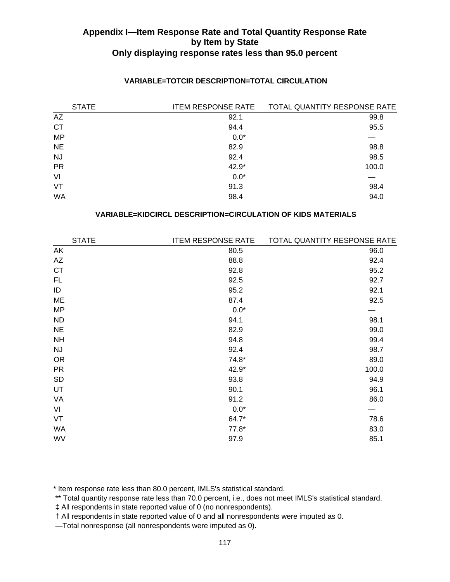| <b>STATE</b> | <b>ITEM RESPONSE RATE</b> | TOTAL QUANTITY RESPONSE RATE |
|--------------|---------------------------|------------------------------|
| AZ           | 92.1                      | 99.8                         |
| <b>CT</b>    | 94.4                      | 95.5                         |
| <b>MP</b>    | $0.0*$                    |                              |
| <b>NE</b>    | 82.9                      | 98.8                         |
| <b>NJ</b>    | 92.4                      | 98.5                         |
| <b>PR</b>    | 42.9*                     | 100.0                        |
| VI           | $0.0*$                    |                              |
| VT           | 91.3                      | 98.4                         |
| WA           | 98.4                      | 94.0                         |

## **VARIABLE=TOTCIR DESCRIPTION=TOTAL CIRCULATION**

## **VARIABLE=KIDCIRCL DESCRIPTION=CIRCULATION OF KIDS MATERIALS**

| <b>STATE</b> | <b>ITEM RESPONSE RATE</b> | TOTAL QUANTITY RESPONSE RATE |
|--------------|---------------------------|------------------------------|
| AK           | 80.5                      | 96.0                         |
| AZ           | 88.8                      | 92.4                         |
| <b>CT</b>    | 92.8                      | 95.2                         |
| FL.          | 92.5                      | 92.7                         |
| ID           | 95.2                      | 92.1                         |
| ME           | 87.4                      | 92.5                         |
| <b>MP</b>    | $0.0*$                    |                              |
| <b>ND</b>    | 94.1                      | 98.1                         |
| <b>NE</b>    | 82.9                      | 99.0                         |
| <b>NH</b>    | 94.8                      | 99.4                         |
| <b>NJ</b>    | 92.4                      | 98.7                         |
| <b>OR</b>    | $74.8*$                   | 89.0                         |
| <b>PR</b>    | 42.9*                     | 100.0                        |
| <b>SD</b>    | 93.8                      | 94.9                         |
| UT           | 90.1                      | 96.1                         |
| VA           | 91.2                      | 86.0                         |
| VI           | $0.0*$                    |                              |
| VT           | 64.7*                     | 78.6                         |
| <b>WA</b>    | $77.8*$                   | 83.0                         |
| WV           | 97.9                      | 85.1                         |
|              |                           |                              |

\* Item response rate less than 80.0 percent, IMLS's statistical standard.

\*\* Total quantity response rate less than 70.0 percent, i.e., does not meet IMLS's statistical standard.

‡ All respondents in state reported value of 0 (no nonrespondents).

† All respondents in state reported value of 0 and all nonrespondents were imputed as 0.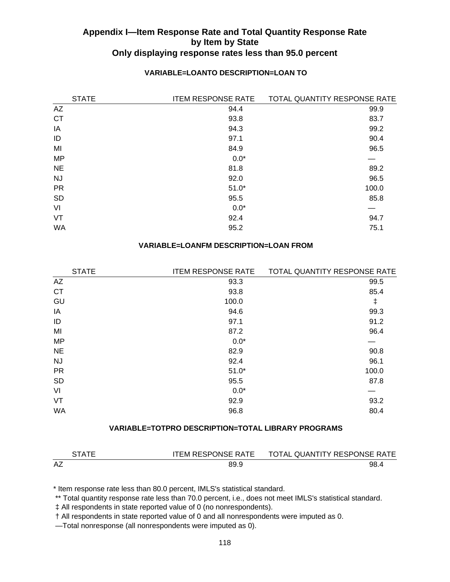### **VARIABLE=LOANTO DESCRIPTION=LOAN TO**

| <b>STATE</b> | <b>ITEM RESPONSE RATE</b> | TOTAL QUANTITY RESPONSE RATE |
|--------------|---------------------------|------------------------------|
| AZ           | 94.4                      | 99.9                         |
| <b>CT</b>    | 93.8                      | 83.7                         |
| IA           | 94.3                      | 99.2                         |
| ID           | 97.1                      | 90.4                         |
| MI           | 84.9                      | 96.5                         |
| <b>MP</b>    | $0.0*$                    |                              |
| <b>NE</b>    | 81.8                      | 89.2                         |
| <b>NJ</b>    | 92.0                      | 96.5                         |
| <b>PR</b>    | $51.0*$                   | 100.0                        |
| <b>SD</b>    | 95.5                      | 85.8                         |
| VI           | $0.0*$                    |                              |
| VT           | 92.4                      | 94.7                         |
| WA           | 95.2                      | 75.1                         |

#### **VARIABLE=LOANFM DESCRIPTION=LOAN FROM**

| <b>ITEM RESPONSE RATE</b> | TOTAL QUANTITY RESPONSE RATE |
|---------------------------|------------------------------|
| 93.3                      | 99.5                         |
| 93.8                      | 85.4                         |
| 100.0                     | $\ddagger$                   |
| 94.6                      | 99.3                         |
| 97.1                      | 91.2                         |
| 87.2                      | 96.4                         |
| $0.0*$                    |                              |
| 82.9                      | 90.8                         |
| 92.4                      | 96.1                         |
| $51.0*$                   | 100.0                        |
| 95.5                      | 87.8                         |
| $0.0*$                    |                              |
| 92.9                      | 93.2                         |
| 96.8                      | 80.4                         |
|                           |                              |

## **VARIABLE=TOTPRO DESCRIPTION=TOTAL LIBRARY PROGRAMS**

| <b>RTATE</b> | <b>ITEM RESPONSE RATE</b> | TOTAL QUANTITY RESPONSE RATE |
|--------------|---------------------------|------------------------------|
| AZ           | 89.9                      | 98.                          |

\* Item response rate less than 80.0 percent, IMLS's statistical standard.

\*\* Total quantity response rate less than 70.0 percent, i.e., does not meet IMLS's statistical standard.

‡ All respondents in state reported value of 0 (no nonrespondents).

† All respondents in state reported value of 0 and all nonrespondents were imputed as 0.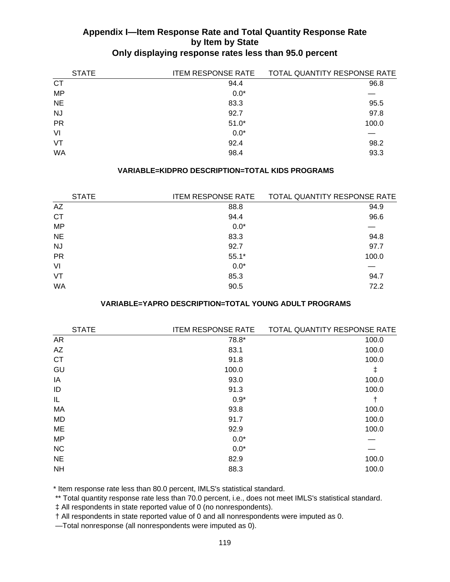| <b>STATE</b> | <b>ITEM RESPONSE RATE</b> | TOTAL QUANTITY RESPONSE RATE |
|--------------|---------------------------|------------------------------|
| <b>CT</b>    | 94.4                      | 96.8                         |
| <b>MP</b>    | $0.0*$                    |                              |
| <b>NE</b>    | 83.3                      | 95.5                         |
| <b>NJ</b>    | 92.7                      | 97.8                         |
| <b>PR</b>    | $51.0*$                   | 100.0                        |
| VI           | $0.0*$                    |                              |
| <b>VT</b>    | 92.4                      | 98.2                         |
| <b>WA</b>    | 98.4                      | 93.3                         |

## **VARIABLE=KIDPRO DESCRIPTION=TOTAL KIDS PROGRAMS**

| <b>STATE</b> | <b>ITEM RESPONSE RATE</b> | TOTAL QUANTITY RESPONSE RATE |
|--------------|---------------------------|------------------------------|
| AZ           | 88.8                      | 94.9                         |
| <b>CT</b>    | 94.4                      | 96.6                         |
| <b>MP</b>    | $0.0*$                    |                              |
| <b>NE</b>    | 83.3                      | 94.8                         |
| NJ.          | 92.7                      | 97.7                         |
| <b>PR</b>    | $55.1*$                   | 100.0                        |
| VI           | $0.0*$                    |                              |
| VT           | 85.3                      | 94.7                         |
| <b>WA</b>    | 90.5                      | 72.2                         |

## **VARIABLE=YAPRO DESCRIPTION=TOTAL YOUNG ADULT PROGRAMS**

| <b>STATE</b> | <b>ITEM RESPONSE RATE</b> | TOTAL QUANTITY RESPONSE RATE |
|--------------|---------------------------|------------------------------|
| <b>AR</b>    | 78.8*                     | 100.0                        |
| AZ           | 83.1                      | 100.0                        |
| <b>CT</b>    | 91.8                      | 100.0                        |
| GU           | 100.0                     | $\ddagger$                   |
| IA           | 93.0                      | 100.0                        |
| ID           | 91.3                      | 100.0                        |
| IL           | $0.9*$                    | t                            |
| MA           | 93.8                      | 100.0                        |
| <b>MD</b>    | 91.7                      | 100.0                        |
| <b>ME</b>    | 92.9                      | 100.0                        |
| <b>MP</b>    | $0.0*$                    |                              |
| <b>NC</b>    | $0.0*$                    |                              |
| <b>NE</b>    | 82.9                      | 100.0                        |
| <b>NH</b>    | 88.3                      | 100.0                        |
|              |                           |                              |

\* Item response rate less than 80.0 percent, IMLS's statistical standard.

\*\* Total quantity response rate less than 70.0 percent, i.e., does not meet IMLS's statistical standard.

‡ All respondents in state reported value of 0 (no nonrespondents).

† All respondents in state reported value of 0 and all nonrespondents were imputed as 0.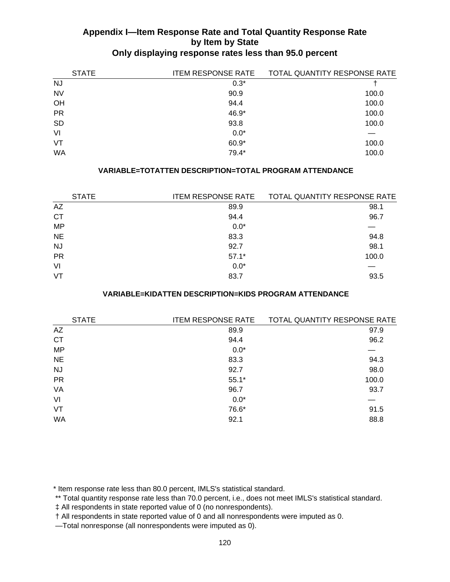| <b>STATE</b> | <b>ITEM RESPONSE RATE</b> | TOTAL QUANTITY RESPONSE RATE |
|--------------|---------------------------|------------------------------|
| <b>NJ</b>    | $0.3*$                    |                              |
| <b>NV</b>    | 90.9                      | 100.0                        |
| OH           | 94.4                      | 100.0                        |
| <b>PR</b>    | 46.9*                     | 100.0                        |
| <b>SD</b>    | 93.8                      | 100.0                        |
| VI           | $0.0*$                    |                              |
| VT           | $60.9*$                   | 100.0                        |
| WA           | $79.4*$                   | 100.0                        |

## **VARIABLE=TOTATTEN DESCRIPTION=TOTAL PROGRAM ATTENDANCE**

|           | <b>STATE</b> | <b>ITEM RESPONSE RATE</b> | TOTAL QUANTITY RESPONSE RATE |
|-----------|--------------|---------------------------|------------------------------|
| AZ        |              | 89.9                      | 98.1                         |
| <b>CT</b> |              | 94.4                      | 96.7                         |
| <b>MP</b> |              | $0.0*$                    |                              |
| <b>NE</b> |              | 83.3                      | 94.8                         |
| <b>NJ</b> |              | 92.7                      | 98.1                         |
| <b>PR</b> |              | $57.1*$                   | 100.0                        |
| VI        |              | $0.0*$                    |                              |
| VT        |              | 83.7                      | 93.5                         |

#### **VARIABLE=KIDATTEN DESCRIPTION=KIDS PROGRAM ATTENDANCE**

| <b>STATE</b> | <b>ITEM RESPONSE RATE</b> | TOTAL QUANTITY RESPONSE RATE |
|--------------|---------------------------|------------------------------|
| AZ           | 89.9                      | 97.9                         |
| <b>CT</b>    | 94.4                      | 96.2                         |
| <b>MP</b>    | $0.0*$                    |                              |
| <b>NE</b>    | 83.3                      | 94.3                         |
| <b>NJ</b>    | 92.7                      | 98.0                         |
| <b>PR</b>    | $55.1*$                   | 100.0                        |
| VA           | 96.7                      | 93.7                         |
| VI           | $0.0*$                    |                              |
| VT           | 76.6*                     | 91.5                         |
| WA           | 92.1                      | 88.8                         |

\* Item response rate less than 80.0 percent, IMLS's statistical standard.

\*\* Total quantity response rate less than 70.0 percent, i.e., does not meet IMLS's statistical standard.

‡ All respondents in state reported value of 0 (no nonrespondents).

† All respondents in state reported value of 0 and all nonrespondents were imputed as 0.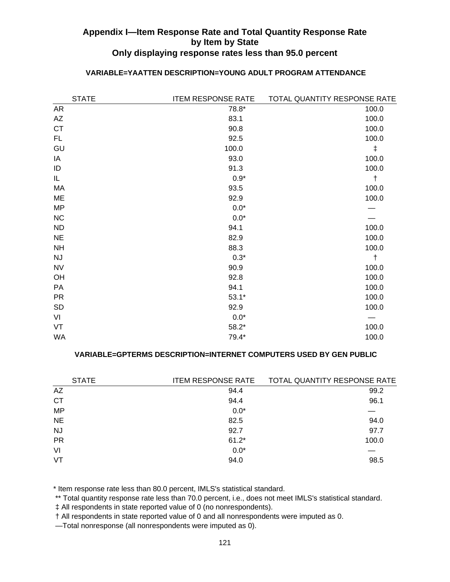| <b>STATE</b> | <b>ITEM RESPONSE RATE</b> | TOTAL QUANTITY RESPONSE RATE |
|--------------|---------------------------|------------------------------|
| <b>AR</b>    | 78.8*                     | 100.0                        |
| AZ           | 83.1                      | 100.0                        |
| <b>CT</b>    | 90.8                      | 100.0                        |
| FL           | 92.5                      | 100.0                        |
| GU           | 100.0                     | $\ddagger$                   |
| IA           | 93.0                      | 100.0                        |
| ID           | 91.3                      | 100.0                        |
| IL           | $0.9*$                    | $\ddagger$                   |
| MA           | 93.5                      | 100.0                        |
| ME           | 92.9                      | 100.0                        |
| <b>MP</b>    | $0.0*$                    |                              |
| NC           | $0.0*$                    |                              |
| <b>ND</b>    | 94.1                      | 100.0                        |
| <b>NE</b>    | 82.9                      | 100.0                        |
| <b>NH</b>    | 88.3                      | 100.0                        |
| <b>NJ</b>    | $0.3*$                    | $\ddagger$                   |
| <b>NV</b>    | 90.9                      | 100.0                        |
| OH           | 92.8                      | 100.0                        |
| PA           | 94.1                      | 100.0                        |
| <b>PR</b>    | $53.1*$                   | 100.0                        |
| <b>SD</b>    | 92.9                      | 100.0                        |
| VI           | $0.0*$                    |                              |
| VT           | $58.2*$                   | 100.0                        |
| WA           | 79.4*                     | 100.0                        |

## **VARIABLE=YAATTEN DESCRIPTION=YOUNG ADULT PROGRAM ATTENDANCE**

### **VARIABLE=GPTERMS DESCRIPTION=INTERNET COMPUTERS USED BY GEN PUBLIC**

| <b>STATE</b> | <b>ITEM RESPONSE RATE</b> | TOTAL QUANTITY RESPONSE RATE |
|--------------|---------------------------|------------------------------|
| AZ           | 94.4                      | 99.2                         |
| <b>CT</b>    | 94.4                      | 96.1                         |
| <b>MP</b>    | $0.0*$                    |                              |
| <b>NE</b>    | 82.5                      | 94.0                         |
| <b>NJ</b>    | 92.7                      | 97.7                         |
| <b>PR</b>    | $61.2*$                   | 100.0                        |
| VI           | $0.0*$                    |                              |
| VT           | 94.0                      | 98.5                         |
|              |                           |                              |

\* Item response rate less than 80.0 percent, IMLS's statistical standard.

\*\* Total quantity response rate less than 70.0 percent, i.e., does not meet IMLS's statistical standard.

‡ All respondents in state reported value of 0 (no nonrespondents).

† All respondents in state reported value of 0 and all nonrespondents were imputed as 0.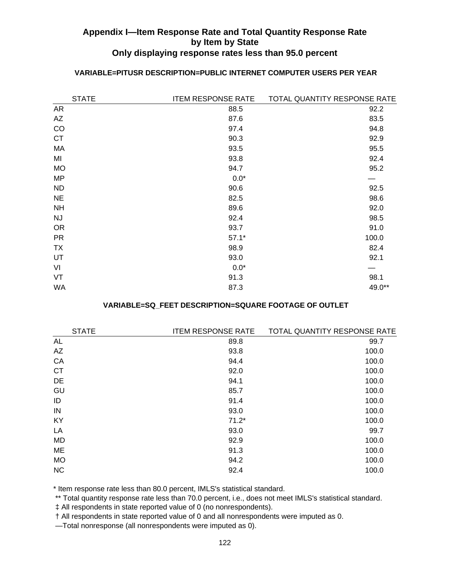| <b>STATE</b> | <b>ITEM RESPONSE RATE</b> | TOTAL QUANTITY RESPONSE RATE |
|--------------|---------------------------|------------------------------|
| <b>AR</b>    | 88.5                      | 92.2                         |
| AZ           | 87.6                      | 83.5                         |
| CO           | 97.4                      | 94.8                         |
| <b>CT</b>    | 90.3                      | 92.9                         |
| MA           | 93.5                      | 95.5                         |
| MI           | 93.8                      | 92.4                         |
| <b>MO</b>    | 94.7                      | 95.2                         |
| MP           | $0.0*$                    |                              |
| <b>ND</b>    | 90.6                      | 92.5                         |
| <b>NE</b>    | 82.5                      | 98.6                         |
| <b>NH</b>    | 89.6                      | 92.0                         |
| <b>NJ</b>    | 92.4                      | 98.5                         |
| <b>OR</b>    | 93.7                      | 91.0                         |
| <b>PR</b>    | $57.1*$                   | 100.0                        |
| <b>TX</b>    | 98.9                      | 82.4                         |
| UT           | 93.0                      | 92.1                         |
| VI           | $0.0*$                    |                              |
| VT           | 91.3                      | 98.1                         |
| <b>WA</b>    | 87.3                      | 49.0**                       |

## **VARIABLE=PITUSR DESCRIPTION=PUBLIC INTERNET COMPUTER USERS PER YEAR**

### **VARIABLE=SQ\_FEET DESCRIPTION=SQUARE FOOTAGE OF OUTLET**

| <b>STATE</b> | <b>ITEM RESPONSE RATE</b> | <b>TOTAL QUANTITY RESPONSE RATE</b> |
|--------------|---------------------------|-------------------------------------|
| <b>AL</b>    | 89.8                      | 99.7                                |
| AZ           | 93.8                      | 100.0                               |
| CA           | 94.4                      | 100.0                               |
| <b>CT</b>    | 92.0                      | 100.0                               |
| DE           | 94.1                      | 100.0                               |
| GU           | 85.7                      | 100.0                               |
| ID           | 91.4                      | 100.0                               |
| IN           | 93.0                      | 100.0                               |
| KY           | $71.2*$                   | 100.0                               |
| LA           | 93.0                      | 99.7                                |
| <b>MD</b>    | 92.9                      | 100.0                               |
| ME           | 91.3                      | 100.0                               |
| <b>MO</b>    | 94.2                      | 100.0                               |
| <b>NC</b>    | 92.4                      | 100.0                               |
|              |                           |                                     |

\* Item response rate less than 80.0 percent, IMLS's statistical standard.

\*\* Total quantity response rate less than 70.0 percent, i.e., does not meet IMLS's statistical standard.

‡ All respondents in state reported value of 0 (no nonrespondents).

† All respondents in state reported value of 0 and all nonrespondents were imputed as 0.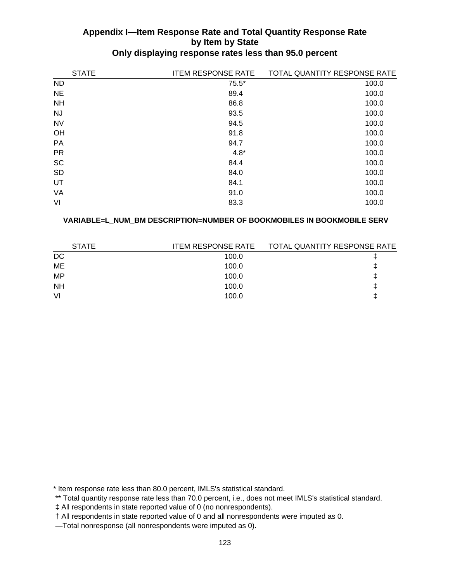| <b>STATE</b> | <b>ITEM RESPONSE RATE</b> | TOTAL QUANTITY RESPONSE RATE |
|--------------|---------------------------|------------------------------|
| <b>ND</b>    | $75.5*$                   | 100.0                        |
| <b>NE</b>    | 89.4                      | 100.0                        |
| <b>NH</b>    | 86.8                      | 100.0                        |
| <b>NJ</b>    | 93.5                      | 100.0                        |
| <b>NV</b>    | 94.5                      | 100.0                        |
| OH           | 91.8                      | 100.0                        |
| PA           | 94.7                      | 100.0                        |
| <b>PR</b>    | $4.8*$                    | 100.0                        |
| <b>SC</b>    | 84.4                      | 100.0                        |
| <b>SD</b>    | 84.0                      | 100.0                        |
| UT           | 84.1                      | 100.0                        |
| VA           | 91.0                      | 100.0                        |
| VI           | 83.3                      | 100.0                        |

### **VARIABLE=L\_NUM\_BM DESCRIPTION=NUMBER OF BOOKMOBILES IN BOOKMOBILE SERV**

| <b>STATE</b> | ITEM RESPONSE RATE | TOTAL QUANTITY RESPONSE RATE |
|--------------|--------------------|------------------------------|
| DC           | 100.0              |                              |
| ME           | 100.0              |                              |
| MP           | 100.0              |                              |
| <b>NH</b>    | 100.0              |                              |
| VI           | 100.0              |                              |
|              |                    |                              |

\* Item response rate less than 80.0 percent, IMLS's statistical standard.

‡ All respondents in state reported value of 0 (no nonrespondents).

 <sup>\*\*</sup> Total quantity response rate less than 70.0 percent, i.e., does not meet IMLS's statistical standard.

 <sup>†</sup> All respondents in state reported value of 0 and all nonrespondents were imputed as 0.

 <sup>—</sup>Total nonresponse (all nonrespondents were imputed as 0).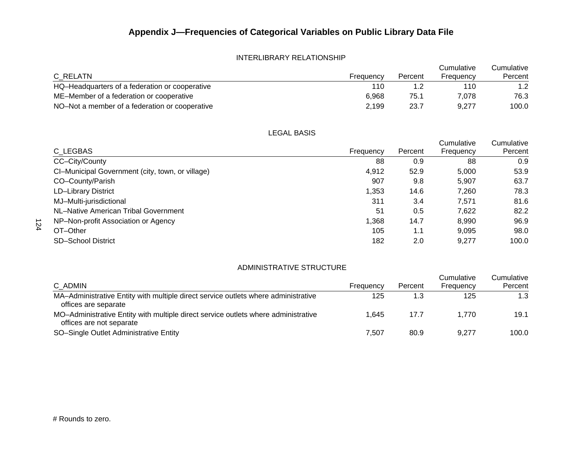#### INTERLIBRARY RELATIONSHIP

| C RELATN                                       | Frequency | Percent | Cumulative<br>Frequency | Cumulative<br>Percent |
|------------------------------------------------|-----------|---------|-------------------------|-----------------------|
| HQ-Headquarters of a federation or cooperative | 110       |         | 110                     | 1.2 <sub>1</sub>      |
| ME-Member of a federation or cooperative       | 6.968     | 75.1    | 7.078                   | 76.3                  |
| NO-Not a member of a federation or cooperative | 2.199     | 23.7    | 9.277                   | 100.0                 |

LEGAL BASIS

|                                                  |           |         | Cumulative | Cumulative |
|--------------------------------------------------|-----------|---------|------------|------------|
| C LEGBAS                                         | Frequency | Percent | Frequency  | Percent    |
| CC-City/County                                   | 88        | 0.9     | 88         | 0.9        |
| CI-Municipal Government (city, town, or village) | 4,912     | 52.9    | 5,000      | 53.9       |
| CO-County/Parish                                 | 907       | 9.8     | 5,907      | 63.7       |
| <b>LD-Library District</b>                       | 1,353     | 14.6    | 7,260      | 78.3       |
| MJ-Multi-jurisdictional                          | 311       | 3.4     | 7,571      | 81.6       |
| NL-Native American Tribal Government             | 51        | 0.5     | 7.622      | 82.2       |
| NP-Non-profit Association or Agency              | 1,368     | 14.7    | 8.990      | 96.9       |
| OT-Other                                         | 105       | 1.1     | 9.095      | 98.0       |
| <b>SD-School District</b>                        | 182       | 2.0     | 9.277      | 100.0      |

#### ADMINISTRATIVE STRUCTURE

|                                                                                                                |           |         | Cumulative | Cumulative |
|----------------------------------------------------------------------------------------------------------------|-----------|---------|------------|------------|
| C ADMIN                                                                                                        | Frequency | Percent | Frequency  | Percent    |
| MA-Administrative Entity with multiple direct service outlets where administrative<br>offices are separate     | 125       |         | 125        | 1.3        |
| MO-Administrative Entity with multiple direct service outlets where administrative<br>offices are not separate | 1.645     | 17.7    | 1.770      | 19.1       |
| SO-Single Outlet Administrative Entity                                                                         | 7.507     | 80.9    | 9.277      | 100.0      |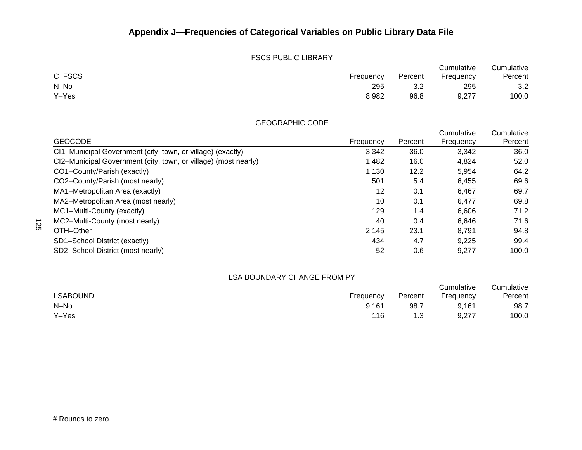#### FSCS PUBLIC LIBRARY

|        |           |         | Cumulative        | Cumulative |
|--------|-----------|---------|-------------------|------------|
| C_FSCS | Frequency | Percent | Frequency         | Percent    |
| N-No   | 295       | ◡.∠     | 295               | 3.2        |
| Y-Yes  | 8,982     | 96.8    | J 277<br>، ، ے, ب | 100.0      |

GEOGRAPHIC CODE

| <b>GEOCODE</b>                                                  | Frequency | Percent | Cumulative<br>Frequency | Cumulative<br>Percent |
|-----------------------------------------------------------------|-----------|---------|-------------------------|-----------------------|
| CI1-Municipal Government (city, town, or village) (exactly)     | 3,342     | 36.0    | 3,342                   | 36.0                  |
| CI2-Municipal Government (city, town, or village) (most nearly) | 1,482     | 16.0    | 4.824                   | 52.0                  |
| CO1-County/Parish (exactly)                                     | 1,130     | 12.2    | 5,954                   | 64.2                  |
| CO2-County/Parish (most nearly)                                 | 501       | 5.4     | 6,455                   | 69.6                  |
| MA1-Metropolitan Area (exactly)                                 | 12        | 0.1     | 6,467                   | 69.7                  |
| MA2-Metropolitan Area (most nearly)                             | 10        | 0.1     | 6,477                   | 69.8                  |
| MC1-Multi-County (exactly)                                      | 129       | 1.4     | 6,606                   | 71.2                  |
| MC2-Multi-County (most nearly)                                  | 40        | 0.4     | 6,646                   | 71.6                  |
| OTH-Other                                                       | 2,145     | 23.1    | 8,791                   | 94.8                  |
| SD1-School District (exactly)                                   | 434       | 4.7     | 9,225                   | 99.4                  |
| SD2-School District (most nearly)                               | 52        | 0.6     | 9,277                   | 100.0                 |

#### LSA BOUNDARY CHANGE FROM PY

|                 |           |         | Cumulative    | Cumulative |
|-----------------|-----------|---------|---------------|------------|
| <b>LSABOUND</b> | Frequency | Percent | Frequency     | Percent    |
| N-No            | 9,161     | 98.7    | 9,161         | 98.7       |
| Y-Yes           | 116       | 3. ا    | a 277<br>৬.∠7 | 100.0      |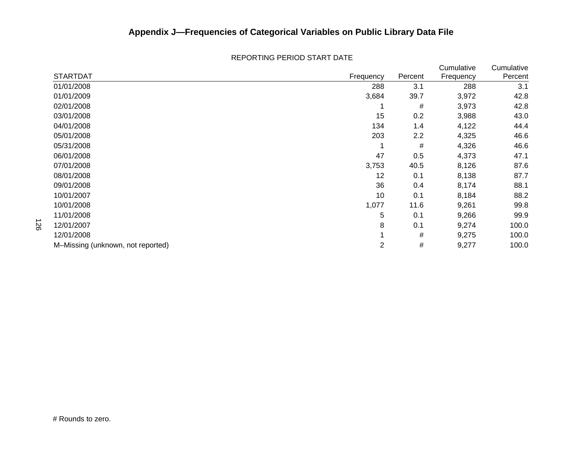|                                   |           |         | Cumulative | Cumulative |
|-----------------------------------|-----------|---------|------------|------------|
| <b>STARTDAT</b>                   | Frequency | Percent | Frequency  | Percent    |
| 01/01/2008                        | 288       | 3.1     | 288        | 3.1        |
| 01/01/2009                        | 3,684     | 39.7    | 3,972      | 42.8       |
| 02/01/2008                        |           | #       | 3,973      | 42.8       |
| 03/01/2008                        | 15        | 0.2     | 3,988      | 43.0       |
| 04/01/2008                        | 134       | 1.4     | 4,122      | 44.4       |
| 05/01/2008                        | 203       | 2.2     | 4,325      | 46.6       |
| 05/31/2008                        |           | #       | 4,326      | 46.6       |
| 06/01/2008                        | 47        | 0.5     | 4,373      | 47.1       |
| 07/01/2008                        | 3,753     | 40.5    | 8,126      | 87.6       |
| 08/01/2008                        | 12        | 0.1     | 8,138      | 87.7       |
| 09/01/2008                        | 36        | 0.4     | 8,174      | 88.1       |
| 10/01/2007                        | 10        | 0.1     | 8,184      | 88.2       |
| 10/01/2008                        | 1,077     | 11.6    | 9,261      | 99.8       |
| 11/01/2008                        | 5         | 0.1     | 9,266      | 99.9       |
| 12/01/2007                        | 8         | 0.1     | 9,274      | 100.0      |
| 12/01/2008                        |           | #       | 9,275      | 100.0      |
| M-Missing (unknown, not reported) | 2         | #       | 9,277      | 100.0      |

#### REPORTING PERIOD START DATE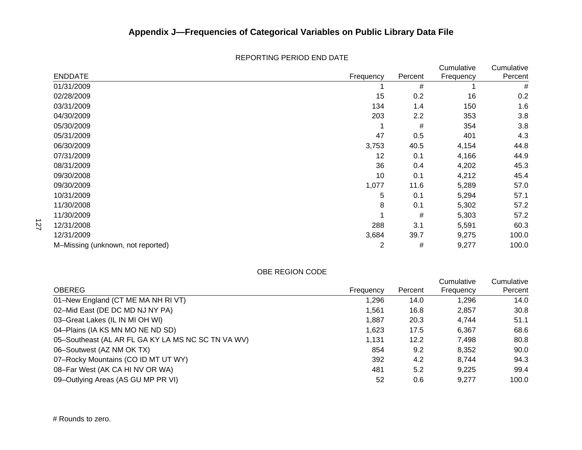|                                   |                |         | Cumulative | Cumulative |
|-----------------------------------|----------------|---------|------------|------------|
| <b>ENDDATE</b>                    | Frequency      | Percent | Frequency  | Percent    |
| 01/31/2009                        |                | #       |            | #          |
| 02/28/2009                        | 15             | 0.2     | 16         | 0.2        |
| 03/31/2009                        | 134            | 1.4     | 150        | 1.6        |
| 04/30/2009                        | 203            | 2.2     | 353        | 3.8        |
| 05/30/2009                        |                | #       | 354        | 3.8        |
| 05/31/2009                        | 47             | 0.5     | 401        | 4.3        |
| 06/30/2009                        | 3,753          | 40.5    | 4,154      | 44.8       |
| 07/31/2009                        | 12             | 0.1     | 4,166      | 44.9       |
| 08/31/2009                        | 36             | 0.4     | 4,202      | 45.3       |
| 09/30/2008                        | 10             | 0.1     | 4,212      | 45.4       |
| 09/30/2009                        | 1,077          | 11.6    | 5,289      | 57.0       |
| 10/31/2009                        | 5              | 0.1     | 5,294      | 57.1       |
| 11/30/2008                        | 8              | 0.1     | 5,302      | 57.2       |
| 11/30/2009                        |                | #       | 5,303      | 57.2       |
| 12/31/2008                        | 288            | 3.1     | 5,591      | 60.3       |
| 12/31/2009                        | 3,684          | 39.7    | 9,275      | 100.0      |
| M-Missing (unknown, not reported) | $\overline{2}$ | #       | 9,277      | 100.0      |

#### REPORTING PERIOD END DATE

#### OBE REGION CODE

|                                                    |           |         | Cumulative | Cumulative |
|----------------------------------------------------|-----------|---------|------------|------------|
| <b>OBEREG</b>                                      | Frequency | Percent | Frequency  | Percent    |
| 01-New England (CT ME MA NH RI VT)                 | 1,296     | 14.0    | 1.296      | 14.0       |
| 02–Mid East (DE DC MD NJ NY PA)                    | 1.561     | 16.8    | 2,857      | 30.8       |
| 03-Great Lakes (IL IN MI OH WI)                    | 1,887     | 20.3    | 4.744      | 51.1       |
| 04–Plains (IA KS MN MO NE ND SD)                   | 1.623     | 17.5    | 6,367      | 68.6       |
| 05-Southeast (AL AR FL GA KY LA MS NC SC TN VA WV) | 1,131     | 12.2    | 7,498      | 80.8       |
| 06-Soutwest (AZ NM OK TX)                          | 854       | 9.2     | 8.352      | 90.0       |
| 07-Rocky Mountains (CO ID MT UT WY)                | 392       | 4.2     | 8.744      | 94.3       |
| 08–Far West (AK CA HI NV OR WA)                    | 481       | 5.2     | 9.225      | 99.4       |
| 09-Outlying Areas (AS GU MP PR VI)                 | 52        | 0.6     | 9.277      | 100.0      |

127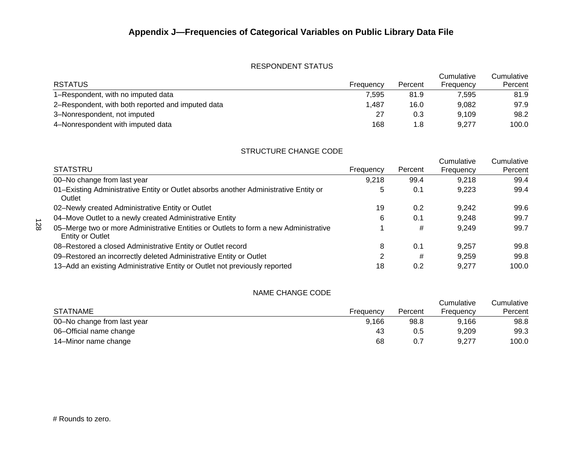## RESPONDENT STATUS

|                                                   |           |         | Cumulative | Cumulative |
|---------------------------------------------------|-----------|---------|------------|------------|
| <b>RSTATUS</b>                                    | Frequency | Percent | Frequency  | Percent    |
| 1–Respondent, with no imputed data                | 7.595     | 81.9    | 7.595      | 81.9       |
| 2–Respondent, with both reported and imputed data | 1.487     | 16.0    | 9.082      | 97.9       |
| 3-Nonrespondent, not imputed                      | 27        | 0.3     | 9.109      | 98.2       |
| 4-Nonrespondent with imputed data                 | 168       | 1.8     | 9.277      | 100.0      |

#### STRUCTURE CHANGE CODE

|                                                                                                                 |           |         | Cumulative | Cumulative |
|-----------------------------------------------------------------------------------------------------------------|-----------|---------|------------|------------|
| <b>STATSTRU</b>                                                                                                 | Frequency | Percent | Frequency  | Percent    |
| 00-No change from last year                                                                                     | 9,218     | 99.4    | 9,218      | 99.4       |
| 01-Existing Administrative Entity or Outlet absorbs another Administrative Entity or<br>Outlet                  | 5         | 0.1     | 9.223      | 99.4       |
| 02-Newly created Administrative Entity or Outlet                                                                | 19        | 0.2     | 9.242      | 99.6       |
| 04-Move Outlet to a newly created Administrative Entity                                                         | 6         | 0.1     | 9.248      | 99.7       |
| 05–Merge two or more Administrative Entities or Outlets to form a new Administrative<br><b>Entity or Outlet</b> |           | #       | 9.249      | 99.7       |
| 08-Restored a closed Administrative Entity or Outlet record                                                     | 8         | 0.1     | 9.257      | 99.8       |
| 09-Restored an incorrectly deleted Administrative Entity or Outlet                                              | 2         | #       | 9,259      | 99.8       |
| 13-Add an existing Administrative Entity or Outlet not previously reported                                      | 18        | 0.2     | 9.277      | 100.0      |

#### NAME CHANGE CODE

| <b>STATNAME</b>             | Frequency | Percent | Cumulative<br>Frequency | Cumulative<br>Percent |
|-----------------------------|-----------|---------|-------------------------|-----------------------|
| 00-No change from last year | 9.166     | 98.8    | 9.166                   | 98.8                  |
| 06-Official name change     | 43        | 0.5     | 9.209                   | 99.3                  |
| 14–Minor name change        | 68        |         | 9,277                   | 100.0                 |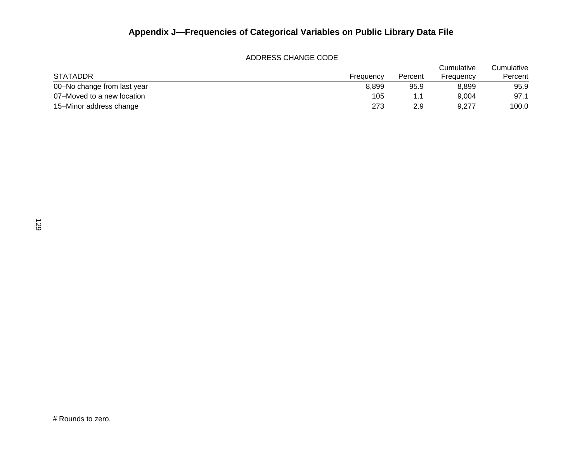#### ADDRESS CHANGE CODE

| <b>STATADDR</b>             | Freauencv | Percent | Cumulative<br>Frequency | Cumulative<br>Percent |
|-----------------------------|-----------|---------|-------------------------|-----------------------|
| 00-No change from last year | 8.899     | 95.9    | 8,899                   | 95.9                  |
| 07–Moved to a new location  | 105       | 1.1     | 9.004                   | 97.1                  |
| 15–Minor address change     | 273       | 2.9     | 9,277                   | 100.0                 |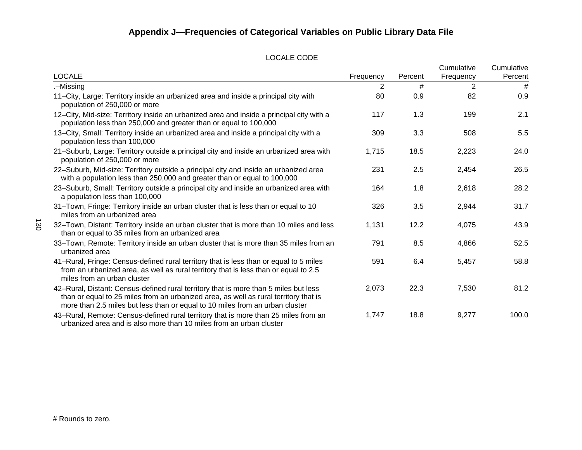#### LOCALE CODE

|                                                                                                                                                                                                                                                              |           |         | Cumulative | Cumulative |
|--------------------------------------------------------------------------------------------------------------------------------------------------------------------------------------------------------------------------------------------------------------|-----------|---------|------------|------------|
| <b>LOCALE</b>                                                                                                                                                                                                                                                | Frequency | Percent | Frequency  | Percent    |
| .-Missing                                                                                                                                                                                                                                                    | 2         | #       | 2          | #          |
| 11-City, Large: Territory inside an urbanized area and inside a principal city with<br>population of 250,000 or more                                                                                                                                         | 80        | 0.9     | 82         | 0.9        |
| 12-City, Mid-size: Territory inside an urbanized area and inside a principal city with a<br>population less than 250,000 and greater than or equal to 100,000                                                                                                | 117       | 1.3     | 199        | 2.1        |
| 13-City, Small: Territory inside an urbanized area and inside a principal city with a<br>population less than 100,000                                                                                                                                        | 309       | 3.3     | 508        | 5.5        |
| 21-Suburb, Large: Territory outside a principal city and inside an urbanized area with<br>population of 250,000 or more                                                                                                                                      | 1,715     | 18.5    | 2,223      | 24.0       |
| 22-Suburb, Mid-size: Territory outside a principal city and inside an urbanized area<br>with a population less than 250,000 and greater than or equal to 100,000                                                                                             | 231       | 2.5     | 2,454      | 26.5       |
| 23-Suburb, Small: Territory outside a principal city and inside an urbanized area with<br>a population less than 100,000                                                                                                                                     | 164       | 1.8     | 2,618      | 28.2       |
| 31-Town, Fringe: Territory inside an urban cluster that is less than or equal to 10<br>miles from an urbanized area                                                                                                                                          | 326       | 3.5     | 2,944      | 31.7       |
| 32-Town, Distant: Territory inside an urban cluster that is more than 10 miles and less<br>than or equal to 35 miles from an urbanized area                                                                                                                  | 1,131     | 12.2    | 4,075      | 43.9       |
| 33–Town, Remote: Territory inside an urban cluster that is more than 35 miles from an<br>urbanized area                                                                                                                                                      | 791       | 8.5     | 4,866      | 52.5       |
| 41-Rural, Fringe: Census-defined rural territory that is less than or equal to 5 miles<br>from an urbanized area, as well as rural territory that is less than or equal to 2.5<br>miles from an urban cluster                                                | 591       | 6.4     | 5,457      | 58.8       |
| 42-Rural, Distant: Census-defined rural territory that is more than 5 miles but less<br>than or equal to 25 miles from an urbanized area, as well as rural territory that is<br>more than 2.5 miles but less than or equal to 10 miles from an urban cluster | 2,073     | 22.3    | 7,530      | 81.2       |
| 43-Rural, Remote: Census-defined rural territory that is more than 25 miles from an<br>urbanized area and is also more than 10 miles from an urban cluster                                                                                                   | 1,747     | 18.8    | 9,277      | 100.0      |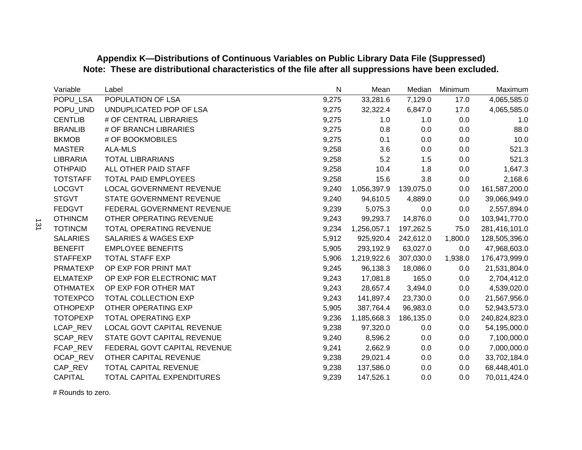| Variable        | Label                           | N     | Mean                  | Median    | Minimum | Maximum       |
|-----------------|---------------------------------|-------|-----------------------|-----------|---------|---------------|
| POPU_LSA        | POPULATION OF LSA               | 9,275 | 33,281.6              | 7,129.0   | 17.0    | 4,065,585.0   |
| POPU UND        | UNDUPLICATED POP OF LSA         | 9,275 | 32,322.4              | 6,847.0   | 17.0    | 4,065,585.0   |
| <b>CENTLIB</b>  | # OF CENTRAL LIBRARIES          | 9,275 | 1.0                   | 1.0       | 0.0     | 1.0           |
| <b>BRANLIB</b>  | # OF BRANCH LIBRARIES           | 9,275 | 0.8                   | 0.0       | 0.0     | 88.0          |
| <b>BKMOB</b>    | # OF BOOKMOBILES                | 9,275 | 0.1                   | 0.0       | 0.0     | 10.0          |
| <b>MASTER</b>   | <b>ALA-MLS</b>                  | 9,258 | 3.6                   | 0.0       | 0.0     | 521.3         |
| <b>LIBRARIA</b> | <b>TOTAL LIBRARIANS</b>         | 9,258 | 5.2                   | 1.5       | 0.0     | 521.3         |
| <b>OTHPAID</b>  | ALL OTHER PAID STAFF            | 9,258 | 10.4                  | 1.8       | 0.0     | 1,647.3       |
| <b>TOTSTAFF</b> | <b>TOTAL PAID EMPLOYEES</b>     | 9,258 | 15.6                  | 3.8       | 0.0     | 2,168.6       |
| <b>LOCGVT</b>   | LOCAL GOVERNMENT REVENUE        | 9,240 | 1,056,397.9           | 139,075.0 | $0.0\,$ | 161,587,200.0 |
| <b>STGVT</b>    | STATE GOVERNMENT REVENUE        | 9,240 | 94,610.5              | 4,889.0   | 0.0     | 39,066,949.0  |
| <b>FEDGVT</b>   | FEDERAL GOVERNMENT REVENUE      | 9,239 | 5,075.3               | 0.0       | 0.0     | 2,557,894.0   |
| <b>OTHINCM</b>  | OTHER OPERATING REVENUE         | 9,243 | 99,293.7              | 14,876.0  | 0.0     | 103,941,770.0 |
| <b>TOTINCM</b>  | <b>TOTAL OPERATING REVENUE</b>  | 9,234 | 1,256,057.1           | 197,262.5 | 75.0    | 281,416,101.0 |
| <b>SALARIES</b> | <b>SALARIES &amp; WAGES EXP</b> | 5,912 | 925,920.4             | 242,612.0 | 1,800.0 | 128,505,396.0 |
| <b>BENEFIT</b>  | <b>EMPLOYEE BENEFITS</b>        | 5,905 | 293,192.9             | 63,027.0  | 0.0     | 47,968,603.0  |
| <b>STAFFEXP</b> | <b>TOTAL STAFF EXP</b>          | 5,906 | 1,219,922.6 307,030.0 |           | 1,938.0 | 176,473,999.0 |
| <b>PRMATEXP</b> | OP EXP FOR PRINT MAT            | 9,245 | 96,138.3              | 18,086.0  | 0.0     | 21,531,804.0  |
| <b>ELMATEXP</b> | OP EXP FOR ELECTRONIC MAT       | 9,243 | 17,081.8              | 165.0     | 0.0     | 2,704,412.0   |
| <b>OTHMATEX</b> | OP EXP FOR OTHER MAT            | 9,243 | 28,657.4              | 3,494.0   | 0.0     | 4,539,020.0   |
| <b>TOTEXPCO</b> | TOTAL COLLECTION EXP            | 9,243 | 141,897.4             | 23,730.0  | 0.0     | 21,567,956.0  |
| <b>OTHOPEXP</b> | OTHER OPERATING EXP             | 5,905 | 387,764.4             | 96,983.0  | 0.0     | 52,943,573.0  |
| <b>TOTOPEXP</b> | <b>TOTAL OPERATING EXP</b>      | 9,236 | 1,185,668.3           | 186,135.0 | 0.0     | 240,824,823.0 |
| LCAP REV        | LOCAL GOVT CAPITAL REVENUE      | 9,238 | 97,320.0              | 0.0       | 0.0     | 54,195,000.0  |
| SCAP_REV        | STATE GOVT CAPITAL REVENUE      | 9,240 | 8,596.2               | 0.0       | 0.0     | 7,100,000.0   |
| FCAP_REV        | FEDERAL GOVT CAPITAL REVENUE    | 9,241 | 2,662.9               | 0.0       | 0.0     | 7,000,000.0   |
| OCAP_REV        | OTHER CAPITAL REVENUE           | 9,238 | 29,021.4              | 0.0       | 0.0     | 33,702,184.0  |
| CAP_REV         | TOTAL CAPITAL REVENUE           | 9,238 | 137,586.0             | 0.0       | 0.0     | 68,448,401.0  |
| <b>CAPITAL</b>  | TOTAL CAPITAL EXPENDITURES      | 9,239 | 147,526.1             | 0.0       | 0.0     | 70,011,424.0  |

# **Appendix K—Distributions of Continuous Variables on Public Library Data File (Suppressed) Note: These are distributional characteristics of the file after all suppressions have been excluded.**

# Rounds to zero.

131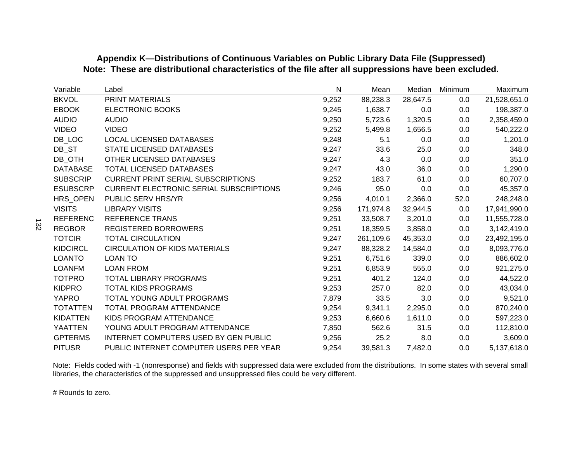# **Appendix K—Distributions of Continuous Variables on Public Library Data File (Suppressed) Note: These are distributional characteristics of the file after all suppressions have been excluded.**

| Variable        | Label                                          | N     | Mean      | Median   | Minimum | Maximum      |
|-----------------|------------------------------------------------|-------|-----------|----------|---------|--------------|
| <b>BKVOL</b>    | PRINT MATERIALS                                | 9,252 | 88,238.3  | 28,647.5 | 0.0     | 21,528,651.0 |
| <b>EBOOK</b>    | <b>ELECTRONIC BOOKS</b>                        | 9,245 | 1,638.7   | 0.0      | 0.0     | 198,387.0    |
| <b>AUDIO</b>    | <b>AUDIO</b>                                   | 9,250 | 5,723.6   | 1,320.5  | 0.0     | 2,358,459.0  |
| <b>VIDEO</b>    | <b>VIDEO</b>                                   | 9,252 | 5,499.8   | 1,656.5  | 0.0     | 540,222.0    |
| DB LOC          | <b>LOCAL LICENSED DATABASES</b>                | 9,248 | 5.1       | 0.0      | 0.0     | 1,201.0      |
| DB ST           | STATE LICENSED DATABASES                       | 9,247 | 33.6      | 25.0     | 0.0     | 348.0        |
| DB_OTH          | OTHER LICENSED DATABASES                       | 9,247 | 4.3       | 0.0      | 0.0     | 351.0        |
| <b>DATABASE</b> | TOTAL LICENSED DATABASES                       | 9,247 | 43.0      | 36.0     | 0.0     | 1,290.0      |
| <b>SUBSCRIP</b> | <b>CURRENT PRINT SERIAL SUBSCRIPTIONS</b>      | 9,252 | 183.7     | 61.0     | 0.0     | 60,707.0     |
| <b>ESUBSCRP</b> | <b>CURRENT ELECTRONIC SERIAL SUBSCRIPTIONS</b> | 9,246 | 95.0      | 0.0      | 0.0     | 45,357.0     |
| HRS OPEN        | PUBLIC SERV HRS/YR                             | 9,256 | 4,010.1   | 2,366.0  | 52.0    | 248,248.0    |
| <b>VISITS</b>   | <b>LIBRARY VISITS</b>                          | 9,256 | 171,974.8 | 32,944.5 | 0.0     | 17,941,990.0 |
| <b>REFERENC</b> | <b>REFERENCE TRANS</b>                         | 9,251 | 33,508.7  | 3,201.0  | 0.0     | 11,555,728.0 |
| <b>REGBOR</b>   | <b>REGISTERED BORROWERS</b>                    | 9,251 | 18,359.5  | 3,858.0  | 0.0     | 3,142,419.0  |
| <b>TOTCIR</b>   | <b>TOTAL CIRCULATION</b>                       | 9,247 | 261,109.6 | 45,353.0 | 0.0     | 23,492,195.0 |
| <b>KIDCIRCL</b> | <b>CIRCULATION OF KIDS MATERIALS</b>           | 9,247 | 88,328.2  | 14,584.0 | 0.0     | 8,093,776.0  |
| <b>LOANTO</b>   | <b>LOAN TO</b>                                 | 9,251 | 6,751.6   | 339.0    | 0.0     | 886,602.0    |
| <b>LOANFM</b>   | <b>LOAN FROM</b>                               | 9,251 | 6,853.9   | 555.0    | 0.0     | 921,275.0    |
| <b>TOTPRO</b>   | TOTAL LIBRARY PROGRAMS                         | 9,251 | 401.2     | 124.0    | 0.0     | 44,522.0     |
| <b>KIDPRO</b>   | <b>TOTAL KIDS PROGRAMS</b>                     | 9,253 | 257.0     | 82.0     | 0.0     | 43,034.0     |
| <b>YAPRO</b>    | TOTAL YOUNG ADULT PROGRAMS                     | 7,879 | 33.5      | 3.0      | 0.0     | 9,521.0      |
| <b>TOTATTEN</b> | TOTAL PROGRAM ATTENDANCE                       | 9,254 | 9,341.1   | 2,295.0  | 0.0     | 870,240.0    |
| <b>KIDATTEN</b> | KIDS PROGRAM ATTENDANCE                        | 9,253 | 6,660.6   | 1,611.0  | 0.0     | 597,223.0    |
| <b>YAATTEN</b>  | YOUNG ADULT PROGRAM ATTENDANCE                 | 7,850 | 562.6     | 31.5     | 0.0     | 112,810.0    |
| <b>GPTERMS</b>  | INTERNET COMPUTERS USED BY GEN PUBLIC          | 9,256 | 25.2      | 8.0      | 0.0     | 3,609.0      |
| <b>PITUSR</b>   | PUBLIC INTERNET COMPUTER USERS PER YEAR        | 9,254 | 39,581.3  | 7,482.0  | 0.0     | 5,137,618.0  |

Note: Fields coded with -1 (nonresponse) and fields with suppressed data were excluded from the distributions. In some states with several small libraries, the characteristics of the suppressed and unsuppressed files could be very different.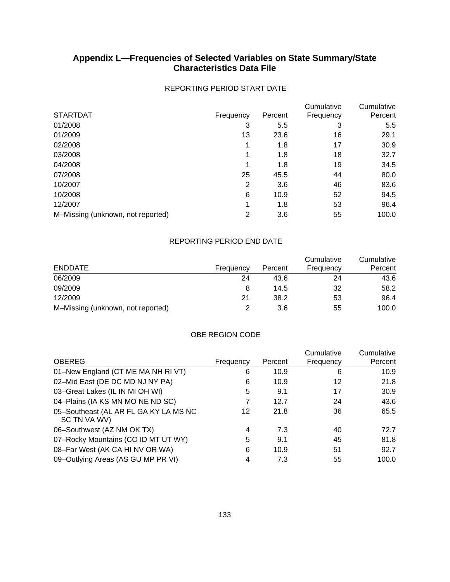## **Appendix L—Frequencies of Selected Variables on State Summary/State Characteristics Data File**

|                                   |                |         | Cumulative | Cumulative |
|-----------------------------------|----------------|---------|------------|------------|
| <b>STARTDAT</b>                   | Frequency      | Percent | Frequency  | Percent    |
| 01/2008                           | 3              | 5.5     | 3          | 5.5        |
| 01/2009                           | 13             | 23.6    | 16         | 29.1       |
| 02/2008                           | 1              | 1.8     | 17         | 30.9       |
| 03/2008                           | 1              | 1.8     | 18         | 32.7       |
| 04/2008                           | 1              | 1.8     | 19         | 34.5       |
| 07/2008                           | 25             | 45.5    | 44         | 80.0       |
| 10/2007                           | $\overline{2}$ | 3.6     | 46         | 83.6       |
| 10/2008                           | 6              | 10.9    | 52         | 94.5       |
| 12/2007                           | 1              | 1.8     | 53         | 96.4       |
| M-Missing (unknown, not reported) | 2              | 3.6     | 55         | 100.0      |

### REPORTING PERIOD START DATE

### REPORTING PERIOD END DATE

| <b>ENDDATE</b>                    | Frequency | Percent | Cumulative<br>Frequency | Cumulative<br>Percent |
|-----------------------------------|-----------|---------|-------------------------|-----------------------|
| 06/2009                           | 24        | 43.6    | 24                      | 43.6                  |
| 09/2009                           | 8         | 14.5    | 32                      | 58.2                  |
| 12/2009                           | 21        | 38.2    | 53                      | 96.4                  |
| M-Missing (unknown, not reported) |           | 3.6     | 55                      | 100.0                 |

#### OBE REGION CODE

| <b>OBEREG</b>                                         | Frequency | Percent | Cumulative<br>Frequency | Cumulative<br>Percent |
|-------------------------------------------------------|-----------|---------|-------------------------|-----------------------|
| 01-New England (CT ME MA NH RI VT)                    | 6         | 10.9    | 6                       | 10.9                  |
| 02-Mid East (DE DC MD NJ NY PA)                       | 6         | 10.9    | 12                      | 21.8                  |
| 03-Great Lakes (IL IN MI OH WI)                       | 5         | 9.1     | 17                      | 30.9                  |
| 04-Plains (IA KS MN MO NE ND SC)                      | 7         | 12.7    | 24                      | 43.6                  |
| 05-Southeast (AL AR FL GA KY LA MS NC<br>SC TN VA WV) | 12        | 21.8    | 36                      | 65.5                  |
| 06-Southwest (AZ NM OK TX)                            | 4         | 7.3     | 40                      | 72.7                  |
| 07-Rocky Mountains (CO ID MT UT WY)                   | 5         | 9.1     | 45                      | 81.8                  |
| 08-Far West (AK CA HI NV OR WA)                       | 6         | 10.9    | 51                      | 92.7                  |
| 09-Outlying Areas (AS GU MP PR VI)                    | 4         | 7.3     | 55                      | 100.0                 |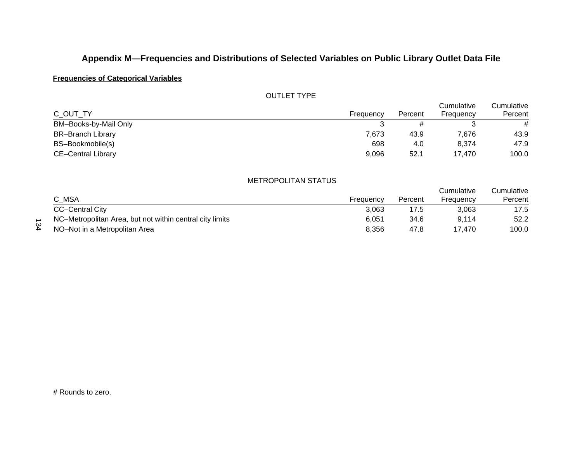## **Frequencies of Categorical Variables**

#### OUTLET TYPE

|                           |           |         | Cumulative | Cumulative |
|---------------------------|-----------|---------|------------|------------|
| C OUT TY                  | Frequency | Percent | Frequency  | Percent    |
| BM-Books-by-Mail Only     |           |         |            | #          |
| <b>BR-Branch Library</b>  | 7.673     | 43.9    | 7.676      | 43.9       |
| BS-Bookmobile(s)          | 698       | 4.0     | 8.374      | 47.9       |
| <b>CE-Central Library</b> | 9,096     | 52.1    | 17.470     | 100.0      |

#### METROPOLITAN STATUS

| C MSA                                                    | Frequency | Percent | Cumulative<br>Frequency | umulative<br>Percent |
|----------------------------------------------------------|-----------|---------|-------------------------|----------------------|
| <b>CC-Central City</b>                                   | 3.063     | 17.5    | 3.063                   | 17.5                 |
| NC-Metropolitan Area, but not within central city limits | 6.051     | 34.6    | 9.114                   | 52.2                 |
| NO-Not in a Metropolitan Area                            | 8.356     | 47.8    | 17.470                  | 100.0                |

134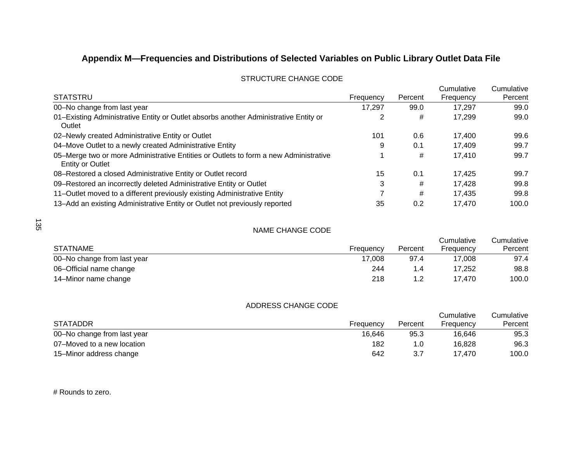|                                                                                                                 |           |         | Cumulative | Cumulative |
|-----------------------------------------------------------------------------------------------------------------|-----------|---------|------------|------------|
| <b>STATSTRU</b>                                                                                                 | Frequency | Percent | Frequency  | Percent    |
| 00-No change from last year                                                                                     | 17.297    | 99.0    | 17,297     | 99.0       |
| 01-Existing Administrative Entity or Outlet absorbs another Administrative Entity or<br>Outlet                  |           | #       | 17,299     | 99.0       |
| 02-Newly created Administrative Entity or Outlet                                                                | 101       | 0.6     | 17.400     | 99.6       |
| 04-Move Outlet to a newly created Administrative Entity                                                         | 9         | 0.1     | 17.409     | 99.7       |
| 05–Merge two or more Administrative Entities or Outlets to form a new Administrative<br><b>Entity or Outlet</b> |           | #       | 17,410     | 99.7       |
| 08-Restored a closed Administrative Entity or Outlet record                                                     | 15        | 0.1     | 17.425     | 99.7       |
| 09-Restored an incorrectly deleted Administrative Entity or Outlet                                              | 3         | #       | 17.428     | 99.8       |
| 11-Outlet moved to a different previously existing Administrative Entity                                        |           | #       | 17.435     | 99.8       |
| 13-Add an existing Administrative Entity or Outlet not previously reported                                      | 35        | 0.2     | 17.470     | 100.0      |

#### STRUCTURE CHANGE CODE

#### NAME CHANGE CODE

| <b>STATNAME</b>             | Frequency | Percent | Cumulative<br>Frequency | Cumulative<br>Percent |
|-----------------------------|-----------|---------|-------------------------|-----------------------|
| 00-No change from last year | 17.008    | 97.4    | 17.008                  | 97.4                  |
| 06-Official name change     | 244       |         | 17.252                  | 98.8                  |
| 14–Minor name change        | 218       |         | 17.470                  | 100.0                 |

#### ADDRESS CHANGE CODE

|                             |           |         | Cumulative | Cumulative |
|-----------------------------|-----------|---------|------------|------------|
| <b>STATADDR</b>             | Frequency | Percent | Frequency  | Percent    |
| 00–No change from last year | 16.646    | 95.3    | 16.646     | 95.3       |
| 07–Moved to a new location  | 182       | 1.0     | 16.828     | 96.3       |
| 15–Minor address change     | 642       | 3.7     | 17.470     | 100.0      |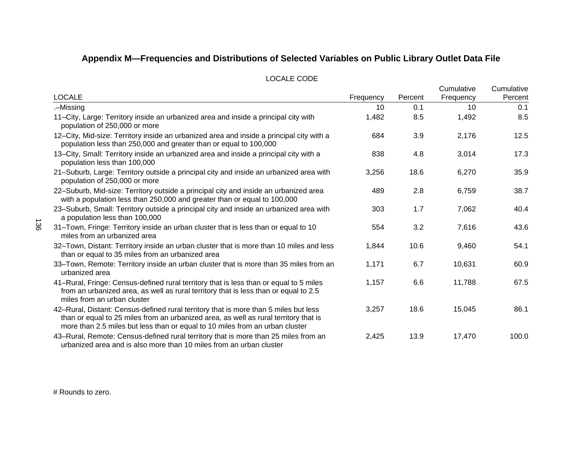| <b>LOCALE</b>                                                                                                                                                                                                                                                | Frequency | Percent | Cumulative<br>Frequency | Cumulative<br>Percent |
|--------------------------------------------------------------------------------------------------------------------------------------------------------------------------------------------------------------------------------------------------------------|-----------|---------|-------------------------|-----------------------|
| .–Missing                                                                                                                                                                                                                                                    | 10        | 0.1     | 10                      | 0.1                   |
| 11-City, Large: Territory inside an urbanized area and inside a principal city with<br>population of 250,000 or more                                                                                                                                         | 1,482     | 8.5     | 1,492                   | 8.5                   |
| 12–City, Mid-size: Territory inside an urbanized area and inside a principal city with a<br>population less than 250,000 and greater than or equal to 100,000                                                                                                | 684       | 3.9     | 2,176                   | 12.5                  |
| 13–City, Small: Territory inside an urbanized area and inside a principal city with a<br>population less than 100,000                                                                                                                                        | 838       | 4.8     | 3,014                   | 17.3                  |
| 21-Suburb, Large: Territory outside a principal city and inside an urbanized area with<br>population of 250,000 or more                                                                                                                                      | 3,256     | 18.6    | 6,270                   | 35.9                  |
| 22-Suburb, Mid-size: Territory outside a principal city and inside an urbanized area<br>with a population less than 250,000 and greater than or equal to 100,000                                                                                             | 489       | 2.8     | 6,759                   | 38.7                  |
| 23-Suburb, Small: Territory outside a principal city and inside an urbanized area with<br>a population less than 100,000                                                                                                                                     | 303       | 1.7     | 7,062                   | 40.4                  |
| 31-Town, Fringe: Territory inside an urban cluster that is less than or equal to 10<br>miles from an urbanized area                                                                                                                                          | 554       | 3.2     | 7,616                   | 43.6                  |
| 32-Town, Distant: Territory inside an urban cluster that is more than 10 miles and less<br>than or equal to 35 miles from an urbanized area                                                                                                                  | 1,844     | 10.6    | 9,460                   | 54.1                  |
| 33-Town, Remote: Territory inside an urban cluster that is more than 35 miles from an<br>urbanized area                                                                                                                                                      | 1,171     | 6.7     | 10,631                  | 60.9                  |
| 41-Rural, Fringe: Census-defined rural territory that is less than or equal to 5 miles<br>from an urbanized area, as well as rural territory that is less than or equal to 2.5<br>miles from an urban cluster                                                | 1,157     | 6.6     | 11,788                  | 67.5                  |
| 42-Rural, Distant: Census-defined rural territory that is more than 5 miles but less<br>than or equal to 25 miles from an urbanized area, as well as rural territory that is<br>more than 2.5 miles but less than or equal to 10 miles from an urban cluster | 3,257     | 18.6    | 15,045                  | 86.1                  |
| 43-Rural, Remote: Census-defined rural territory that is more than 25 miles from an<br>urbanized area and is also more than 10 miles from an urban cluster                                                                                                   | 2,425     | 13.9    | 17,470                  | 100.0                 |

#### LOCALE CODE